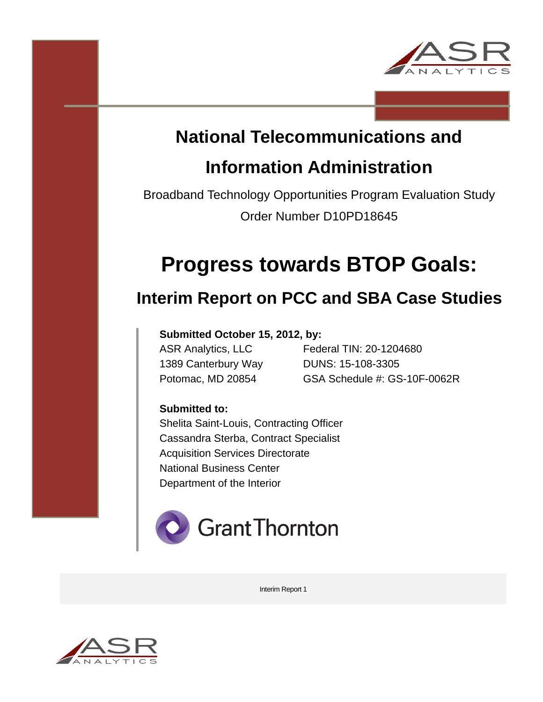

# **National Telecommunications and**

# **Information Administration**

Broadband Technology Opportunities Program Evaluation Study Order Number D10PD18645

# **Progress towards BTOP Goals:**

# **Interim Report on PCC and SBA Case Studies**

# **Submitted October 15, 2012, by:**

ASN Analysics, ---<br>1389 Canterbury Way DUNS: 15-108-3305

ASR Analytics, LLC Federal TIN: 20-1204680 Potomac, MD 20854 GSA Schedule #: GS-10F-0062R

# **Submitted to:**

Shelita Saint-Louis, Contracting Officer Cassandra Sterba, Contract Specialist Acquisition Services Directorate National Business Center Department of the Interior



Interim Report 1

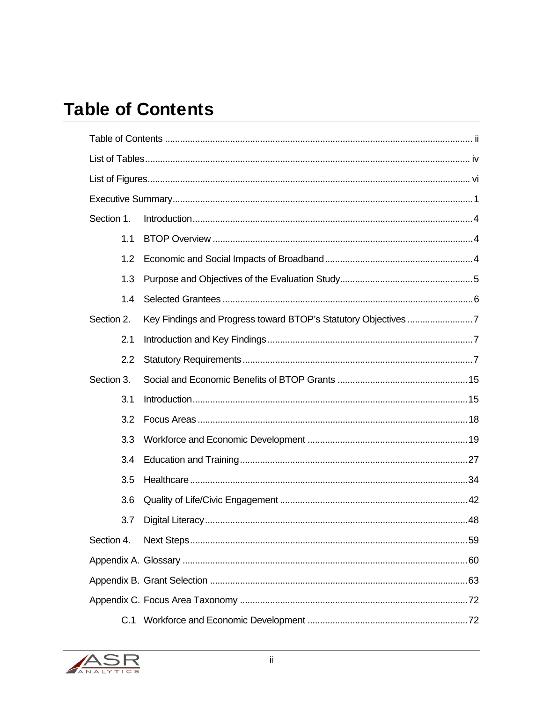# **Table of Contents**

| Section 1. |  |  |  |  |  |  |  |
|------------|--|--|--|--|--|--|--|
| 1.1        |  |  |  |  |  |  |  |
| 1.2        |  |  |  |  |  |  |  |
| 1.3        |  |  |  |  |  |  |  |
| 1.4        |  |  |  |  |  |  |  |
| Section 2. |  |  |  |  |  |  |  |
| 2.1        |  |  |  |  |  |  |  |
| 2.2        |  |  |  |  |  |  |  |
| Section 3. |  |  |  |  |  |  |  |
| 3.1        |  |  |  |  |  |  |  |
| 3.2        |  |  |  |  |  |  |  |
| 3.3        |  |  |  |  |  |  |  |
| 3.4        |  |  |  |  |  |  |  |
| 3.5        |  |  |  |  |  |  |  |
| 3.6        |  |  |  |  |  |  |  |
| 3.7        |  |  |  |  |  |  |  |
| Section 4. |  |  |  |  |  |  |  |
|            |  |  |  |  |  |  |  |
|            |  |  |  |  |  |  |  |
|            |  |  |  |  |  |  |  |
| C.1        |  |  |  |  |  |  |  |

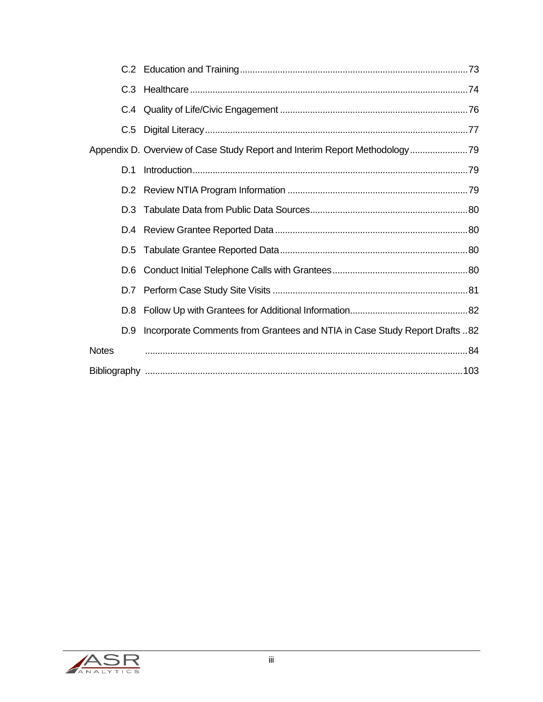| D.1          |                                                                                |  |
|--------------|--------------------------------------------------------------------------------|--|
|              |                                                                                |  |
| D.3          |                                                                                |  |
|              |                                                                                |  |
|              |                                                                                |  |
| D.6          |                                                                                |  |
|              |                                                                                |  |
|              |                                                                                |  |
|              | D.9 Incorporate Comments from Grantees and NTIA in Case Study Report Drafts 82 |  |
| <b>Notes</b> |                                                                                |  |
|              |                                                                                |  |

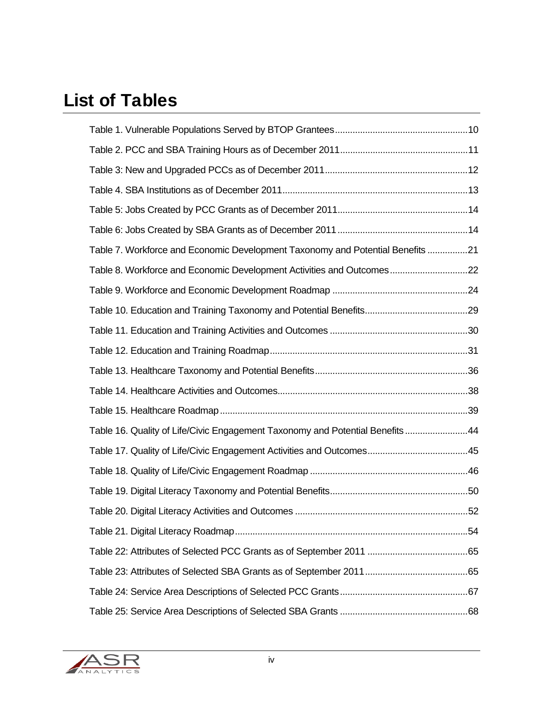# List of Tables

| Table 7. Workforce and Economic Development Taxonomy and Potential Benefits 21 |  |
|--------------------------------------------------------------------------------|--|
| Table 8. Workforce and Economic Development Activities and Outcomes22          |  |
|                                                                                |  |
|                                                                                |  |
|                                                                                |  |
|                                                                                |  |
|                                                                                |  |
|                                                                                |  |
|                                                                                |  |
| Table 16. Quality of Life/Civic Engagement Taxonomy and Potential Benefits44   |  |
|                                                                                |  |
|                                                                                |  |
|                                                                                |  |
|                                                                                |  |
|                                                                                |  |
|                                                                                |  |
|                                                                                |  |
|                                                                                |  |
|                                                                                |  |

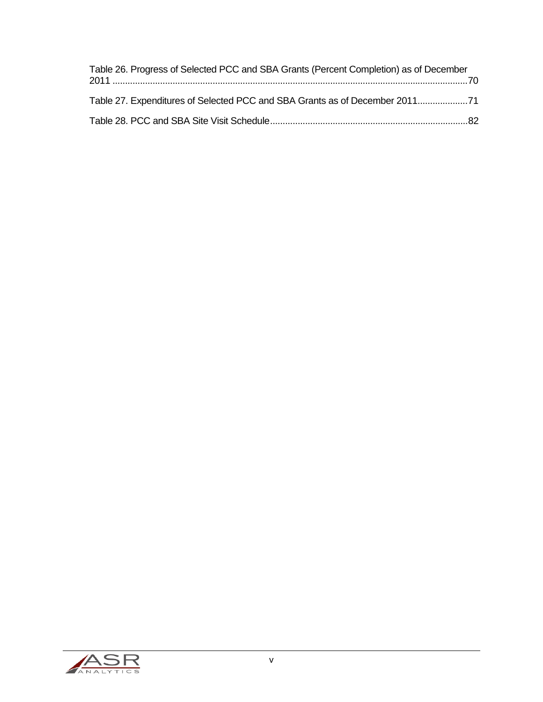| Table 26. Progress of Selected PCC and SBA Grants (Percent Completion) as of December |  |
|---------------------------------------------------------------------------------------|--|
| Table 27. Expenditures of Selected PCC and SBA Grants as of December 2011             |  |
|                                                                                       |  |

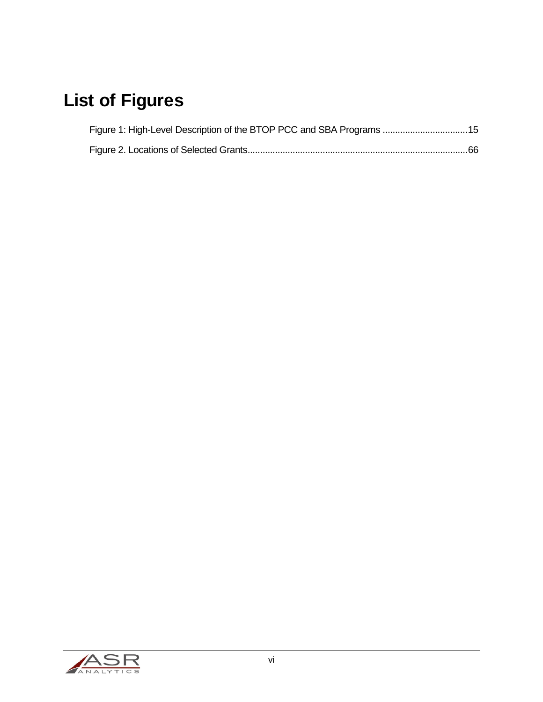# List of Figures

| Figure 1: High-Level Description of the BTOP PCC and SBA Programs  15 |  |
|-----------------------------------------------------------------------|--|
|                                                                       |  |

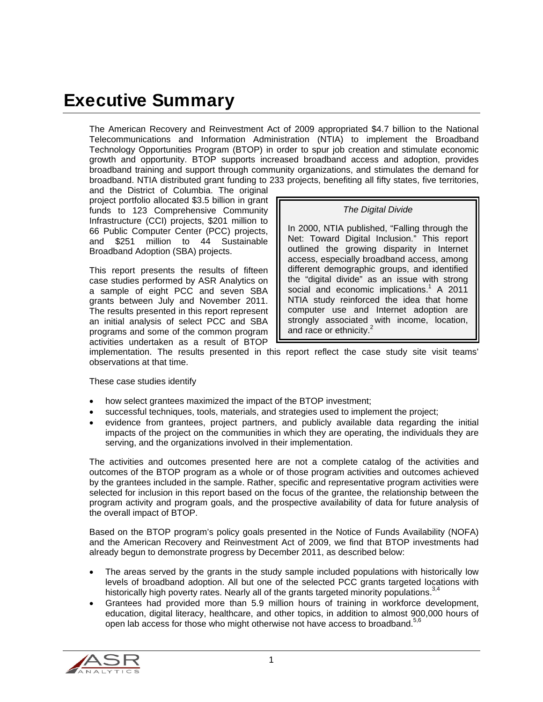# Executive Summary

The American Recovery and Reinvestment Act of 2009 appropriated \$4.7 billion to the National Telecommunications and Information Administration (NTIA) to implement the Broadband Technology Opportunities Program (BTOP) in order to spur job creation and stimulate economic growth and opportunity. BTOP supports increased broadband access and adoption, provides broadband training and support through community organizations, and stimulates the demand for broadband. NTIA distributed grant funding to 233 projects, benefiting all fifty states, five territories,

and the District of Columbia. The original project portfolio allocated \$3.5 billion in grant funds to 123 Comprehensive Community Infrastructure (CCI) projects, \$201 million to 66 Public Computer Center (PCC) projects, and \$251 million to 44 Sustainable Broadband Adoption (SBA) projects.

This report presents the results of fifteen case studies performed by ASR Analytics on a sample of eight PCC and seven SBA grants between July and November 2011. The results presented in this report represent an initial analysis of select PCC and SBA programs and some of the common program activities undertaken as a result of BTOP

*The Digital Divide*

In 2000, NTIA published, "Falling through the Net: Toward Digital Inclusion." This report outlined the growing disparity in Internet access, especially broadband access, among different demographic groups, and identified the "digital divide" as an issue with strong social and economic implications.<sup>1</sup> A 2011 NTIA study reinforced the idea that home computer use and Internet adoption are strongly associated with income, location, and race or ethnicity.<sup>2</sup>

implementation. The results presented in this report reflect the case study site visit teams' observations at that time.

These case studies identify

- how select grantees maximized the impact of the BTOP investment;
- successful techniques, tools, materials, and strategies used to implement the project;
- evidence from grantees, project partners, and publicly available data regarding the initial impacts of the project on the communities in which they are operating, the individuals they are serving, and the organizations involved in their implementation.

The activities and outcomes presented here are not a complete catalog of the activities and outcomes of the BTOP program as a whole or of those program activities and outcomes achieved by the grantees included in the sample. Rather, specific and representative program activities were selected for inclusion in this report based on the focus of the grantee, the relationship between the program activity and program goals, and the prospective availability of data for future analysis of the overall impact of BTOP.

Based on the BTOP program's policy goals presented in the Notice of Funds Availability (NOFA) and the American Recovery and Reinvestment Act of 2009, we find that BTOP investments had already begun to demonstrate progress by December 2011, as described below:

- The areas served by the grants in the study sample included populations with historically low levels of broadband adoption. All but one of the selected PCC grants targeted locations with historically high poverty rates. Nearly all of the grants targeted minority populations.<sup>3,4</sup>
- Grantees had provided more than 5.9 million hours of training in workforce development, education, digital literacy, healthcare, and other topics, in addition to almost 900,000 hours of open lab access for those who might otherwise not have access to broadband.<sup>5,6</sup>

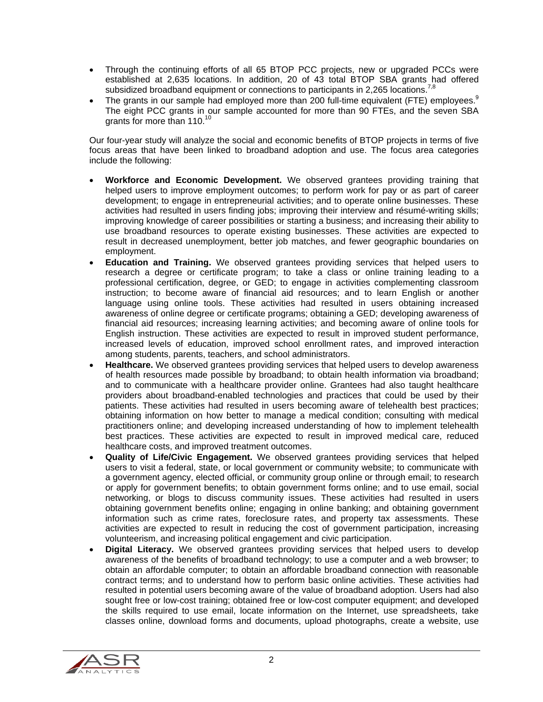- Through the continuing efforts of all 65 BTOP PCC projects, new or upgraded PCCs were established at 2,635 locations. In addition, 20 of 43 total BTOP SBA grants had offered subsidized broadband equipment or connections to participants in 2,265 locations.<sup>7,</sup>
- The grants in our sample had employed more than 200 full-time equivalent (FTE) employees.<sup>9</sup> The eight PCC grants in our sample accounted for more than 90 FTEs, and the seven SBA grants for more than 110.<sup>10</sup>

Our four-year study will analyze the social and economic benefits of BTOP projects in terms of five focus areas that have been linked to broadband adoption and use. The focus area categories include the following:

- **Workforce and Economic Development.** We observed grantees providing training that helped users to improve employment outcomes; to perform work for pay or as part of career development; to engage in entrepreneurial activities; and to operate online businesses. These activities had resulted in users finding jobs; improving their interview and résumé-writing skills; improving knowledge of career possibilities or starting a business; and increasing their ability to use broadband resources to operate existing businesses. These activities are expected to result in decreased unemployment, better job matches, and fewer geographic boundaries on employment.
- **Education and Training.** We observed grantees providing services that helped users to research a degree or certificate program; to take a class or online training leading to a professional certification, degree, or GED; to engage in activities complementing classroom instruction; to become aware of financial aid resources; and to learn English or another language using online tools. These activities had resulted in users obtaining increased awareness of online degree or certificate programs; obtaining a GED; developing awareness of financial aid resources; increasing learning activities; and becoming aware of online tools for English instruction. These activities are expected to result in improved student performance, increased levels of education, improved school enrollment rates, and improved interaction among students, parents, teachers, and school administrators.
- **Healthcare.** We observed grantees providing services that helped users to develop awareness of health resources made possible by broadband; to obtain health information via broadband; and to communicate with a healthcare provider online. Grantees had also taught healthcare providers about broadband-enabled technologies and practices that could be used by their patients. These activities had resulted in users becoming aware of telehealth best practices; obtaining information on how better to manage a medical condition; consulting with medical practitioners online; and developing increased understanding of how to implement telehealth best practices. These activities are expected to result in improved medical care, reduced healthcare costs, and improved treatment outcomes.
- **Quality of Life/Civic Engagement.** We observed grantees providing services that helped users to visit a federal, state, or local government or community website; to communicate with a government agency, elected official, or community group online or through email; to research or apply for government benefits; to obtain government forms online; and to use email, social networking, or blogs to discuss community issues. These activities had resulted in users obtaining government benefits online; engaging in online banking; and obtaining government information such as crime rates, foreclosure rates, and property tax assessments. These activities are expected to result in reducing the cost of government participation, increasing volunteerism, and increasing political engagement and civic participation.
- **Digital Literacy.** We observed grantees providing services that helped users to develop awareness of the benefits of broadband technology; to use a computer and a web browser; to obtain an affordable computer; to obtain an affordable broadband connection with reasonable contract terms; and to understand how to perform basic online activities. These activities had resulted in potential users becoming aware of the value of broadband adoption. Users had also sought free or low-cost training; obtained free or low-cost computer equipment; and developed the skills required to use email, locate information on the Internet, use spreadsheets, take classes online, download forms and documents, upload photographs, create a website, use

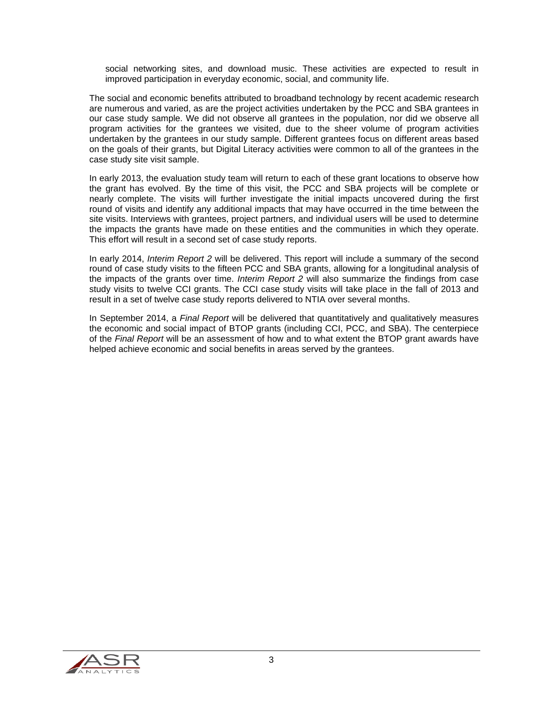social networking sites, and download music. These activities are expected to result in improved participation in everyday economic, social, and community life.

The social and economic benefits attributed to broadband technology by recent academic research are numerous and varied, as are the project activities undertaken by the PCC and SBA grantees in our case study sample. We did not observe all grantees in the population, nor did we observe all program activities for the grantees we visited, due to the sheer volume of program activities undertaken by the grantees in our study sample. Different grantees focus on different areas based on the goals of their grants, but Digital Literacy activities were common to all of the grantees in the case study site visit sample.

In early 2013, the evaluation study team will return to each of these grant locations to observe how the grant has evolved. By the time of this visit, the PCC and SBA projects will be complete or nearly complete. The visits will further investigate the initial impacts uncovered during the first round of visits and identify any additional impacts that may have occurred in the time between the site visits. Interviews with grantees, project partners, and individual users will be used to determine the impacts the grants have made on these entities and the communities in which they operate. This effort will result in a second set of case study reports.

In early 2014, *Interim Report 2* will be delivered. This report will include a summary of the second round of case study visits to the fifteen PCC and SBA grants, allowing for a longitudinal analysis of the impacts of the grants over time. *Interim Report 2* will also summarize the findings from case study visits to twelve CCI grants. The CCI case study visits will take place in the fall of 2013 and result in a set of twelve case study reports delivered to NTIA over several months.

In September 2014, a *Final Report* will be delivered that quantitatively and qualitatively measures the economic and social impact of BTOP grants (including CCI, PCC, and SBA). The centerpiece of the *Final Report* will be an assessment of how and to what extent the BTOP grant awards have helped achieve economic and social benefits in areas served by the grantees.

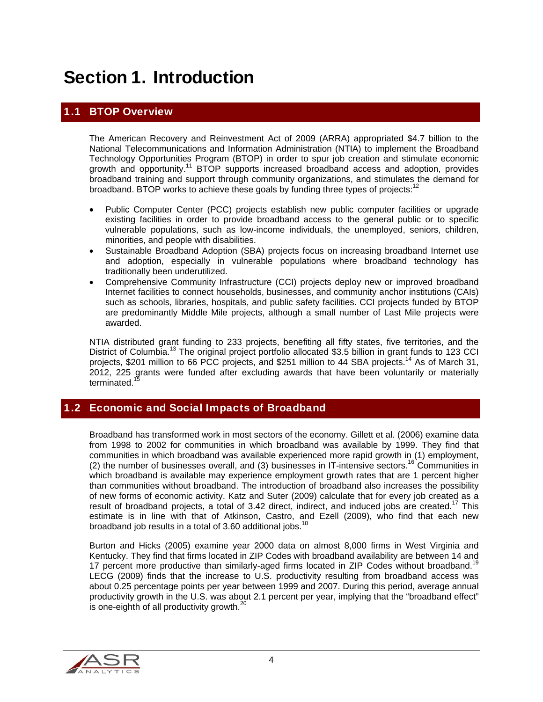# Section 1. Introduction

# 1.1 BTOP Overview

The American Recovery and Reinvestment Act of 2009 (ARRA) appropriated \$4.7 billion to the National Telecommunications and Information Administration (NTIA) to implement the Broadband Technology Opportunities Program (BTOP) in order to spur job creation and stimulate economic growth and opportunity.<sup>11</sup> BTOP supports increased broadband access and adoption, provides broadband training and support through community organizations, and stimulates the demand for broadband. BTOP works to achieve these goals by funding three types of projects: $1^2$ 

- Public Computer Center (PCC) projects establish new public computer facilities or upgrade existing facilities in order to provide broadband access to the general public or to specific vulnerable populations, such as low-income individuals, the unemployed, seniors, children, minorities, and people with disabilities.
- Sustainable Broadband Adoption (SBA) projects focus on increasing broadband Internet use and adoption, especially in vulnerable populations where broadband technology has traditionally been underutilized.
- Comprehensive Community Infrastructure (CCI) projects deploy new or improved broadband Internet facilities to connect households, businesses, and community anchor institutions (CAIs) such as schools, libraries, hospitals, and public safety facilities. CCI projects funded by BTOP are predominantly Middle Mile projects, although a small number of Last Mile projects were awarded.

NTIA distributed grant funding to 233 projects, benefiting all fifty states, five territories, and the District of Columbia.<sup>13</sup> The original project portfolio allocated \$3.5 billion in grant funds to 123 CCI projects, \$201 million to 66 PCC projects, and \$251 million to 44 SBA projects.<sup>14</sup> As of March 31, 2012, 225 grants were funded after excluding awards that have been voluntarily or materially terminated.<sup>13</sup>

#### 1.2 Economic and Social Impacts of Broadband

Broadband has transformed work in most sectors of the economy. Gillett et al. (2006) examine data from 1998 to 2002 for communities in which broadband was available by 1999. They find that communities in which broadband was available experienced more rapid growth in (1) employment, (2) the number of businesses overall, and (3) businesses in IT-intensive sectors.16 Communities in which broadband is available may experience employment growth rates that are 1 percent higher than communities without broadband. The introduction of broadband also increases the possibility of new forms of economic activity. Katz and Suter (2009) calculate that for every job created as a result of broadband projects, a total of 3.42 direct, indirect, and induced jobs are created.<sup>17</sup> This estimate is in line with that of Atkinson, Castro, and Ezell (2009), who find that each new broadband job results in a total of 3.60 additional jobs.<sup>18</sup>

Burton and Hicks (2005) examine year 2000 data on almost 8,000 firms in West Virginia and Kentucky. They find that firms located in ZIP Codes with broadband availability are between 14 and 17 percent more productive than similarly-aged firms located in ZIP Codes without broadband.<sup>19</sup> LECG (2009) finds that the increase to U.S. productivity resulting from broadband access was about 0.25 percentage points per year between 1999 and 2007. During this period, average annual productivity growth in the U.S. was about 2.1 percent per year, implying that the "broadband effect" is one-eighth of all productivity growth. $^{20}$ 

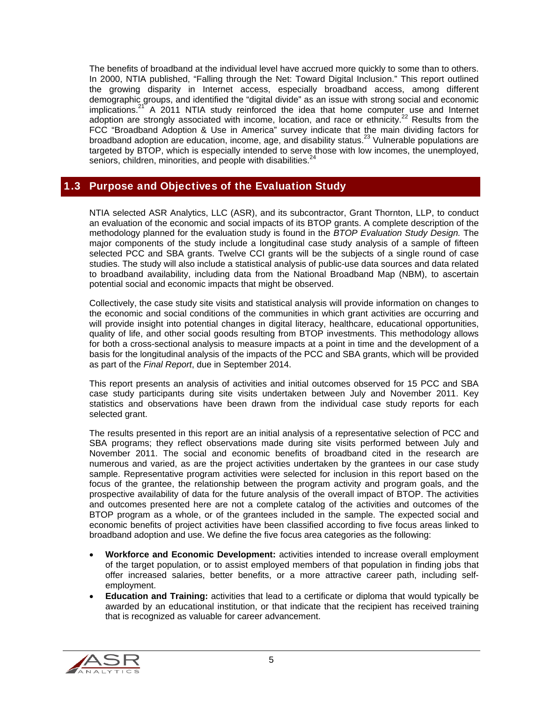The benefits of broadband at the individual level have accrued more quickly to some than to others. In 2000, NTIA published, "Falling through the Net: Toward Digital Inclusion." This report outlined the growing disparity in Internet access, especially broadband access, among different demographic groups, and identified the "digital divide" as an issue with strong social and economic implications. $21^{\circ}$  A 2011 NTIA study reinforced the idea that home computer use and Internet adoption are strongly associated with income, location, and race or ethnicity.<sup>22</sup> Results from the FCC "Broadband Adoption & Use in America" survey indicate that the main dividing factors for broadband adoption are education, income, age, and disability status.23 Vulnerable populations are targeted by BTOP, which is especially intended to serve those with low incomes, the unemployed, seniors, children, minorities, and people with disabilities.<sup>24</sup>

## 1.3 Purpose and Objectives of the Evaluation Study

NTIA selected ASR Analytics, LLC (ASR), and its subcontractor, Grant Thornton, LLP, to conduct an evaluation of the economic and social impacts of its BTOP grants. A complete description of the methodology planned for the evaluation study is found in the *BTOP Evaluation Study Design.* The major components of the study include a longitudinal case study analysis of a sample of fifteen selected PCC and SBA grants. Twelve CCI grants will be the subjects of a single round of case studies. The study will also include a statistical analysis of public-use data sources and data related to broadband availability, including data from the National Broadband Map (NBM), to ascertain potential social and economic impacts that might be observed.

Collectively, the case study site visits and statistical analysis will provide information on changes to the economic and social conditions of the communities in which grant activities are occurring and will provide insight into potential changes in digital literacy, healthcare, educational opportunities, quality of life, and other social goods resulting from BTOP investments. This methodology allows for both a cross-sectional analysis to measure impacts at a point in time and the development of a basis for the longitudinal analysis of the impacts of the PCC and SBA grants, which will be provided as part of the *Final Report*, due in September 2014.

This report presents an analysis of activities and initial outcomes observed for 15 PCC and SBA case study participants during site visits undertaken between July and November 2011. Key statistics and observations have been drawn from the individual case study reports for each selected grant.

The results presented in this report are an initial analysis of a representative selection of PCC and SBA programs; they reflect observations made during site visits performed between July and November 2011. The social and economic benefits of broadband cited in the research are numerous and varied, as are the project activities undertaken by the grantees in our case study sample. Representative program activities were selected for inclusion in this report based on the focus of the grantee, the relationship between the program activity and program goals, and the prospective availability of data for the future analysis of the overall impact of BTOP. The activities and outcomes presented here are not a complete catalog of the activities and outcomes of the BTOP program as a whole, or of the grantees included in the sample. The expected social and economic benefits of project activities have been classified according to five focus areas linked to broadband adoption and use. We define the five focus area categories as the following:

- **Workforce and Economic Development:** activities intended to increase overall employment of the target population, or to assist employed members of that population in finding jobs that offer increased salaries, better benefits, or a more attractive career path, including selfemployment.
- **Education and Training:** activities that lead to a certificate or diploma that would typically be awarded by an educational institution, or that indicate that the recipient has received training that is recognized as valuable for career advancement.

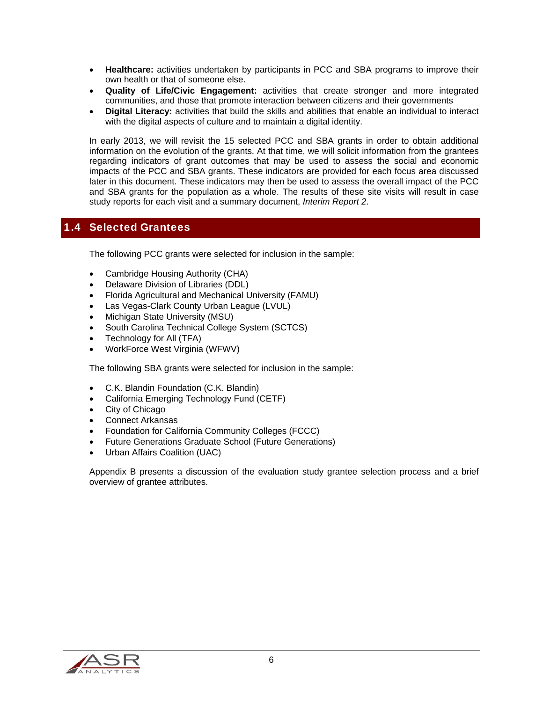- **Healthcare:** activities undertaken by participants in PCC and SBA programs to improve their own health or that of someone else.
- **Quality of Life/Civic Engagement:** activities that create stronger and more integrated communities, and those that promote interaction between citizens and their governments
- **Digital Literacy:** activities that build the skills and abilities that enable an individual to interact with the digital aspects of culture and to maintain a digital identity.

In early 2013, we will revisit the 15 selected PCC and SBA grants in order to obtain additional information on the evolution of the grants. At that time, we will solicit information from the grantees regarding indicators of grant outcomes that may be used to assess the social and economic impacts of the PCC and SBA grants. These indicators are provided for each focus area discussed later in this document. These indicators may then be used to assess the overall impact of the PCC and SBA grants for the population as a whole. The results of these site visits will result in case study reports for each visit and a summary document, *Interim Report 2*.

### 1.4 Selected Grantees

The following PCC grants were selected for inclusion in the sample:

- Cambridge Housing Authority (CHA)
- Delaware Division of Libraries (DDL)
- Florida Agricultural and Mechanical University (FAMU)
- Las Vegas-Clark County Urban League (LVUL)
- Michigan State University (MSU)
- South Carolina Technical College System (SCTCS)
- Technology for All (TFA)
- WorkForce West Virginia (WFWV)

The following SBA grants were selected for inclusion in the sample:

- C.K. Blandin Foundation (C.K. Blandin)
- California Emerging Technology Fund (CETF)
- City of Chicago
- Connect Arkansas
- Foundation for California Community Colleges (FCCC)
- Future Generations Graduate School (Future Generations)
- Urban Affairs Coalition (UAC)

Appendix B presents a discussion of the evaluation study grantee selection process and a brief overview of grantee attributes.

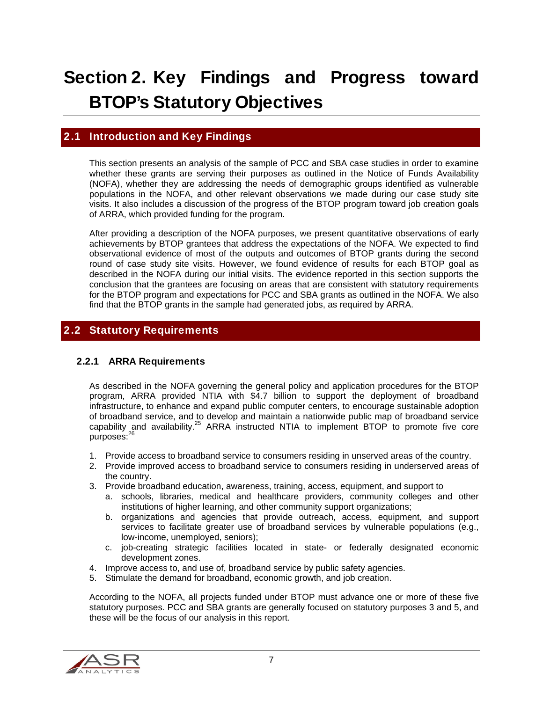# Section 2. Key Findings and Progress toward BTOP's Statutory Objectives

#### 2.1 Introduction and Key Findings

This section presents an analysis of the sample of PCC and SBA case studies in order to examine whether these grants are serving their purposes as outlined in the Notice of Funds Availability (NOFA), whether they are addressing the needs of demographic groups identified as vulnerable populations in the NOFA, and other relevant observations we made during our case study site visits. It also includes a discussion of the progress of the BTOP program toward job creation goals of ARRA, which provided funding for the program.

After providing a description of the NOFA purposes, we present quantitative observations of early achievements by BTOP grantees that address the expectations of the NOFA. We expected to find observational evidence of most of the outputs and outcomes of BTOP grants during the second round of case study site visits. However, we found evidence of results for each BTOP goal as described in the NOFA during our initial visits. The evidence reported in this section supports the conclusion that the grantees are focusing on areas that are consistent with statutory requirements for the BTOP program and expectations for PCC and SBA grants as outlined in the NOFA. We also find that the BTOP grants in the sample had generated jobs, as required by ARRA.

# 2.2 Statutory Requirements

#### 2.2.1 ARRA Requirements

As described in the NOFA governing the general policy and application procedures for the BTOP program, ARRA provided NTIA with \$4.7 billion to support the deployment of broadband infrastructure, to enhance and expand public computer centers, to encourage sustainable adoption of broadband service, and to develop and maintain a nationwide public map of broadband service capability and availability.<sup>25</sup> ARRA instructed NTIA to implement BTOP to promote five core purposes:<sup>26</sup>

- 1. Provide access to broadband service to consumers residing in unserved areas of the country.
- 2. Provide improved access to broadband service to consumers residing in underserved areas of the country.
- 3. Provide broadband education, awareness, training, access, equipment, and support to
	- a. schools, libraries, medical and healthcare providers, community colleges and other institutions of higher learning, and other community support organizations;
	- b. organizations and agencies that provide outreach, access, equipment, and support services to facilitate greater use of broadband services by vulnerable populations (e.g., low-income, unemployed, seniors);
	- c. job-creating strategic facilities located in state- or federally designated economic development zones.
- 4. Improve access to, and use of, broadband service by public safety agencies.
- 5. Stimulate the demand for broadband, economic growth, and job creation.

According to the NOFA, all projects funded under BTOP must advance one or more of these five statutory purposes. PCC and SBA grants are generally focused on statutory purposes 3 and 5, and these will be the focus of our analysis in this report.

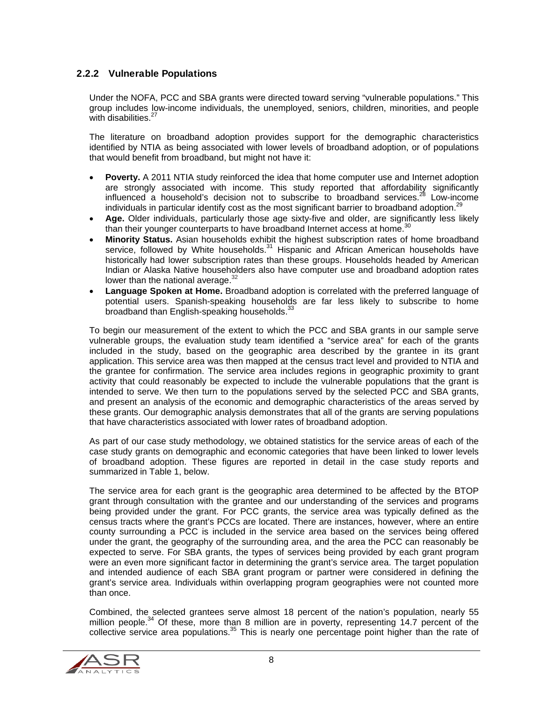#### 2.2.2 Vulnerable Populations

Under the NOFA, PCC and SBA grants were directed toward serving "vulnerable populations." This group includes low-income individuals, the unemployed, seniors, children, minorities, and people with disabilities.<sup>27</sup>

The literature on broadband adoption provides support for the demographic characteristics identified by NTIA as being associated with lower levels of broadband adoption, or of populations that would benefit from broadband, but might not have it:

- **Poverty.** A 2011 NTIA study reinforced the idea that home computer use and Internet adoption are strongly associated with income. This study reported that affordability significantly influenced a household's decision not to subscribe to broadband services.<sup>28</sup> Low-income individuals in particular identify cost as the most significant barrier to broadband adoption.<sup>29</sup>
- **Age.** Older individuals, particularly those age sixty-five and older, are significantly less likely than their younger counterparts to have broadband Internet access at home.<sup>30</sup>
- **Minority Status.** Asian households exhibit the highest subscription rates of home broadband service, followed by White households.<sup>31</sup> Hispanic and African American households have historically had lower subscription rates than these groups. Households headed by American Indian or Alaska Native householders also have computer use and broadband adoption rates lower than the national average. $32$
- **Language Spoken at Home.** Broadband adoption is correlated with the preferred language of potential users. Spanish-speaking households are far less likely to subscribe to home broadband than English-speaking households.<sup>33</sup>

To begin our measurement of the extent to which the PCC and SBA grants in our sample serve vulnerable groups, the evaluation study team identified a "service area" for each of the grants included in the study, based on the geographic area described by the grantee in its grant application. This service area was then mapped at the census tract level and provided to NTIA and the grantee for confirmation. The service area includes regions in geographic proximity to grant activity that could reasonably be expected to include the vulnerable populations that the grant is intended to serve. We then turn to the populations served by the selected PCC and SBA grants, and present an analysis of the economic and demographic characteristics of the areas served by these grants. Our demographic analysis demonstrates that all of the grants are serving populations that have characteristics associated with lower rates of broadband adoption.

As part of our case study methodology, we obtained statistics for the service areas of each of the case study grants on demographic and economic categories that have been linked to lower levels of broadband adoption. These figures are reported in detail in the case study reports and summarized in Table 1, below.

The service area for each grant is the geographic area determined to be affected by the BTOP grant through consultation with the grantee and our understanding of the services and programs being provided under the grant. For PCC grants, the service area was typically defined as the census tracts where the grant's PCCs are located. There are instances, however, where an entire county surrounding a PCC is included in the service area based on the services being offered under the grant, the geography of the surrounding area, and the area the PCC can reasonably be expected to serve. For SBA grants, the types of services being provided by each grant program were an even more significant factor in determining the grant's service area. The target population and intended audience of each SBA grant program or partner were considered in defining the grant's service area. Individuals within overlapping program geographies were not counted more than once.

Combined, the selected grantees serve almost 18 percent of the nation's population, nearly 55 million people.<sup>34</sup> Of these, more than 8 million are in poverty, representing 14.7 percent of the collective service area populations.<sup>35</sup> This is nearly one percentage point higher than the rate of

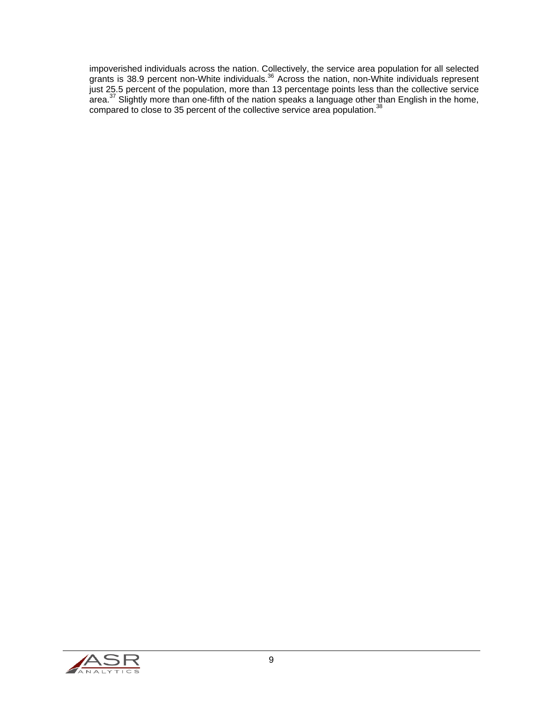impoverished individuals across the nation. Collectively, the service area population for all selected grants is 38.9 percent non-White individuals.<sup>36</sup> Across the nation, non-White individuals represent just 25.5 percent of the population, more than 13 percentage points less than the collective service area.<sup>37</sup> Slightly more than one-fifth of the nation speaks a language other than English in the home, compared to close to 35 percent of the collective service area population.<sup>38</sup>

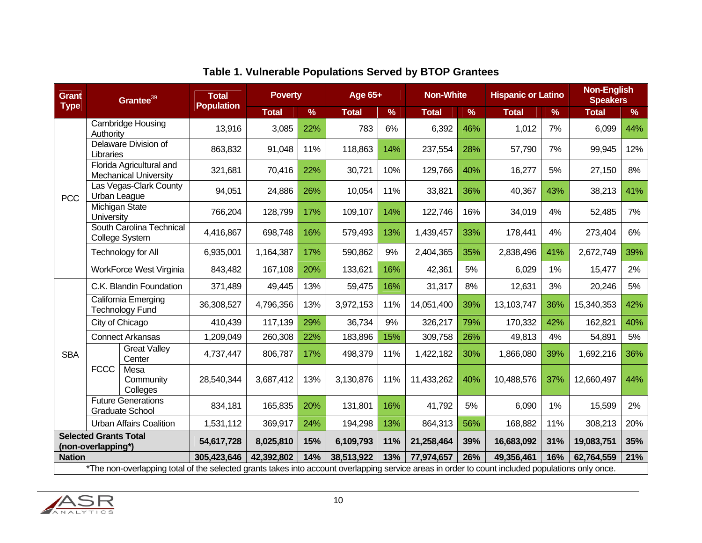| <b>Grant</b>                   |                                                                                                                                                  |                                                          | Grantee <sup>39</sup> |            | <b>Poverty</b><br><b>Total</b><br><b>Population</b> |               |              | Age 65+    |              | <b>Non-White</b> |              | <b>Hispanic or Latino</b> |     | <b>Non-English</b><br><b>Speakers</b> |  |
|--------------------------------|--------------------------------------------------------------------------------------------------------------------------------------------------|----------------------------------------------------------|-----------------------|------------|-----------------------------------------------------|---------------|--------------|------------|--------------|------------------|--------------|---------------------------|-----|---------------------------------------|--|
| <b>Type</b>                    |                                                                                                                                                  |                                                          | <b>Total</b>          | %          | <b>Total</b>                                        | $\frac{9}{6}$ | <b>Total</b> | %          | <b>Total</b> | $\%$             | <b>Total</b> | %                         |     |                                       |  |
|                                | Cambridge Housing<br>Authority                                                                                                                   |                                                          | 13,916                | 3,085      | 22%                                                 | 783           | 6%           | 6,392      | 46%          | 1,012            | 7%           | 6,099                     | 44% |                                       |  |
|                                | Delaware Division of<br>Libraries                                                                                                                |                                                          | 863,832               | 91,048     | 11%                                                 | 118,863       | 14%          | 237,554    | 28%          | 57,790           | 7%           | 99,945                    | 12% |                                       |  |
|                                |                                                                                                                                                  | Florida Agricultural and<br><b>Mechanical University</b> | 321,681               | 70,416     | 22%                                                 | 30,721        | 10%          | 129,766    | 40%          | 16,277           | 5%           | 27,150                    | 8%  |                                       |  |
| <b>PCC</b>                     | Urban League                                                                                                                                     | Las Vegas-Clark County                                   | 94,051                | 24,886     | 26%                                                 | 10,054        | 11%          | 33,821     | 36%          | 40,367           | 43%          | 38,213                    | 41% |                                       |  |
|                                | University                                                                                                                                       | Michigan State                                           | 766,204               | 128,799    | 17%                                                 | 109,107       | 14%          | 122,746    | 16%          | 34,019           | 4%           | 52,485                    | 7%  |                                       |  |
|                                | South Carolina Technical<br>College System                                                                                                       |                                                          | 4,416,867             | 698,748    | 16%                                                 | 579,493       | 13%          | 1,439,457  | 33%          | 178,441          | 4%           | 273,404                   | 6%  |                                       |  |
|                                | Technology for All                                                                                                                               |                                                          | 6,935,001             | 1,164,387  | 17%                                                 | 590,862       | 9%           | 2,404,365  | 35%          | 2,838,496        | 41%          | 2,672,749                 | 39% |                                       |  |
|                                |                                                                                                                                                  | <b>WorkForce West Virginia</b>                           | 843,482               | 167,108    | 20%                                                 | 133,621       | 16%          | 42,361     | 5%           | 6,029            | 1%           | 15,477                    | 2%  |                                       |  |
|                                | C.K. Blandin Foundation                                                                                                                          |                                                          | 371,489               | 49,445     | 13%                                                 | 59,475        | 16%          | 31,317     | 8%           | 12,631           | 3%           | 20,246                    | 5%  |                                       |  |
|                                | California Emerging<br><b>Technology Fund</b>                                                                                                    |                                                          | 36,308,527            | 4,796,356  | 13%                                                 | 3,972,153     | 11%          | 14,051,400 | 39%          | 13,103,747       | 36%          | 15,340,353                | 42% |                                       |  |
|                                |                                                                                                                                                  | City of Chicago                                          | 410,439               | 117,139    | 29%                                                 | 36,734        | 9%           | 326,217    | 79%          | 170,332          | 42%          | 162,821                   | 40% |                                       |  |
|                                |                                                                                                                                                  | <b>Connect Arkansas</b>                                  | 1,209,049             | 260,308    | 22%                                                 | 183,896       | 15%          | 309,758    | 26%          | 49,813           | 4%           | 54,891                    | 5%  |                                       |  |
| <b>SBA</b>                     |                                                                                                                                                  | <b>Great Valley</b><br>Center                            | 4,737,447             | 806,787    | 17%                                                 | 498,379       | 11%          | 1,422,182  | 30%          | 1,866,080        | 39%          | 1,692,216                 | 36% |                                       |  |
|                                | <b>FCCC</b>                                                                                                                                      | Mesa<br>Community<br>Colleges                            | 28,540,344            | 3,687,412  | 13%                                                 | 3,130,876     | 11%          | 11,433,262 | 40%          | 10,488,576       | 37%          | 12,660,497                | 44% |                                       |  |
|                                |                                                                                                                                                  | <b>Future Generations</b><br><b>Graduate School</b>      | 834,181               | 165,835    | 20%                                                 | 131,801       | 16%          | 41,792     | 5%           | 6,090            | 1%           | 15,599                    | 2%  |                                       |  |
| <b>Urban Affairs Coalition</b> |                                                                                                                                                  | 1,531,112                                                | 369,917               | 24%        | 194,298                                             | 13%           | 864,313      | 56%        | 168,882      | 11%              | 308,213      | 20%                       |     |                                       |  |
|                                | <b>Selected Grants Total</b><br>(non-overlapping*)                                                                                               |                                                          | 54,617,728            | 8,025,810  | 15%                                                 | 6,109,793     | 11%          | 21,258,464 | 39%          | 16,683,092       | 31%          | 19,083,751                | 35% |                                       |  |
| <b>Nation</b>                  |                                                                                                                                                  |                                                          | 305,423,646           | 42,392,802 | 14%                                                 | 38,513,922    | 13%          | 77,974,657 | 26%          | 49,356,461       | 16%          | 62,764,559                | 21% |                                       |  |
|                                | *The non-overlapping total of the selected grants takes into account overlapping service areas in order to count included populations only once. |                                                          |                       |            |                                                     |               |              |            |              |                  |              |                           |     |                                       |  |

# **Table 1. Vulnerable Populations Served by BTOP Grantees**

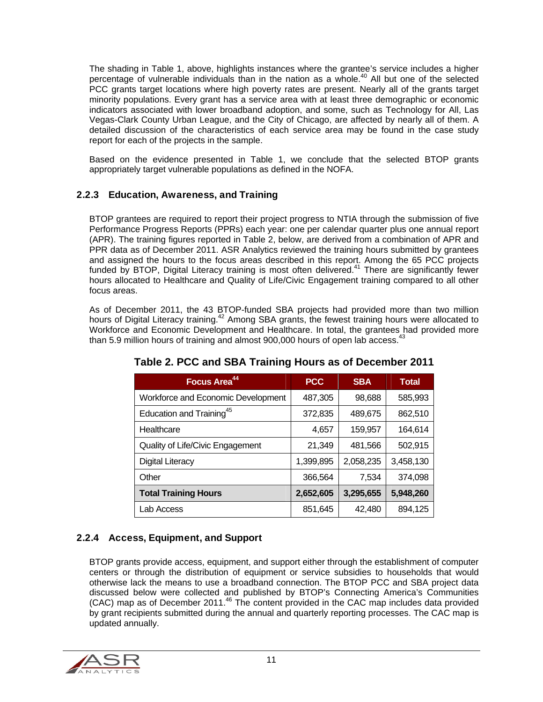The shading in Table 1, above, highlights instances where the grantee's service includes a higher percentage of vulnerable individuals than in the nation as a whole.<sup>40</sup> All but one of the selected PCC grants target locations where high poverty rates are present. Nearly all of the grants target minority populations. Every grant has a service area with at least three demographic or economic indicators associated with lower broadband adoption, and some, such as Technology for All, Las Vegas-Clark County Urban League, and the City of Chicago, are affected by nearly all of them. A detailed discussion of the characteristics of each service area may be found in the case study report for each of the projects in the sample.

Based on the evidence presented in Table 1, we conclude that the selected BTOP grants appropriately target vulnerable populations as defined in the NOFA.

#### 2.2.3 Education, Awareness, and Training

BTOP grantees are required to report their project progress to NTIA through the submission of five Performance Progress Reports (PPRs) each year: one per calendar quarter plus one annual report (APR). The training figures reported in Table 2, below, are derived from a combination of APR and PPR data as of December 2011. ASR Analytics reviewed the training hours submitted by grantees and assigned the hours to the focus areas described in this report. Among the 65 PCC projects funded by BTOP, Digital Literacy training is most often delivered.<sup>41</sup> There are significantly fewer hours allocated to Healthcare and Quality of Life/Civic Engagement training compared to all other focus areas.

As of December 2011, the 43 BTOP-funded SBA projects had provided more than two million hours of Digital Literacy training.<sup>42</sup> Among SBA grants, the fewest training hours were allocated to Workforce and Economic Development and Healthcare. In total, the grantees had provided more than 5.9 million hours of training and almost  $900,000$  hours of open lab access.<sup>43</sup>

| Focus Area <sup>44</sup>             | <b>PCC</b> | <b>SBA</b> | <b>Total</b> |
|--------------------------------------|------------|------------|--------------|
| Workforce and Economic Development   | 487,305    | 98,688     | 585,993      |
| Education and Training <sup>45</sup> | 372,835    | 489,675    | 862,510      |
| Healthcare                           | 4,657      | 159,957    | 164,614      |
| Quality of Life/Civic Engagement     | 21,349     | 481,566    | 502,915      |
| Digital Literacy                     | 1,399,895  | 2,058,235  | 3,458,130    |
| Other                                | 366,564    | 7,534      | 374,098      |
| <b>Total Training Hours</b>          | 2,652,605  | 3,295,655  | 5,948,260    |
| Lab Access                           | 851,645    | 42,480     | 894,125      |

**Table 2. PCC and SBA Training Hours as of December 2011** 

### 2.2.4 Access, Equipment, and Support

BTOP grants provide access, equipment, and support either through the establishment of computer centers or through the distribution of equipment or service subsidies to households that would otherwise lack the means to use a broadband connection. The BTOP PCC and SBA project data discussed below were collected and published by BTOP's Connecting America's Communities (CAC) map as of December 2011.<sup>46</sup> The content provided in the CAC map includes data provided by grant recipients submitted during the annual and quarterly reporting processes. The CAC map is updated annually.

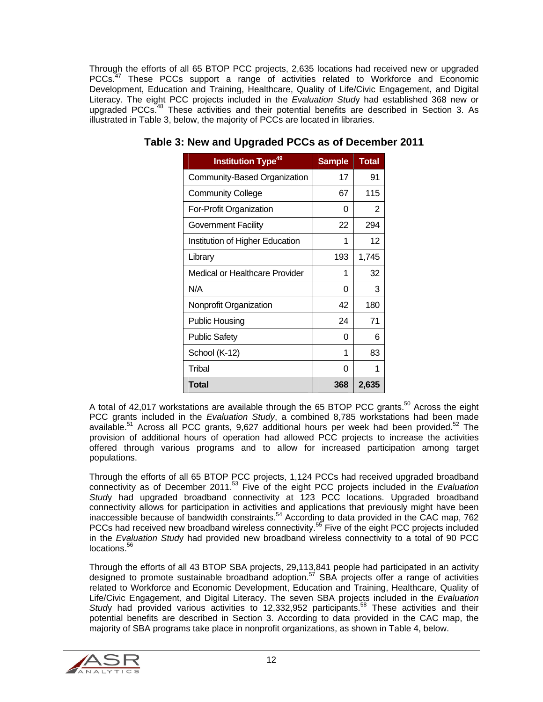Through the efforts of all 65 BTOP PCC projects, 2,635 locations had received new or upgraded PCCs.<sup>47</sup> These PCCs support a range of activities related to Workforce and Economic Development, Education and Training, Healthcare, Quality of Life/Civic Engagement, and Digital Literacy. The eight PCC projects included in the *Evaluation Stud*y had established 368 new or upgraded PCCs.<sup>48</sup> These activities and their potential benefits are described in Section 3. As illustrated in Table 3, below, the majority of PCCs are located in libraries.

| <b>Institution Type<sup>49</sup></b> | <b>Sample</b> | <b>Total</b> |
|--------------------------------------|---------------|--------------|
| Community-Based Organization         | 17            | 91           |
| <b>Community College</b>             | 67            | 115          |
| For-Profit Organization              | 0             | 2            |
| Government Facility                  | 22            | 294          |
| Institution of Higher Education      | 1             | 12           |
| Library                              | 193           | 1,745        |
| Medical or Healthcare Provider       | 1             | 32           |
| N/A                                  | 0             | 3            |
| Nonprofit Organization               | 42            | 180          |
| Public Housing                       | 24            | 71           |
| <b>Public Safety</b>                 | U             | 6            |
| School (K-12)                        | 1             | 83           |
| Tribal                               | 0             | 1            |
| Total                                | 368           | 2,635        |

**Table 3: New and Upgraded PCCs as of December 2011** 

A total of 42,017 workstations are available through the 65 BTOP PCC grants.<sup>50</sup> Across the eight PCC grants included in the *Evaluation Study*, a combined 8,785 workstations had been made available.<sup>51</sup> Across all PCC grants, 9,627 additional hours per week had been provided.<sup>52</sup> The provision of additional hours of operation had allowed PCC projects to increase the activities offered through various programs and to allow for increased participation among target populations.

Through the efforts of all 65 BTOP PCC projects, 1,124 PCCs had received upgraded broadband connectivity as of December 2011.53 Five of the eight PCC projects included in the *Evaluation Stud*y had upgraded broadband connectivity at 123 PCC locations. Upgraded broadband connectivity allows for participation in activities and applications that previously might have been inaccessible because of bandwidth constraints.54 According to data provided in the CAC map, 762 PCCs had received new broadband wireless connectivity.<sup>55</sup> Five of the eight PCC projects included in the *Evaluation Stud*y had provided new broadband wireless connectivity to a total of 90 PCC locations.<sup>56</sup>

Through the efforts of all 43 BTOP SBA projects, 29,113,841 people had participated in an activity designed to promote sustainable broadband adoption.<sup>57</sup> SBA projects offer a range of activities related to Workforce and Economic Development, Education and Training, Healthcare, Quality of Life/Civic Engagement, and Digital Literacy. The seven SBA projects included in the *Evaluation Study* had provided various activities to 12,332,952 participants.<sup>58</sup> These activities and their potential benefits are described in Section 3. According to data provided in the CAC map, the majority of SBA programs take place in nonprofit organizations, as shown in Table 4, below.

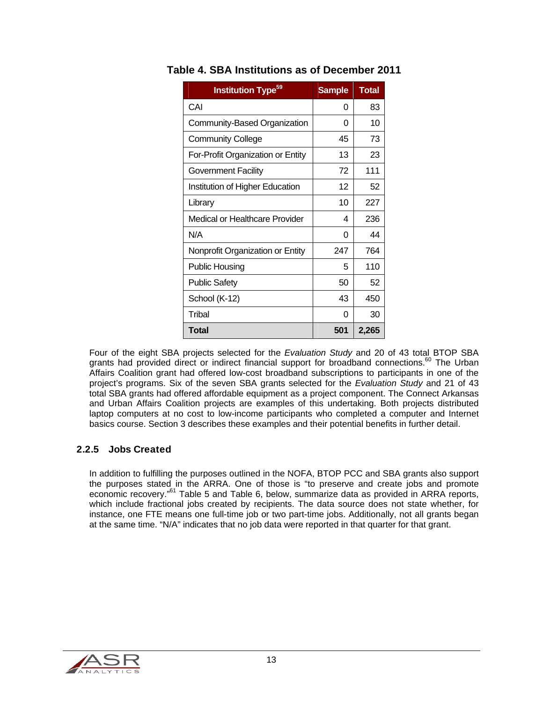| <b>Institution Type<sup>59</sup></b> | <b>Sample</b> | <b>Total</b> |
|--------------------------------------|---------------|--------------|
| CAI                                  | 0             | 83           |
| Community-Based Organization         | 0             | 10           |
| <b>Community College</b>             | 45            | 73           |
| For-Profit Organization or Entity    | 13            | 23           |
| Government Facility                  | 72            | 111          |
| Institution of Higher Education      | 12            | 52           |
| Library                              | 10            | 227          |
| Medical or Healthcare Provider       | 4             | 236          |
| N/A                                  | 0             | 44           |
| Nonprofit Organization or Entity     | 247           | 764          |
| <b>Public Housing</b>                | 5             | 110          |
| <b>Public Safety</b>                 | 50            | 52           |
| School (K-12)                        | 43            | 450          |
| Tribal                               | 0             | 30           |
| Total                                | 501           | 2,265        |

## **Table 4. SBA Institutions as of December 2011**

Four of the eight SBA projects selected for the *Evaluation Study* and 20 of 43 total BTOP SBA grants had provided direct or indirect financial support for broadband connections.<sup>60</sup> The Urban Affairs Coalition grant had offered low-cost broadband subscriptions to participants in one of the project's programs. Six of the seven SBA grants selected for the *Evaluation Study* and 21 of 43 total SBA grants had offered affordable equipment as a project component. The Connect Arkansas and Urban Affairs Coalition projects are examples of this undertaking. Both projects distributed laptop computers at no cost to low-income participants who completed a computer and Internet basics course. Section 3 describes these examples and their potential benefits in further detail.

### 2.2.5 Jobs Created

In addition to fulfilling the purposes outlined in the NOFA, BTOP PCC and SBA grants also support the purposes stated in the ARRA. One of those is "to preserve and create jobs and promote economic recovery."61 Table 5 and Table 6, below, summarize data as provided in ARRA reports, which include fractional jobs created by recipients. The data source does not state whether, for instance, one FTE means one full-time job or two part-time jobs. Additionally, not all grants began at the same time. "N/A" indicates that no job data were reported in that quarter for that grant.

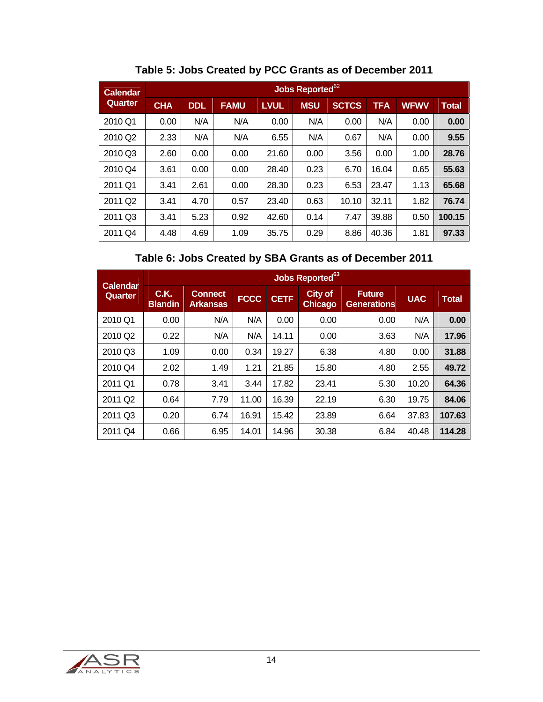| <b>Calendar</b>     |            |            |             |             | Jobs Reported <sup>62</sup> |              |            |             |              |
|---------------------|------------|------------|-------------|-------------|-----------------------------|--------------|------------|-------------|--------------|
| Quarter             | <b>CHA</b> | <b>DDL</b> | <b>FAMU</b> | <b>LVUL</b> | <b>MSU</b>                  | <b>SCTCS</b> | <b>TFA</b> | <b>WFWV</b> | <b>Total</b> |
| 2010 Q1             | 0.00       | N/A        | N/A         | 0.00        | N/A                         | 0.00         | N/A        | 0.00        | 0.00         |
| 2010 Q <sub>2</sub> | 2.33       | N/A        | N/A         | 6.55        | N/A                         | 0.67         | N/A        | 0.00        | 9.55         |
| 2010 Q3             | 2.60       | 0.00       | 0.00        | 21.60       | 0.00                        | 3.56         | 0.00       | 1.00        | 28.76        |
| 2010 Q4             | 3.61       | 0.00       | 0.00        | 28.40       | 0.23                        | 6.70         | 16.04      | 0.65        | 55.63        |
| 2011 Q1             | 3.41       | 2.61       | 0.00        | 28.30       | 0.23                        | 6.53         | 23.47      | 1.13        | 65.68        |
| 2011 Q <sub>2</sub> | 3.41       | 4.70       | 0.57        | 23.40       | 0.63                        | 10.10        | 32.11      | 1.82        | 76.74        |
| 2011 Q3             | 3.41       | 5.23       | 0.92        | 42.60       | 0.14                        | 7.47         | 39.88      | 0.50        | 100.15       |
| 2011 Q4             | 4.48       | 4.69       | 1.09        | 35.75       | 0.29                        | 8.86         | 40.36      | 1.81        | 97.33        |

**Table 5: Jobs Created by PCC Grants as of December 2011** 

# **Table 6: Jobs Created by SBA Grants as of December 2011**

| <b>Calendar</b>     |                        |                                   |             |             | Jobs Reported <sup>63</sup> |                                     |            |              |
|---------------------|------------------------|-----------------------------------|-------------|-------------|-----------------------------|-------------------------------------|------------|--------------|
| Quarter             | C.K.<br><b>Blandin</b> | <b>Connect</b><br><b>Arkansas</b> | <b>FCCC</b> | <b>CETF</b> | City of<br><b>Chicago</b>   | <b>Future</b><br><b>Generations</b> | <b>UAC</b> | <b>Total</b> |
| 2010 Q1             | 0.00                   | N/A                               | N/A         | 0.00        | 0.00                        | 0.00                                | N/A        | 0.00         |
| 2010 Q <sub>2</sub> | 0.22                   | N/A                               | N/A         | 14.11       | 0.00                        | 3.63                                | N/A        | 17.96        |
| 2010 Q3             | 1.09                   | 0.00                              | 0.34        | 19.27       | 6.38                        | 4.80                                | 0.00       | 31.88        |
| 2010 Q4             | 2.02                   | 1.49                              | 1.21        | 21.85       | 15.80                       | 4.80                                | 2.55       | 49.72        |
| 2011 Q1             | 0.78                   | 3.41                              | 3.44        | 17.82       | 23.41                       | 5.30                                | 10.20      | 64.36        |
| 2011 Q <sub>2</sub> | 0.64                   | 7.79                              | 11.00       | 16.39       | 22.19                       | 6.30                                | 19.75      | 84.06        |
| 2011 Q3             | 0.20                   | 6.74                              | 16.91       | 15.42       | 23.89                       | 6.64                                | 37.83      | 107.63       |
| 2011 Q4             | 0.66                   | 6.95                              | 14.01       | 14.96       | 30.38                       | 6.84                                | 40.48      | 114.28       |

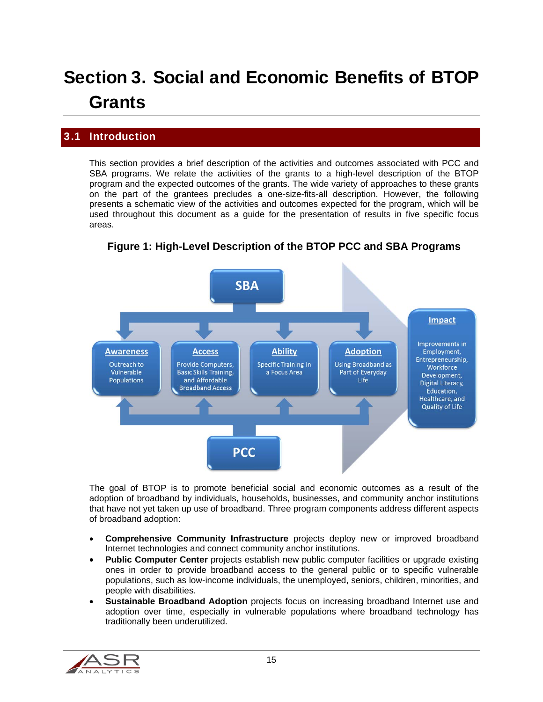# Section 3. Social and Economic Benefits of BTOP **Grants**

# 3.1 Introduction

This section provides a brief description of the activities and outcomes associated with PCC and SBA programs. We relate the activities of the grants to a high-level description of the BTOP program and the expected outcomes of the grants. The wide variety of approaches to these grants on the part of the grantees precludes a one-size-fits-all description. However, the following presents a schematic view of the activities and outcomes expected for the program, which will be used throughout this document as a guide for the presentation of results in five specific focus areas.



**Figure 1: High-Level Description of the BTOP PCC and SBA Programs** 

The goal of BTOP is to promote beneficial social and economic outcomes as a result of the adoption of broadband by individuals, households, businesses, and community anchor institutions that have not yet taken up use of broadband. Three program components address different aspects of broadband adoption:

- **Comprehensive Community Infrastructure** projects deploy new or improved broadband Internet technologies and connect community anchor institutions.
- Public Computer Center projects establish new public computer facilities or upgrade existing ones in order to provide broadband access to the general public or to specific vulnerable populations, such as low-income individuals, the unemployed, seniors, children, minorities, and people with disabilities.
- **Sustainable Broadband Adoption** projects focus on increasing broadband Internet use and adoption over time, especially in vulnerable populations where broadband technology has traditionally been underutilized.

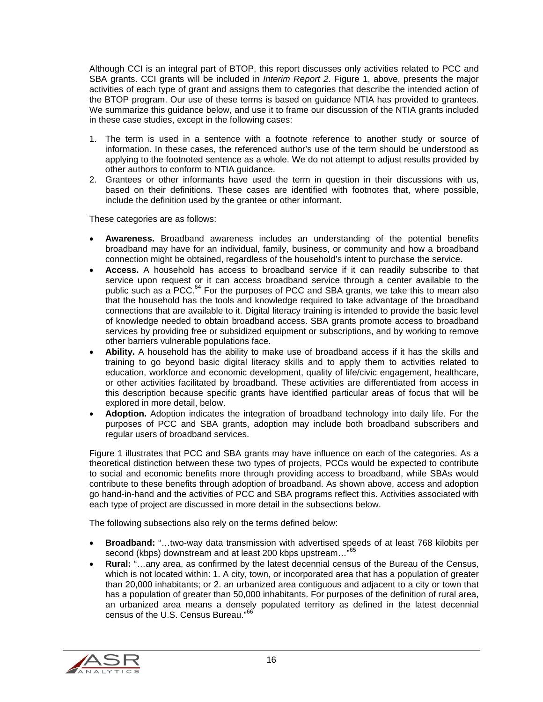Although CCI is an integral part of BTOP, this report discusses only activities related to PCC and SBA grants. CCI grants will be included in *Interim Report 2*. Figure 1, above, presents the major activities of each type of grant and assigns them to categories that describe the intended action of the BTOP program. Our use of these terms is based on guidance NTIA has provided to grantees. We summarize this guidance below, and use it to frame our discussion of the NTIA grants included in these case studies, except in the following cases:

- 1. The term is used in a sentence with a footnote reference to another study or source of information. In these cases, the referenced author's use of the term should be understood as applying to the footnoted sentence as a whole. We do not attempt to adjust results provided by other authors to conform to NTIA guidance.
- 2. Grantees or other informants have used the term in question in their discussions with us, based on their definitions. These cases are identified with footnotes that, where possible, include the definition used by the grantee or other informant.

These categories are as follows:

- **Awareness.** Broadband awareness includes an understanding of the potential benefits broadband may have for an individual, family, business, or community and how a broadband connection might be obtained, regardless of the household's intent to purchase the service.
- **Access.** A household has access to broadband service if it can readily subscribe to that service upon request or it can access broadband service through a center available to the public such as a PCC.<sup>64</sup> For the purposes of PCC and SBA grants, we take this to mean also that the household has the tools and knowledge required to take advantage of the broadband connections that are available to it. Digital literacy training is intended to provide the basic level of knowledge needed to obtain broadband access. SBA grants promote access to broadband services by providing free or subsidized equipment or subscriptions, and by working to remove other barriers vulnerable populations face.
- **Ability.** A household has the ability to make use of broadband access if it has the skills and training to go beyond basic digital literacy skills and to apply them to activities related to education, workforce and economic development, quality of life/civic engagement, healthcare, or other activities facilitated by broadband. These activities are differentiated from access in this description because specific grants have identified particular areas of focus that will be explored in more detail, below.
- **Adoption.** Adoption indicates the integration of broadband technology into daily life. For the purposes of PCC and SBA grants, adoption may include both broadband subscribers and regular users of broadband services.

Figure 1 illustrates that PCC and SBA grants may have influence on each of the categories. As a theoretical distinction between these two types of projects, PCCs would be expected to contribute to social and economic benefits more through providing access to broadband, while SBAs would contribute to these benefits through adoption of broadband. As shown above, access and adoption go hand-in-hand and the activities of PCC and SBA programs reflect this. Activities associated with each type of project are discussed in more detail in the subsections below.

The following subsections also rely on the terms defined below:

- **Broadband:** "…two-way data transmission with advertised speeds of at least 768 kilobits per second (kbps) downstream and at least 200 kbps upstream..."<sup>65</sup>
- **Rural:** "…any area, as confirmed by the latest decennial census of the Bureau of the Census, which is not located within: 1. A city, town, or incorporated area that has a population of greater than 20,000 inhabitants; or 2. an urbanized area contiguous and adjacent to a city or town that has a population of greater than 50,000 inhabitants. For purposes of the definition of rural area, an urbanized area means a densely populated territory as defined in the latest decennial census of the U.S. Census Bureau."<sup>66</sup>

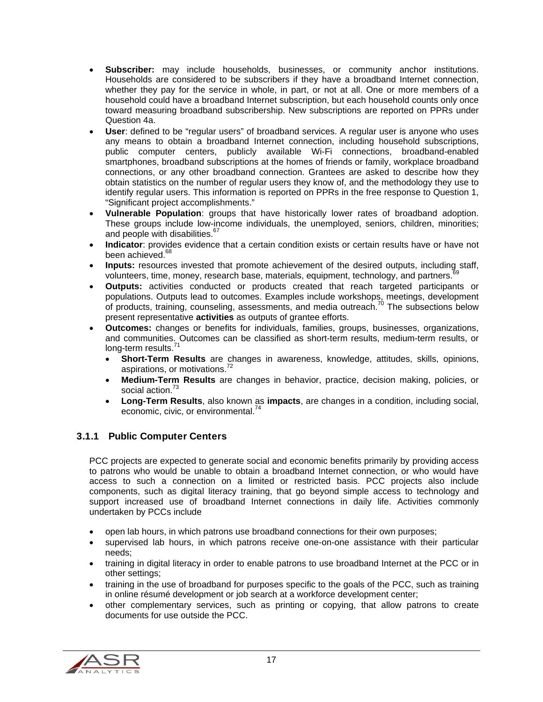- **Subscriber:** may include households, businesses, or community anchor institutions. Households are considered to be subscribers if they have a broadband Internet connection, whether they pay for the service in whole, in part, or not at all. One or more members of a household could have a broadband Internet subscription, but each household counts only once toward measuring broadband subscribership. New subscriptions are reported on PPRs under Question 4a.
- **User**: defined to be "regular users" of broadband services. A regular user is anyone who uses any means to obtain a broadband Internet connection, including household subscriptions, public computer centers, publicly available Wi-Fi connections, broadband-enabled smartphones, broadband subscriptions at the homes of friends or family, workplace broadband connections, or any other broadband connection. Grantees are asked to describe how they obtain statistics on the number of regular users they know of, and the methodology they use to identify regular users. This information is reported on PPRs in the free response to Question 1, "Significant project accomplishments."
- **Vulnerable Population**: groups that have historically lower rates of broadband adoption. These groups include low-income individuals, the unemployed, seniors, children, minorities; and people with disabilities.<sup>67</sup>
- **Indicator**: provides evidence that a certain condition exists or certain results have or have not been achieved.<sup>68</sup>
- **Inputs:** resources invested that promote achievement of the desired outputs, including staff, volunteers, time, money, research base, materials, equipment, technology, and partners.<sup>69</sup>
- **Outputs:** activities conducted or products created that reach targeted participants or populations. Outputs lead to outcomes. Examples include workshops, meetings, development of products, training, counseling, assessments, and media outreach.70 The subsections below present representative **activities** as outputs of grantee efforts.
- **Outcomes:** changes or benefits for individuals, families, groups, businesses, organizations, and communities. Outcomes can be classified as short-term results, medium-term results, or long-term results.<sup>71</sup>
	- **Short-Term Results** are changes in awareness, knowledge, attitudes, skills, opinions, aspirations, or motivations.<sup>72</sup>
	- **Medium-Term Results** are changes in behavior, practice, decision making, policies, or social action.<sup>73</sup>
	- **Long-Term Results**, also known as **impacts**, are changes in a condition, including social, economic, civic, or environmental.<sup>74</sup>

### 3.1.1 Public Computer Centers

PCC projects are expected to generate social and economic benefits primarily by providing access to patrons who would be unable to obtain a broadband Internet connection, or who would have access to such a connection on a limited or restricted basis. PCC projects also include components, such as digital literacy training, that go beyond simple access to technology and support increased use of broadband Internet connections in daily life. Activities commonly undertaken by PCCs include

- open lab hours, in which patrons use broadband connections for their own purposes;
- supervised lab hours, in which patrons receive one-on-one assistance with their particular needs;
- training in digital literacy in order to enable patrons to use broadband Internet at the PCC or in other settings;
- training in the use of broadband for purposes specific to the goals of the PCC, such as training in online résumé development or job search at a workforce development center;
- other complementary services, such as printing or copying, that allow patrons to create documents for use outside the PCC.

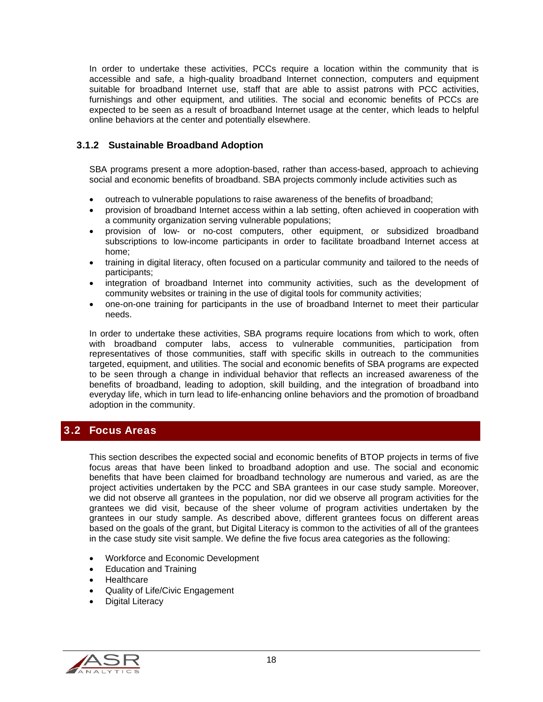In order to undertake these activities, PCCs require a location within the community that is accessible and safe, a high-quality broadband Internet connection, computers and equipment suitable for broadband Internet use, staff that are able to assist patrons with PCC activities, furnishings and other equipment, and utilities. The social and economic benefits of PCCs are expected to be seen as a result of broadband Internet usage at the center, which leads to helpful online behaviors at the center and potentially elsewhere.

#### 3.1.2 Sustainable Broadband Adoption

SBA programs present a more adoption-based, rather than access-based, approach to achieving social and economic benefits of broadband. SBA projects commonly include activities such as

- outreach to vulnerable populations to raise awareness of the benefits of broadband;
- provision of broadband Internet access within a lab setting, often achieved in cooperation with a community organization serving vulnerable populations;
- provision of low- or no-cost computers, other equipment, or subsidized broadband subscriptions to low-income participants in order to facilitate broadband Internet access at home;
- training in digital literacy, often focused on a particular community and tailored to the needs of participants;
- integration of broadband Internet into community activities, such as the development of community websites or training in the use of digital tools for community activities;
- one-on-one training for participants in the use of broadband Internet to meet their particular needs.

In order to undertake these activities, SBA programs require locations from which to work, often with broadband computer labs, access to vulnerable communities, participation from representatives of those communities, staff with specific skills in outreach to the communities targeted, equipment, and utilities. The social and economic benefits of SBA programs are expected to be seen through a change in individual behavior that reflects an increased awareness of the benefits of broadband, leading to adoption, skill building, and the integration of broadband into everyday life, which in turn lead to life-enhancing online behaviors and the promotion of broadband adoption in the community.

# 3.2 Focus Areas

This section describes the expected social and economic benefits of BTOP projects in terms of five focus areas that have been linked to broadband adoption and use. The social and economic benefits that have been claimed for broadband technology are numerous and varied, as are the project activities undertaken by the PCC and SBA grantees in our case study sample. Moreover, we did not observe all grantees in the population, nor did we observe all program activities for the grantees we did visit, because of the sheer volume of program activities undertaken by the grantees in our study sample. As described above, different grantees focus on different areas based on the goals of the grant, but Digital Literacy is common to the activities of all of the grantees in the case study site visit sample. We define the five focus area categories as the following:

- Workforce and Economic Development
- Education and Training
- **Healthcare**
- Quality of Life/Civic Engagement
- Digital Literacy

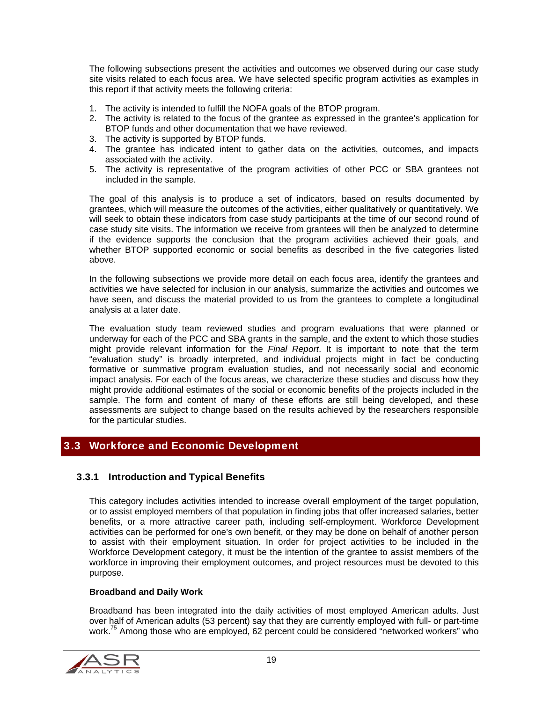The following subsections present the activities and outcomes we observed during our case study site visits related to each focus area. We have selected specific program activities as examples in this report if that activity meets the following criteria:

- 1. The activity is intended to fulfill the NOFA goals of the BTOP program.
- 2. The activity is related to the focus of the grantee as expressed in the grantee's application for BTOP funds and other documentation that we have reviewed.
- 3. The activity is supported by BTOP funds.
- 4. The grantee has indicated intent to gather data on the activities, outcomes, and impacts associated with the activity.
- 5. The activity is representative of the program activities of other PCC or SBA grantees not included in the sample.

The goal of this analysis is to produce a set of indicators, based on results documented by grantees, which will measure the outcomes of the activities, either qualitatively or quantitatively. We will seek to obtain these indicators from case study participants at the time of our second round of case study site visits. The information we receive from grantees will then be analyzed to determine if the evidence supports the conclusion that the program activities achieved their goals, and whether BTOP supported economic or social benefits as described in the five categories listed above.

In the following subsections we provide more detail on each focus area, identify the grantees and activities we have selected for inclusion in our analysis, summarize the activities and outcomes we have seen, and discuss the material provided to us from the grantees to complete a longitudinal analysis at a later date.

The evaluation study team reviewed studies and program evaluations that were planned or underway for each of the PCC and SBA grants in the sample, and the extent to which those studies might provide relevant information for the *Final Report*. It is important to note that the term "evaluation study" is broadly interpreted, and individual projects might in fact be conducting formative or summative program evaluation studies, and not necessarily social and economic impact analysis. For each of the focus areas, we characterize these studies and discuss how they might provide additional estimates of the social or economic benefits of the projects included in the sample. The form and content of many of these efforts are still being developed, and these assessments are subject to change based on the results achieved by the researchers responsible for the particular studies.

# 3.3 Workforce and Economic Development

#### 3.3.1 Introduction and Typical Benefits

This category includes activities intended to increase overall employment of the target population, or to assist employed members of that population in finding jobs that offer increased salaries, better benefits, or a more attractive career path, including self-employment. Workforce Development activities can be performed for one's own benefit, or they may be done on behalf of another person to assist with their employment situation. In order for project activities to be included in the Workforce Development category, it must be the intention of the grantee to assist members of the workforce in improving their employment outcomes, and project resources must be devoted to this purpose.

#### **Broadband and Daily Work**

Broadband has been integrated into the daily activities of most employed American adults. Just over half of American adults (53 percent) say that they are currently employed with full- or part-time work.<sup>75</sup> Among those who are employed, 62 percent could be considered "networked workers" who

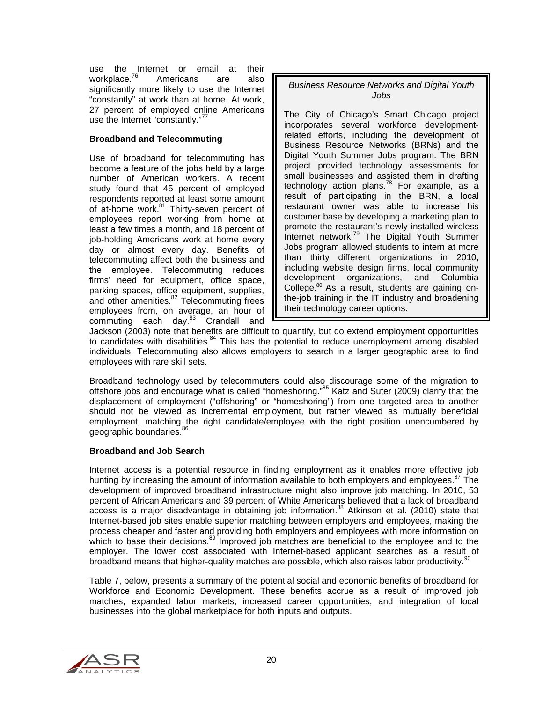use the Internet or email at their workplace.<sup>76</sup> Americans are also significantly more likely to use the Internet "constantly" at work than at home. At work, 27 percent of employed online Americans use the Internet "constantly."<sup>77</sup>

#### **Broadband and Telecommuting**

Use of broadband for telecommuting has become a feature of the jobs held by a large number of American workers. A recent study found that 45 percent of employed respondents reported at least some amount of at-home work.<sup>81</sup> Thirty-seven percent of employees report working from home at least a few times a month, and 18 percent of job-holding Americans work at home every day or almost every day. Benefits of telecommuting affect both the business and the employee. Telecommuting reduces firms' need for equipment, office space, parking spaces, office equipment, supplies, and other amenities.<sup>82</sup> Telecommuting frees employees from, on average, an hour of commuting each day.<sup>83</sup> Crandall and

#### *Business Resource Networks and Digital Youth Jobs*

The City of Chicago's Smart Chicago project incorporates several workforce developmentrelated efforts, including the development of Business Resource Networks (BRNs) and the Digital Youth Summer Jobs program. The BRN project provided technology assessments for small businesses and assisted them in drafting technology action plans.<sup>78</sup> For example, as a result of participating in the BRN, a local restaurant owner was able to increase his customer base by developing a marketing plan to promote the restaurant's newly installed wireless Internet network.<sup>79</sup> The Digital Youth Summer Jobs program allowed students to intern at more than thirty different organizations in 2010, including website design firms, local community development organizations, and Columbia College.<sup>80</sup> As a result, students are gaining onthe-job training in the IT industry and broadening their technology career options.

Jackson (2003) note that benefits are difficult to quantify, but do extend employment opportunities to candidates with disabilities. $84$  This has the potential to reduce unemployment among disabled individuals. Telecommuting also allows employers to search in a larger geographic area to find employees with rare skill sets.

Broadband technology used by telecommuters could also discourage some of the migration to offshore jobs and encourage what is called "homeshoring."85 Katz and Suter (2009) clarify that the displacement of employment ("offshoring" or "homeshoring") from one targeted area to another should not be viewed as incremental employment, but rather viewed as mutually beneficial employment, matching the right candidate/employee with the right position unencumbered by geographic boundaries.<sup>8</sup>

#### **Broadband and Job Search**

Internet access is a potential resource in finding employment as it enables more effective job hunting by increasing the amount of information available to both employers and employees.<sup>87</sup> The development of improved broadband infrastructure might also improve job matching. In 2010, 53 percent of African Americans and 39 percent of White Americans believed that a lack of broadband access is a major disadvantage in obtaining job information.<sup>88</sup> Atkinson et al. (2010) state that Internet-based job sites enable superior matching between employers and employees, making the process cheaper and faster and providing both employers and employees with more information on which to base their decisions.<sup>89</sup> Improved job matches are beneficial to the employee and to the employer. The lower cost associated with Internet-based applicant searches as a result of broadband means that higher-quality matches are possible, which also raises labor productivity.<sup>9</sup>

Table 7, below, presents a summary of the potential social and economic benefits of broadband for Workforce and Economic Development. These benefits accrue as a result of improved job matches, expanded labor markets, increased career opportunities, and integration of local businesses into the global marketplace for both inputs and outputs.

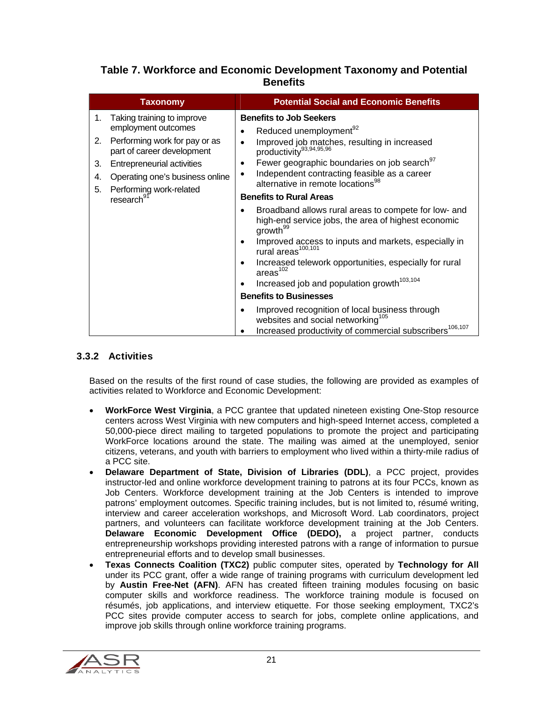# **Table 7. Workforce and Economic Development Taxonomy and Potential Benefits**

|                            | <b>Taxonomy</b>                                                                                                                                                                                                                        | <b>Potential Social and Economic Benefits</b>                                                                                                                                                                                                                                                                                                                                                                                                                                                                                                              |
|----------------------------|----------------------------------------------------------------------------------------------------------------------------------------------------------------------------------------------------------------------------------------|------------------------------------------------------------------------------------------------------------------------------------------------------------------------------------------------------------------------------------------------------------------------------------------------------------------------------------------------------------------------------------------------------------------------------------------------------------------------------------------------------------------------------------------------------------|
| 1.<br>2.<br>3.<br>4.<br>5. | Taking training to improve<br>employment outcomes<br>Performing work for pay or as<br>part of career development<br>Entrepreneurial activities<br>Operating one's business online<br>Performing work-related<br>research <sup>91</sup> | <b>Benefits to Job Seekers</b><br>Reduced unemployment <sup>92</sup><br>٠<br>Improved job matches, resulting in increased<br>productivity <sup>93,94,95,96</sup><br>Fewer geographic boundaries on job search <sup>97</sup><br>٠<br>Independent contracting feasible as a career<br>$\bullet$<br>alternative in remote locations <sup>98</sup><br><b>Benefits to Rural Areas</b><br>Broadband allows rural areas to compete for low- and                                                                                                                   |
|                            |                                                                                                                                                                                                                                        | high-end service jobs, the area of highest economic<br>growth <sup>99</sup><br>Improved access to inputs and markets, especially in<br>$\bullet$<br>rural areas <sup>100,101</sup><br>Increased telework opportunities, especially for rural<br>٠<br>area <sup>102</sup><br>Increased job and population growth <sup>103,104</sup><br><b>Benefits to Businesses</b><br>Improved recognition of local business through<br>$\bullet$<br>websites and social networking <sup>105</sup><br>Increased productivity of commercial subscribers <sup>106,107</sup> |

## 3.3.2 Activities

Based on the results of the first round of case studies, the following are provided as examples of activities related to Workforce and Economic Development:

- **WorkForce West Virginia**, a PCC grantee that updated nineteen existing One-Stop resource centers across West Virginia with new computers and high-speed Internet access, completed a 50,000-piece direct mailing to targeted populations to promote the project and participating WorkForce locations around the state. The mailing was aimed at the unemployed, senior citizens, veterans, and youth with barriers to employment who lived within a thirty-mile radius of a PCC site.
- **Delaware Department of State, Division of Libraries (DDL)**, a PCC project, provides instructor-led and online workforce development training to patrons at its four PCCs, known as Job Centers. Workforce development training at the Job Centers is intended to improve patrons' employment outcomes. Specific training includes, but is not limited to, résumé writing, interview and career acceleration workshops, and Microsoft Word. Lab coordinators, project partners, and volunteers can facilitate workforce development training at the Job Centers. **Delaware Economic Development Office (DEDO),** a project partner, conducts entrepreneurship workshops providing interested patrons with a range of information to pursue entrepreneurial efforts and to develop small businesses.
- **Texas Connects Coalition (TXC2)** public computer sites, operated by **Technology for All**  under its PCC grant, offer a wide range of training programs with curriculum development led by **Austin Free-Net (AFN)**. AFN has created fifteen training modules focusing on basic computer skills and workforce readiness. The workforce training module is focused on résumés, job applications, and interview etiquette. For those seeking employment, TXC2's PCC sites provide computer access to search for jobs, complete online applications, and improve job skills through online workforce training programs.

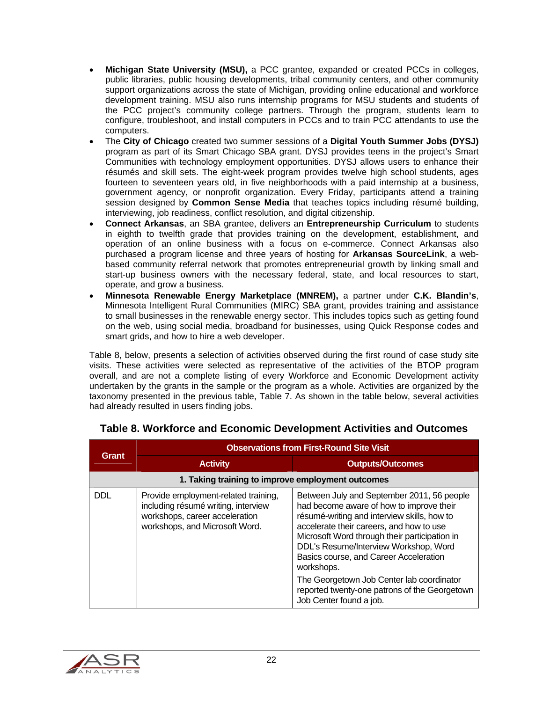- **Michigan State University (MSU),** a PCC grantee, expanded or created PCCs in colleges, public libraries, public housing developments, tribal community centers, and other community support organizations across the state of Michigan, providing online educational and workforce development training. MSU also runs internship programs for MSU students and students of the PCC project's community college partners. Through the program, students learn to configure, troubleshoot, and install computers in PCCs and to train PCC attendants to use the computers.
- The **City of Chicago** created two summer sessions of a **Digital Youth Summer Jobs (DYSJ)** program as part of its Smart Chicago SBA grant. DYSJ provides teens in the project's Smart Communities with technology employment opportunities. DYSJ allows users to enhance their résumés and skill sets. The eight-week program provides twelve high school students, ages fourteen to seventeen years old, in five neighborhoods with a paid internship at a business, government agency, or nonprofit organization. Every Friday, participants attend a training session designed by **Common Sense Media** that teaches topics including résumé building, interviewing, job readiness, conflict resolution, and digital citizenship.
- **Connect Arkansas**, an SBA grantee, delivers an **Entrepreneurship Curriculum** to students in eighth to twelfth grade that provides training on the development, establishment, and operation of an online business with a focus on e-commerce. Connect Arkansas also purchased a program license and three years of hosting for **Arkansas SourceLink**, a webbased community referral network that promotes entrepreneurial growth by linking small and start-up business owners with the necessary federal, state, and local resources to start, operate, and grow a business.
- **Minnesota Renewable Energy Marketplace (MNREM),** a partner under **C.K. Blandin's**, Minnesota Intelligent Rural Communities (MIRC) SBA grant, provides training and assistance to small businesses in the renewable energy sector. This includes topics such as getting found on the web, using social media, broadband for businesses, using Quick Response codes and smart grids, and how to hire a web developer.

Table 8, below, presents a selection of activities observed during the first round of case study site visits. These activities were selected as representative of the activities of the BTOP program overall, and are not a complete listing of every Workforce and Economic Development activity undertaken by the grants in the sample or the program as a whole. Activities are organized by the taxonomy presented in the previous table, Table 7. As shown in the table below, several activities had already resulted in users finding jobs.

|                                                   | <b>Observations from First-Round Site Visit</b>                                                                                                 |                                                                                                                                                                                                                                                                                                                                                                                                                                                              |
|---------------------------------------------------|-------------------------------------------------------------------------------------------------------------------------------------------------|--------------------------------------------------------------------------------------------------------------------------------------------------------------------------------------------------------------------------------------------------------------------------------------------------------------------------------------------------------------------------------------------------------------------------------------------------------------|
| <b>Grant</b>                                      | <b>Activity</b>                                                                                                                                 | <b>Outputs/Outcomes</b>                                                                                                                                                                                                                                                                                                                                                                                                                                      |
| 1. Taking training to improve employment outcomes |                                                                                                                                                 |                                                                                                                                                                                                                                                                                                                                                                                                                                                              |
| <b>DDL</b>                                        | Provide employment-related training,<br>including résumé writing, interview<br>workshops, career acceleration<br>workshops, and Microsoft Word. | Between July and September 2011, 56 people<br>had become aware of how to improve their<br>résumé-writing and interview skills, how to<br>accelerate their careers, and how to use<br>Microsoft Word through their participation in<br>DDL's Resume/Interview Workshop, Word<br>Basics course, and Career Acceleration<br>workshops.<br>The Georgetown Job Center lab coordinator<br>reported twenty-one patrons of the Georgetown<br>Job Center found a job. |

# **Table 8. Workforce and Economic Development Activities and Outcomes**

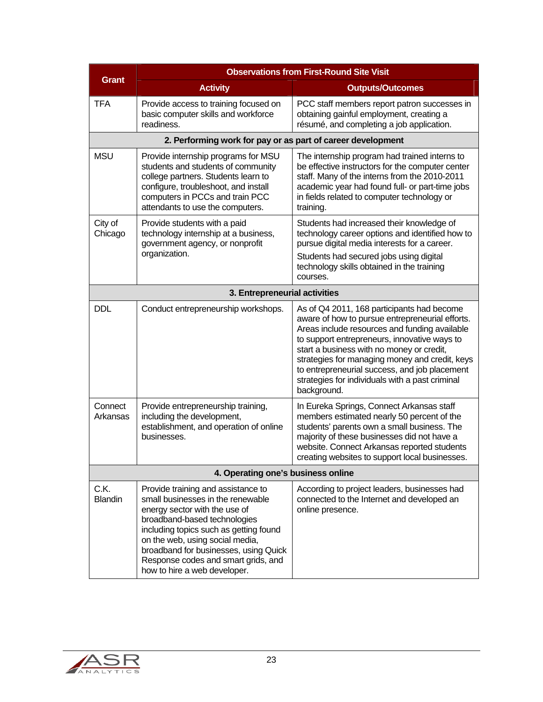| <b>Observations from First-Round Site Visit</b> |                                                                                                                                                                                                                                                                                                                                       |                                                                                                                                                                                                                                                                                                                                                                                                                  |
|-------------------------------------------------|---------------------------------------------------------------------------------------------------------------------------------------------------------------------------------------------------------------------------------------------------------------------------------------------------------------------------------------|------------------------------------------------------------------------------------------------------------------------------------------------------------------------------------------------------------------------------------------------------------------------------------------------------------------------------------------------------------------------------------------------------------------|
| <b>Grant</b>                                    | <b>Activity</b>                                                                                                                                                                                                                                                                                                                       | <b>Outputs/Outcomes</b>                                                                                                                                                                                                                                                                                                                                                                                          |
| <b>TFA</b>                                      | Provide access to training focused on<br>basic computer skills and workforce<br>readiness.                                                                                                                                                                                                                                            | PCC staff members report patron successes in<br>obtaining gainful employment, creating a<br>résumé, and completing a job application.                                                                                                                                                                                                                                                                            |
|                                                 | 2. Performing work for pay or as part of career development                                                                                                                                                                                                                                                                           |                                                                                                                                                                                                                                                                                                                                                                                                                  |
| <b>MSU</b>                                      | Provide internship programs for MSU<br>students and students of community<br>college partners. Students learn to<br>configure, troubleshoot, and install<br>computers in PCCs and train PCC<br>attendants to use the computers.                                                                                                       | The internship program had trained interns to<br>be effective instructors for the computer center<br>staff. Many of the interns from the 2010-2011<br>academic year had found full- or part-time jobs<br>in fields related to computer technology or<br>training.                                                                                                                                                |
| City of<br>Chicago                              | Provide students with a paid<br>technology internship at a business,<br>government agency, or nonprofit<br>organization.                                                                                                                                                                                                              | Students had increased their knowledge of<br>technology career options and identified how to<br>pursue digital media interests for a career.<br>Students had secured jobs using digital<br>technology skills obtained in the training<br>courses.                                                                                                                                                                |
|                                                 | 3. Entrepreneurial activities                                                                                                                                                                                                                                                                                                         |                                                                                                                                                                                                                                                                                                                                                                                                                  |
| <b>DDL</b>                                      | Conduct entrepreneurship workshops.                                                                                                                                                                                                                                                                                                   | As of Q4 2011, 168 participants had become<br>aware of how to pursue entrepreneurial efforts.<br>Areas include resources and funding available<br>to support entrepreneurs, innovative ways to<br>start a business with no money or credit,<br>strategies for managing money and credit, keys<br>to entrepreneurial success, and job placement<br>strategies for individuals with a past criminal<br>background. |
| Connect<br>Arkansas                             | Provide entrepreneurship training,<br>including the development,<br>establishment, and operation of online<br>businesses.                                                                                                                                                                                                             | In Eureka Springs, Connect Arkansas staff<br>members estimated nearly 50 percent of the<br>students' parents own a small business. The<br>majority of these businesses did not have a<br>website. Connect Arkansas reported students<br>creating websites to support local businesses.                                                                                                                           |
| 4. Operating one's business online              |                                                                                                                                                                                                                                                                                                                                       |                                                                                                                                                                                                                                                                                                                                                                                                                  |
| C.K.<br><b>Blandin</b>                          | Provide training and assistance to<br>small businesses in the renewable<br>energy sector with the use of<br>broadband-based technologies<br>including topics such as getting found<br>on the web, using social media,<br>broadband for businesses, using Quick<br>Response codes and smart grids, and<br>how to hire a web developer. | According to project leaders, businesses had<br>connected to the Internet and developed an<br>online presence.                                                                                                                                                                                                                                                                                                   |

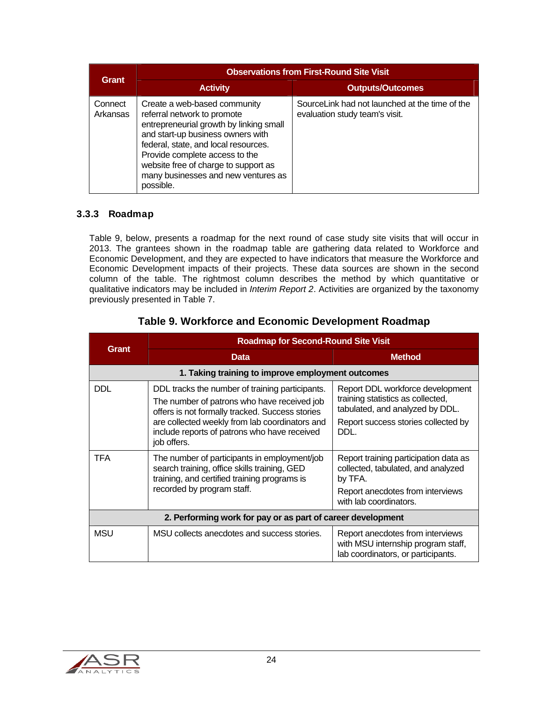|                     | <b>Observations from First-Round Site Visit</b>                                                                                                                                                                                                                                                                   |                                                                                  |
|---------------------|-------------------------------------------------------------------------------------------------------------------------------------------------------------------------------------------------------------------------------------------------------------------------------------------------------------------|----------------------------------------------------------------------------------|
| <b>Grant</b>        | <b>Activity</b>                                                                                                                                                                                                                                                                                                   | <b>Outputs/Outcomes</b>                                                          |
| Connect<br>Arkansas | Create a web-based community<br>referral network to promote<br>entrepreneurial growth by linking small<br>and start-up business owners with<br>federal, state, and local resources.<br>Provide complete access to the<br>website free of charge to support as<br>many businesses and new ventures as<br>possible. | SourceLink had not launched at the time of the<br>evaluation study team's visit. |

### 3.3.3 Roadmap

Table 9, below, presents a roadmap for the next round of case study site visits that will occur in 2013. The grantees shown in the roadmap table are gathering data related to Workforce and Economic Development, and they are expected to have indicators that measure the Workforce and Economic Development impacts of their projects. These data sources are shown in the second column of the table. The rightmost column describes the method by which quantitative or qualitative indicators may be included in *Interim Report 2*. Activities are organized by the taxonomy previously presented in Table 7.

| Grant                                                       | <b>Roadmap for Second-Round Site Visit</b>                                                                                                                                                                                                                         |                                                                                                                                                         |  |
|-------------------------------------------------------------|--------------------------------------------------------------------------------------------------------------------------------------------------------------------------------------------------------------------------------------------------------------------|---------------------------------------------------------------------------------------------------------------------------------------------------------|--|
|                                                             | <b>Data</b>                                                                                                                                                                                                                                                        | <b>Method</b>                                                                                                                                           |  |
|                                                             | 1. Taking training to improve employment outcomes                                                                                                                                                                                                                  |                                                                                                                                                         |  |
| <b>DDL</b>                                                  | DDL tracks the number of training participants.<br>The number of patrons who have received job<br>offers is not formally tracked. Success stories<br>are collected weekly from lab coordinators and<br>include reports of patrons who have received<br>job offers. | Report DDL workforce development<br>training statistics as collected,<br>tabulated, and analyzed by DDL.<br>Report success stories collected by<br>DDL. |  |
| <b>TFA</b>                                                  | The number of participants in employment/job<br>search training, office skills training, GED<br>training, and certified training programs is<br>recorded by program staff.                                                                                         | Report training participation data as<br>collected, tabulated, and analyzed<br>by TFA.<br>Report anecdotes from interviews<br>with lab coordinators.    |  |
| 2. Performing work for pay or as part of career development |                                                                                                                                                                                                                                                                    |                                                                                                                                                         |  |
| <b>MSU</b>                                                  | MSU collects anecdotes and success stories.                                                                                                                                                                                                                        | Report anecdotes from interviews<br>with MSU internship program staff,<br>lab coordinators, or participants.                                            |  |

# **Table 9. Workforce and Economic Development Roadmap**

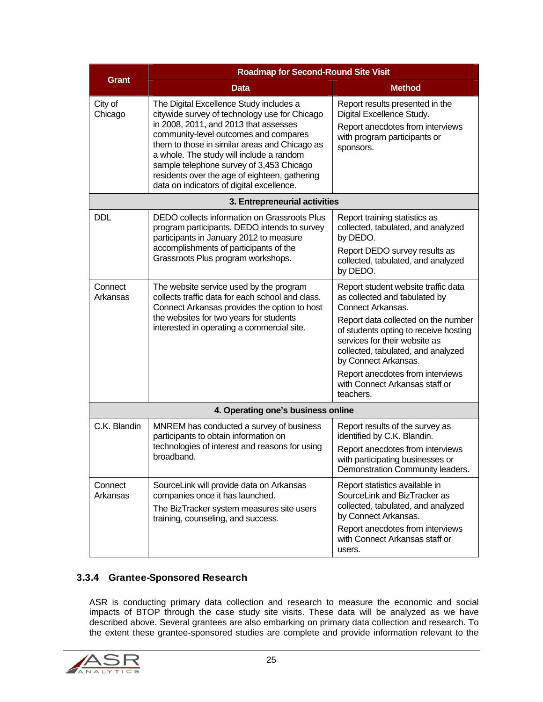|                                    | <b>Roadmap for Second-Round Site Visit</b>                                                                                                                                                                                                                                                                                                                                                                        |                                                                                                                                                                                                              |  |
|------------------------------------|-------------------------------------------------------------------------------------------------------------------------------------------------------------------------------------------------------------------------------------------------------------------------------------------------------------------------------------------------------------------------------------------------------------------|--------------------------------------------------------------------------------------------------------------------------------------------------------------------------------------------------------------|--|
| Grant                              | Data                                                                                                                                                                                                                                                                                                                                                                                                              | <b>Method</b>                                                                                                                                                                                                |  |
| City of<br>Chicago                 | The Digital Excellence Study includes a<br>citywide survey of technology use for Chicago<br>in 2008, 2011, and 2013 that assesses<br>community-level outcomes and compares<br>them to those in similar areas and Chicago as<br>a whole. The study will include a random<br>sample telephone survey of 3,453 Chicago<br>residents over the age of eighteen, gathering<br>data on indicators of digital excellence. | Report results presented in the<br>Digital Excellence Study.<br>Report anecdotes from interviews<br>with program participants or<br>sponsors.                                                                |  |
|                                    | 3. Entrepreneurial activities                                                                                                                                                                                                                                                                                                                                                                                     |                                                                                                                                                                                                              |  |
| <b>DDL</b>                         | DEDO collects information on Grassroots Plus<br>program participants. DEDO intends to survey<br>participants in January 2012 to measure<br>accomplishments of participants of the<br>Grassroots Plus program workshops.                                                                                                                                                                                           | Report training statistics as<br>collected, tabulated, and analyzed<br>by DEDO.<br>Report DEDO survey results as<br>collected, tabulated, and analyzed<br>by DEDO.                                           |  |
| Connect<br>Arkansas                | The website service used by the program<br>collects traffic data for each school and class.<br>Connect Arkansas provides the option to host<br>the websites for two years for students<br>interested in operating a commercial site.                                                                                                                                                                              | Report student website traffic data<br>as collected and tabulated by<br>Connect Arkansas.                                                                                                                    |  |
|                                    |                                                                                                                                                                                                                                                                                                                                                                                                                   | Report data collected on the number<br>of students opting to receive hosting<br>services for their website as<br>collected, tabulated, and analyzed<br>by Connect Arkansas.                                  |  |
|                                    |                                                                                                                                                                                                                                                                                                                                                                                                                   | Report anecdotes from interviews<br>with Connect Arkansas staff or<br>teachers.                                                                                                                              |  |
| 4. Operating one's business online |                                                                                                                                                                                                                                                                                                                                                                                                                   |                                                                                                                                                                                                              |  |
| C.K. Blandin                       | MNREM has conducted a survey of business<br>participants to obtain information on<br>technologies of interest and reasons for using<br>broadband.                                                                                                                                                                                                                                                                 | Report results of the survey as<br>identified by C.K. Blandin.<br>Report anecdotes from interviews<br>with participating businesses or<br>Demonstration Community leaders.                                   |  |
| Connect<br>Arkansas                | SourceLink will provide data on Arkansas<br>companies once it has launched.<br>The BizTracker system measures site users<br>training, counseling, and success.                                                                                                                                                                                                                                                    | Report statistics available in<br>SourceLink and BizTracker as<br>collected, tabulated, and analyzed<br>by Connect Arkansas.<br>Report anecdotes from interviews<br>with Connect Arkansas staff or<br>users. |  |

### 3.3.4 Grantee-Sponsored Research

ASR is conducting primary data collection and research to measure the economic and social impacts of BTOP through the case study site visits. These data will be analyzed as we have described above. Several grantees are also embarking on primary data collection and research. To the extent these grantee-sponsored studies are complete and provide information relevant to the

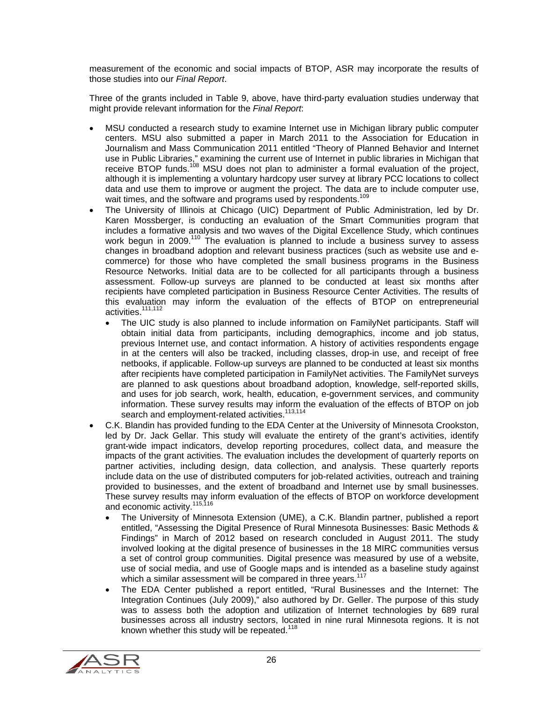measurement of the economic and social impacts of BTOP, ASR may incorporate the results of those studies into our *Final Report*.

Three of the grants included in Table 9, above, have third-party evaluation studies underway that might provide relevant information for the *Final Report*:

- MSU conducted a research study to examine Internet use in Michigan library public computer centers. MSU also submitted a paper in March 2011 to the Association for Education in Journalism and Mass Communication 2011 entitled "Theory of Planned Behavior and Internet use in Public Libraries," examining the current use of Internet in public libraries in Michigan that receive BTOP funds.<sup>108</sup> MSU does not plan to administer a formal evaluation of the project, although it is implementing a voluntary hardcopy user survey at library PCC locations to collect data and use them to improve or augment the project. The data are to include computer use, wait times, and the software and programs used by respondents.<sup>109</sup>
- The University of Illinois at Chicago (UIC) Department of Public Administration, led by Dr. Karen Mossberger, is conducting an evaluation of the Smart Communities program that includes a formative analysis and two waves of the Digital Excellence Study, which continues work begun in 2009.<sup>110</sup> The evaluation is planned to include a business survey to assess changes in broadband adoption and relevant business practices (such as website use and ecommerce) for those who have completed the small business programs in the Business Resource Networks. Initial data are to be collected for all participants through a business assessment. Follow-up surveys are planned to be conducted at least six months after recipients have completed participation in Business Resource Center Activities. The results of this evaluation may inform the evaluation of the effects of BTOP on entrepreneurial activities.<sup>111,112</sup>
	- The UIC study is also planned to include information on FamilyNet participants. Staff will obtain initial data from participants, including demographics, income and job status, previous Internet use, and contact information. A history of activities respondents engage in at the centers will also be tracked, including classes, drop-in use, and receipt of free netbooks, if applicable. Follow-up surveys are planned to be conducted at least six months after recipients have completed participation in FamilyNet activities. The FamilyNet surveys are planned to ask questions about broadband adoption, knowledge, self-reported skills, and uses for job search, work, health, education, e-government services, and community information. These survey results may inform the evaluation of the effects of BTOP on job search and employment-related activities.<sup>113,114</sup>
- C.K. Blandin has provided funding to the EDA Center at the University of Minnesota Crookston, led by Dr. Jack Gellar. This study will evaluate the entirety of the grant's activities, identify grant-wide impact indicators, develop reporting procedures, collect data, and measure the impacts of the grant activities. The evaluation includes the development of quarterly reports on partner activities, including design, data collection, and analysis. These quarterly reports include data on the use of distributed computers for job-related activities, outreach and training provided to businesses, and the extent of broadband and Internet use by small businesses. These survey results may inform evaluation of the effects of BTOP on workforce development and economic activity.<sup>115,116</sup>
	- The University of Minnesota Extension (UME), a C.K. Blandin partner, published a report entitled, "Assessing the Digital Presence of Rural Minnesota Businesses: Basic Methods & Findings" in March of 2012 based on research concluded in August 2011. The study involved looking at the digital presence of businesses in the 18 MIRC communities versus a set of control group communities. Digital presence was measured by use of a website, use of social media, and use of Google maps and is intended as a baseline study against which a similar assessment will be compared in three years.<sup>117</sup>
	- The EDA Center published a report entitled, "Rural Businesses and the Internet: The Integration Continues (July 2009)," also authored by Dr. Geller. The purpose of this study was to assess both the adoption and utilization of Internet technologies by 689 rural businesses across all industry sectors, located in nine rural Minnesota regions. It is not known whether this study will be repeated.<sup>118</sup>

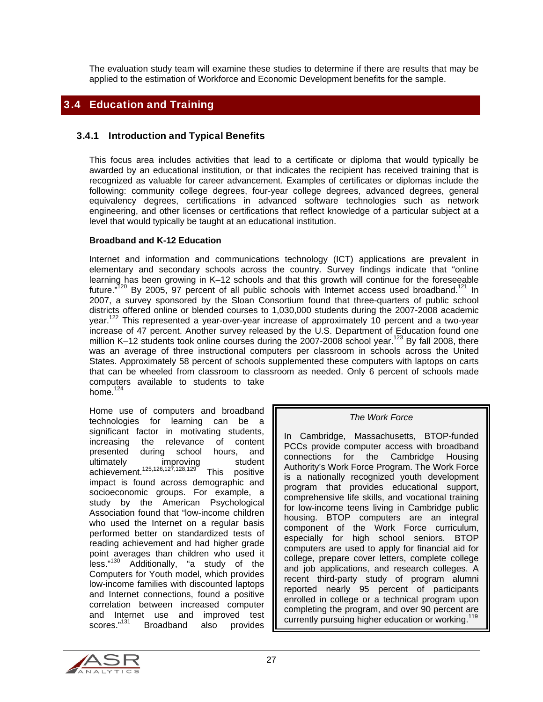The evaluation study team will examine these studies to determine if there are results that may be applied to the estimation of Workforce and Economic Development benefits for the sample.

# 3.4 Education and Training

#### 3.4.1 Introduction and Typical Benefits

This focus area includes activities that lead to a certificate or diploma that would typically be awarded by an educational institution, or that indicates the recipient has received training that is recognized as valuable for career advancement. Examples of certificates or diplomas include the following: community college degrees, four-year college degrees, advanced degrees, general equivalency degrees, certifications in advanced software technologies such as network engineering, and other licenses or certifications that reflect knowledge of a particular subject at a level that would typically be taught at an educational institution.

#### **Broadband and K-12 Education**

Internet and information and communications technology (ICT) applications are prevalent in elementary and secondary schools across the country. Survey findings indicate that "online learning has been growing in K–12 schools and that this growth will continue for the foreseeable future." $120$  By 2005, 97 percent of all public schools with Internet access used broadband.<sup>121</sup> In 2007, a survey sponsored by the Sloan Consortium found that three-quarters of public school districts offered online or blended courses to 1,030,000 students during the 2007-2008 academic year.<sup>122</sup> This represented a year-over-year increase of approximately 10 percent and a two-year increase of 47 percent. Another survey released by the U.S. Department of Education found one million K-12 students took online courses during the 2007-2008 school year.<sup>123</sup> By fall 2008, there was an average of three instructional computers per classroom in schools across the United States. Approximately 58 percent of schools supplemented these computers with laptops on carts that can be wheeled from classroom to classroom as needed. Only 6 percent of schools made computers available to students to take home. $124$ 

Home use of computers and broadband technologies for learning can be a significant factor in motivating students, increasing the relevance of content presented during school hours, and ultimately improving student achievement.<sup>125,126,127,128,129</sup> This positive impact is found across demographic and socioeconomic groups. For example, a study by the American Psychological Association found that "low-income children who used the Internet on a regular basis performed better on standardized tests of reading achievement and had higher grade point averages than children who used it less."130 Additionally, "a study of the Computers for Youth model, which provides low-income families with discounted laptops and Internet connections, found a positive correlation between increased computer and Internet use and improved test scores."<sup>131</sup> Broadband also provides

#### *The Work Force*

In Cambridge, Massachusetts, BTOP-funded PCCs provide computer access with broadband connections for the Cambridge Housing Authority's Work Force Program. The Work Force is a nationally recognized youth development program that provides educational support, comprehensive life skills, and vocational training for low-income teens living in Cambridge public housing. BTOP computers are an integral component of the Work Force curriculum, especially for high school seniors. BTOP computers are used to apply for financial aid for college, prepare cover letters, complete college and job applications, and research colleges. A recent third-party study of program alumni reported nearly 95 percent of participants enrolled in college or a technical program upon completing the program, and over 90 percent are currently pursuing higher education or working.<sup>1</sup>

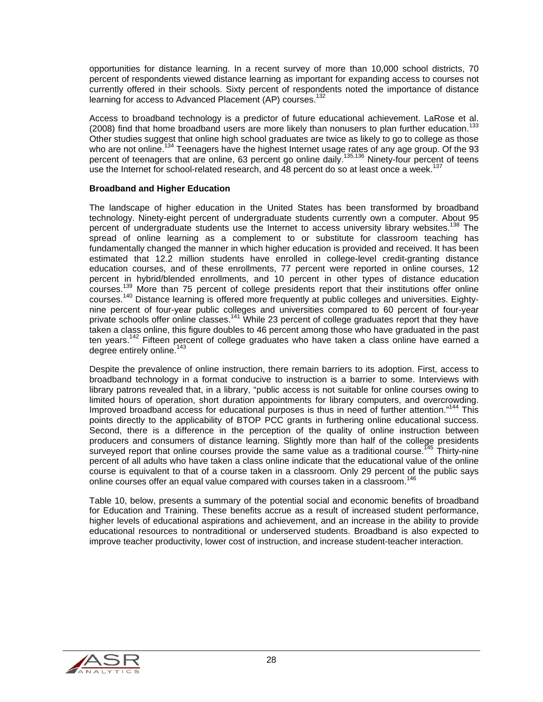opportunities for distance learning. In a recent survey of more than 10,000 school districts, 70 percent of respondents viewed distance learning as important for expanding access to courses not currently offered in their schools. Sixty percent of respondents noted the importance of distance learning for access to Advanced Placement (AP) courses.<sup>132</sup>

Access to broadband technology is a predictor of future educational achievement. LaRose et al. (2008) find that home broadband users are more likely than nonusers to plan further education.<sup>133</sup> Other studies suggest that online high school graduates are twice as likely to go to college as those who are not online.<sup>134</sup> Teenagers have the highest Internet usage rates of any age group. Of the 93 percent of teenagers that are online, 63 percent go online daily.<sup>135,136</sup> Ninety-four percent of teens use the Internet for school-related research, and 48 percent do so at least once a week.<sup>137</sup>

#### **Broadband and Higher Education**

The landscape of higher education in the United States has been transformed by broadband technology. Ninety-eight percent of undergraduate students currently own a computer. About 95 percent of undergraduate students use the Internet to access university library websites.<sup>138</sup> The spread of online learning as a complement to or substitute for classroom teaching has fundamentally changed the manner in which higher education is provided and received. It has been estimated that 12.2 million students have enrolled in college-level credit-granting distance education courses, and of these enrollments, 77 percent were reported in online courses, 12 percent in hybrid/blended enrollments, and 10 percent in other types of distance education courses.139 More than 75 percent of college presidents report that their institutions offer online courses.140 Distance learning is offered more frequently at public colleges and universities. Eightynine percent of four-year public colleges and universities compared to 60 percent of four-year private schools offer online classes.<sup>141</sup> While 23 percent of college graduates report that they have taken a class online, this figure doubles to 46 percent among those who have graduated in the past ten years.<sup>142</sup> Fifteen percent of college graduates who have taken a class online have earned a degree entirely online.<sup>143</sup>

Despite the prevalence of online instruction, there remain barriers to its adoption. First, access to broadband technology in a format conducive to instruction is a barrier to some. Interviews with library patrons revealed that, in a library, "public access is not suitable for online courses owing to limited hours of operation, short duration appointments for library computers, and overcrowding. Improved broadband access for educational purposes is thus in need of further attention."144 This points directly to the applicability of BTOP PCC grants in furthering online educational success. Second, there is a difference in the perception of the quality of online instruction between producers and consumers of distance learning. Slightly more than half of the college presidents surveyed report that online courses provide the same value as a traditional course.<sup>145</sup> Thirty-nine percent of all adults who have taken a class online indicate that the educational value of the online course is equivalent to that of a course taken in a classroom. Only 29 percent of the public says online courses offer an equal value compared with courses taken in a classroom.<sup>146</sup>

Table 10, below, presents a summary of the potential social and economic benefits of broadband for Education and Training. These benefits accrue as a result of increased student performance, higher levels of educational aspirations and achievement, and an increase in the ability to provide educational resources to nontraditional or underserved students. Broadband is also expected to improve teacher productivity, lower cost of instruction, and increase student-teacher interaction.

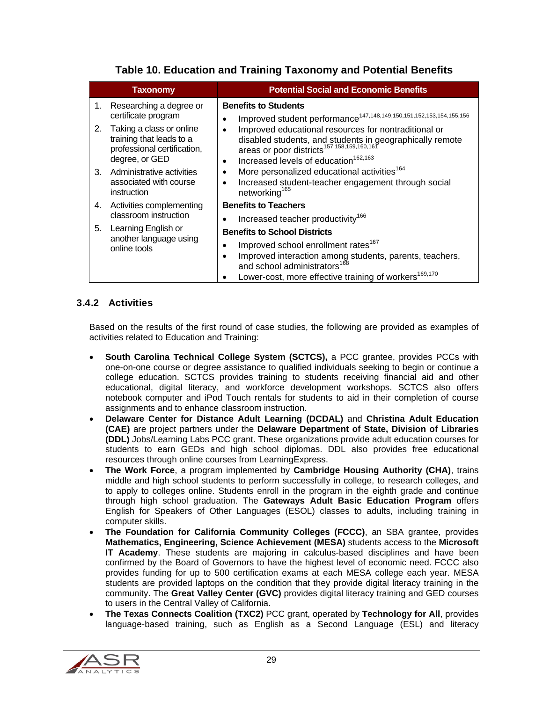|    | <b>Taxonomy</b>                                                                                       | <b>Potential Social and Economic Benefits</b>                                                                                                                                                                                                            |
|----|-------------------------------------------------------------------------------------------------------|----------------------------------------------------------------------------------------------------------------------------------------------------------------------------------------------------------------------------------------------------------|
| 1. | Researching a degree or<br>certificate program                                                        | <b>Benefits to Students</b><br>Improved student performance <sup>147,148,149,150,151,152,153,154,155,156</sup><br>٠                                                                                                                                      |
| 2. | Taking a class or online<br>training that leads to a<br>professional certification,<br>degree, or GED | Improved educational resources for nontraditional or<br>$\bullet$<br>disabled students, and students in geographically remote<br>areas or poor districts <sup>157,158,159,160,161</sup><br>Increased levels of education <sup>162,163</sup><br>$\bullet$ |
| 3. | Administrative activities<br>associated with course<br>instruction                                    | More personalized educational activities <sup>164</sup><br>$\bullet$<br>Increased student-teacher engagement through social<br>networking <sup>165</sup>                                                                                                 |
| 4. | Activities complementing                                                                              | <b>Benefits to Teachers</b>                                                                                                                                                                                                                              |
|    | classroom instruction                                                                                 | Increased teacher productivity <sup>166</sup>                                                                                                                                                                                                            |
| 5. | Learning English or                                                                                   | <b>Benefits to School Districts</b>                                                                                                                                                                                                                      |
|    | another language using<br>online tools                                                                | Improved school enrollment rates <sup>167</sup><br>Improved interaction among students, parents, teachers, and school administrators <sup>168</sup><br>$\bullet$<br>Lower-cost, more effective training of workers <sup>169,170</sup>                    |

# **Table 10. Education and Training Taxonomy and Potential Benefits**

## 3.4.2 Activities

Based on the results of the first round of case studies, the following are provided as examples of activities related to Education and Training:

- **South Carolina Technical College System (SCTCS),** a PCC grantee, provides PCCs with one-on-one course or degree assistance to qualified individuals seeking to begin or continue a college education. SCTCS provides training to students receiving financial aid and other educational, digital literacy, and workforce development workshops. SCTCS also offers notebook computer and iPod Touch rentals for students to aid in their completion of course assignments and to enhance classroom instruction.
- **Delaware Center for Distance Adult Learning (DCDAL)** and **Christina Adult Education (CAE)** are project partners under the **Delaware Department of State, Division of Libraries (DDL)** Jobs/Learning Labs PCC grant. These organizations provide adult education courses for students to earn GEDs and high school diplomas. DDL also provides free educational resources through online courses from LearningExpress.
- **The Work Force**, a program implemented by **Cambridge Housing Authority (CHA)**, trains middle and high school students to perform successfully in college, to research colleges, and to apply to colleges online. Students enroll in the program in the eighth grade and continue through high school graduation. The **Gateways Adult Basic Education Program** offers English for Speakers of Other Languages (ESOL) classes to adults, including training in computer skills.
- **The Foundation for California Community Colleges (FCCC)**, an SBA grantee, provides **Mathematics, Engineering, Science Achievement (MESA)** students access to the **Microsoft IT Academy**. These students are majoring in calculus-based disciplines and have been confirmed by the Board of Governors to have the highest level of economic need. FCCC also provides funding for up to 500 certification exams at each MESA college each year. MESA students are provided laptops on the condition that they provide digital literacy training in the community. The **Great Valley Center (GVC)** provides digital literacy training and GED courses to users in the Central Valley of California.
- **The Texas Connects Coalition (TXC2)** PCC grant, operated by **Technology for All**, provides language-based training, such as English as a Second Language (ESL) and literacy

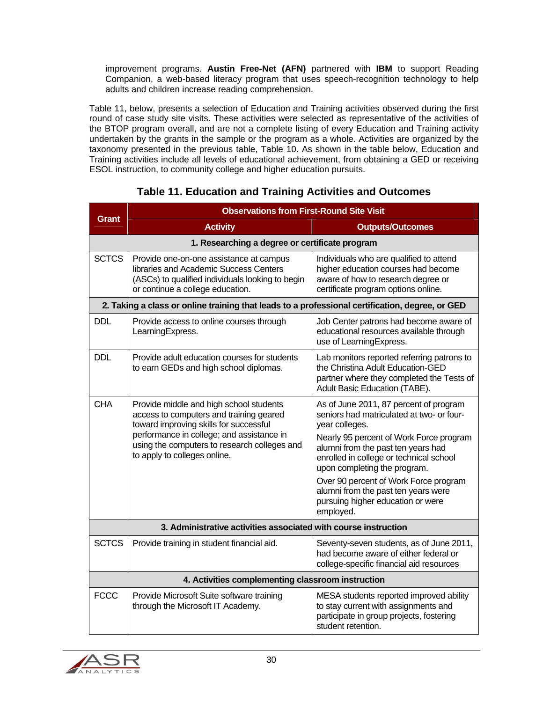improvement programs. **Austin Free-Net (AFN)** partnered with **IBM** to support Reading Companion, a web-based literacy program that uses speech-recognition technology to help adults and children increase reading comprehension.

Table 11, below, presents a selection of Education and Training activities observed during the first round of case study site visits. These activities were selected as representative of the activities of the BTOP program overall, and are not a complete listing of every Education and Training activity undertaken by the grants in the sample or the program as a whole. Activities are organized by the taxonomy presented in the previous table, Table 10. As shown in the table below, Education and Training activities include all levels of educational achievement, from obtaining a GED or receiving ESOL instruction, to community college and higher education pursuits.

|                                                                 | <b>Observations from First-Round Site Visit</b>                                                                                                                                                                                                           |                                                                                                                                                                                                                                                                                                                                                                                                     |  |
|-----------------------------------------------------------------|-----------------------------------------------------------------------------------------------------------------------------------------------------------------------------------------------------------------------------------------------------------|-----------------------------------------------------------------------------------------------------------------------------------------------------------------------------------------------------------------------------------------------------------------------------------------------------------------------------------------------------------------------------------------------------|--|
| <b>Grant</b>                                                    | <b>Activity</b>                                                                                                                                                                                                                                           | <b>Outputs/Outcomes</b>                                                                                                                                                                                                                                                                                                                                                                             |  |
|                                                                 | 1. Researching a degree or certificate program                                                                                                                                                                                                            |                                                                                                                                                                                                                                                                                                                                                                                                     |  |
| <b>SCTCS</b>                                                    | Provide one-on-one assistance at campus<br>libraries and Academic Success Centers<br>(ASCs) to qualified individuals looking to begin<br>or continue a college education.                                                                                 | Individuals who are qualified to attend<br>higher education courses had become<br>aware of how to research degree or<br>certificate program options online.                                                                                                                                                                                                                                         |  |
|                                                                 | 2. Taking a class or online training that leads to a professional certification, degree, or GED                                                                                                                                                           |                                                                                                                                                                                                                                                                                                                                                                                                     |  |
| <b>DDL</b>                                                      | Provide access to online courses through<br>LearningExpress.                                                                                                                                                                                              | Job Center patrons had become aware of<br>educational resources available through<br>use of LearningExpress.                                                                                                                                                                                                                                                                                        |  |
| <b>DDL</b>                                                      | Provide adult education courses for students<br>to earn GEDs and high school diplomas.                                                                                                                                                                    | Lab monitors reported referring patrons to<br>the Christina Adult Education-GED<br>partner where they completed the Tests of<br>Adult Basic Education (TABE).                                                                                                                                                                                                                                       |  |
| <b>CHA</b>                                                      | Provide middle and high school students<br>access to computers and training geared<br>toward improving skills for successful<br>performance in college; and assistance in<br>using the computers to research colleges and<br>to apply to colleges online. | As of June 2011, 87 percent of program<br>seniors had matriculated at two- or four-<br>year colleges.<br>Nearly 95 percent of Work Force program<br>alumni from the past ten years had<br>enrolled in college or technical school<br>upon completing the program.<br>Over 90 percent of Work Force program<br>alumni from the past ten years were<br>pursuing higher education or were<br>employed. |  |
| 3. Administrative activities associated with course instruction |                                                                                                                                                                                                                                                           |                                                                                                                                                                                                                                                                                                                                                                                                     |  |
| <b>SCTCS</b>                                                    | Provide training in student financial aid.                                                                                                                                                                                                                | Seventy-seven students, as of June 2011,<br>had become aware of either federal or<br>college-specific financial aid resources                                                                                                                                                                                                                                                                       |  |
| 4. Activities complementing classroom instruction               |                                                                                                                                                                                                                                                           |                                                                                                                                                                                                                                                                                                                                                                                                     |  |
| <b>FCCC</b>                                                     | Provide Microsoft Suite software training<br>through the Microsoft IT Academy.                                                                                                                                                                            | MESA students reported improved ability<br>to stay current with assignments and<br>participate in group projects, fostering<br>student retention.                                                                                                                                                                                                                                                   |  |

# **Table 11. Education and Training Activities and Outcomes**

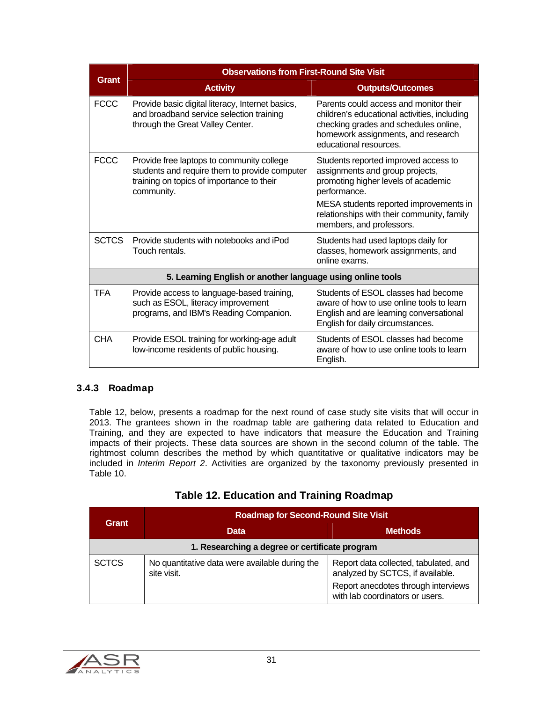|              | <b>Observations from First-Round Site Visit</b>                                                                                                       |                                                                                                                                                                                                 |
|--------------|-------------------------------------------------------------------------------------------------------------------------------------------------------|-------------------------------------------------------------------------------------------------------------------------------------------------------------------------------------------------|
| <b>Grant</b> | <b>Activity</b>                                                                                                                                       | <b>Outputs/Outcomes</b>                                                                                                                                                                         |
| <b>FCCC</b>  | Provide basic digital literacy, Internet basics,<br>and broadband service selection training<br>through the Great Valley Center.                      | Parents could access and monitor their<br>children's educational activities, including<br>checking grades and schedules online,<br>homework assignments, and research<br>educational resources. |
| <b>FCCC</b>  | Provide free laptops to community college<br>students and require them to provide computer<br>training on topics of importance to their<br>community. | Students reported improved access to<br>assignments and group projects,<br>promoting higher levels of academic<br>performance.                                                                  |
|              |                                                                                                                                                       | MESA students reported improvements in<br>relationships with their community, family<br>members, and professors.                                                                                |
| <b>SCTCS</b> | Provide students with notebooks and iPod<br>Touch rentals.                                                                                            | Students had used laptops daily for<br>classes, homework assignments, and<br>online exams.                                                                                                      |
|              | 5. Learning English or another language using online tools                                                                                            |                                                                                                                                                                                                 |
| <b>TFA</b>   | Provide access to language-based training,<br>such as ESOL, literacy improvement<br>programs, and IBM's Reading Companion.                            | Students of ESOL classes had become<br>aware of how to use online tools to learn<br>English and are learning conversational<br>English for daily circumstances.                                 |
| <b>CHA</b>   | Provide ESOL training for working-age adult<br>low-income residents of public housing.                                                                | Students of ESOL classes had become<br>aware of how to use online tools to learn<br>English.                                                                                                    |

#### 3.4.3 Roadmap

Table 12, below, presents a roadmap for the next round of case study site visits that will occur in 2013. The grantees shown in the roadmap table are gathering data related to Education and Training, and they are expected to have indicators that measure the Education and Training impacts of their projects. These data sources are shown in the second column of the table. The rightmost column describes the method by which quantitative or qualitative indicators may be included in *Interim Report 2*. Activities are organized by the taxonomy previously presented in Table 10.

| Table 12. Education and Training Roadmap |  |  |  |
|------------------------------------------|--|--|--|
|------------------------------------------|--|--|--|

| Grant                                          | <b>Roadmap for Second-Round Site Visit</b>                    |                                                                           |  |
|------------------------------------------------|---------------------------------------------------------------|---------------------------------------------------------------------------|--|
|                                                | <b>Data</b>                                                   | <b>Methods</b>                                                            |  |
| 1. Researching a degree or certificate program |                                                               |                                                                           |  |
| <b>SCTCS</b>                                   | No quantitative data were available during the<br>site visit. | Report data collected, tabulated, and<br>analyzed by SCTCS, if available. |  |
|                                                |                                                               | Report anecdotes through interviews<br>with lab coordinators or users.    |  |

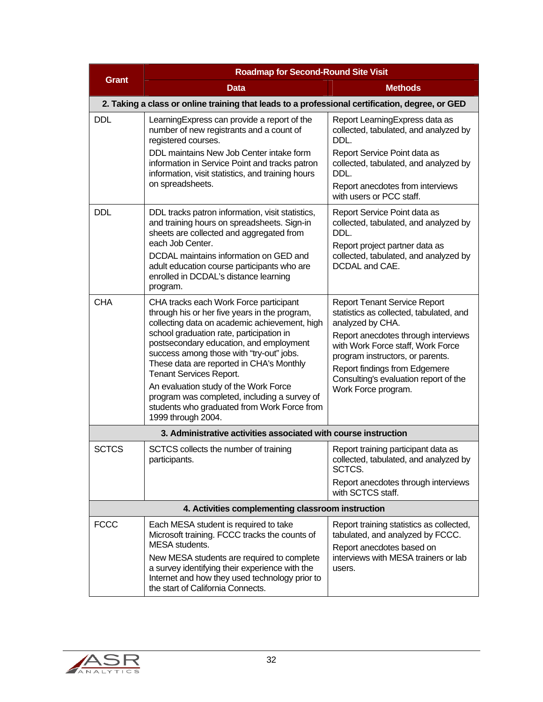|                                                   | <b>Roadmap for Second-Round Site Visit</b>                                                                                                                                                                                                                                                                                                                                                                                                                                                                       |                                                                                                                                                                                                                                                                                                                     |  |
|---------------------------------------------------|------------------------------------------------------------------------------------------------------------------------------------------------------------------------------------------------------------------------------------------------------------------------------------------------------------------------------------------------------------------------------------------------------------------------------------------------------------------------------------------------------------------|---------------------------------------------------------------------------------------------------------------------------------------------------------------------------------------------------------------------------------------------------------------------------------------------------------------------|--|
| <b>Grant</b>                                      | <b>Data</b>                                                                                                                                                                                                                                                                                                                                                                                                                                                                                                      | <b>Methods</b>                                                                                                                                                                                                                                                                                                      |  |
|                                                   | 2. Taking a class or online training that leads to a professional certification, degree, or GED                                                                                                                                                                                                                                                                                                                                                                                                                  |                                                                                                                                                                                                                                                                                                                     |  |
| <b>DDL</b>                                        | Learning Express can provide a report of the<br>number of new registrants and a count of<br>registered courses.<br>DDL maintains New Job Center intake form<br>information in Service Point and tracks patron<br>information, visit statistics, and training hours<br>on spreadsheets.                                                                                                                                                                                                                           | Report Learning Express data as<br>collected, tabulated, and analyzed by<br>DDL.<br>Report Service Point data as<br>collected, tabulated, and analyzed by<br>DDL.<br>Report anecdotes from interviews<br>with users or PCC staff.                                                                                   |  |
| <b>DDL</b>                                        | DDL tracks patron information, visit statistics,<br>and training hours on spreadsheets. Sign-in<br>sheets are collected and aggregated from<br>each Job Center.<br>DCDAL maintains information on GED and<br>adult education course participants who are<br>enrolled in DCDAL's distance learning<br>program.                                                                                                                                                                                                    | Report Service Point data as<br>collected, tabulated, and analyzed by<br>DDL.<br>Report project partner data as<br>collected, tabulated, and analyzed by<br>DCDAL and CAE.                                                                                                                                          |  |
| <b>CHA</b>                                        | CHA tracks each Work Force participant<br>through his or her five years in the program,<br>collecting data on academic achievement, high<br>school graduation rate, participation in<br>postsecondary education, and employment<br>success among those with "try-out" jobs.<br>These data are reported in CHA's Monthly<br>Tenant Services Report.<br>An evaluation study of the Work Force<br>program was completed, including a survey of<br>students who graduated from Work Force from<br>1999 through 2004. | <b>Report Tenant Service Report</b><br>statistics as collected, tabulated, and<br>analyzed by CHA.<br>Report anecdotes through interviews<br>with Work Force staff, Work Force<br>program instructors, or parents.<br>Report findings from Edgemere<br>Consulting's evaluation report of the<br>Work Force program. |  |
|                                                   | 3. Administrative activities associated with course instruction                                                                                                                                                                                                                                                                                                                                                                                                                                                  |                                                                                                                                                                                                                                                                                                                     |  |
| <b>SCTCS</b>                                      | SCTCS collects the number of training<br>participants.                                                                                                                                                                                                                                                                                                                                                                                                                                                           | Report training participant data as<br>collected, tabulated, and analyzed by<br>SCTCS.<br>Report anecdotes through interviews<br>with SCTCS staff.                                                                                                                                                                  |  |
| 4. Activities complementing classroom instruction |                                                                                                                                                                                                                                                                                                                                                                                                                                                                                                                  |                                                                                                                                                                                                                                                                                                                     |  |
| <b>FCCC</b>                                       | Each MESA student is required to take<br>Microsoft training. FCCC tracks the counts of<br>MESA students.<br>New MESA students are required to complete<br>a survey identifying their experience with the<br>Internet and how they used technology prior to<br>the start of California Connects.                                                                                                                                                                                                                  | Report training statistics as collected,<br>tabulated, and analyzed by FCCC.<br>Report anecdotes based on<br>interviews with MESA trainers or lab<br>users.                                                                                                                                                         |  |

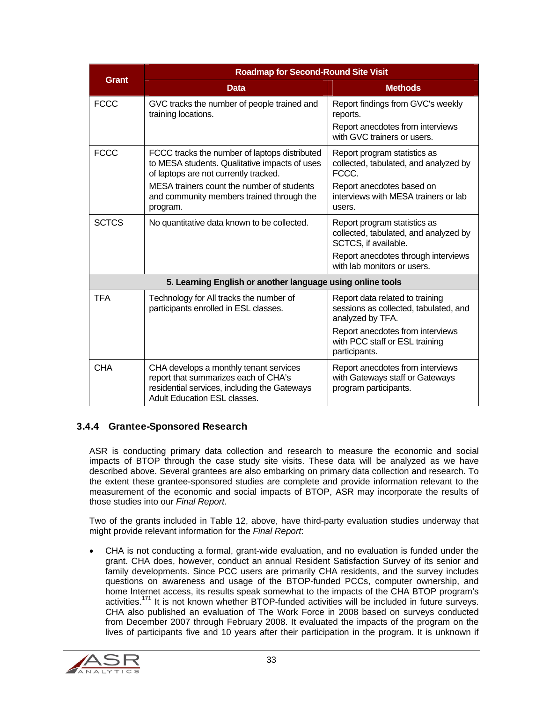|                                                            | <b>Roadmap for Second-Round Site Visit</b>                                                                                                                            |                                                                                               |  |
|------------------------------------------------------------|-----------------------------------------------------------------------------------------------------------------------------------------------------------------------|-----------------------------------------------------------------------------------------------|--|
| <b>Grant</b>                                               | <b>Data</b>                                                                                                                                                           | <b>Methods</b>                                                                                |  |
| <b>FCCC</b>                                                | GVC tracks the number of people trained and<br>training locations.                                                                                                    | Report findings from GVC's weekly<br>reports.                                                 |  |
|                                                            |                                                                                                                                                                       | Report anecdotes from interviews<br>with GVC trainers or users.                               |  |
| <b>FCCC</b>                                                | FCCC tracks the number of laptops distributed<br>to MESA students. Qualitative impacts of uses<br>of laptops are not currently tracked.                               | Report program statistics as<br>collected, tabulated, and analyzed by<br>FCCC.                |  |
|                                                            | MESA trainers count the number of students<br>and community members trained through the<br>program.                                                                   | Report anecdotes based on<br>interviews with MESA trainers or lab<br>users.                   |  |
| <b>SCTCS</b>                                               | No quantitative data known to be collected.                                                                                                                           | Report program statistics as<br>collected, tabulated, and analyzed by<br>SCTCS, if available. |  |
|                                                            |                                                                                                                                                                       | Report anecdotes through interviews<br>with lab monitors or users.                            |  |
| 5. Learning English or another language using online tools |                                                                                                                                                                       |                                                                                               |  |
| <b>TFA</b>                                                 | Technology for All tracks the number of<br>participants enrolled in ESL classes.                                                                                      | Report data related to training<br>sessions as collected, tabulated, and<br>analyzed by TFA.  |  |
|                                                            |                                                                                                                                                                       | Report anecdotes from interviews<br>with PCC staff or ESL training<br>participants.           |  |
| <b>CHA</b>                                                 | CHA develops a monthly tenant services<br>report that summarizes each of CHA's<br>residential services, including the Gateways<br><b>Adult Education ESL classes.</b> | Report anecdotes from interviews<br>with Gateways staff or Gateways<br>program participants.  |  |

#### 3.4.4 Grantee-Sponsored Research

ASR is conducting primary data collection and research to measure the economic and social impacts of BTOP through the case study site visits. These data will be analyzed as we have described above. Several grantees are also embarking on primary data collection and research. To the extent these grantee-sponsored studies are complete and provide information relevant to the measurement of the economic and social impacts of BTOP, ASR may incorporate the results of those studies into our *Final Report*.

Two of the grants included in Table 12, above, have third-party evaluation studies underway that might provide relevant information for the *Final Report*:

 CHA is not conducting a formal, grant-wide evaluation, and no evaluation is funded under the grant. CHA does, however, conduct an annual Resident Satisfaction Survey of its senior and family developments. Since PCC users are primarily CHA residents, and the survey includes questions on awareness and usage of the BTOP-funded PCCs, computer ownership, and home Internet access, its results speak somewhat to the impacts of the CHA BTOP program's activities.<sup>171</sup> It is not known whether BTOP-funded activities will be included in future surveys. CHA also published an evaluation of The Work Force in 2008 based on surveys conducted from December 2007 through February 2008. It evaluated the impacts of the program on the lives of participants five and 10 years after their participation in the program. It is unknown if

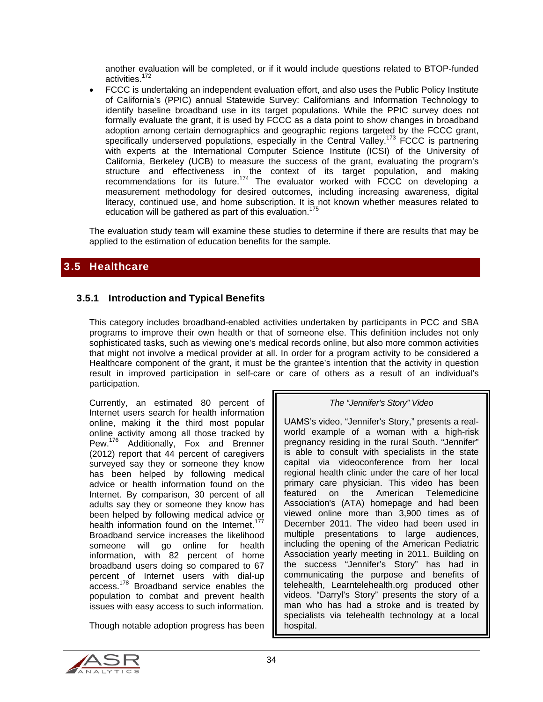another evaluation will be completed, or if it would include questions related to BTOP-funded activities.172

 FCCC is undertaking an independent evaluation effort, and also uses the Public Policy Institute of California's (PPIC) annual Statewide Survey: Californians and Information Technology to identify baseline broadband use in its target populations. While the PPIC survey does not formally evaluate the grant, it is used by FCCC as a data point to show changes in broadband adoption among certain demographics and geographic regions targeted by the FCCC grant, specifically underserved populations, especially in the Central Valley.<sup>173</sup> FCCC is partnering with experts at the International Computer Science Institute (ICSI) of the University of California, Berkeley (UCB) to measure the success of the grant, evaluating the program's structure and effectiveness in the context of its target population, and making recommendations for its future.<sup>174</sup> The evaluator worked with FCCC on developing a measurement methodology for desired outcomes, including increasing awareness, digital literacy, continued use, and home subscription. It is not known whether measures related to education will be gathered as part of this evaluation.<sup>175</sup>

The evaluation study team will examine these studies to determine if there are results that may be applied to the estimation of education benefits for the sample.

#### 3.5 Healthcare

#### 3.5.1 Introduction and Typical Benefits

This category includes broadband-enabled activities undertaken by participants in PCC and SBA programs to improve their own health or that of someone else. This definition includes not only sophisticated tasks, such as viewing one's medical records online, but also more common activities that might not involve a medical provider at all. In order for a program activity to be considered a Healthcare component of the grant, it must be the grantee's intention that the activity in question result in improved participation in self-care or care of others as a result of an individual's participation.

Currently, an estimated 80 percent of Internet users search for health information online, making it the third most popular online activity among all those tracked by Pew.<sup>176</sup> Additionally, Fox and Brenner (2012) report that 44 percent of caregivers surveyed say they or someone they know has been helped by following medical advice or health information found on the Internet. By comparison, 30 percent of all adults say they or someone they know has been helped by following medical advice or health information found on the Internet.<sup>177</sup> Broadband service increases the likelihood someone will go online for health information, with 82 percent of home broadband users doing so compared to 67 percent of Internet users with dial-up access.178 Broadband service enables the population to combat and prevent health issues with easy access to such information.

Though notable adoption progress has been

#### *The "Jennifer's Story" Video*

UAMS's video, "Jennifer's Story," presents a realworld example of a woman with a high-risk pregnancy residing in the rural South. "Jennifer" is able to consult with specialists in the state capital via videoconference from her local regional health clinic under the care of her local primary care physician. This video has been featured on the American Telemedicine Association's (ATA) homepage and had been viewed online more than 3,900 times as of December 2011. The video had been used in multiple presentations to large audiences, including the opening of the American Pediatric Association yearly meeting in 2011. Building on the success "Jennifer's Story" has had in communicating the purpose and benefits of telehealth, Learntelehealth.org produced other videos. "Darryl's Story" presents the story of a man who has had a stroke and is treated by specialists via telehealth technology at a local hospital.

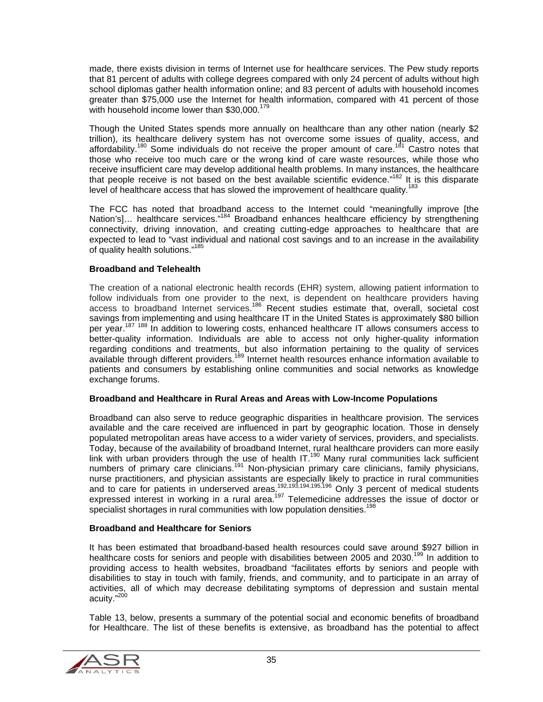made, there exists division in terms of Internet use for healthcare services. The Pew study reports that 81 percent of adults with college degrees compared with only 24 percent of adults without high school diplomas gather health information online; and 83 percent of adults with household incomes greater than \$75,000 use the Internet for health information, compared with 41 percent of those with household income lower than \$30,000.<sup>179</sup>

Though the United States spends more annually on healthcare than any other nation (nearly \$2 trillion), its healthcare delivery system has not overcome some issues of quality, access, and affordability.<sup>180</sup> Some individuals do not receive the proper amount of care.<sup>181</sup> Castro notes that those who receive too much care or the wrong kind of care waste resources, while those who receive insufficient care may develop additional health problems. In many instances, the healthcare that people receive is not based on the best available scientific evidence."<sup>182</sup> It is this disparate level of healthcare access that has slowed the improvement of healthcare quality.<sup>183</sup>

The FCC has noted that broadband access to the Internet could "meaningfully improve [the Nation's]… healthcare services."<sup>184</sup> Broadband enhances healthcare efficiency by strengthening connectivity, driving innovation, and creating cutting-edge approaches to healthcare that are expected to lead to "vast individual and national cost savings and to an increase in the availability of quality health solutions."<sup>185</sup>

#### **Broadband and Telehealth**

The creation of a national electronic health records (EHR) system, allowing patient information to follow individuals from one provider to the next, is dependent on healthcare providers having access to broadband Internet services.<sup>186</sup> Recent studies estimate that, overall, societal cost savings from implementing and using healthcare IT in the United States is approximately \$80 billion per year.<sup>187 188</sup> In addition to lowering costs, enhanced healthcare IT allows consumers access to better-quality information. Individuals are able to access not only higher-quality information regarding conditions and treatments, but also information pertaining to the quality of services available through different providers.<sup>189</sup> Internet health resources enhance information available to patients and consumers by establishing online communities and social networks as knowledge exchange forums.

#### **Broadband and Healthcare in Rural Areas and Areas with Low-Income Populations**

Broadband can also serve to reduce geographic disparities in healthcare provision. The services available and the care received are influenced in part by geographic location. Those in densely populated metropolitan areas have access to a wider variety of services, providers, and specialists. Today, because of the availability of broadband Internet, rural healthcare providers can more easily link with urban providers through the use of health IT.<sup>190</sup> Many rural communities lack sufficient numbers of primary care clinicians.<sup>191</sup> Non-physician primary care clinicians, family physicians, nurse practitioners, and physician assistants are especially likely to practice in rural communities and to care for patients in underserved areas.<sup>192,193,194,195,196</sup> Only 3 percent of medical students expressed interest in working in a rural area.<sup>197</sup> Telemedicine addresses the issue of doctor or specialist shortages in rural communities with low population densities.<sup>198</sup>

#### **Broadband and Healthcare for Seniors**

It has been estimated that broadband-based health resources could save around \$927 billion in healthcare costs for seniors and people with disabilities between 2005 and 2030.<sup>199</sup> In addition to providing access to health websites, broadband "facilitates efforts by seniors and people with disabilities to stay in touch with family, friends, and community, and to participate in an array of activities, all of which may decrease debilitating symptoms of depression and sustain mental acuity."<sup>200</sup>

Table 13, below, presents a summary of the potential social and economic benefits of broadband for Healthcare. The list of these benefits is extensive, as broadband has the potential to affect

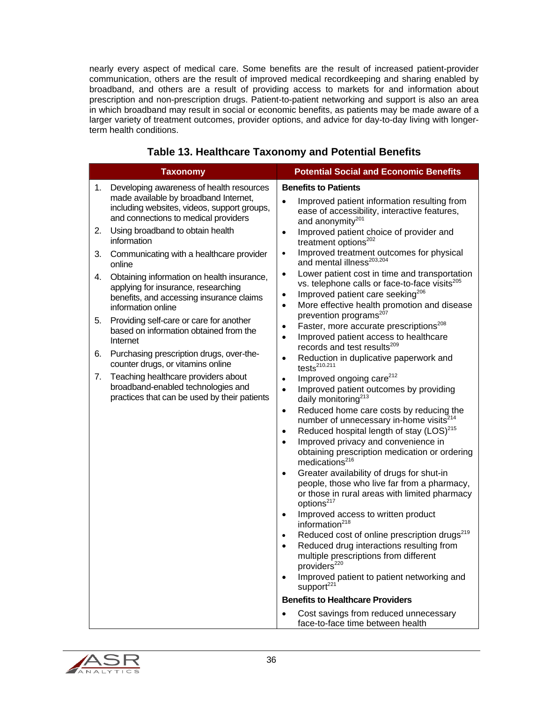nearly every aspect of medical care. Some benefits are the result of increased patient-provider communication, others are the result of improved medical recordkeeping and sharing enabled by broadband, and others are a result of providing access to markets for and information about prescription and non-prescription drugs. Patient-to-patient networking and support is also an area in which broadband may result in social or economic benefits, as patients may be made aware of a larger variety of treatment outcomes, provider options, and advice for day-to-day living with longerterm health conditions.

|    | <b>Taxonomy</b>                                                                                                                                                                                                                                | <b>Potential Social and Economic Benefits</b>                                                                                                                                                                                                                                                                                                                                                                                                                                                                                                                                                                                                                                                                                                                                                                             |
|----|------------------------------------------------------------------------------------------------------------------------------------------------------------------------------------------------------------------------------------------------|---------------------------------------------------------------------------------------------------------------------------------------------------------------------------------------------------------------------------------------------------------------------------------------------------------------------------------------------------------------------------------------------------------------------------------------------------------------------------------------------------------------------------------------------------------------------------------------------------------------------------------------------------------------------------------------------------------------------------------------------------------------------------------------------------------------------------|
| 1. | Developing awareness of health resources<br>made available by broadband Internet,<br>including websites, videos, support groups,<br>and connections to medical providers                                                                       | <b>Benefits to Patients</b><br>Improved patient information resulting from<br>$\bullet$<br>ease of accessibility, interactive features,                                                                                                                                                                                                                                                                                                                                                                                                                                                                                                                                                                                                                                                                                   |
| 2. | Using broadband to obtain health<br>information                                                                                                                                                                                                | and anonymity <sup>201</sup><br>Improved patient choice of provider and<br>$\bullet$<br>treatment options <sup>202</sup>                                                                                                                                                                                                                                                                                                                                                                                                                                                                                                                                                                                                                                                                                                  |
| 3. | Communicating with a healthcare provider<br>online                                                                                                                                                                                             | Improved treatment outcomes for physical<br>$\bullet$<br>and mental illness <sup>203,204</sup>                                                                                                                                                                                                                                                                                                                                                                                                                                                                                                                                                                                                                                                                                                                            |
| 4. | Obtaining information on health insurance,<br>applying for insurance, researching<br>benefits, and accessing insurance claims<br>information online                                                                                            | Lower patient cost in time and transportation<br>$\bullet$<br>vs. telephone calls or face-to-face visits <sup>205</sup><br>Improved patient care seeking <sup>206</sup><br>$\bullet$<br>More effective health promotion and disease<br>$\bullet$                                                                                                                                                                                                                                                                                                                                                                                                                                                                                                                                                                          |
| 5. | Providing self-care or care for another<br>based on information obtained from the<br>Internet                                                                                                                                                  | prevention programs <sup>207</sup><br>Faster, more accurate prescriptions <sup>208</sup><br>$\bullet$<br>Improved patient access to healthcare                                                                                                                                                                                                                                                                                                                                                                                                                                                                                                                                                                                                                                                                            |
| 6. | Purchasing prescription drugs, over-the-<br>counter drugs, or vitamins online                                                                                                                                                                  | records and test results <sup>209</sup><br>Reduction in duplicative paperwork and<br>$\bullet$<br>tests $210,211$                                                                                                                                                                                                                                                                                                                                                                                                                                                                                                                                                                                                                                                                                                         |
| 7. | Teaching healthcare providers about<br>$\bullet$<br>broadband-enabled technologies and<br>$\bullet$<br>practices that can be used by their patients<br>$\bullet$<br>$\bullet$<br>$\bullet$<br>$\bullet$<br>$\bullet$<br>$\bullet$<br>$\bullet$ | Improved ongoing care <sup>212</sup><br>Improved patient outcomes by providing<br>daily monitoring <sup>213</sup><br>Reduced home care costs by reducing the<br>number of unnecessary in-home visits <sup>214</sup><br>Reduced hospital length of stay (LOS) <sup>215</sup><br>Improved privacy and convenience in<br>obtaining prescription medication or ordering<br>medications <sup>216</sup><br>Greater availability of drugs for shut-in<br>people, those who live far from a pharmacy,<br>or those in rural areas with limited pharmacy<br>options <sup>217</sup><br>Improved access to written product<br>information <sup>218</sup><br>Reduced cost of online prescription drugs <sup>219</sup><br>Reduced drug interactions resulting from<br>multiple prescriptions from different<br>providers <sup>220</sup> |
|    |                                                                                                                                                                                                                                                | Improved patient to patient networking and<br>٠<br>support <sup>221</sup>                                                                                                                                                                                                                                                                                                                                                                                                                                                                                                                                                                                                                                                                                                                                                 |
|    |                                                                                                                                                                                                                                                | <b>Benefits to Healthcare Providers</b>                                                                                                                                                                                                                                                                                                                                                                                                                                                                                                                                                                                                                                                                                                                                                                                   |
|    |                                                                                                                                                                                                                                                | Cost savings from reduced unnecessary<br>face-to-face time between health                                                                                                                                                                                                                                                                                                                                                                                                                                                                                                                                                                                                                                                                                                                                                 |

#### **Table 13. Healthcare Taxonomy and Potential Benefits**

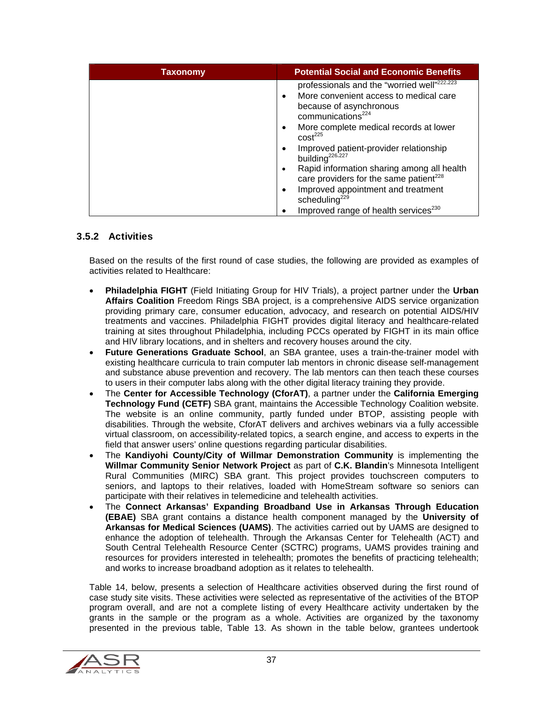| Taxonomy | <b>Potential Social and Economic Benefits</b>                         |
|----------|-----------------------------------------------------------------------|
|          | professionals and the "worried well" <sup>222,223</sup>               |
|          | More convenient access to medical care<br>$\bullet$                   |
|          | because of asynchronous                                               |
|          | communications <sup>224</sup>                                         |
|          | More complete medical records at lower<br>٠                           |
|          | cost <sup>225</sup>                                                   |
|          | Improved patient-provider relationship<br>building <sup>226,227</sup> |
|          | Rapid information sharing among all health                            |
|          | care providers for the same patient <sup>228</sup>                    |
|          | Improved appointment and treatment                                    |
|          | scheduling <sup>229</sup>                                             |
|          | Improved range of health services <sup>230</sup>                      |

#### 3.5.2 Activities

Based on the results of the first round of case studies, the following are provided as examples of activities related to Healthcare:

- **Philadelphia FIGHT** (Field Initiating Group for HIV Trials), a project partner under the **Urban Affairs Coalition** Freedom Rings SBA project, is a comprehensive AIDS service organization providing primary care, consumer education, advocacy, and research on potential AIDS/HIV treatments and vaccines. Philadelphia FIGHT provides digital literacy and healthcare-related training at sites throughout Philadelphia, including PCCs operated by FIGHT in its main office and HIV library locations, and in shelters and recovery houses around the city.
- **Future Generations Graduate School**, an SBA grantee, uses a train-the-trainer model with existing healthcare curricula to train computer lab mentors in chronic disease self-management and substance abuse prevention and recovery. The lab mentors can then teach these courses to users in their computer labs along with the other digital literacy training they provide.
- The **Center for Accessible Technology (CforAT)**, a partner under the **California Emerging Technology Fund (CETF)** SBA grant, maintains the Accessible Technology Coalition website. The website is an online community, partly funded under BTOP, assisting people with disabilities. Through the website, CforAT delivers and archives webinars via a fully accessible virtual classroom, on accessibility-related topics, a search engine, and access to experts in the field that answer users' online questions regarding particular disabilities.
- The **Kandiyohi County/City of Willmar Demonstration Community** is implementing the **Willmar Community Senior Network Project** as part of **C.K. Blandin**'s Minnesota Intelligent Rural Communities (MIRC) SBA grant. This project provides touchscreen computers to seniors, and laptops to their relatives, loaded with HomeStream software so seniors can participate with their relatives in telemedicine and telehealth activities.
- The **Connect Arkansas' Expanding Broadband Use in Arkansas Through Education (EBAE)** SBA grant contains a distance health component managed by the **University of Arkansas for Medical Sciences (UAMS)**. The activities carried out by UAMS are designed to enhance the adoption of telehealth. Through the Arkansas Center for Telehealth (ACT) and South Central Telehealth Resource Center (SCTRC) programs, UAMS provides training and resources for providers interested in telehealth; promotes the benefits of practicing telehealth; and works to increase broadband adoption as it relates to telehealth.

Table 14, below, presents a selection of Healthcare activities observed during the first round of case study site visits. These activities were selected as representative of the activities of the BTOP program overall, and are not a complete listing of every Healthcare activity undertaken by the grants in the sample or the program as a whole. Activities are organized by the taxonomy presented in the previous table, Table 13. As shown in the table below, grantees undertook

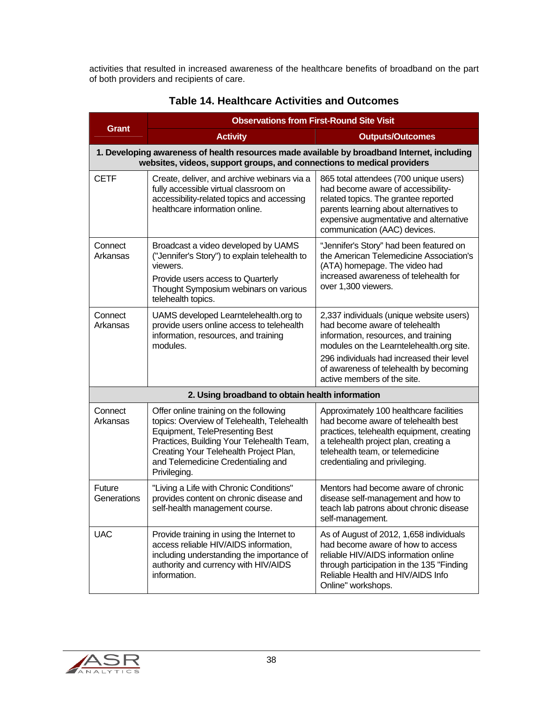activities that resulted in increased awareness of the healthcare benefits of broadband on the part of both providers and recipients of care.

| <b>Grant</b>          | <b>Observations from First-Round Site Visit</b>                                                                                                                                                                                                                     |                                                                                                                                                                                                                                                                                      |  |
|-----------------------|---------------------------------------------------------------------------------------------------------------------------------------------------------------------------------------------------------------------------------------------------------------------|--------------------------------------------------------------------------------------------------------------------------------------------------------------------------------------------------------------------------------------------------------------------------------------|--|
|                       | <b>Activity</b>                                                                                                                                                                                                                                                     | <b>Outputs/Outcomes</b>                                                                                                                                                                                                                                                              |  |
|                       | 1. Developing awareness of health resources made available by broadband Internet, including<br>websites, videos, support groups, and connections to medical providers                                                                                               |                                                                                                                                                                                                                                                                                      |  |
| <b>CETF</b>           | Create, deliver, and archive webinars via a<br>fully accessible virtual classroom on<br>accessibility-related topics and accessing<br>healthcare information online.                                                                                                | 865 total attendees (700 unique users)<br>had become aware of accessibility-<br>related topics. The grantee reported<br>parents learning about alternatives to<br>expensive augmentative and alternative<br>communication (AAC) devices.                                             |  |
| Connect<br>Arkansas   | Broadcast a video developed by UAMS<br>("Jennifer's Story") to explain telehealth to<br>viewers.<br>Provide users access to Quarterly<br>Thought Symposium webinars on various<br>telehealth topics.                                                                | "Jennifer's Story" had been featured on<br>the American Telemedicine Association's<br>(ATA) homepage. The video had<br>increased awareness of telehealth for<br>over 1,300 viewers.                                                                                                  |  |
| Connect<br>Arkansas   | UAMS developed Learntelehealth.org to<br>provide users online access to telehealth<br>information, resources, and training<br>modules.                                                                                                                              | 2,337 individuals (unique website users)<br>had become aware of telehealth<br>information, resources, and training<br>modules on the Learntelehealth.org site.<br>296 individuals had increased their level<br>of awareness of telehealth by becoming<br>active members of the site. |  |
|                       | 2. Using broadband to obtain health information                                                                                                                                                                                                                     |                                                                                                                                                                                                                                                                                      |  |
| Connect<br>Arkansas   | Offer online training on the following<br>topics: Overview of Telehealth, Telehealth<br>Equipment, TelePresenting Best<br>Practices, Building Your Telehealth Team,<br>Creating Your Telehealth Project Plan,<br>and Telemedicine Credentialing and<br>Privileging. | Approximately 100 healthcare facilities<br>had become aware of telehealth best<br>practices, telehealth equipment, creating<br>a telehealth project plan, creating a<br>telehealth team, or telemedicine<br>credentialing and privileging.                                           |  |
| Future<br>Generations | "Living a Life with Chronic Conditions"<br>provides content on chronic disease and<br>self-health management course.                                                                                                                                                | Mentors had become aware of chronic<br>disease self-management and how to<br>teach lab patrons about chronic disease<br>self-management.                                                                                                                                             |  |
| <b>UAC</b>            | Provide training in using the Internet to<br>access reliable HIV/AIDS information,<br>including understanding the importance of<br>authority and currency with HIV/AIDS<br>information.                                                                             | As of August of 2012, 1,658 individuals<br>had become aware of how to access<br>reliable HIV/AIDS information online<br>through participation in the 135 "Finding<br>Reliable Health and HIV/AIDS Info<br>Online" workshops.                                                         |  |

### **Table 14. Healthcare Activities and Outcomes**

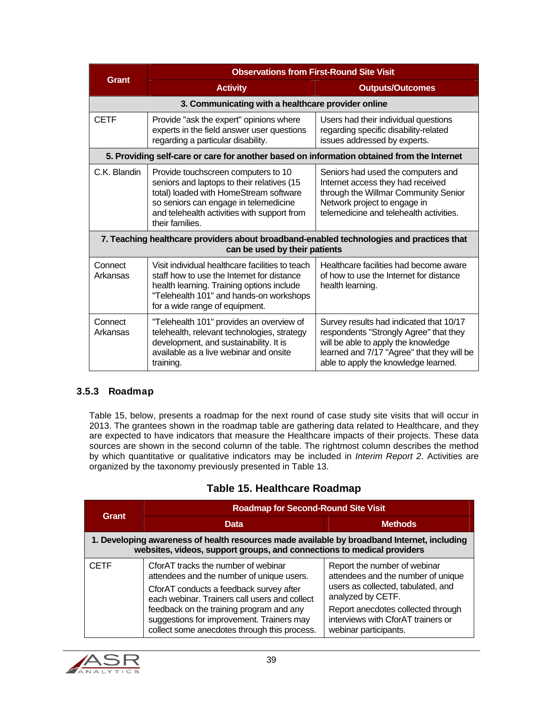| Grant               | <b>Observations from First-Round Site Visit</b>                                                                                                                                                                                        |                                                                                                                                                                                                                |  |  |
|---------------------|----------------------------------------------------------------------------------------------------------------------------------------------------------------------------------------------------------------------------------------|----------------------------------------------------------------------------------------------------------------------------------------------------------------------------------------------------------------|--|--|
|                     | <b>Activity</b>                                                                                                                                                                                                                        | <b>Outputs/Outcomes</b>                                                                                                                                                                                        |  |  |
|                     | 3. Communicating with a healthcare provider online                                                                                                                                                                                     |                                                                                                                                                                                                                |  |  |
| <b>CETF</b>         | Provide "ask the expert" opinions where<br>experts in the field answer user questions<br>regarding a particular disability.                                                                                                            | Users had their individual questions<br>regarding specific disability-related<br>issues addressed by experts.                                                                                                  |  |  |
|                     | 5. Providing self-care or care for another based on information obtained from the Internet                                                                                                                                             |                                                                                                                                                                                                                |  |  |
| C.K. Blandin        | Provide touchscreen computers to 10<br>seniors and laptops to their relatives (15<br>total) loaded with HomeStream software<br>so seniors can engage in telemedicine<br>and telehealth activities with support from<br>their families. | Seniors had used the computers and<br>Internet access they had received<br>through the Willmar Community Senior<br>Network project to engage in<br>telemedicine and telehealth activities.                     |  |  |
|                     | 7. Teaching healthcare providers about broadband-enabled technologies and practices that<br>can be used by their patients                                                                                                              |                                                                                                                                                                                                                |  |  |
| Connect<br>Arkansas | Visit individual healthcare facilities to teach<br>staff how to use the Internet for distance<br>health learning. Training options include<br>"Telehealth 101" and hands-on workshops<br>for a wide range of equipment.                | Healthcare facilities had become aware<br>of how to use the Internet for distance<br>health learning.                                                                                                          |  |  |
| Connect<br>Arkansas | "Telehealth 101" provides an overview of<br>telehealth, relevant technologies, strategy<br>development, and sustainability. It is<br>available as a live webinar and onsite<br>training.                                               | Survey results had indicated that 10/17<br>respondents "Strongly Agree" that they<br>will be able to apply the knowledge<br>learned and 7/17 "Agree" that they will be<br>able to apply the knowledge learned. |  |  |

#### 3.5.3 Roadmap

Table 15, below, presents a roadmap for the next round of case study site visits that will occur in 2013. The grantees shown in the roadmap table are gathering data related to Healthcare, and they are expected to have indicators that measure the Healthcare impacts of their projects. These data sources are shown in the second column of the table. The rightmost column describes the method by which quantitative or qualitative indicators may be included in *Interim Report 2*. Activities are organized by the taxonomy previously presented in Table 13.

#### **Table 15. Healthcare Roadmap**

|             | <b>Roadmap for Second-Round Site Visit</b>                                                                                                                                                                                                                                                                            |                                                                                                                                                                                                                                    |
|-------------|-----------------------------------------------------------------------------------------------------------------------------------------------------------------------------------------------------------------------------------------------------------------------------------------------------------------------|------------------------------------------------------------------------------------------------------------------------------------------------------------------------------------------------------------------------------------|
| Grant       | Data                                                                                                                                                                                                                                                                                                                  | <b>Methods</b>                                                                                                                                                                                                                     |
|             | 1. Developing awareness of health resources made available by broadband Internet, including<br>websites, videos, support groups, and connections to medical providers                                                                                                                                                 |                                                                                                                                                                                                                                    |
| <b>CETF</b> | CforAT tracks the number of webinar<br>attendees and the number of unique users.<br>CforAT conducts a feedback survey after<br>each webinar. Trainers call users and collect<br>feedback on the training program and any<br>suggestions for improvement. Trainers may<br>collect some anecdotes through this process. | Report the number of webinar<br>attendees and the number of unique<br>users as collected, tabulated, and<br>analyzed by CETF.<br>Report anecdotes collected through<br>interviews with CforAT trainers or<br>webinar participants. |

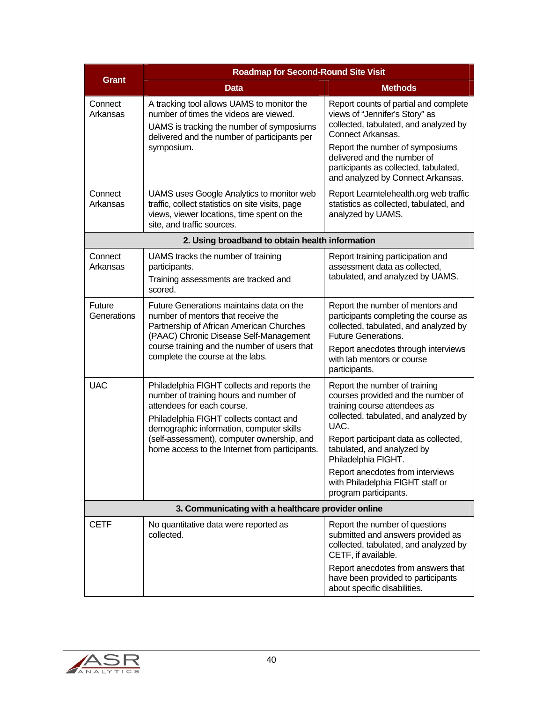|                                                    | <b>Roadmap for Second-Round Site Visit</b>                                                                                                                                                                                                                                                                 |                                                                                                                                                                                                                                                                                                                                                     |  |
|----------------------------------------------------|------------------------------------------------------------------------------------------------------------------------------------------------------------------------------------------------------------------------------------------------------------------------------------------------------------|-----------------------------------------------------------------------------------------------------------------------------------------------------------------------------------------------------------------------------------------------------------------------------------------------------------------------------------------------------|--|
| <b>Grant</b>                                       | <b>Data</b>                                                                                                                                                                                                                                                                                                | <b>Methods</b>                                                                                                                                                                                                                                                                                                                                      |  |
| Connect<br>Arkansas                                | A tracking tool allows UAMS to monitor the<br>number of times the videos are viewed.<br>UAMS is tracking the number of symposiums<br>delivered and the number of participants per<br>symposium.                                                                                                            | Report counts of partial and complete<br>views of "Jennifer's Story" as<br>collected, tabulated, and analyzed by<br>Connect Arkansas.<br>Report the number of symposiums<br>delivered and the number of<br>participants as collected, tabulated,<br>and analyzed by Connect Arkansas.                                                               |  |
| Connect<br>Arkansas                                | UAMS uses Google Analytics to monitor web<br>traffic, collect statistics on site visits, page<br>views, viewer locations, time spent on the<br>site, and traffic sources.                                                                                                                                  | Report Learntelehealth.org web traffic<br>statistics as collected, tabulated, and<br>analyzed by UAMS.                                                                                                                                                                                                                                              |  |
|                                                    | 2. Using broadband to obtain health information                                                                                                                                                                                                                                                            |                                                                                                                                                                                                                                                                                                                                                     |  |
| Connect<br>Arkansas                                | UAMS tracks the number of training<br>participants.<br>Training assessments are tracked and<br>scored.                                                                                                                                                                                                     | Report training participation and<br>assessment data as collected,<br>tabulated, and analyzed by UAMS.                                                                                                                                                                                                                                              |  |
| Future<br>Generations                              | Future Generations maintains data on the<br>number of mentors that receive the<br>Partnership of African American Churches<br>(PAAC) Chronic Disease Self-Management<br>course training and the number of users that<br>complete the course at the labs.                                                   | Report the number of mentors and<br>participants completing the course as<br>collected, tabulated, and analyzed by<br><b>Future Generations.</b><br>Report anecdotes through interviews<br>with lab mentors or course<br>participants.                                                                                                              |  |
| <b>UAC</b>                                         | Philadelphia FIGHT collects and reports the<br>number of training hours and number of<br>attendees for each course.<br>Philadelphia FIGHT collects contact and<br>demographic information, computer skills<br>(self-assessment), computer ownership, and<br>home access to the Internet from participants. | Report the number of training<br>courses provided and the number of<br>training course attendees as<br>collected, tabulated, and analyzed by<br>UAC.<br>Report participant data as collected,<br>tabulated, and analyzed by<br>Philadelphia FIGHT.<br>Report anecdotes from interviews<br>with Philadelphia FIGHT staff or<br>program participants. |  |
| 3. Communicating with a healthcare provider online |                                                                                                                                                                                                                                                                                                            |                                                                                                                                                                                                                                                                                                                                                     |  |
| <b>CETF</b>                                        | No quantitative data were reported as<br>collected.                                                                                                                                                                                                                                                        | Report the number of questions<br>submitted and answers provided as<br>collected, tabulated, and analyzed by<br>CETF, if available.<br>Report anecdotes from answers that<br>have been provided to participants<br>about specific disabilities.                                                                                                     |  |

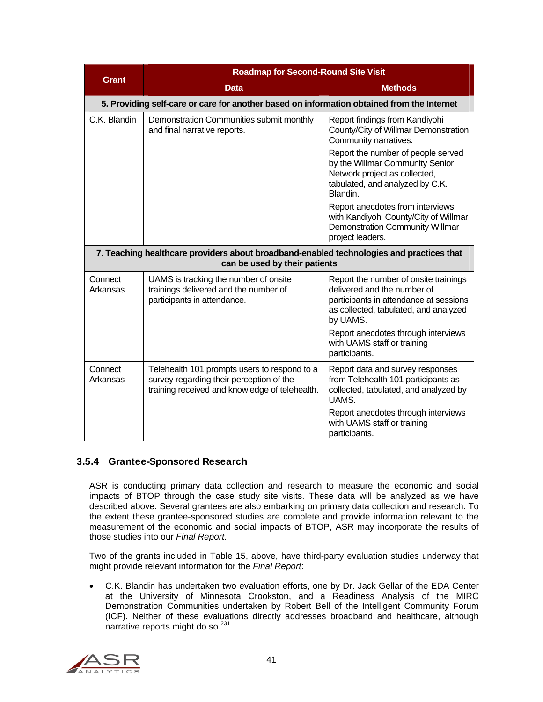|                     | <b>Roadmap for Second-Round Site Visit</b>                                                                                                 |                                                                                                                                                                     |  |
|---------------------|--------------------------------------------------------------------------------------------------------------------------------------------|---------------------------------------------------------------------------------------------------------------------------------------------------------------------|--|
| <b>Grant</b>        | <b>Data</b>                                                                                                                                | <b>Methods</b>                                                                                                                                                      |  |
|                     | 5. Providing self-care or care for another based on information obtained from the Internet                                                 |                                                                                                                                                                     |  |
| C.K. Blandin        | Demonstration Communities submit monthly<br>and final narrative reports.                                                                   | Report findings from Kandiyohi<br>County/City of Willmar Demonstration<br>Community narratives.                                                                     |  |
|                     |                                                                                                                                            | Report the number of people served<br>by the Willmar Community Senior<br>Network project as collected,<br>tabulated, and analyzed by C.K.<br>Blandin.               |  |
|                     |                                                                                                                                            | Report anecdotes from interviews<br>with Kandiyohi County/City of Willmar<br><b>Demonstration Community Willmar</b><br>project leaders.                             |  |
|                     | 7. Teaching healthcare providers about broadband-enabled technologies and practices that<br>can be used by their patients                  |                                                                                                                                                                     |  |
| Connect<br>Arkansas | UAMS is tracking the number of onsite<br>trainings delivered and the number of<br>participants in attendance.                              | Report the number of onsite trainings<br>delivered and the number of<br>participants in attendance at sessions<br>as collected, tabulated, and analyzed<br>by UAMS. |  |
|                     |                                                                                                                                            | Report anecdotes through interviews<br>with UAMS staff or training<br>participants.                                                                                 |  |
| Connect<br>Arkansas | Telehealth 101 prompts users to respond to a<br>survey regarding their perception of the<br>training received and knowledge of telehealth. | Report data and survey responses<br>from Telehealth 101 participants as<br>collected, tabulated, and analyzed by<br>UAMS.                                           |  |
|                     |                                                                                                                                            | Report anecdotes through interviews<br>with UAMS staff or training<br>participants.                                                                                 |  |

#### 3.5.4 Grantee-Sponsored Research

ASR is conducting primary data collection and research to measure the economic and social impacts of BTOP through the case study site visits. These data will be analyzed as we have described above. Several grantees are also embarking on primary data collection and research. To the extent these grantee-sponsored studies are complete and provide information relevant to the measurement of the economic and social impacts of BTOP, ASR may incorporate the results of those studies into our *Final Report*.

Two of the grants included in Table 15, above, have third-party evaluation studies underway that might provide relevant information for the *Final Report*:

 C.K. Blandin has undertaken two evaluation efforts, one by Dr. Jack Gellar of the EDA Center at the University of Minnesota Crookston, and a Readiness Analysis of the MIRC Demonstration Communities undertaken by Robert Bell of the Intelligent Community Forum (ICF). Neither of these evaluations directly addresses broadband and healthcare, although narrative reports might do so.<sup>231</sup>

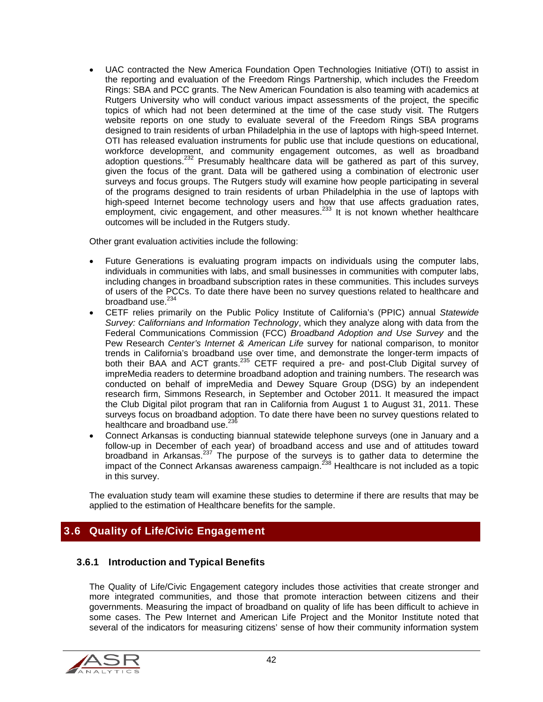UAC contracted the New America Foundation Open Technologies Initiative (OTI) to assist in the reporting and evaluation of the Freedom Rings Partnership, which includes the Freedom Rings: SBA and PCC grants. The New American Foundation is also teaming with academics at Rutgers University who will conduct various impact assessments of the project, the specific topics of which had not been determined at the time of the case study visit. The Rutgers website reports on one study to evaluate several of the Freedom Rings SBA programs designed to train residents of urban Philadelphia in the use of laptops with high-speed Internet. OTI has released evaluation instruments for public use that include questions on educational, workforce development, and community engagement outcomes, as well as broadband adoption questions.<sup>232</sup> Presumably healthcare data will be gathered as part of this survey, given the focus of the grant. Data will be gathered using a combination of electronic user surveys and focus groups. The Rutgers study will examine how people participating in several of the programs designed to train residents of urban Philadelphia in the use of laptops with high-speed Internet become technology users and how that use affects graduation rates, employment, civic engagement, and other measures.<sup>233</sup> It is not known whether healthcare outcomes will be included in the Rutgers study.

Other grant evaluation activities include the following:

- Future Generations is evaluating program impacts on individuals using the computer labs, individuals in communities with labs, and small businesses in communities with computer labs, including changes in broadband subscription rates in these communities. This includes surveys of users of the PCCs. To date there have been no survey questions related to healthcare and broadband use.<sup>234</sup>
- CETF relies primarily on the Public Policy Institute of California's (PPIC) annual *Statewide Survey: Californians and Information Technology*, which they analyze along with data from the Federal Communications Commission (FCC) *Broadband Adoption and Use Survey* and the Pew Research *Center's Internet & American Life* survey for national comparison, to monitor trends in California's broadband use over time, and demonstrate the longer-term impacts of both their BAA and ACT grants.235 CETF required a pre- and post-Club Digital survey of impreMedia readers to determine broadband adoption and training numbers. The research was conducted on behalf of impreMedia and Dewey Square Group (DSG) by an independent research firm, Simmons Research, in September and October 2011. It measured the impact the Club Digital pilot program that ran in California from August 1 to August 31, 2011. These surveys focus on broadband adoption. To date there have been no survey questions related to healthcare and broadband use.<sup>236</sup>
- Connect Arkansas is conducting biannual statewide telephone surveys (one in January and a follow-up in December of each year) of broadband access and use and of attitudes toward broadband in Arkansas.<sup>237</sup> The purpose of the surveys is to gather data to determine the impact of the Connect Arkansas awareness campaign. $^{238}$  Healthcare is not included as a topic in this survey.

The evaluation study team will examine these studies to determine if there are results that may be applied to the estimation of Healthcare benefits for the sample.

#### 3.6 Quality of Life/Civic Engagement

#### 3.6.1 Introduction and Typical Benefits

The Quality of Life/Civic Engagement category includes those activities that create stronger and more integrated communities, and those that promote interaction between citizens and their governments. Measuring the impact of broadband on quality of life has been difficult to achieve in some cases. The Pew Internet and American Life Project and the Monitor Institute noted that several of the indicators for measuring citizens' sense of how their community information system

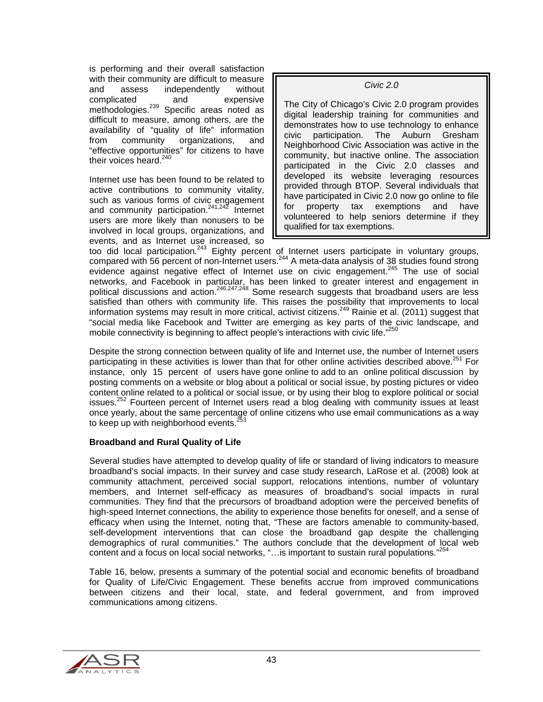is performing and their overall satisfaction with their community are difficult to measure and assess independently without complicated and expensive methodologies.<sup>239</sup> Specific areas noted as difficult to measure, among others, are the availability of "quality of life" information from community organizations, and "effective opportunities" for citizens to have their voices heard. $240$ 

Internet use has been found to be related to active contributions to community vitality, such as various forms of civic engagement and community participation.<sup>241,242</sup> Internet users are more likely than nonusers to be involved in local groups, organizations, and events, and as Internet use increased, so *Civic 2.0* 

The City of Chicago's Civic 2.0 program provides digital leadership training for communities and demonstrates how to use technology to enhance civic participation. The Auburn Gresham Neighborhood Civic Association was active in the community, but inactive online. The association participated in the Civic 2.0 classes and developed its website leveraging resources provided through BTOP. Several individuals that have participated in Civic 2.0 now go online to file for property tax exemptions and have volunteered to help seniors determine if they qualified for tax exemptions.

too did local participation.<sup>243</sup> Eighty percent of Internet users participate in voluntary groups, compared with 56 percent of non-Internet users.<sup>244</sup> A meta-data analysis of 38 studies found strong evidence against negative effect of Internet use on civic engagement.<sup>245</sup> The use of social networks, and Facebook in particular, has been linked to greater interest and engagement in political discussions and action.<sup>246,247,248</sup> Some research suggests that broadband users are less satisfied than others with community life. This raises the possibility that improvements to local information systems may result in more critical, activist citizens.<sup>249</sup> Rainie et al. (2011) suggest that "social media like Facebook and Twitter are emerging as key parts of the civic landscape, and mobile connectivity is beginning to affect people's interactions with civic life."<sup>25</sup>

Despite the strong connection between quality of life and Internet use, the number of Internet users participating in these activities is lower than that for other online activities described above.<sup>251</sup> For instance, only 15 percent of users have gone online to add to an online political discussion by posting comments on a website or blog about a political or social issue, by posting pictures or video content online related to a political or social issue, or by using their blog to explore political or social issues.<sup>252</sup> Fourteen percent of Internet users read a blog dealing with community issues at least once yearly, about the same percentage of online citizens who use email communications as a way to keep up with neighborhood events.<sup>2</sup>

#### **Broadband and Rural Quality of Life**

Several studies have attempted to develop quality of life or standard of living indicators to measure broadband's social impacts. In their survey and case study research, LaRose et al. (2008) look at community attachment, perceived social support, relocations intentions, number of voluntary members, and Internet self-efficacy as measures of broadband's social impacts in rural communities. They find that the precursors of broadband adoption were the perceived benefits of high-speed Internet connections, the ability to experience those benefits for oneself, and a sense of efficacy when using the Internet, noting that, "These are factors amenable to community-based, self-development interventions that can close the broadband gap despite the challenging demographics of rural communities." The authors conclude that the development of local web content and a focus on local social networks, "... is important to sustain rural populations."<sup>254</sup>

Table 16, below, presents a summary of the potential social and economic benefits of broadband for Quality of Life/Civic Engagement. These benefits accrue from improved communications between citizens and their local, state, and federal government, and from improved communications among citizens.

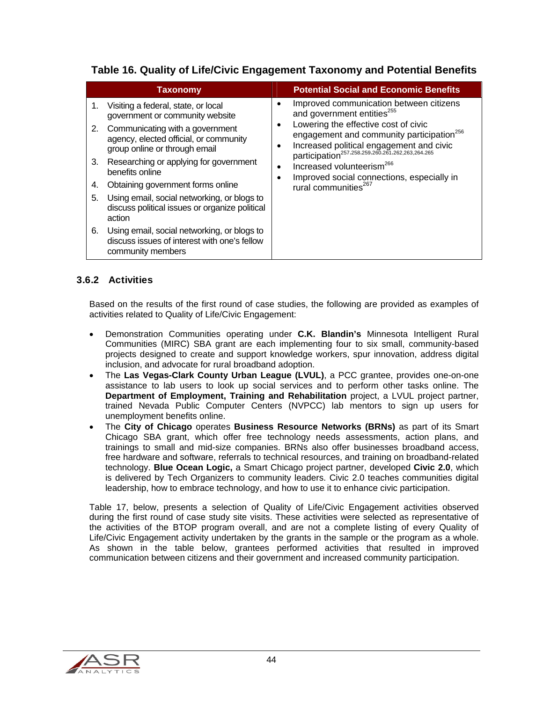#### **Table 16. Quality of Life/Civic Engagement Taxonomy and Potential Benefits**

|                                  | <b>Taxonomy</b>                                                                                                                                                                                                                                                                                                                                                                                                                                                                                                       |        | <b>Potential Social and Economic Benefits</b>                                                                                                                                                                                                                                                                                                                                                                             |
|----------------------------------|-----------------------------------------------------------------------------------------------------------------------------------------------------------------------------------------------------------------------------------------------------------------------------------------------------------------------------------------------------------------------------------------------------------------------------------------------------------------------------------------------------------------------|--------|---------------------------------------------------------------------------------------------------------------------------------------------------------------------------------------------------------------------------------------------------------------------------------------------------------------------------------------------------------------------------------------------------------------------------|
| 1.<br>2.<br>3.<br>4.<br>5.<br>6. | Visiting a federal, state, or local<br>government or community website<br>Communicating with a government<br>agency, elected official, or community<br>group online or through email<br>Researching or applying for government<br>benefits online<br>Obtaining government forms online<br>Using email, social networking, or blogs to<br>discuss political issues or organize political<br>action<br>Using email, social networking, or blogs to<br>discuss issues of interest with one's fellow<br>community members | ٠<br>٠ | Improved communication between citizens<br>and government entities <sup>255</sup><br>Lowering the effective cost of civic<br>engagement and community participation <sup>256</sup><br>Increased political engagement and civic<br>participation <sup>257,258,259,260,261,262,263,264,265</sup><br>Increased volunteerism <sup>266</sup><br>Improved social connections, especially in<br>rural communities <sup>267</sup> |

#### 3.6.2 Activities

Based on the results of the first round of case studies, the following are provided as examples of activities related to Quality of Life/Civic Engagement:

- Demonstration Communities operating under **C.K. Blandin's** Minnesota Intelligent Rural Communities (MIRC) SBA grant are each implementing four to six small, community-based projects designed to create and support knowledge workers, spur innovation, address digital inclusion, and advocate for rural broadband adoption.
- The **Las Vegas-Clark County Urban League (LVUL)**, a PCC grantee, provides one-on-one assistance to lab users to look up social services and to perform other tasks online. The **Department of Employment, Training and Rehabilitation** project, a LVUL project partner, trained Nevada Public Computer Centers (NVPCC) lab mentors to sign up users for unemployment benefits online.
- The **City of Chicago** operates **Business Resource Networks (BRNs)** as part of its Smart Chicago SBA grant, which offer free technology needs assessments, action plans, and trainings to small and mid-size companies. BRNs also offer businesses broadband access, free hardware and software, referrals to technical resources, and training on broadband-related technology. **Blue Ocean Logic,** a Smart Chicago project partner, developed **Civic 2.0**, which is delivered by Tech Organizers to community leaders. Civic 2.0 teaches communities digital leadership, how to embrace technology, and how to use it to enhance civic participation.

Table 17, below, presents a selection of Quality of Life/Civic Engagement activities observed during the first round of case study site visits. These activities were selected as representative of the activities of the BTOP program overall, and are not a complete listing of every Quality of Life/Civic Engagement activity undertaken by the grants in the sample or the program as a whole. As shown in the table below, grantees performed activities that resulted in improved communication between citizens and their government and increased community participation.

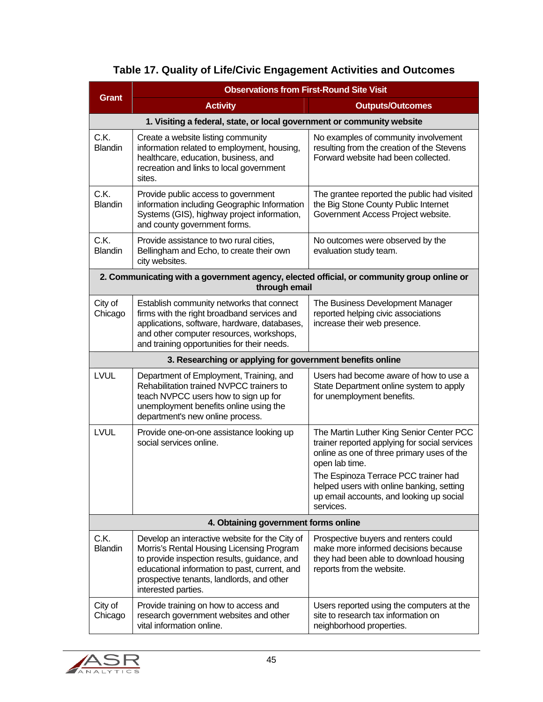| <b>Observations from First-Round Site Visit</b> |                                                                                                                                                                                                                                                                  |                                                                                                                                                                                                                                                                                                         |
|-------------------------------------------------|------------------------------------------------------------------------------------------------------------------------------------------------------------------------------------------------------------------------------------------------------------------|---------------------------------------------------------------------------------------------------------------------------------------------------------------------------------------------------------------------------------------------------------------------------------------------------------|
| <b>Grant</b>                                    | <b>Activity</b>                                                                                                                                                                                                                                                  | <b>Outputs/Outcomes</b>                                                                                                                                                                                                                                                                                 |
|                                                 | 1. Visiting a federal, state, or local government or community website                                                                                                                                                                                           |                                                                                                                                                                                                                                                                                                         |
| C.K.<br><b>Blandin</b>                          | Create a website listing community<br>information related to employment, housing,<br>healthcare, education, business, and<br>recreation and links to local government<br>sites.                                                                                  | No examples of community involvement<br>resulting from the creation of the Stevens<br>Forward website had been collected.                                                                                                                                                                               |
| C.K.<br><b>Blandin</b>                          | Provide public access to government<br>information including Geographic Information<br>Systems (GIS), highway project information,<br>and county government forms.                                                                                               | The grantee reported the public had visited<br>the Big Stone County Public Internet<br>Government Access Project website.                                                                                                                                                                               |
| C.K.<br><b>Blandin</b>                          | Provide assistance to two rural cities,<br>Bellingham and Echo, to create their own<br>city websites.                                                                                                                                                            | No outcomes were observed by the<br>evaluation study team.                                                                                                                                                                                                                                              |
|                                                 | 2. Communicating with a government agency, elected official, or community group online or<br>through email                                                                                                                                                       |                                                                                                                                                                                                                                                                                                         |
| City of<br>Chicago                              | Establish community networks that connect<br>firms with the right broadband services and<br>applications, software, hardware, databases,<br>and other computer resources, workshops,<br>and training opportunities for their needs.                              | The Business Development Manager<br>reported helping civic associations<br>increase their web presence.                                                                                                                                                                                                 |
|                                                 | 3. Researching or applying for government benefits online                                                                                                                                                                                                        |                                                                                                                                                                                                                                                                                                         |
| <b>LVUL</b>                                     | Department of Employment, Training, and<br>Rehabilitation trained NVPCC trainers to<br>teach NVPCC users how to sign up for<br>unemployment benefits online using the<br>department's new online process.                                                        | Users had become aware of how to use a<br>State Department online system to apply<br>for unemployment benefits.                                                                                                                                                                                         |
| LVUL                                            | Provide one-on-one assistance looking up<br>social services online.                                                                                                                                                                                              | The Martin Luther King Senior Center PCC<br>trainer reported applying for social services<br>online as one of three primary uses of the<br>open lab time.<br>The Espinoza Terrace PCC trainer had<br>helped users with online banking, setting<br>up email accounts, and looking up social<br>services. |
|                                                 | 4. Obtaining government forms online                                                                                                                                                                                                                             |                                                                                                                                                                                                                                                                                                         |
| C.K.<br><b>Blandin</b>                          | Develop an interactive website for the City of<br>Morris's Rental Housing Licensing Program<br>to provide inspection results, guidance, and<br>educational information to past, current, and<br>prospective tenants, landlords, and other<br>interested parties. | Prospective buyers and renters could<br>make more informed decisions because<br>they had been able to download housing<br>reports from the website.                                                                                                                                                     |
| City of<br>Chicago                              | Provide training on how to access and<br>research government websites and other<br>vital information online.                                                                                                                                                     | Users reported using the computers at the<br>site to research tax information on<br>neighborhood properties.                                                                                                                                                                                            |

## **Table 17. Quality of Life/Civic Engagement Activities and Outcomes**

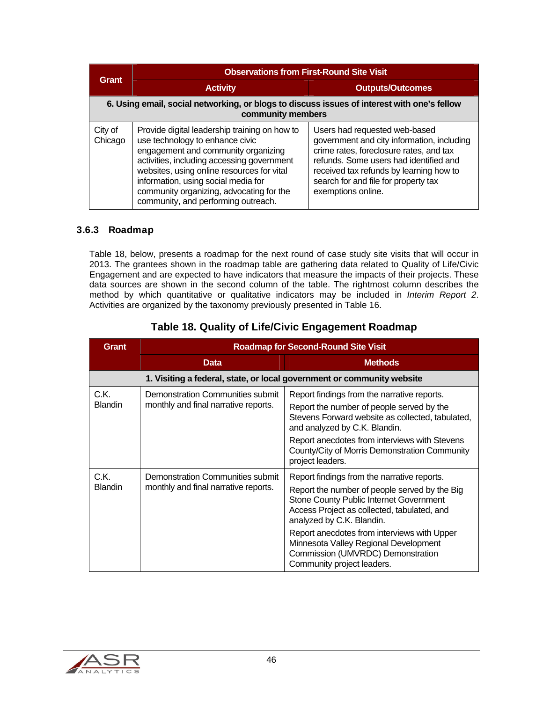| <b>Grant</b>                                                                                                     | <b>Observations from First-Round Site Visit</b>                                                                                                                                                                                                                                                                                               |                                                                                                                                                                                                                                                                           |  |
|------------------------------------------------------------------------------------------------------------------|-----------------------------------------------------------------------------------------------------------------------------------------------------------------------------------------------------------------------------------------------------------------------------------------------------------------------------------------------|---------------------------------------------------------------------------------------------------------------------------------------------------------------------------------------------------------------------------------------------------------------------------|--|
|                                                                                                                  | <b>Activity</b>                                                                                                                                                                                                                                                                                                                               | <b>Outputs/Outcomes</b>                                                                                                                                                                                                                                                   |  |
| 6. Using email, social networking, or blogs to discuss issues of interest with one's fellow<br>community members |                                                                                                                                                                                                                                                                                                                                               |                                                                                                                                                                                                                                                                           |  |
| City of<br>Chicago                                                                                               | Provide digital leadership training on how to<br>use technology to enhance civic<br>engagement and community organizing<br>activities, including accessing government<br>websites, using online resources for vital<br>information, using social media for<br>community organizing, advocating for the<br>community, and performing outreach. | Users had requested web-based<br>government and city information, including<br>crime rates, foreclosure rates, and tax<br>refunds. Some users had identified and<br>received tax refunds by learning how to<br>search for and file for property tax<br>exemptions online. |  |

#### 3.6.3 Roadmap

Table 18, below, presents a roadmap for the next round of case study site visits that will occur in 2013. The grantees shown in the roadmap table are gathering data related to Quality of Life/Civic Engagement and are expected to have indicators that measure the impacts of their projects. These data sources are shown in the second column of the table. The rightmost column describes the method by which quantitative or qualitative indicators may be included in *Interim Report 2*. Activities are organized by the taxonomy previously presented in Table 16.

| Grant                  | <b>Roadmap for Second-Round Site Visit</b>                               |                                                                                                                                                                                                                                                                                                                                                                                |
|------------------------|--------------------------------------------------------------------------|--------------------------------------------------------------------------------------------------------------------------------------------------------------------------------------------------------------------------------------------------------------------------------------------------------------------------------------------------------------------------------|
|                        | <b>Data</b>                                                              | <b>Methods</b>                                                                                                                                                                                                                                                                                                                                                                 |
|                        |                                                                          | 1. Visiting a federal, state, or local government or community website                                                                                                                                                                                                                                                                                                         |
| C.K.<br><b>Blandin</b> | Demonstration Communities submit<br>monthly and final narrative reports. | Report findings from the narrative reports.<br>Report the number of people served by the<br>Stevens Forward website as collected, tabulated,<br>and analyzed by C.K. Blandin.<br>Report anecdotes from interviews with Stevens<br>County/City of Morris Demonstration Community<br>project leaders.                                                                            |
| C.K.<br><b>Blandin</b> | Demonstration Communities submit<br>monthly and final narrative reports. | Report findings from the narrative reports.<br>Report the number of people served by the Big<br>Stone County Public Internet Government<br>Access Project as collected, tabulated, and<br>analyzed by C.K. Blandin.<br>Report anecdotes from interviews with Upper<br>Minnesota Valley Regional Development<br>Commission (UMVRDC) Demonstration<br>Community project leaders. |

#### **Table 18. Quality of Life/Civic Engagement Roadmap**

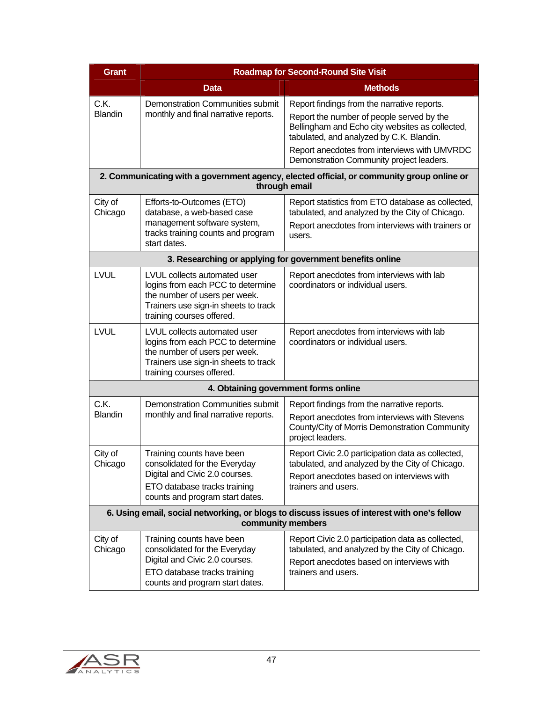| <b>Grant</b>           | <b>Roadmap for Second-Round Site Visit</b>                                                                                                                              |                                                                                                                                                                          |  |
|------------------------|-------------------------------------------------------------------------------------------------------------------------------------------------------------------------|--------------------------------------------------------------------------------------------------------------------------------------------------------------------------|--|
|                        | <b>Data</b>                                                                                                                                                             | <b>Methods</b>                                                                                                                                                           |  |
| C.K.                   | <b>Demonstration Communities submit</b>                                                                                                                                 | Report findings from the narrative reports.                                                                                                                              |  |
| <b>Blandin</b>         | monthly and final narrative reports.                                                                                                                                    | Report the number of people served by the<br>Bellingham and Echo city websites as collected,<br>tabulated, and analyzed by C.K. Blandin.                                 |  |
|                        |                                                                                                                                                                         | Report anecdotes from interviews with UMVRDC<br>Demonstration Community project leaders.                                                                                 |  |
|                        | through email                                                                                                                                                           | 2. Communicating with a government agency, elected official, or community group online or                                                                                |  |
| City of<br>Chicago     | Efforts-to-Outcomes (ETO)<br>database, a web-based case<br>management software system,<br>tracks training counts and program<br>start dates.                            | Report statistics from ETO database as collected,<br>tabulated, and analyzed by the City of Chicago.<br>Report anecdotes from interviews with trainers or<br>users.      |  |
|                        | 3. Researching or applying for government benefits online                                                                                                               |                                                                                                                                                                          |  |
| <b>LVUL</b>            | LVUL collects automated user<br>logins from each PCC to determine<br>the number of users per week.<br>Trainers use sign-in sheets to track<br>training courses offered. | Report anecdotes from interviews with lab<br>coordinators or individual users.                                                                                           |  |
| <b>LVUL</b>            | LVUL collects automated user<br>logins from each PCC to determine<br>the number of users per week.<br>Trainers use sign-in sheets to track<br>training courses offered. | Report anecdotes from interviews with lab<br>coordinators or individual users.                                                                                           |  |
|                        | 4. Obtaining government forms online                                                                                                                                    |                                                                                                                                                                          |  |
| C.K.<br><b>Blandin</b> | Demonstration Communities submit<br>monthly and final narrative reports.                                                                                                | Report findings from the narrative reports.<br>Report anecdotes from interviews with Stevens<br>County/City of Morris Demonstration Community<br>project leaders.        |  |
| City of<br>Chicago     | Training counts have been<br>consolidated for the Everyday<br>Digital and Civic 2.0 courses.<br>ETO database tracks training<br>counts and program start dates.         | Report Civic 2.0 participation data as collected,<br>tabulated, and analyzed by the City of Chicago.<br>Report anecdotes based on interviews with<br>trainers and users. |  |
|                        | 6. Using email, social networking, or blogs to discuss issues of interest with one's fellow<br>community members                                                        |                                                                                                                                                                          |  |
| City of<br>Chicago     | Training counts have been<br>consolidated for the Everyday<br>Digital and Civic 2.0 courses.<br>ETO database tracks training<br>counts and program start dates.         | Report Civic 2.0 participation data as collected,<br>tabulated, and analyzed by the City of Chicago.<br>Report anecdotes based on interviews with<br>trainers and users. |  |

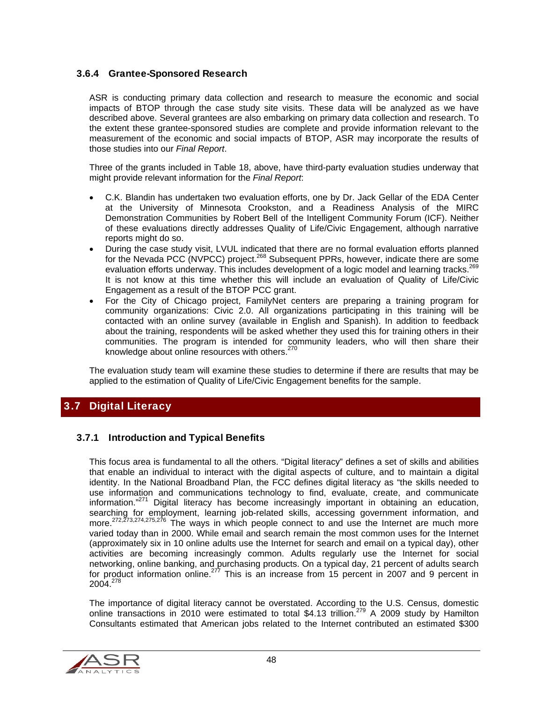#### 3.6.4 Grantee-Sponsored Research

ASR is conducting primary data collection and research to measure the economic and social impacts of BTOP through the case study site visits. These data will be analyzed as we have described above. Several grantees are also embarking on primary data collection and research. To the extent these grantee-sponsored studies are complete and provide information relevant to the measurement of the economic and social impacts of BTOP, ASR may incorporate the results of those studies into our *Final Report*.

Three of the grants included in Table 18, above, have third-party evaluation studies underway that might provide relevant information for the *Final Report*:

- C.K. Blandin has undertaken two evaluation efforts, one by Dr. Jack Gellar of the EDA Center at the University of Minnesota Crookston, and a Readiness Analysis of the MIRC Demonstration Communities by Robert Bell of the Intelligent Community Forum (ICF). Neither of these evaluations directly addresses Quality of Life/Civic Engagement, although narrative reports might do so.
- During the case study visit, LVUL indicated that there are no formal evaluation efforts planned for the Nevada PCC (NVPCC) project.<sup>268</sup> Subsequent PPRs, however, indicate there are some evaluation efforts underway. This includes development of a logic model and learning tracks.<sup>269</sup> It is not know at this time whether this will include an evaluation of Quality of Life/Civic Engagement as a result of the BTOP PCC grant.
- For the City of Chicago project, FamilyNet centers are preparing a training program for community organizations: Civic 2.0. All organizations participating in this training will be contacted with an online survey (available in English and Spanish). In addition to feedback about the training, respondents will be asked whether they used this for training others in their communities. The program is intended for community leaders, who will then share their knowledge about online resources with others.<sup>270</sup>

The evaluation study team will examine these studies to determine if there are results that may be applied to the estimation of Quality of Life/Civic Engagement benefits for the sample.

#### 3.7 Digital Literacy

#### 3.7.1 Introduction and Typical Benefits

This focus area is fundamental to all the others. "Digital literacy" defines a set of skills and abilities that enable an individual to interact with the digital aspects of culture, and to maintain a digital identity. In the National Broadband Plan, the FCC defines digital literacy as "the skills needed to use information and communications technology to find, evaluate, create, and communicate information."271 Digital literacy has become increasingly important in obtaining an education, searching for employment, learning job-related skills, accessing government information, and more.<sup>272,273,274,275,276</sup> The ways in which people connect to and use the Internet are much more varied today than in 2000. While email and search remain the most common uses for the Internet (approximately six in 10 online adults use the Internet for search and email on a typical day), other activities are becoming increasingly common. Adults regularly use the Internet for social networking, online banking, and purchasing products. On a typical day, 21 percent of adults search for product information online.<sup>277</sup> This is an increase from 15 percent in 2007 and 9 percent in 2004.278

The importance of digital literacy cannot be overstated. According to the U.S. Census, domestic online transactions in 2010 were estimated to total \$4.13 trillion.<sup>279</sup> A 2009 study by Hamilton Consultants estimated that American jobs related to the Internet contributed an estimated \$300

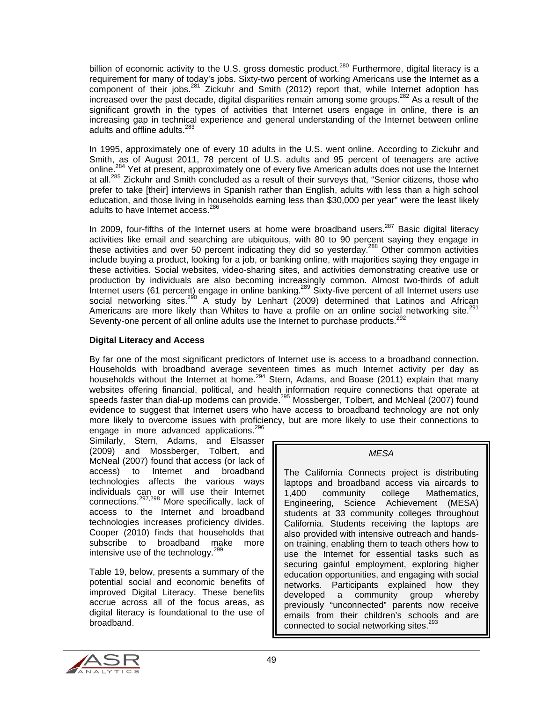billion of economic activity to the U.S. gross domestic product.<sup>280</sup> Furthermore, digital literacy is a requirement for many of today's jobs. Sixty-two percent of working Americans use the Internet as a component of their jobs.<sup>281</sup> Zickuhr and Smith (2012) report that, while Internet adoption has increased over the past decade, digital disparities remain among some groups.<sup>282</sup> As a result of the significant growth in the types of activities that Internet users engage in online, there is an increasing gap in technical experience and general understanding of the Internet between online adults and offline adults.<sup>283</sup>

In 1995, approximately one of every 10 adults in the U.S. went online. According to Zickuhr and Smith, as of August 2011, 78 percent of U.S. adults and 95 percent of teenagers are active online.<sup>284</sup> Yet at present, approximately one of every five American adults does not use the Internet at all.<sup>285</sup> Zickuhr and Smith concluded as a result of their surveys that, "Senior citizens, those who prefer to take [their] interviews in Spanish rather than English, adults with less than a high school education, and those living in households earning less than \$30,000 per year" were the least likely adults to have Internet access.<sup>286</sup>

In 2009, four-fifths of the Internet users at home were broadband users.<sup>287</sup> Basic digital literacy activities like email and searching are ubiquitous, with 80 to 90 percent saying they engage in these activities and over 50 percent indicating they did so yesterday.288 Other common activities include buying a product, looking for a job, or banking online, with majorities saying they engage in these activities. Social websites, video-sharing sites, and activities demonstrating creative use or production by individuals are also becoming increasingly common. Almost two-thirds of adult Internet users (61 percent) engage in online banking.<sup>289</sup> Sixty-five percent of all Internet users use social networking sites.<sup>290</sup> A study by Lenhart (2009) determined that Latinos and African Americans are more likely than Whites to have a profile on an online social networking site.<sup>291</sup> Seventy-one percent of all online adults use the Internet to purchase products.<sup>292</sup>

#### **Digital Literacy and Access**

By far one of the most significant predictors of Internet use is access to a broadband connection. Households with broadband average seventeen times as much Internet activity per day as households without the Internet at home.<sup>294</sup> Stern, Adams, and Boase (2011) explain that many websites offering financial, political, and health information require connections that operate at speeds faster than dial-up modems can provide.<sup>295</sup> Mossberger, Tolbert, and McNeal (2007) found evidence to suggest that Internet users who have access to broadband technology are not only more likely to overcome issues with proficiency, but are more likely to use their connections to engage in more advanced applications.<sup>296</sup>

Similarly, Stern, Adams, and Elsasser (2009) and Mossberger, Tolbert, and McNeal (2007) found that access (or lack of access) to Internet and broadband technologies affects the various ways individuals can or will use their Internet connections.297,298 More specifically, lack of access to the Internet and broadband technologies increases proficiency divides. Cooper (2010) finds that households that subscribe to broadband make more intensive use of the technology.<sup>299</sup>

Table 19, below, presents a summary of the potential social and economic benefits of improved Digital Literacy. These benefits accrue across all of the focus areas, as digital literacy is foundational to the use of broadband.

*MESA* 

The California Connects project is distributing laptops and broadband access via aircards to 1,400 community college Mathematics, Engineering, Science Achievement (MESA) students at 33 community colleges throughout California. Students receiving the laptops are also provided with intensive outreach and handson training, enabling them to teach others how to use the Internet for essential tasks such as securing gainful employment, exploring higher education opportunities, and engaging with social networks. Participants explained how they developed a community group whereby previously "unconnected" parents now receive emails from their children's schools and are connected to social networking sites.<sup>293</sup>

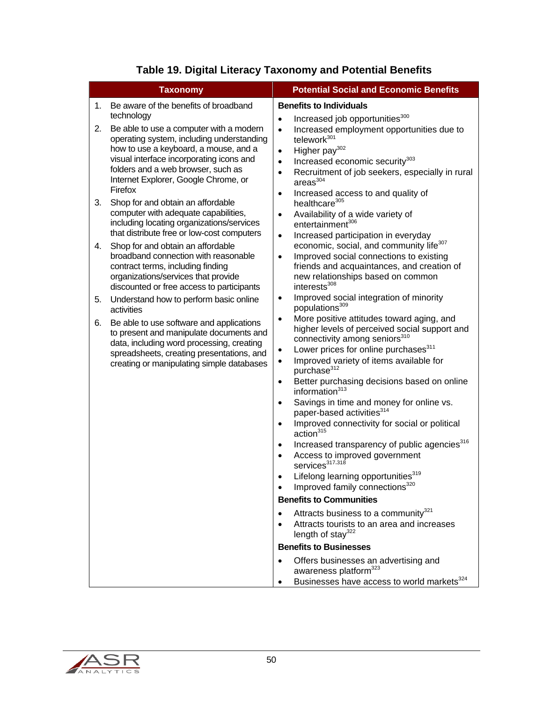| <b>Taxonomy</b>                                                                                                                                                                                                                                                                                                                                                                                                                                                                                                                                                                                                                                                                                                                 | <b>Potential Social and Economic Benefits</b>                                                                                                                                                                                                                                                                                                                                                                                                                                                                                                                                                                                                                                                                                                                                                                                                                                                                                                                                                                                                                                                                                                                                                                                                                            |
|---------------------------------------------------------------------------------------------------------------------------------------------------------------------------------------------------------------------------------------------------------------------------------------------------------------------------------------------------------------------------------------------------------------------------------------------------------------------------------------------------------------------------------------------------------------------------------------------------------------------------------------------------------------------------------------------------------------------------------|--------------------------------------------------------------------------------------------------------------------------------------------------------------------------------------------------------------------------------------------------------------------------------------------------------------------------------------------------------------------------------------------------------------------------------------------------------------------------------------------------------------------------------------------------------------------------------------------------------------------------------------------------------------------------------------------------------------------------------------------------------------------------------------------------------------------------------------------------------------------------------------------------------------------------------------------------------------------------------------------------------------------------------------------------------------------------------------------------------------------------------------------------------------------------------------------------------------------------------------------------------------------------|
| Be aware of the benefits of broadband<br>1.<br>technology<br>Be able to use a computer with a modern<br>2.<br>operating system, including understanding<br>how to use a keyboard, a mouse, and a<br>visual interface incorporating icons and<br>folders and a web browser, such as<br>Internet Explorer, Google Chrome, or<br>Firefox<br>Shop for and obtain an affordable<br>3.<br>computer with adequate capabilities,<br>including locating organizations/services<br>that distribute free or low-cost computers<br>Shop for and obtain an affordable<br>4.<br>broadband connection with reasonable<br>contract terms, including finding<br>organizations/services that provide<br>discounted or free access to participants | <b>Benefits to Individuals</b><br>Increased job opportunities <sup>300</sup><br>$\bullet$<br>Increased employment opportunities due to<br>$\bullet$<br>telework <sup>301</sup><br>Higher pay $302$<br>$\bullet$<br>Increased economic security <sup>303</sup><br>$\bullet$<br>Recruitment of job seekers, especially in rural<br>$\bullet$<br>area <sup>304</sup><br>Increased access to and quality of<br>$\bullet$<br>healthcare <sup>305</sup><br>Availability of a wide variety of<br>$\bullet$<br>entertainment <sup>306</sup><br>Increased participation in everyday<br>$\bullet$<br>economic, social, and community life <sup>307</sup><br>Improved social connections to existing<br>$\bullet$<br>friends and acquaintances, and creation of<br>new relationships based on common<br>interests <sup>308</sup>                                                                                                                                                                                                                                                                                                                                                                                                                                                    |
| 5.<br>Understand how to perform basic online<br>activities<br>Be able to use software and applications<br>6.<br>to present and manipulate documents and<br>data, including word processing, creating<br>spreadsheets, creating presentations, and<br>creating or manipulating simple databases                                                                                                                                                                                                                                                                                                                                                                                                                                  | Improved social integration of minority<br>٠<br>populations <sup>309</sup><br>More positive attitudes toward aging, and<br>$\bullet$<br>higher levels of perceived social support and<br>connectivity among seniors <sup>310</sup><br>Lower prices for online purchases <sup>311</sup><br>٠<br>Improved variety of items available for<br>$\bullet$<br>purchase <sup>312</sup><br>Better purchasing decisions based on online<br>$\bullet$<br>information $313$<br>Savings in time and money for online vs.<br>$\bullet$<br>paper-based activities <sup>314</sup><br>Improved connectivity for social or political<br>$\bullet$<br>action <sup>315</sup><br>Increased transparency of public agencies <sup>316</sup><br>$\bullet$<br>Access to improved government<br>services <sup>317,318</sup><br>Lifelong learning opportunities <sup>319</sup><br>Improved family connections <sup>320</sup><br>$\bullet$<br><b>Benefits to Communities</b><br>Attracts business to a community <sup>321</sup><br>٠<br>Attracts tourists to an area and increases<br>length of stay $322$<br><b>Benefits to Businesses</b><br>Offers businesses an advertising and<br>$\bullet$<br>awareness platform <sup>323</sup><br>Businesses have access to world markets <sup>324</sup><br>٠ |

## **Table 19. Digital Literacy Taxonomy and Potential Benefits**

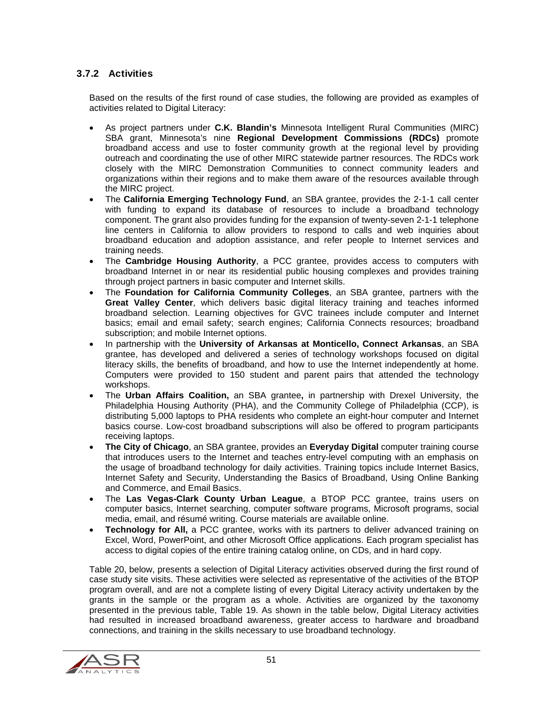#### 3.7.2 Activities

Based on the results of the first round of case studies, the following are provided as examples of activities related to Digital Literacy:

- As project partners under **C.K. Blandin's** Minnesota Intelligent Rural Communities (MIRC) SBA grant, Minnesota's nine **Regional Development Commissions (RDCs)** promote broadband access and use to foster community growth at the regional level by providing outreach and coordinating the use of other MIRC statewide partner resources. The RDCs work closely with the MIRC Demonstration Communities to connect community leaders and organizations within their regions and to make them aware of the resources available through the MIRC project.
- The **California Emerging Technology Fund**, an SBA grantee, provides the 2-1-1 call center with funding to expand its database of resources to include a broadband technology component. The grant also provides funding for the expansion of twenty-seven 2-1-1 telephone line centers in California to allow providers to respond to calls and web inquiries about broadband education and adoption assistance, and refer people to Internet services and training needs.
- The **Cambridge Housing Authority**, a PCC grantee, provides access to computers with broadband Internet in or near its residential public housing complexes and provides training through project partners in basic computer and Internet skills.
- The **Foundation for California Community Colleges**, an SBA grantee, partners with the **Great Valley Center**, which delivers basic digital literacy training and teaches informed broadband selection. Learning objectives for GVC trainees include computer and Internet basics; email and email safety; search engines; California Connects resources; broadband subscription; and mobile Internet options.
- In partnership with the **University of Arkansas at Monticello, Connect Arkansas**, an SBA grantee, has developed and delivered a series of technology workshops focused on digital literacy skills, the benefits of broadband, and how to use the Internet independently at home. Computers were provided to 150 student and parent pairs that attended the technology workshops.
- The **Urban Affairs Coalition,** an SBA grantee**,** in partnership with Drexel University, the Philadelphia Housing Authority (PHA), and the Community College of Philadelphia (CCP), is distributing 5,000 laptops to PHA residents who complete an eight-hour computer and Internet basics course. Low-cost broadband subscriptions will also be offered to program participants receiving laptops.
- **The City of Chicago**, an SBA grantee, provides an **Everyday Digital** computer training course that introduces users to the Internet and teaches entry-level computing with an emphasis on the usage of broadband technology for daily activities. Training topics include Internet Basics, Internet Safety and Security, Understanding the Basics of Broadband, Using Online Banking and Commerce, and Email Basics.
- The **Las Vegas-Clark County Urban League**, a BTOP PCC grantee, trains users on computer basics, Internet searching, computer software programs, Microsoft programs, social media, email, and résumé writing. Course materials are available online.
- **Technology for All,** a PCC grantee, works with its partners to deliver advanced training on Excel, Word, PowerPoint, and other Microsoft Office applications. Each program specialist has access to digital copies of the entire training catalog online, on CDs, and in hard copy.

Table 20, below, presents a selection of Digital Literacy activities observed during the first round of case study site visits. These activities were selected as representative of the activities of the BTOP program overall, and are not a complete listing of every Digital Literacy activity undertaken by the grants in the sample or the program as a whole. Activities are organized by the taxonomy presented in the previous table, Table 19. As shown in the table below, Digital Literacy activities had resulted in increased broadband awareness, greater access to hardware and broadband connections, and training in the skills necessary to use broadband technology.

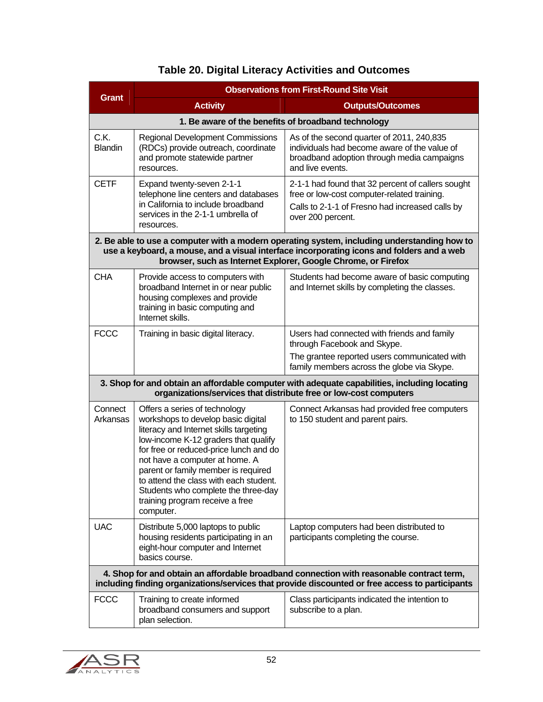|                                                                                                                                                                                             | <b>Observations from First-Round Site Visit</b>                                                                                                                                                                                                                                                                                                                                                           |                                                                                                                                                                                          |  |
|---------------------------------------------------------------------------------------------------------------------------------------------------------------------------------------------|-----------------------------------------------------------------------------------------------------------------------------------------------------------------------------------------------------------------------------------------------------------------------------------------------------------------------------------------------------------------------------------------------------------|------------------------------------------------------------------------------------------------------------------------------------------------------------------------------------------|--|
| <b>Grant</b>                                                                                                                                                                                | <b>Activity</b>                                                                                                                                                                                                                                                                                                                                                                                           | <b>Outputs/Outcomes</b>                                                                                                                                                                  |  |
|                                                                                                                                                                                             | 1. Be aware of the benefits of broadband technology                                                                                                                                                                                                                                                                                                                                                       |                                                                                                                                                                                          |  |
| C.K.<br><b>Blandin</b>                                                                                                                                                                      | <b>Regional Development Commissions</b><br>(RDCs) provide outreach, coordinate<br>and promote statewide partner<br>resources.                                                                                                                                                                                                                                                                             | As of the second quarter of 2011, 240,835<br>individuals had become aware of the value of<br>broadband adoption through media campaigns<br>and live events.                              |  |
| <b>CETF</b>                                                                                                                                                                                 | Expand twenty-seven 2-1-1<br>telephone line centers and databases<br>in California to include broadband<br>services in the 2-1-1 umbrella of<br>resources.                                                                                                                                                                                                                                                | 2-1-1 had found that 32 percent of callers sought<br>free or low-cost computer-related training.<br>Calls to 2-1-1 of Fresno had increased calls by<br>over 200 percent.                 |  |
|                                                                                                                                                                                             | browser, such as Internet Explorer, Google Chrome, or Firefox                                                                                                                                                                                                                                                                                                                                             | 2. Be able to use a computer with a modern operating system, including understanding how to<br>use a keyboard, a mouse, and a visual interface incorporating icons and folders and a web |  |
| <b>CHA</b>                                                                                                                                                                                  | Provide access to computers with<br>broadband Internet in or near public<br>housing complexes and provide<br>training in basic computing and<br>Internet skills.                                                                                                                                                                                                                                          | Students had become aware of basic computing<br>and Internet skills by completing the classes.                                                                                           |  |
| <b>FCCC</b>                                                                                                                                                                                 | Training in basic digital literacy.                                                                                                                                                                                                                                                                                                                                                                       | Users had connected with friends and family<br>through Facebook and Skype.<br>The grantee reported users communicated with<br>family members across the globe via Skype.                 |  |
|                                                                                                                                                                                             | 3. Shop for and obtain an affordable computer with adequate capabilities, including locating<br>organizations/services that distribute free or low-cost computers                                                                                                                                                                                                                                         |                                                                                                                                                                                          |  |
| Connect<br>Arkansas                                                                                                                                                                         | Offers a series of technology<br>workshops to develop basic digital<br>literacy and Internet skills targeting<br>low-income K-12 graders that qualify<br>for free or reduced-price lunch and do<br>not have a computer at home. A<br>parent or family member is required<br>to attend the class with each student.<br>Students who complete the three-day<br>training program receive a free<br>computer. | Connect Arkansas had provided free computers<br>to 150 student and parent pairs.                                                                                                         |  |
| <b>UAC</b>                                                                                                                                                                                  | Distribute 5,000 laptops to public<br>housing residents participating in an<br>eight-hour computer and Internet<br>basics course.                                                                                                                                                                                                                                                                         | Laptop computers had been distributed to<br>participants completing the course.                                                                                                          |  |
| 4. Shop for and obtain an affordable broadband connection with reasonable contract term,<br>including finding organizations/services that provide discounted or free access to participants |                                                                                                                                                                                                                                                                                                                                                                                                           |                                                                                                                                                                                          |  |
| <b>FCCC</b>                                                                                                                                                                                 | Training to create informed<br>broadband consumers and support<br>plan selection.                                                                                                                                                                                                                                                                                                                         | Class participants indicated the intention to<br>subscribe to a plan.                                                                                                                    |  |

## **Table 20. Digital Literacy Activities and Outcomes**

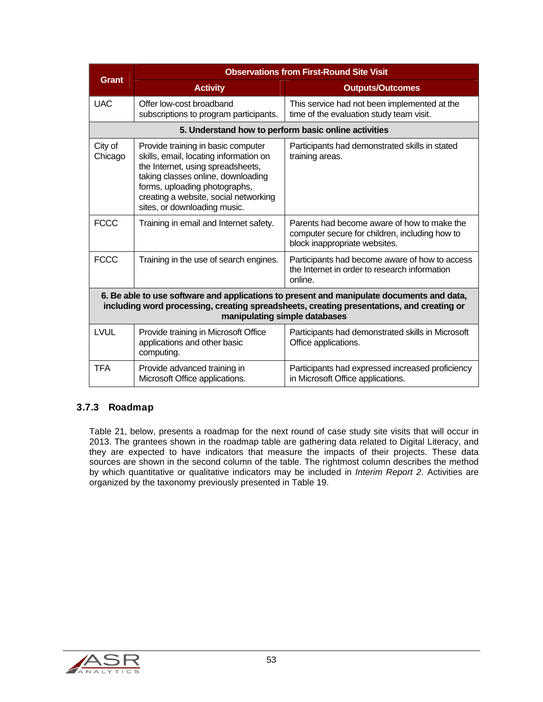|                                                                                                                                                                                                                         | <b>Observations from First-Round Site Visit</b>                                                                                                                                                                                                                   |                                                                                                                                |  |
|-------------------------------------------------------------------------------------------------------------------------------------------------------------------------------------------------------------------------|-------------------------------------------------------------------------------------------------------------------------------------------------------------------------------------------------------------------------------------------------------------------|--------------------------------------------------------------------------------------------------------------------------------|--|
| <b>Grant</b>                                                                                                                                                                                                            | <b>Activity</b>                                                                                                                                                                                                                                                   | <b>Outputs/Outcomes</b>                                                                                                        |  |
| <b>UAC</b>                                                                                                                                                                                                              | Offer low-cost broadband<br>subscriptions to program participants.                                                                                                                                                                                                | This service had not been implemented at the<br>time of the evaluation study team visit.                                       |  |
|                                                                                                                                                                                                                         | 5. Understand how to perform basic online activities                                                                                                                                                                                                              |                                                                                                                                |  |
| City of<br>Chicago                                                                                                                                                                                                      | Provide training in basic computer<br>skills, email, locating information on<br>the Internet, using spreadsheets,<br>taking classes online, downloading<br>forms, uploading photographs,<br>creating a website, social networking<br>sites, or downloading music. | Participants had demonstrated skills in stated<br>training areas.                                                              |  |
| <b>FCCC</b>                                                                                                                                                                                                             | Training in email and Internet safety.                                                                                                                                                                                                                            | Parents had become aware of how to make the<br>computer secure for children, including how to<br>block inappropriate websites. |  |
| <b>FCCC</b>                                                                                                                                                                                                             | Training in the use of search engines.                                                                                                                                                                                                                            | Participants had become aware of how to access<br>the Internet in order to research information<br>online.                     |  |
| 6. Be able to use software and applications to present and manipulate documents and data,<br>including word processing, creating spreadsheets, creating presentations, and creating or<br>manipulating simple databases |                                                                                                                                                                                                                                                                   |                                                                                                                                |  |
| LVUL                                                                                                                                                                                                                    | Provide training in Microsoft Office<br>applications and other basic<br>computing.                                                                                                                                                                                | Participants had demonstrated skills in Microsoft<br>Office applications.                                                      |  |
| <b>TFA</b>                                                                                                                                                                                                              | Provide advanced training in<br>Microsoft Office applications.                                                                                                                                                                                                    | Participants had expressed increased proficiency<br>in Microsoft Office applications.                                          |  |

#### 3.7.3 Roadmap

Table 21, below, presents a roadmap for the next round of case study site visits that will occur in 2013. The grantees shown in the roadmap table are gathering data related to Digital Literacy, and they are expected to have indicators that measure the impacts of their projects. These data sources are shown in the second column of the table. The rightmost column describes the method by which quantitative or qualitative indicators may be included in *Interim Report 2*. Activities are organized by the taxonomy previously presented in Table 19.

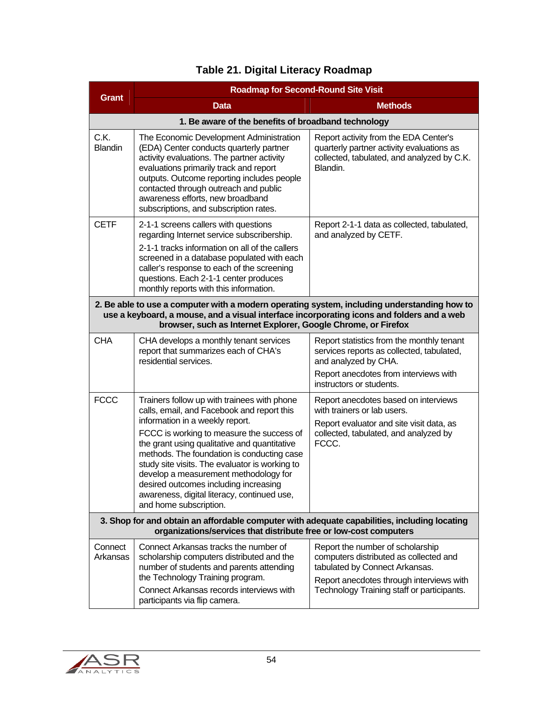|                        | <b>Roadmap for Second-Round Site Visit</b>                                                                                                                                                                                                                                                                                                                                                                                                                                           |                                                                                                                                                                                                        |  |
|------------------------|--------------------------------------------------------------------------------------------------------------------------------------------------------------------------------------------------------------------------------------------------------------------------------------------------------------------------------------------------------------------------------------------------------------------------------------------------------------------------------------|--------------------------------------------------------------------------------------------------------------------------------------------------------------------------------------------------------|--|
| <b>Grant</b>           | <b>Data</b>                                                                                                                                                                                                                                                                                                                                                                                                                                                                          | <b>Methods</b>                                                                                                                                                                                         |  |
|                        | 1. Be aware of the benefits of broadband technology                                                                                                                                                                                                                                                                                                                                                                                                                                  |                                                                                                                                                                                                        |  |
| C.K.<br><b>Blandin</b> | The Economic Development Administration<br>(EDA) Center conducts quarterly partner<br>activity evaluations. The partner activity<br>evaluations primarily track and report<br>outputs. Outcome reporting includes people<br>contacted through outreach and public<br>awareness efforts, new broadband<br>subscriptions, and subscription rates.                                                                                                                                      | Report activity from the EDA Center's<br>quarterly partner activity evaluations as<br>collected, tabulated, and analyzed by C.K.<br>Blandin.                                                           |  |
| <b>CETF</b>            | 2-1-1 screens callers with questions<br>regarding Internet service subscribership.<br>2-1-1 tracks information on all of the callers<br>screened in a database populated with each<br>caller's response to each of the screening<br>questions. Each 2-1-1 center produces<br>monthly reports with this information.                                                                                                                                                                  | Report 2-1-1 data as collected, tabulated,<br>and analyzed by CETF.                                                                                                                                    |  |
|                        | 2. Be able to use a computer with a modern operating system, including understanding how to<br>use a keyboard, a mouse, and a visual interface incorporating icons and folders and a web<br>browser, such as Internet Explorer, Google Chrome, or Firefox                                                                                                                                                                                                                            |                                                                                                                                                                                                        |  |
| <b>CHA</b>             | CHA develops a monthly tenant services<br>report that summarizes each of CHA's<br>residential services.                                                                                                                                                                                                                                                                                                                                                                              | Report statistics from the monthly tenant<br>services reports as collected, tabulated,<br>and analyzed by CHA.<br>Report anecdotes from interviews with<br>instructors or students.                    |  |
| <b>FCCC</b>            | Trainers follow up with trainees with phone<br>calls, email, and Facebook and report this<br>information in a weekly report.<br>FCCC is working to measure the success of<br>the grant using qualitative and quantitative<br>methods. The foundation is conducting case<br>study site visits. The evaluator is working to<br>develop a measurement methodology for<br>desired outcomes including increasing<br>awareness, digital literacy, continued use,<br>and home subscription. | Report anecdotes based on interviews<br>with trainers or lab users.<br>Report evaluator and site visit data, as<br>collected, tabulated, and analyzed by<br>FCCC.                                      |  |
|                        | 3. Shop for and obtain an affordable computer with adequate capabilities, including locating<br>organizations/services that distribute free or low-cost computers                                                                                                                                                                                                                                                                                                                    |                                                                                                                                                                                                        |  |
| Connect<br>Arkansas    | Connect Arkansas tracks the number of<br>scholarship computers distributed and the<br>number of students and parents attending<br>the Technology Training program.<br>Connect Arkansas records interviews with<br>participants via flip camera.                                                                                                                                                                                                                                      | Report the number of scholarship<br>computers distributed as collected and<br>tabulated by Connect Arkansas.<br>Report anecdotes through interviews with<br>Technology Training staff or participants. |  |

## **Table 21. Digital Literacy Roadmap**

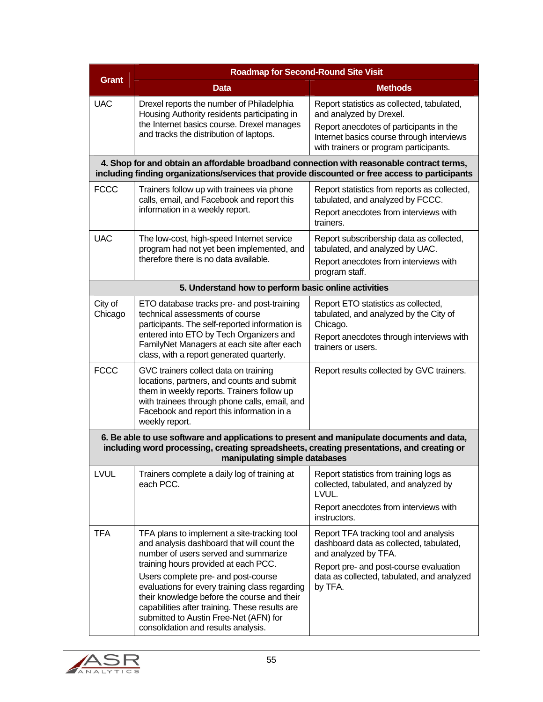|                                                                                                                                                                                                                         | <b>Roadmap for Second-Round Site Visit</b>                                                                                                                                                                                                                                                                                                                          |                                                                                                                                                                                                                             |  |  |
|-------------------------------------------------------------------------------------------------------------------------------------------------------------------------------------------------------------------------|---------------------------------------------------------------------------------------------------------------------------------------------------------------------------------------------------------------------------------------------------------------------------------------------------------------------------------------------------------------------|-----------------------------------------------------------------------------------------------------------------------------------------------------------------------------------------------------------------------------|--|--|
| <b>Grant</b>                                                                                                                                                                                                            | <b>Data</b>                                                                                                                                                                                                                                                                                                                                                         | <b>Methods</b>                                                                                                                                                                                                              |  |  |
| <b>UAC</b>                                                                                                                                                                                                              | Drexel reports the number of Philadelphia<br>Housing Authority residents participating in<br>the Internet basics course. Drexel manages<br>and tracks the distribution of laptops.                                                                                                                                                                                  | Report statistics as collected, tabulated,<br>and analyzed by Drexel.<br>Report anecdotes of participants in the<br>Internet basics course through interviews<br>with trainers or program participants.                     |  |  |
|                                                                                                                                                                                                                         | 4. Shop for and obtain an affordable broadband connection with reasonable contract terms,<br>including finding organizations/services that provide discounted or free access to participants                                                                                                                                                                        |                                                                                                                                                                                                                             |  |  |
| <b>FCCC</b>                                                                                                                                                                                                             | Trainers follow up with trainees via phone<br>calls, email, and Facebook and report this<br>information in a weekly report.                                                                                                                                                                                                                                         | Report statistics from reports as collected,<br>tabulated, and analyzed by FCCC.<br>Report anecdotes from interviews with<br>trainers.                                                                                      |  |  |
| <b>UAC</b>                                                                                                                                                                                                              | The low-cost, high-speed Internet service<br>program had not yet been implemented, and<br>therefore there is no data available.                                                                                                                                                                                                                                     | Report subscribership data as collected,<br>tabulated, and analyzed by UAC.<br>Report anecdotes from interviews with<br>program staff.                                                                                      |  |  |
|                                                                                                                                                                                                                         | 5. Understand how to perform basic online activities                                                                                                                                                                                                                                                                                                                |                                                                                                                                                                                                                             |  |  |
| City of<br>Chicago                                                                                                                                                                                                      | ETO database tracks pre- and post-training<br>technical assessments of course<br>participants. The self-reported information is<br>entered into ETO by Tech Organizers and<br>FamilyNet Managers at each site after each<br>class, with a report generated quarterly.                                                                                               | Report ETO statistics as collected,<br>tabulated, and analyzed by the City of<br>Chicago.<br>Report anecdotes through interviews with<br>trainers or users.                                                                 |  |  |
| <b>FCCC</b>                                                                                                                                                                                                             | GVC trainers collect data on training<br>locations, partners, and counts and submit<br>them in weekly reports. Trainers follow up<br>with trainees through phone calls, email, and<br>Facebook and report this information in a<br>weekly report.                                                                                                                   | Report results collected by GVC trainers.                                                                                                                                                                                   |  |  |
| 6. Be able to use software and applications to present and manipulate documents and data,<br>including word processing, creating spreadsheets, creating presentations, and creating or<br>manipulating simple databases |                                                                                                                                                                                                                                                                                                                                                                     |                                                                                                                                                                                                                             |  |  |
| <b>LVUL</b>                                                                                                                                                                                                             | Trainers complete a daily log of training at<br>each PCC.                                                                                                                                                                                                                                                                                                           | Report statistics from training logs as<br>collected, tabulated, and analyzed by<br>LVUL.<br>Report anecdotes from interviews with                                                                                          |  |  |
| <b>TFA</b>                                                                                                                                                                                                              | TFA plans to implement a site-tracking tool<br>and analysis dashboard that will count the<br>number of users served and summarize<br>training hours provided at each PCC.<br>Users complete pre- and post-course<br>evaluations for every training class regarding<br>their knowledge before the course and their<br>capabilities after training. These results are | instructors.<br>Report TFA tracking tool and analysis<br>dashboard data as collected, tabulated,<br>and analyzed by TFA.<br>Report pre- and post-course evaluation<br>data as collected, tabulated, and analyzed<br>by TFA. |  |  |
|                                                                                                                                                                                                                         | submitted to Austin Free-Net (AFN) for<br>consolidation and results analysis.                                                                                                                                                                                                                                                                                       |                                                                                                                                                                                                                             |  |  |

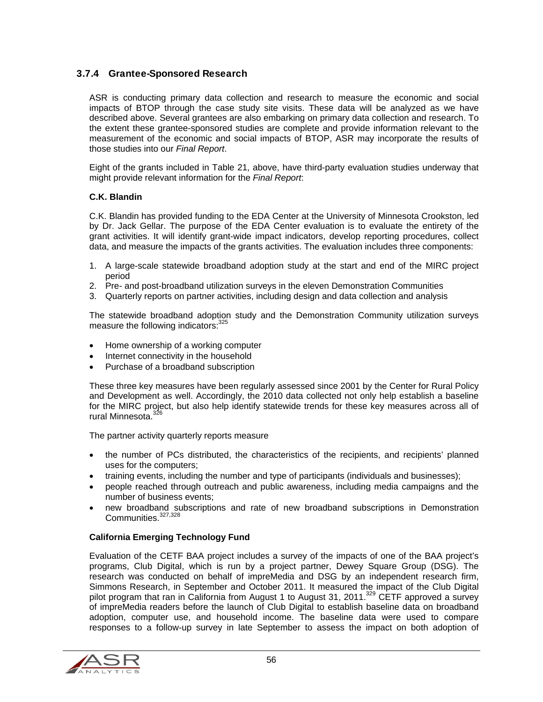#### 3.7.4 Grantee-Sponsored Research

ASR is conducting primary data collection and research to measure the economic and social impacts of BTOP through the case study site visits. These data will be analyzed as we have described above. Several grantees are also embarking on primary data collection and research. To the extent these grantee-sponsored studies are complete and provide information relevant to the measurement of the economic and social impacts of BTOP, ASR may incorporate the results of those studies into our *Final Report*.

Eight of the grants included in Table 21, above, have third-party evaluation studies underway that might provide relevant information for the *Final Report*:

#### **C.K. Blandin**

C.K. Blandin has provided funding to the EDA Center at the University of Minnesota Crookston, led by Dr. Jack Gellar. The purpose of the EDA Center evaluation is to evaluate the entirety of the grant activities. It will identify grant-wide impact indicators, develop reporting procedures, collect data, and measure the impacts of the grants activities. The evaluation includes three components:

- 1. A large-scale statewide broadband adoption study at the start and end of the MIRC project period
- 2. Pre- and post-broadband utilization surveys in the eleven Demonstration Communities
- 3. Quarterly reports on partner activities, including design and data collection and analysis

The statewide broadband adoption study and the Demonstration Community utilization surveys measure the following indicators:<sup>325</sup>

- Home ownership of a working computer
- Internet connectivity in the household
- Purchase of a broadband subscription

These three key measures have been regularly assessed since 2001 by the Center for Rural Policy and Development as well. Accordingly, the 2010 data collected not only help establish a baseline for the MIRC project, but also help identify statewide trends for these key measures across all of rural Minnesota.<sup>32</sup>

The partner activity quarterly reports measure

- the number of PCs distributed, the characteristics of the recipients, and recipients' planned uses for the computers;
- training events, including the number and type of participants (individuals and businesses);
- people reached through outreach and public awareness, including media campaigns and the number of business events;
- new broadband subscriptions and rate of new broadband subscriptions in Demonstration Communities.<sup>327,328</sup>

#### **California Emerging Technology Fund**

Evaluation of the CETF BAA project includes a survey of the impacts of one of the BAA project's programs, Club Digital, which is run by a project partner, Dewey Square Group (DSG). The research was conducted on behalf of impreMedia and DSG by an independent research firm, Simmons Research, in September and October 2011. It measured the impact of the Club Digital pilot program that ran in California from August 1 to August 31, 2011.<sup>329</sup> CETF approved a survey of impreMedia readers before the launch of Club Digital to establish baseline data on broadband adoption, computer use, and household income. The baseline data were used to compare responses to a follow-up survey in late September to assess the impact on both adoption of

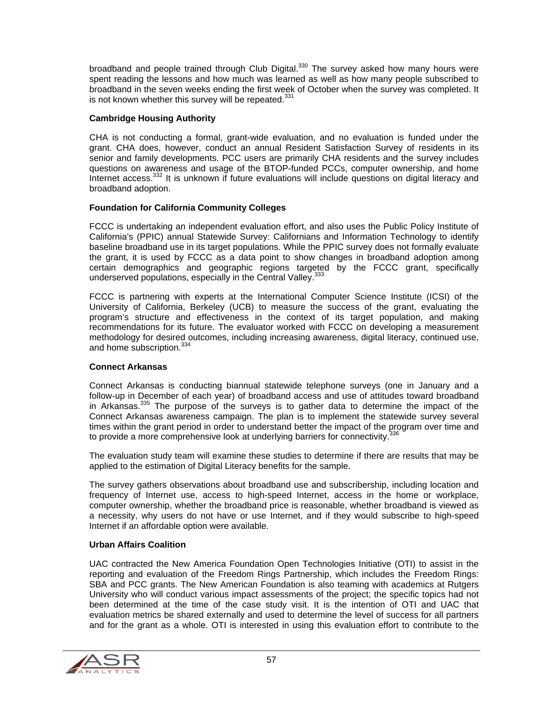broadband and people trained through Club Digital. $330$  The survey asked how many hours were spent reading the lessons and how much was learned as well as how many people subscribed to broadband in the seven weeks ending the first week of October when the survey was completed. It is not known whether this survey will be repeated. $331$ 

#### **Cambridge Housing Authority**

CHA is not conducting a formal, grant-wide evaluation, and no evaluation is funded under the grant. CHA does, however, conduct an annual Resident Satisfaction Survey of residents in its senior and family developments. PCC users are primarily CHA residents and the survey includes questions on awareness and usage of the BTOP-funded PCCs, computer ownership, and home Internet access.<sup>332</sup> It is unknown if future evaluations will include questions on digital literacy and broadband adoption.

#### **Foundation for California Community Colleges**

FCCC is undertaking an independent evaluation effort, and also uses the Public Policy Institute of California's (PPIC) annual Statewide Survey: Californians and Information Technology to identify baseline broadband use in its target populations. While the PPIC survey does not formally evaluate the grant, it is used by FCCC as a data point to show changes in broadband adoption among certain demographics and geographic regions targeted by the FCCC grant, specifically underserved populations, especially in the Central Valley.<sup>333</sup>

FCCC is partnering with experts at the International Computer Science Institute (ICSI) of the University of California, Berkeley (UCB) to measure the success of the grant, evaluating the program's structure and effectiveness in the context of its target population, and making recommendations for its future. The evaluator worked with FCCC on developing a measurement methodology for desired outcomes, including increasing awareness, digital literacy, continued use, and home subscription.<sup>334</sup>

#### **Connect Arkansas**

Connect Arkansas is conducting biannual statewide telephone surveys (one in January and a follow-up in December of each year) of broadband access and use of attitudes toward broadband in Arkansas.<sup>335</sup> The purpose of the surveys is to gather data to determine the impact of the Connect Arkansas awareness campaign. The plan is to implement the statewide survey several times within the grant period in order to understand better the impact of the program over time and to provide a more comprehensive look at underlying barriers for connectivity. $356$ 

The evaluation study team will examine these studies to determine if there are results that may be applied to the estimation of Digital Literacy benefits for the sample.

The survey gathers observations about broadband use and subscribership, including location and frequency of Internet use, access to high-speed Internet, access in the home or workplace, computer ownership, whether the broadband price is reasonable, whether broadband is viewed as a necessity, why users do not have or use Internet, and if they would subscribe to high-speed Internet if an affordable option were available.

#### **Urban Affairs Coalition**

UAC contracted the New America Foundation Open Technologies Initiative (OTI) to assist in the reporting and evaluation of the Freedom Rings Partnership, which includes the Freedom Rings: SBA and PCC grants. The New American Foundation is also teaming with academics at Rutgers University who will conduct various impact assessments of the project; the specific topics had not been determined at the time of the case study visit. It is the intention of OTI and UAC that evaluation metrics be shared externally and used to determine the level of success for all partners and for the grant as a whole. OTI is interested in using this evaluation effort to contribute to the

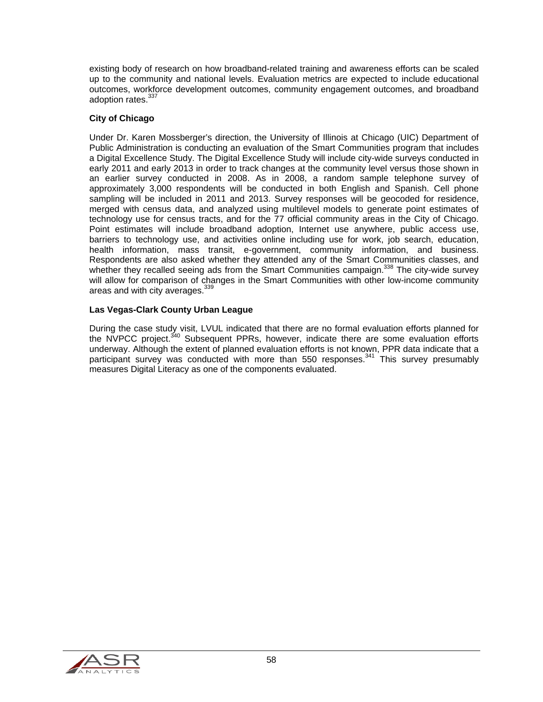existing body of research on how broadband-related training and awareness efforts can be scaled up to the community and national levels. Evaluation metrics are expected to include educational outcomes, workforce development outcomes, community engagement outcomes, and broadband adoption rates 337

#### **City of Chicago**

Under Dr. Karen Mossberger's direction, the University of Illinois at Chicago (UIC) Department of Public Administration is conducting an evaluation of the Smart Communities program that includes a Digital Excellence Study. The Digital Excellence Study will include city-wide surveys conducted in early 2011 and early 2013 in order to track changes at the community level versus those shown in an earlier survey conducted in 2008. As in 2008, a random sample telephone survey of approximately 3,000 respondents will be conducted in both English and Spanish. Cell phone sampling will be included in 2011 and 2013. Survey responses will be geocoded for residence, merged with census data, and analyzed using multilevel models to generate point estimates of technology use for census tracts, and for the 77 official community areas in the City of Chicago. Point estimates will include broadband adoption, Internet use anywhere, public access use, barriers to technology use, and activities online including use for work, job search, education, health information, mass transit, e-government, community information, and business. Respondents are also asked whether they attended any of the Smart Communities classes, and whether they recalled seeing ads from the Smart Communities campaign.<sup>338</sup> The city-wide survey will allow for comparison of changes in the Smart Communities with other low-income community areas and with city averages.<sup>339</sup>

#### **Las Vegas-Clark County Urban League**

During the case study visit, LVUL indicated that there are no formal evaluation efforts planned for the NVPCC project.<sup>340</sup> Subsequent PPRs, however, indicate there are some evaluation efforts underway. Although the extent of planned evaluation efforts is not known, PPR data indicate that a participant survey was conducted with more than 550 responses.<sup>341</sup> This survey presumably measures Digital Literacy as one of the components evaluated.

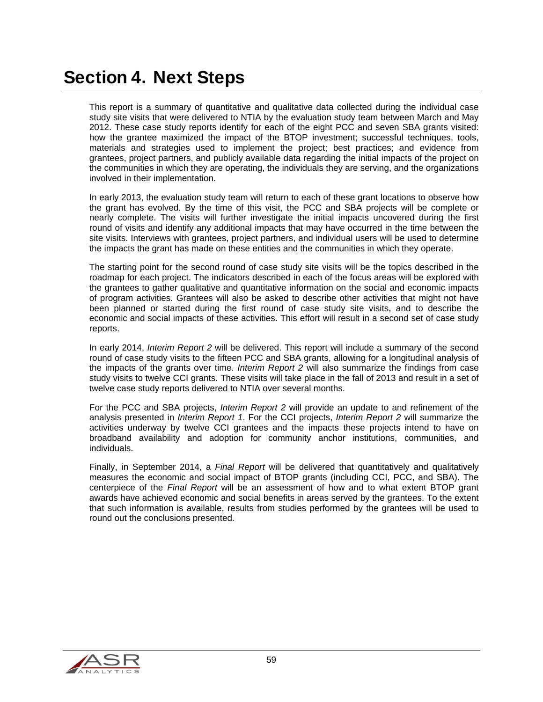## Section 4. Next Steps

This report is a summary of quantitative and qualitative data collected during the individual case study site visits that were delivered to NTIA by the evaluation study team between March and May 2012. These case study reports identify for each of the eight PCC and seven SBA grants visited: how the grantee maximized the impact of the BTOP investment; successful techniques, tools, materials and strategies used to implement the project; best practices; and evidence from grantees, project partners, and publicly available data regarding the initial impacts of the project on the communities in which they are operating, the individuals they are serving, and the organizations involved in their implementation.

In early 2013, the evaluation study team will return to each of these grant locations to observe how the grant has evolved. By the time of this visit, the PCC and SBA projects will be complete or nearly complete. The visits will further investigate the initial impacts uncovered during the first round of visits and identify any additional impacts that may have occurred in the time between the site visits. Interviews with grantees, project partners, and individual users will be used to determine the impacts the grant has made on these entities and the communities in which they operate.

The starting point for the second round of case study site visits will be the topics described in the roadmap for each project. The indicators described in each of the focus areas will be explored with the grantees to gather qualitative and quantitative information on the social and economic impacts of program activities. Grantees will also be asked to describe other activities that might not have been planned or started during the first round of case study site visits, and to describe the economic and social impacts of these activities. This effort will result in a second set of case study reports.

In early 2014, *Interim Report 2* will be delivered. This report will include a summary of the second round of case study visits to the fifteen PCC and SBA grants, allowing for a longitudinal analysis of the impacts of the grants over time. *Interim Report 2* will also summarize the findings from case study visits to twelve CCI grants. These visits will take place in the fall of 2013 and result in a set of twelve case study reports delivered to NTIA over several months.

For the PCC and SBA projects, *Interim Report 2* will provide an update to and refinement of the analysis presented in *Interim Report 1*. For the CCI projects, *Interim Report 2* will summarize the activities underway by twelve CCI grantees and the impacts these projects intend to have on broadband availability and adoption for community anchor institutions, communities, and individuals.

Finally, in September 2014, a *Final Report* will be delivered that quantitatively and qualitatively measures the economic and social impact of BTOP grants (including CCI, PCC, and SBA). The centerpiece of the *Final Report* will be an assessment of how and to what extent BTOP grant awards have achieved economic and social benefits in areas served by the grantees. To the extent that such information is available, results from studies performed by the grantees will be used to round out the conclusions presented.

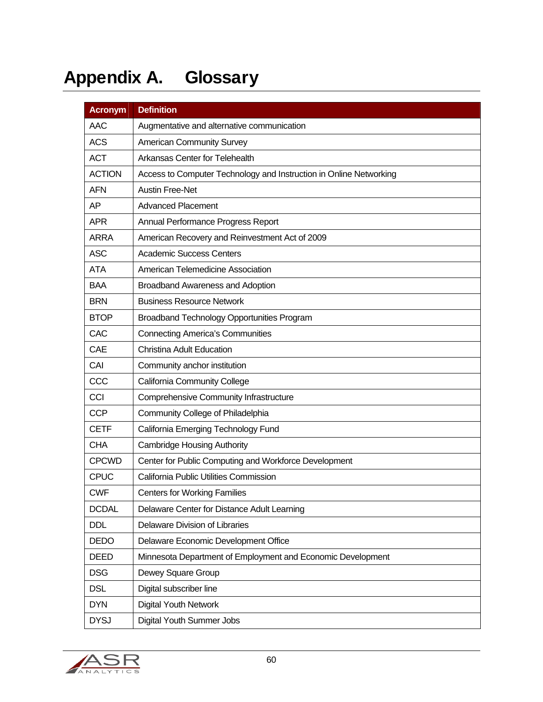# Appendix A. Glossary

| <b>Acronym</b> | <b>Definition</b>                                                  |
|----------------|--------------------------------------------------------------------|
| <b>AAC</b>     | Augmentative and alternative communication                         |
| <b>ACS</b>     | <b>American Community Survey</b>                                   |
| <b>ACT</b>     | Arkansas Center for Telehealth                                     |
| <b>ACTION</b>  | Access to Computer Technology and Instruction in Online Networking |
| <b>AFN</b>     | <b>Austin Free-Net</b>                                             |
| AP             | <b>Advanced Placement</b>                                          |
| <b>APR</b>     | Annual Performance Progress Report                                 |
| <b>ARRA</b>    | American Recovery and Reinvestment Act of 2009                     |
| <b>ASC</b>     | <b>Academic Success Centers</b>                                    |
| <b>ATA</b>     | American Telemedicine Association                                  |
| <b>BAA</b>     | Broadband Awareness and Adoption                                   |
| <b>BRN</b>     | <b>Business Resource Network</b>                                   |
| <b>BTOP</b>    | Broadband Technology Opportunities Program                         |
| CAC            | <b>Connecting America's Communities</b>                            |
| CAE            | Christina Adult Education                                          |
| CAI            | Community anchor institution                                       |
| CCC            | <b>California Community College</b>                                |
| CCI            | <b>Comprehensive Community Infrastructure</b>                      |
| <b>CCP</b>     | Community College of Philadelphia                                  |
| <b>CETF</b>    | California Emerging Technology Fund                                |
| <b>CHA</b>     | <b>Cambridge Housing Authority</b>                                 |
| <b>CPCWD</b>   | Center for Public Computing and Workforce Development              |
| <b>CPUC</b>    | California Public Utilities Commission                             |
| <b>CWF</b>     | <b>Centers for Working Families</b>                                |
| <b>DCDAL</b>   | Delaware Center for Distance Adult Learning                        |
| <b>DDL</b>     | Delaware Division of Libraries                                     |
| <b>DEDO</b>    | Delaware Economic Development Office                               |
| DEED           | Minnesota Department of Employment and Economic Development        |
| <b>DSG</b>     | Dewey Square Group                                                 |
| <b>DSL</b>     | Digital subscriber line                                            |
| <b>DYN</b>     | <b>Digital Youth Network</b>                                       |
| <b>DYSJ</b>    | Digital Youth Summer Jobs                                          |

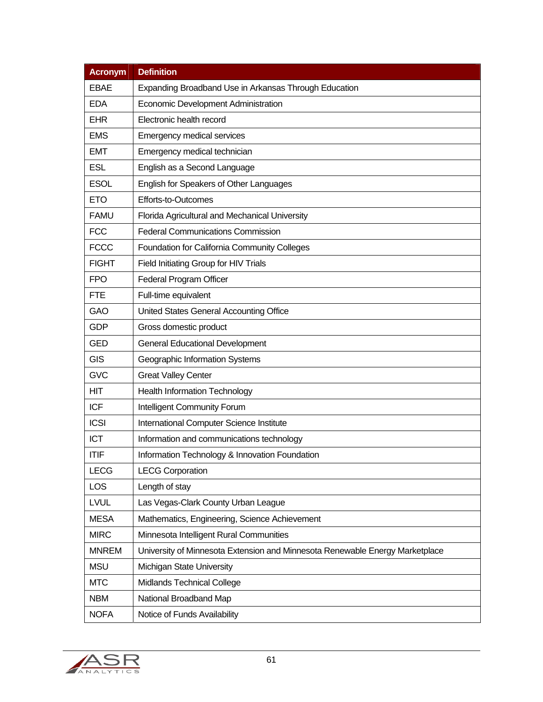| <b>Acronym</b> | <b>Definition</b>                                                            |  |
|----------------|------------------------------------------------------------------------------|--|
| <b>EBAE</b>    | Expanding Broadband Use in Arkansas Through Education                        |  |
| <b>EDA</b>     | Economic Development Administration                                          |  |
| <b>EHR</b>     | Electronic health record                                                     |  |
| <b>EMS</b>     | <b>Emergency medical services</b>                                            |  |
| <b>EMT</b>     | Emergency medical technician                                                 |  |
| <b>ESL</b>     | English as a Second Language                                                 |  |
| <b>ESOL</b>    | English for Speakers of Other Languages                                      |  |
| <b>ETO</b>     | Efforts-to-Outcomes                                                          |  |
| <b>FAMU</b>    | Florida Agricultural and Mechanical University                               |  |
| <b>FCC</b>     | <b>Federal Communications Commission</b>                                     |  |
| <b>FCCC</b>    | Foundation for California Community Colleges                                 |  |
| <b>FIGHT</b>   | Field Initiating Group for HIV Trials                                        |  |
| <b>FPO</b>     | Federal Program Officer                                                      |  |
| <b>FTE</b>     | Full-time equivalent                                                         |  |
| <b>GAO</b>     | United States General Accounting Office                                      |  |
| <b>GDP</b>     | Gross domestic product                                                       |  |
| <b>GED</b>     | <b>General Educational Development</b>                                       |  |
| <b>GIS</b>     | Geographic Information Systems                                               |  |
| <b>GVC</b>     | <b>Great Valley Center</b>                                                   |  |
| <b>HIT</b>     | <b>Health Information Technology</b>                                         |  |
| <b>ICF</b>     | Intelligent Community Forum                                                  |  |
| <b>ICSI</b>    | International Computer Science Institute                                     |  |
| <b>ICT</b>     | Information and communications technology                                    |  |
| <b>ITIF</b>    | Information Technology & Innovation Foundation                               |  |
| <b>LECG</b>    | <b>LECG Corporation</b>                                                      |  |
| <b>LOS</b>     | Length of stay                                                               |  |
| <b>LVUL</b>    | Las Vegas-Clark County Urban League                                          |  |
| <b>MESA</b>    | Mathematics, Engineering, Science Achievement                                |  |
| <b>MIRC</b>    | Minnesota Intelligent Rural Communities                                      |  |
| <b>MNREM</b>   | University of Minnesota Extension and Minnesota Renewable Energy Marketplace |  |
| <b>MSU</b>     | Michigan State University                                                    |  |
| <b>MTC</b>     | Midlands Technical College                                                   |  |
| <b>NBM</b>     | National Broadband Map                                                       |  |
| <b>NOFA</b>    | Notice of Funds Availability                                                 |  |

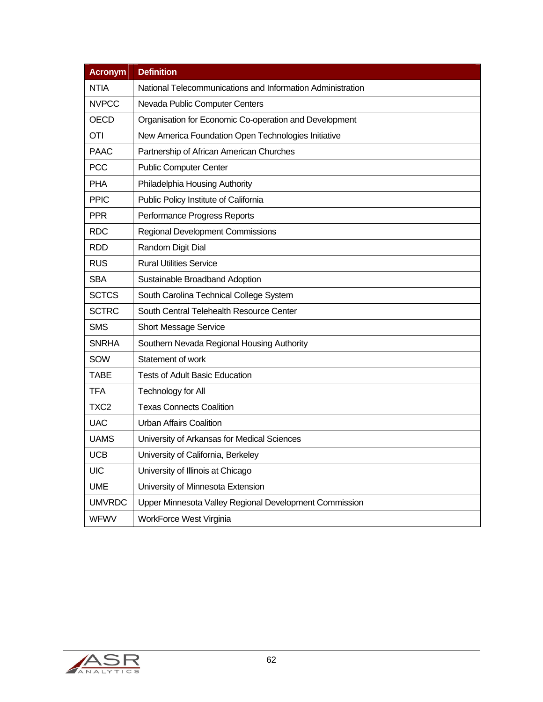| <b>Acronym</b>   | <b>Definition</b>                                          |  |  |  |  |  |  |
|------------------|------------------------------------------------------------|--|--|--|--|--|--|
| <b>NTIA</b>      | National Telecommunications and Information Administration |  |  |  |  |  |  |
| <b>NVPCC</b>     | Nevada Public Computer Centers                             |  |  |  |  |  |  |
| OECD             | Organisation for Economic Co-operation and Development     |  |  |  |  |  |  |
| <b>OTI</b>       | New America Foundation Open Technologies Initiative        |  |  |  |  |  |  |
| <b>PAAC</b>      | Partnership of African American Churches                   |  |  |  |  |  |  |
| <b>PCC</b>       | <b>Public Computer Center</b>                              |  |  |  |  |  |  |
| <b>PHA</b>       | Philadelphia Housing Authority                             |  |  |  |  |  |  |
| <b>PPIC</b>      | Public Policy Institute of California                      |  |  |  |  |  |  |
| <b>PPR</b>       | Performance Progress Reports                               |  |  |  |  |  |  |
| <b>RDC</b>       | <b>Regional Development Commissions</b>                    |  |  |  |  |  |  |
| <b>RDD</b>       | Random Digit Dial                                          |  |  |  |  |  |  |
| RUS              | <b>Rural Utilities Service</b>                             |  |  |  |  |  |  |
| <b>SBA</b>       | Sustainable Broadband Adoption                             |  |  |  |  |  |  |
| <b>SCTCS</b>     | South Carolina Technical College System                    |  |  |  |  |  |  |
| <b>SCTRC</b>     | South Central Telehealth Resource Center                   |  |  |  |  |  |  |
| <b>SMS</b>       | <b>Short Message Service</b>                               |  |  |  |  |  |  |
| <b>SNRHA</b>     | Southern Nevada Regional Housing Authority                 |  |  |  |  |  |  |
| SOW              | Statement of work                                          |  |  |  |  |  |  |
| <b>TABE</b>      | <b>Tests of Adult Basic Education</b>                      |  |  |  |  |  |  |
| <b>TFA</b>       | Technology for All                                         |  |  |  |  |  |  |
| TXC <sub>2</sub> | <b>Texas Connects Coalition</b>                            |  |  |  |  |  |  |
| <b>UAC</b>       | <b>Urban Affairs Coalition</b>                             |  |  |  |  |  |  |
| <b>UAMS</b>      | University of Arkansas for Medical Sciences                |  |  |  |  |  |  |
| <b>UCB</b>       | University of California, Berkeley                         |  |  |  |  |  |  |
| <b>UIC</b>       | University of Illinois at Chicago                          |  |  |  |  |  |  |
| <b>UME</b>       | University of Minnesota Extension                          |  |  |  |  |  |  |
| <b>UMVRDC</b>    | Upper Minnesota Valley Regional Development Commission     |  |  |  |  |  |  |
| <b>WFWV</b>      | <b>WorkForce West Virginia</b>                             |  |  |  |  |  |  |

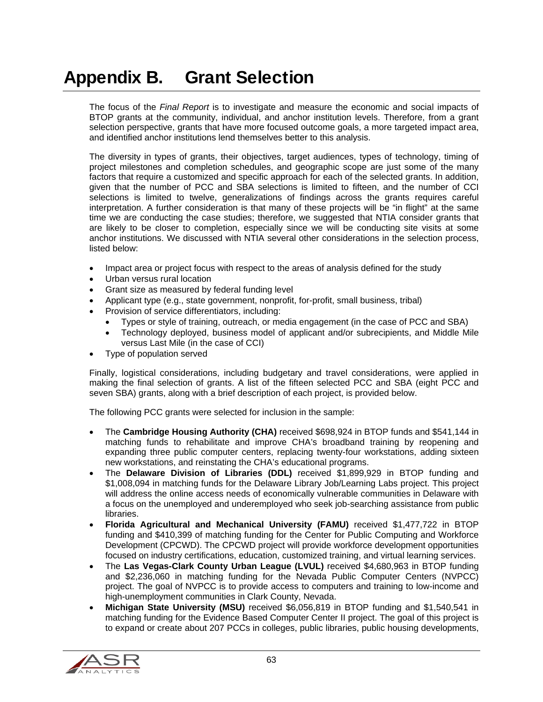# Appendix B. Grant Selection

The focus of the *Final Report* is to investigate and measure the economic and social impacts of BTOP grants at the community, individual, and anchor institution levels. Therefore, from a grant selection perspective, grants that have more focused outcome goals, a more targeted impact area, and identified anchor institutions lend themselves better to this analysis.

The diversity in types of grants, their objectives, target audiences, types of technology, timing of project milestones and completion schedules, and geographic scope are just some of the many factors that require a customized and specific approach for each of the selected grants. In addition, given that the number of PCC and SBA selections is limited to fifteen, and the number of CCI selections is limited to twelve, generalizations of findings across the grants requires careful interpretation. A further consideration is that many of these projects will be "in flight" at the same time we are conducting the case studies; therefore, we suggested that NTIA consider grants that are likely to be closer to completion, especially since we will be conducting site visits at some anchor institutions. We discussed with NTIA several other considerations in the selection process, listed below:

- Impact area or project focus with respect to the areas of analysis defined for the study
- Urban versus rural location
- Grant size as measured by federal funding level
- Applicant type (e.g., state government, nonprofit, for-profit, small business, tribal)
- Provision of service differentiators, including:
	- Types or style of training, outreach, or media engagement (in the case of PCC and SBA)
	- Technology deployed, business model of applicant and/or subrecipients, and Middle Mile versus Last Mile (in the case of CCI)
- Type of population served

Finally, logistical considerations, including budgetary and travel considerations, were applied in making the final selection of grants. A list of the fifteen selected PCC and SBA (eight PCC and seven SBA) grants, along with a brief description of each project, is provided below.

The following PCC grants were selected for inclusion in the sample:

- The **Cambridge Housing Authority (CHA)** received \$698,924 in BTOP funds and \$541,144 in matching funds to rehabilitate and improve CHA's broadband training by reopening and expanding three public computer centers, replacing twenty-four workstations, adding sixteen new workstations, and reinstating the CHA's educational programs.
- The **Delaware Division of Libraries (DDL)** received \$1,899,929 in BTOP funding and \$1,008,094 in matching funds for the Delaware Library Job/Learning Labs project. This project will address the online access needs of economically vulnerable communities in Delaware with a focus on the unemployed and underemployed who seek job-searching assistance from public libraries.
- **Florida Agricultural and Mechanical University (FAMU)** received \$1,477,722 in BTOP funding and \$410,399 of matching funding for the Center for Public Computing and Workforce Development (CPCWD). The CPCWD project will provide workforce development opportunities focused on industry certifications, education, customized training, and virtual learning services.
- The **Las Vegas-Clark County Urban League (LVUL)** received \$4,680,963 in BTOP funding and \$2,236,060 in matching funding for the Nevada Public Computer Centers (NVPCC) project. The goal of NVPCC is to provide access to computers and training to low-income and high-unemployment communities in Clark County, Nevada.
- **Michigan State University (MSU)** received \$6,056,819 in BTOP funding and \$1,540,541 in matching funding for the Evidence Based Computer Center II project. The goal of this project is to expand or create about 207 PCCs in colleges, public libraries, public housing developments,

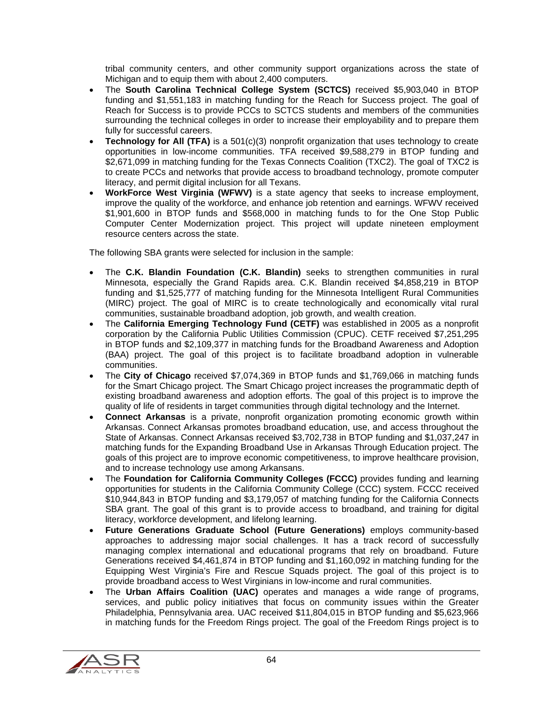tribal community centers, and other community support organizations across the state of Michigan and to equip them with about 2,400 computers.

- The **South Carolina Technical College System (SCTCS)** received \$5,903,040 in BTOP funding and \$1,551,183 in matching funding for the Reach for Success project. The goal of Reach for Success is to provide PCCs to SCTCS students and members of the communities surrounding the technical colleges in order to increase their employability and to prepare them fully for successful careers.
- **Technology for All (TFA)** is a 501(c)(3) nonprofit organization that uses technology to create opportunities in low-income communities. TFA received \$9,588,279 in BTOP funding and \$2,671,099 in matching funding for the Texas Connects Coalition (TXC2). The goal of TXC2 is to create PCCs and networks that provide access to broadband technology, promote computer literacy, and permit digital inclusion for all Texans.
- **WorkForce West Virginia (WFWV)** is a state agency that seeks to increase employment, improve the quality of the workforce, and enhance job retention and earnings. WFWV received \$1,901,600 in BTOP funds and \$568,000 in matching funds to for the One Stop Public Computer Center Modernization project. This project will update nineteen employment resource centers across the state.

The following SBA grants were selected for inclusion in the sample:

- The **C.K. Blandin Foundation (C.K. Blandin)** seeks to strengthen communities in rural Minnesota, especially the Grand Rapids area. C.K. Blandin received \$4,858,219 in BTOP funding and \$1,525,777 of matching funding for the Minnesota Intelligent Rural Communities (MIRC) project. The goal of MIRC is to create technologically and economically vital rural communities, sustainable broadband adoption, job growth, and wealth creation.
- The **California Emerging Technology Fund (CETF)** was established in 2005 as a nonprofit corporation by the California Public Utilities Commission (CPUC). CETF received \$7,251,295 in BTOP funds and \$2,109,377 in matching funds for the Broadband Awareness and Adoption (BAA) project. The goal of this project is to facilitate broadband adoption in vulnerable communities.
- The **City of Chicago** received \$7,074,369 in BTOP funds and \$1,769,066 in matching funds for the Smart Chicago project. The Smart Chicago project increases the programmatic depth of existing broadband awareness and adoption efforts. The goal of this project is to improve the quality of life of residents in target communities through digital technology and the Internet.
- **Connect Arkansas** is a private, nonprofit organization promoting economic growth within Arkansas. Connect Arkansas promotes broadband education, use, and access throughout the State of Arkansas. Connect Arkansas received \$3,702,738 in BTOP funding and \$1,037,247 in matching funds for the Expanding Broadband Use in Arkansas Through Education project. The goals of this project are to improve economic competitiveness, to improve healthcare provision, and to increase technology use among Arkansans.
- The **Foundation for California Community Colleges (FCCC)** provides funding and learning opportunities for students in the California Community College (CCC) system. FCCC received \$10,944,843 in BTOP funding and \$3,179,057 of matching funding for the California Connects SBA grant. The goal of this grant is to provide access to broadband, and training for digital literacy, workforce development, and lifelong learning.
- **Future Generations Graduate School (Future Generations)** employs community-based approaches to addressing major social challenges. It has a track record of successfully managing complex international and educational programs that rely on broadband. Future Generations received \$4,461,874 in BTOP funding and \$1,160,092 in matching funding for the Equipping West Virginia's Fire and Rescue Squads project. The goal of this project is to provide broadband access to West Virginians in low-income and rural communities.
- The **Urban Affairs Coalition (UAC)** operates and manages a wide range of programs, services, and public policy initiatives that focus on community issues within the Greater Philadelphia, Pennsylvania area. UAC received \$11,804,015 in BTOP funding and \$5,623,966 in matching funds for the Freedom Rings project. The goal of the Freedom Rings project is to

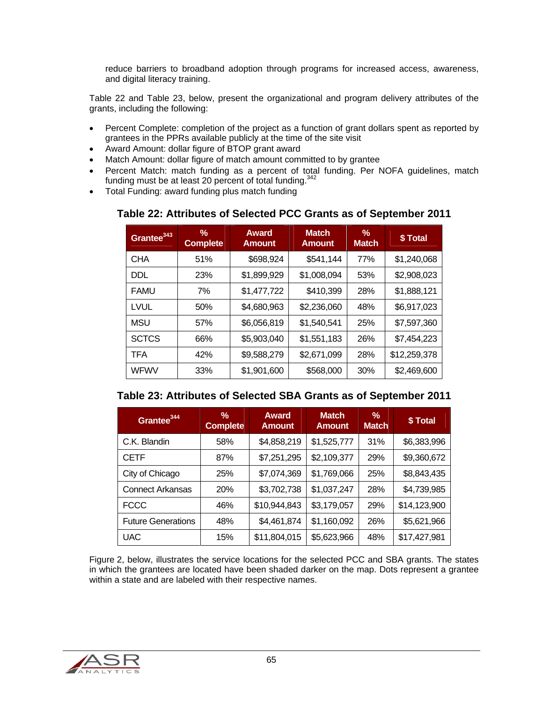reduce barriers to broadband adoption through programs for increased access, awareness, and digital literacy training.

Table 22 and Table 23, below, present the organizational and program delivery attributes of the grants, including the following:

- Percent Complete: completion of the project as a function of grant dollars spent as reported by grantees in the PPRs available publicly at the time of the site visit
- Award Amount: dollar figure of BTOP grant award
- Match Amount: dollar figure of match amount committed to by grantee
- Percent Match: match funding as a percent of total funding. Per NOFA guidelines, match funding must be at least 20 percent of total funding.<sup>342</sup>
- Total Funding: award funding plus match funding

| Grantee <sup>343</sup> | %<br><b>Complete</b> | <b>Award</b><br><b>Amount</b> | <b>Match</b><br><b>Amount</b> | %<br><b>Match</b> | \$Total      |
|------------------------|----------------------|-------------------------------|-------------------------------|-------------------|--------------|
| <b>CHA</b>             | 51%                  | \$698,924                     | \$541,144                     | 77%               | \$1,240,068  |
| <b>DDL</b>             | 23%                  | \$1,899,929                   | \$1,008,094                   | 53%               | \$2,908,023  |
| <b>FAMU</b>            | 7%                   | \$1,477,722                   | \$410,399                     | 28%               | \$1,888,121  |
| <b>LVUL</b>            | 50%                  | \$4,680,963                   | \$2,236,060                   | 48%               | \$6,917,023  |
| <b>MSU</b>             | 57%                  | \$6,056,819                   | \$1,540,541                   | 25%               | \$7,597,360  |
| <b>SCTCS</b>           | 66%                  | \$5,903,040                   | \$1,551,183                   | 26%               | \$7,454,223  |
| <b>TFA</b>             | 42%                  | \$9,588,279                   | \$2,671,099                   | 28%               | \$12,259,378 |
| <b>WFWV</b>            | 33%                  | \$1,901,600                   | \$568,000                     | 30%               | \$2,469,600  |

#### **Table 22: Attributes of Selected PCC Grants as of September 2011**

|  |  |  |  | Table 23: Attributes of Selected SBA Grants as of September 2011 |  |
|--|--|--|--|------------------------------------------------------------------|--|
|  |  |  |  |                                                                  |  |

| Grantee <sup>344</sup>    | ℅<br><b>Complete</b> | <b>Award</b><br><b>Amount</b> | <b>Match</b><br><b>Amount</b> | %<br><b>Match</b> | \$Total      |
|---------------------------|----------------------|-------------------------------|-------------------------------|-------------------|--------------|
| C.K. Blandin              | 58%                  | \$4,858,219                   | \$1,525,777                   | 31%               | \$6,383,996  |
| <b>CETF</b>               | 87%                  | \$7,251,295                   | \$2,109,377                   | 29%               | \$9,360,672  |
| City of Chicago           | 25%                  | \$7,074,369                   | \$1,769,066                   | 25%               | \$8,843,435  |
| <b>Connect Arkansas</b>   | 20%                  | \$3,702,738                   | \$1,037,247                   | 28%               | \$4,739,985  |
| <b>FCCC</b>               | 46%                  | \$10,944,843                  | \$3,179,057                   | 29%               | \$14,123,900 |
| <b>Future Generations</b> | 48%                  | \$4,461,874                   | \$1,160,092                   | 26%               | \$5,621,966  |
| UAC                       | 15%                  | \$11,804,015                  | \$5,623,966                   | 48%               | \$17,427,981 |

Figure 2, below, illustrates the service locations for the selected PCC and SBA grants. The states in which the grantees are located have been shaded darker on the map. Dots represent a grantee within a state and are labeled with their respective names.

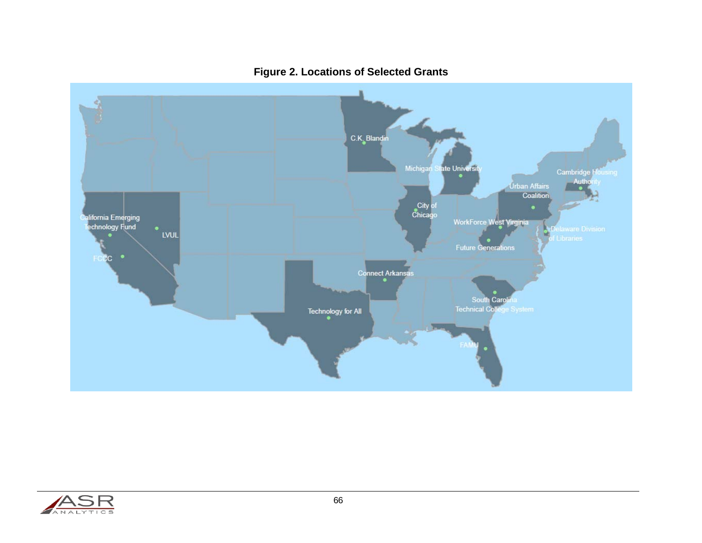

## **Figure 2. Locations of Selected Grants**

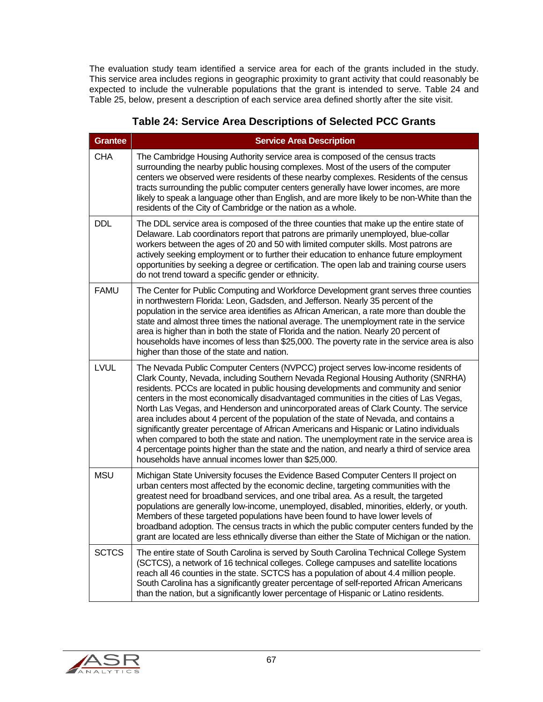The evaluation study team identified a service area for each of the grants included in the study. This service area includes regions in geographic proximity to grant activity that could reasonably be expected to include the vulnerable populations that the grant is intended to serve. Table 24 and Table 25, below, present a description of each service area defined shortly after the site visit.

| <b>Grantee</b> | <b>Service Area Description</b>                                                                                                                                                                                                                                                                                                                                                                                                                                                                                                                                                                                                                                                                                                                                                                                                                                                           |
|----------------|-------------------------------------------------------------------------------------------------------------------------------------------------------------------------------------------------------------------------------------------------------------------------------------------------------------------------------------------------------------------------------------------------------------------------------------------------------------------------------------------------------------------------------------------------------------------------------------------------------------------------------------------------------------------------------------------------------------------------------------------------------------------------------------------------------------------------------------------------------------------------------------------|
| <b>CHA</b>     | The Cambridge Housing Authority service area is composed of the census tracts<br>surrounding the nearby public housing complexes. Most of the users of the computer<br>centers we observed were residents of these nearby complexes. Residents of the census<br>tracts surrounding the public computer centers generally have lower incomes, are more<br>likely to speak a language other than English, and are more likely to be non-White than the<br>residents of the City of Cambridge or the nation as a whole.                                                                                                                                                                                                                                                                                                                                                                      |
| <b>DDL</b>     | The DDL service area is composed of the three counties that make up the entire state of<br>Delaware. Lab coordinators report that patrons are primarily unemployed, blue-collar<br>workers between the ages of 20 and 50 with limited computer skills. Most patrons are<br>actively seeking employment or to further their education to enhance future employment<br>opportunities by seeking a degree or certification. The open lab and training course users<br>do not trend toward a specific gender or ethnicity.                                                                                                                                                                                                                                                                                                                                                                    |
| <b>FAMU</b>    | The Center for Public Computing and Workforce Development grant serves three counties<br>in northwestern Florida: Leon, Gadsden, and Jefferson. Nearly 35 percent of the<br>population in the service area identifies as African American, a rate more than double the<br>state and almost three times the national average. The unemployment rate in the service<br>area is higher than in both the state of Florida and the nation. Nearly 20 percent of<br>households have incomes of less than \$25,000. The poverty rate in the service area is also<br>higher than those of the state and nation.                                                                                                                                                                                                                                                                                   |
| <b>LVUL</b>    | The Nevada Public Computer Centers (NVPCC) project serves low-income residents of<br>Clark County, Nevada, including Southern Nevada Regional Housing Authority (SNRHA)<br>residents. PCCs are located in public housing developments and community and senior<br>centers in the most economically disadvantaged communities in the cities of Las Vegas,<br>North Las Vegas, and Henderson and unincorporated areas of Clark County. The service<br>area includes about 4 percent of the population of the state of Nevada, and contains a<br>significantly greater percentage of African Americans and Hispanic or Latino individuals<br>when compared to both the state and nation. The unemployment rate in the service area is<br>4 percentage points higher than the state and the nation, and nearly a third of service area<br>households have annual incomes lower than \$25,000. |
| <b>MSU</b>     | Michigan State University focuses the Evidence Based Computer Centers II project on<br>urban centers most affected by the economic decline, targeting communities with the<br>greatest need for broadband services, and one tribal area. As a result, the targeted<br>populations are generally low-income, unemployed, disabled, minorities, elderly, or youth.<br>Members of these targeted populations have been found to have lower levels of<br>broadband adoption. The census tracts in which the public computer centers funded by the<br>grant are located are less ethnically diverse than either the State of Michigan or the nation.                                                                                                                                                                                                                                           |
| <b>SCTCS</b>   | The entire state of South Carolina is served by South Carolina Technical College System<br>(SCTCS), a network of 16 technical colleges. College campuses and satellite locations<br>reach all 46 counties in the state. SCTCS has a population of about 4.4 million people.<br>South Carolina has a significantly greater percentage of self-reported African Americans<br>than the nation, but a significantly lower percentage of Hispanic or Latino residents.                                                                                                                                                                                                                                                                                                                                                                                                                         |

# **Table 24: Service Area Descriptions of Selected PCC Grants**

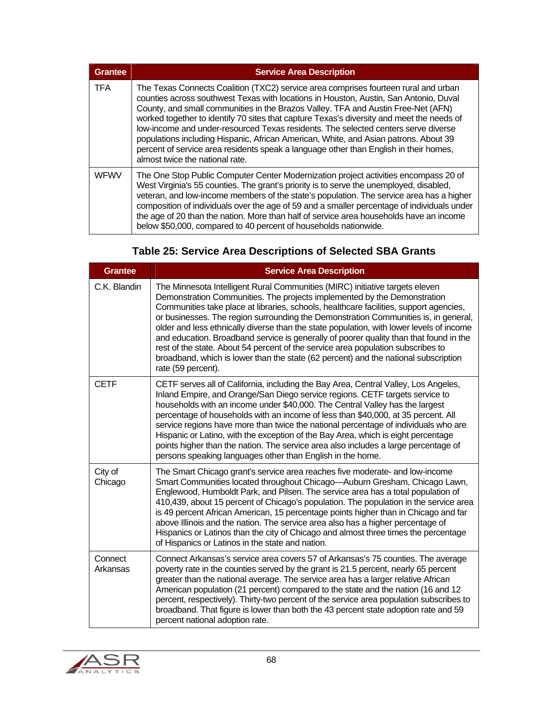| <b>Grantee</b> | <b>Service Area Description</b>                                                                                                                                                                                                                                                                                                                                                                                                                                                                                                                                                                                                                                          |
|----------------|--------------------------------------------------------------------------------------------------------------------------------------------------------------------------------------------------------------------------------------------------------------------------------------------------------------------------------------------------------------------------------------------------------------------------------------------------------------------------------------------------------------------------------------------------------------------------------------------------------------------------------------------------------------------------|
| <b>TFA</b>     | The Texas Connects Coalition (TXC2) service area comprises fourteen rural and urban<br>counties across southwest Texas with locations in Houston, Austin, San Antonio, Duval<br>County, and small communities in the Brazos Valley. TFA and Austin Free-Net (AFN)<br>worked together to identify 70 sites that capture Texas's diversity and meet the needs of<br>low-income and under-resourced Texas residents. The selected centers serve diverse<br>populations including Hispanic, African American, White, and Asian patrons. About 39<br>percent of service area residents speak a language other than English in their homes,<br>almost twice the national rate. |
| <b>WFWV</b>    | The One Stop Public Computer Center Modernization project activities encompass 20 of<br>West Virginia's 55 counties. The grant's priority is to serve the unemployed, disabled,<br>veteran, and low-income members of the state's population. The service area has a higher<br>composition of individuals over the age of 59 and a smaller percentage of individuals under<br>the age of 20 than the nation. More than half of service area households have an income<br>below \$50,000, compared to 40 percent of households nationwide.                                                                                                                                |

# **Table 25: Service Area Descriptions of Selected SBA Grants**

| <b>Grantee</b>      | <b>Service Area Description</b>                                                                                                                                                                                                                                                                                                                                                                                                                                                                                                                                                                                                                                                                                                  |
|---------------------|----------------------------------------------------------------------------------------------------------------------------------------------------------------------------------------------------------------------------------------------------------------------------------------------------------------------------------------------------------------------------------------------------------------------------------------------------------------------------------------------------------------------------------------------------------------------------------------------------------------------------------------------------------------------------------------------------------------------------------|
| C.K. Blandin        | The Minnesota Intelligent Rural Communities (MIRC) initiative targets eleven<br>Demonstration Communities. The projects implemented by the Demonstration<br>Communities take place at libraries, schools, healthcare facilities, support agencies,<br>or businesses. The region surrounding the Demonstration Communities is, in general,<br>older and less ethnically diverse than the state population, with lower levels of income<br>and education. Broadband service is generally of poorer quality than that found in the<br>rest of the state. About 54 percent of the service area population subscribes to<br>broadband, which is lower than the state (62 percent) and the national subscription<br>rate (59 percent). |
| <b>CETF</b>         | CETF serves all of California, including the Bay Area, Central Valley, Los Angeles,<br>Inland Empire, and Orange/San Diego service regions. CETF targets service to<br>households with an income under \$40,000. The Central Valley has the largest<br>percentage of households with an income of less than \$40,000, at 35 percent. All<br>service regions have more than twice the national percentage of individuals who are<br>Hispanic or Latino, with the exception of the Bay Area, which is eight percentage<br>points higher than the nation. The service area also includes a large percentage of<br>persons speaking languages other than English in the home.                                                        |
| City of<br>Chicago  | The Smart Chicago grant's service area reaches five moderate- and low-income<br>Smart Communities located throughout Chicago-Auburn Gresham, Chicago Lawn,<br>Englewood, Humboldt Park, and Pilsen. The service area has a total population of<br>410,439, about 15 percent of Chicago's population. The population in the service area<br>is 49 percent African American, 15 percentage points higher than in Chicago and far<br>above Illinois and the nation. The service area also has a higher percentage of<br>Hispanics or Latinos than the city of Chicago and almost three times the percentage<br>of Hispanics or Latinos in the state and nation.                                                                     |
| Connect<br>Arkansas | Connect Arkansas's service area covers 57 of Arkansas's 75 counties. The average<br>poverty rate in the counties served by the grant is 21.5 percent, nearly 65 percent<br>greater than the national average. The service area has a larger relative African<br>American population (21 percent) compared to the state and the nation (16 and 12<br>percent, respectively). Thirty-two percent of the service area population subscribes to<br>broadband. That figure is lower than both the 43 percent state adoption rate and 59<br>percent national adoption rate.                                                                                                                                                            |

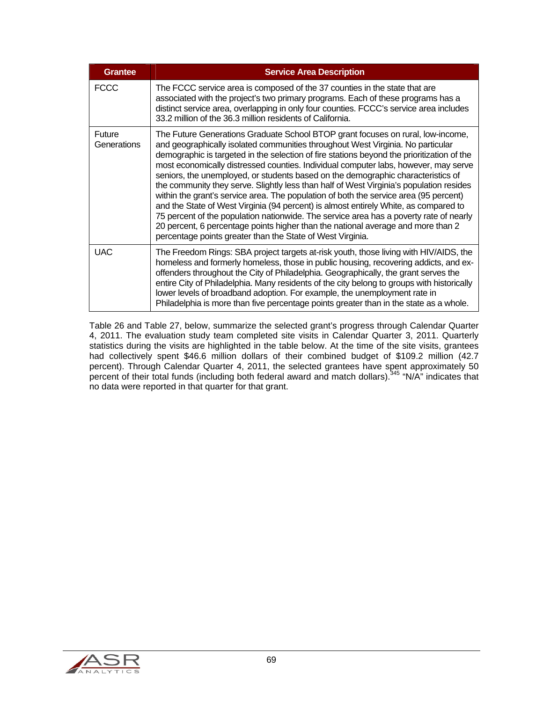| <b>Grantee</b>        | <b>Service Area Description</b>                                                                                                                                                                                                                                                                                                                                                                                                                                                                                                                                                                                                                                                                                                                                                                                                                                                                                                                                     |
|-----------------------|---------------------------------------------------------------------------------------------------------------------------------------------------------------------------------------------------------------------------------------------------------------------------------------------------------------------------------------------------------------------------------------------------------------------------------------------------------------------------------------------------------------------------------------------------------------------------------------------------------------------------------------------------------------------------------------------------------------------------------------------------------------------------------------------------------------------------------------------------------------------------------------------------------------------------------------------------------------------|
| <b>FCCC</b>           | The FCCC service area is composed of the 37 counties in the state that are<br>associated with the project's two primary programs. Each of these programs has a<br>distinct service area, overlapping in only four counties. FCCC's service area includes<br>33.2 million of the 36.3 million residents of California.                                                                                                                                                                                                                                                                                                                                                                                                                                                                                                                                                                                                                                               |
| Future<br>Generations | The Future Generations Graduate School BTOP grant focuses on rural, low-income,<br>and geographically isolated communities throughout West Virginia. No particular<br>demographic is targeted in the selection of fire stations beyond the prioritization of the<br>most economically distressed counties. Individual computer labs, however, may serve<br>seniors, the unemployed, or students based on the demographic characteristics of<br>the community they serve. Slightly less than half of West Virginia's population resides<br>within the grant's service area. The population of both the service area (95 percent)<br>and the State of West Virginia (94 percent) is almost entirely White, as compared to<br>75 percent of the population nationwide. The service area has a poverty rate of nearly<br>20 percent, 6 percentage points higher than the national average and more than 2<br>percentage points greater than the State of West Virginia. |
| <b>UAC</b>            | The Freedom Rings: SBA project targets at-risk youth, those living with HIV/AIDS, the<br>homeless and formerly homeless, those in public housing, recovering addicts, and ex-<br>offenders throughout the City of Philadelphia. Geographically, the grant serves the<br>entire City of Philadelphia. Many residents of the city belong to groups with historically<br>lower levels of broadband adoption. For example, the unemployment rate in<br>Philadelphia is more than five percentage points greater than in the state as a whole.                                                                                                                                                                                                                                                                                                                                                                                                                           |

Table 26 and Table 27, below, summarize the selected grant's progress through Calendar Quarter 4, 2011. The evaluation study team completed site visits in Calendar Quarter 3, 2011. Quarterly statistics during the visits are highlighted in the table below. At the time of the site visits, grantees had collectively spent \$46.6 million dollars of their combined budget of \$109.2 million (42.7 percent). Through Calendar Quarter 4, 2011, the selected grantees have spent approximately 50 percent of their total funds (including both federal award and match dollars).<sup>345</sup> "N/A" indicates that no data were reported in that quarter for that grant.

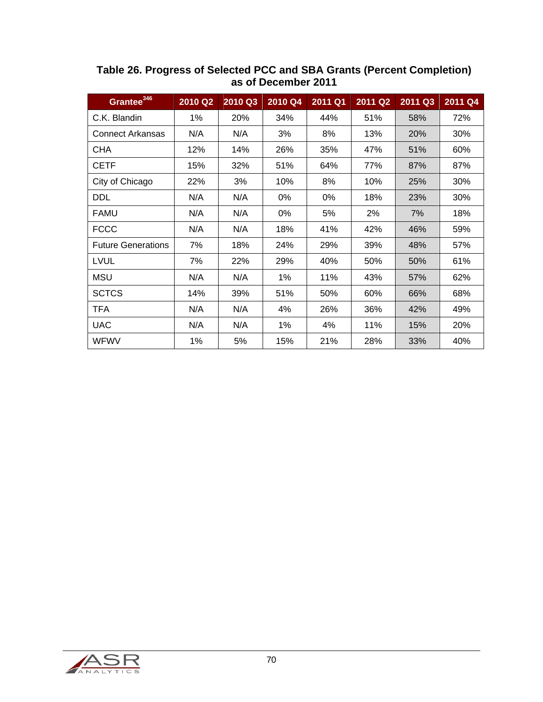| Grantee <sup>346</sup>    | 2010 Q2 | 2010 Q3 | 2010 Q4 | 2011 Q1 | 2011 Q2 | 2011 Q3 | 2011 Q4 |
|---------------------------|---------|---------|---------|---------|---------|---------|---------|
| C.K. Blandin              | 1%      | 20%     | 34%     | 44%     | 51%     | 58%     | 72%     |
| <b>Connect Arkansas</b>   | N/A     | N/A     | 3%      | 8%      | 13%     | 20%     | 30%     |
| <b>CHA</b>                | 12%     | 14%     | 26%     | 35%     | 47%     | 51%     | 60%     |
| <b>CETF</b>               | 15%     | 32%     | 51%     | 64%     | 77%     | 87%     | 87%     |
| City of Chicago           | 22%     | 3%      | 10%     | 8%      | 10%     | 25%     | 30%     |
| <b>DDL</b>                | N/A     | N/A     | 0%      | 0%      | 18%     | 23%     | 30%     |
| <b>FAMU</b>               | N/A     | N/A     | 0%      | 5%      | 2%      | 7%      | 18%     |
| <b>FCCC</b>               | N/A     | N/A     | 18%     | 41%     | 42%     | 46%     | 59%     |
| <b>Future Generations</b> | 7%      | 18%     | 24%     | 29%     | 39%     | 48%     | 57%     |
| <b>LVUL</b>               | 7%      | 22%     | 29%     | 40%     | 50%     | 50%     | 61%     |
| <b>MSU</b>                | N/A     | N/A     | 1%      | 11%     | 43%     | 57%     | 62%     |
| <b>SCTCS</b>              | 14%     | 39%     | 51%     | 50%     | 60%     | 66%     | 68%     |
| <b>TFA</b>                | N/A     | N/A     | 4%      | 26%     | 36%     | 42%     | 49%     |
| <b>UAC</b>                | N/A     | N/A     | 1%      | 4%      | 11%     | 15%     | 20%     |
| <b>WFWV</b>               | 1%      | 5%      | 15%     | 21%     | 28%     | 33%     | 40%     |

**Table 26. Progress of Selected PCC and SBA Grants (Percent Completion) as of December 2011** 

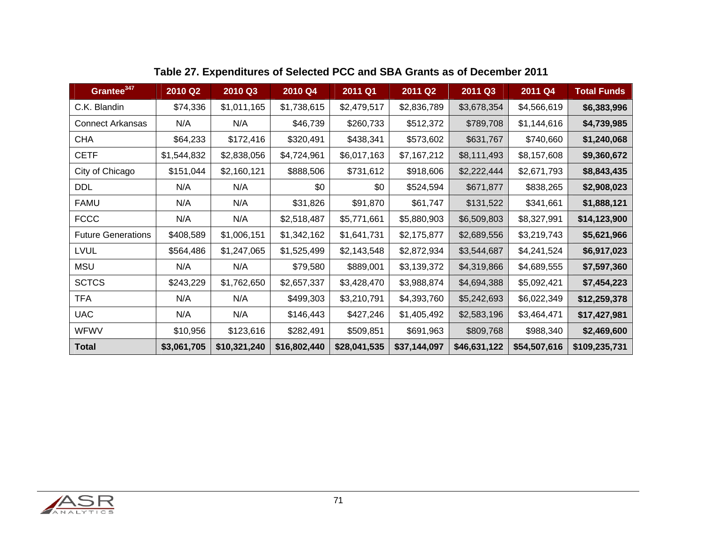| Grantee <sup>347</sup>    | 2010 Q2     | 2010 Q3      | 2010 Q4      | 2011 Q1      | 2011 Q2      | 2011 Q3      | 2011 Q4      | <b>Total Funds</b> |
|---------------------------|-------------|--------------|--------------|--------------|--------------|--------------|--------------|--------------------|
| C.K. Blandin              | \$74,336    | \$1,011,165  | \$1,738,615  | \$2,479,517  | \$2,836,789  | \$3,678,354  | \$4,566,619  | \$6,383,996        |
| <b>Connect Arkansas</b>   | N/A         | N/A          | \$46,739     | \$260,733    | \$512,372    | \$789,708    | \$1,144,616  | \$4,739,985        |
| <b>CHA</b>                | \$64,233    | \$172,416    | \$320,491    | \$438,341    | \$573,602    | \$631,767    | \$740,660    | \$1,240,068        |
| <b>CETF</b>               | \$1,544,832 | \$2,838,056  | \$4,724,961  | \$6,017,163  | \$7,167,212  | \$8,111,493  | \$8,157,608  | \$9,360,672        |
| City of Chicago           | \$151,044   | \$2,160,121  | \$888,506    | \$731,612    | \$918,606    | \$2,222,444  | \$2,671,793  | \$8,843,435        |
| <b>DDL</b>                | N/A         | N/A          | \$0          | \$0          | \$524,594    | \$671,877    | \$838,265    | \$2,908,023        |
| <b>FAMU</b>               | N/A         | N/A          | \$31,826     | \$91,870     | \$61,747     | \$131,522    | \$341,661    | \$1,888,121        |
| <b>FCCC</b>               | N/A         | N/A          | \$2,518,487  | \$5,771,661  | \$5,880,903  | \$6,509,803  | \$8,327,991  | \$14,123,900       |
| <b>Future Generations</b> | \$408,589   | \$1,006,151  | \$1,342,162  | \$1,641,731  | \$2,175,877  | \$2,689,556  | \$3,219,743  | \$5,621,966        |
| <b>LVUL</b>               | \$564,486   | \$1,247,065  | \$1,525,499  | \$2,143,548  | \$2,872,934  | \$3,544,687  | \$4,241,524  | \$6,917,023        |
| <b>MSU</b>                | N/A         | N/A          | \$79,580     | \$889,001    | \$3,139,372  | \$4,319,866  | \$4,689,555  | \$7,597,360        |
| <b>SCTCS</b>              | \$243,229   | \$1,762,650  | \$2,657,337  | \$3,428,470  | \$3,988,874  | \$4,694,388  | \$5,092,421  | \$7,454,223        |
| <b>TFA</b>                | N/A         | N/A          | \$499,303    | \$3,210,791  | \$4,393,760  | \$5,242,693  | \$6,022,349  | \$12,259,378       |
| <b>UAC</b>                | N/A         | N/A          | \$146,443    | \$427,246    | \$1,405,492  | \$2,583,196  | \$3,464,471  | \$17,427,981       |
| <b>WFWV</b>               | \$10,956    | \$123,616    | \$282,491    | \$509,851    | \$691,963    | \$809,768    | \$988,340    | \$2,469,600        |
| <b>Total</b>              | \$3,061,705 | \$10,321,240 | \$16,802,440 | \$28,041,535 | \$37,144,097 | \$46,631,122 | \$54,507,616 | \$109,235,731      |

# **Table 27. Expenditures of Selected PCC and SBA Grants as of December 2011**

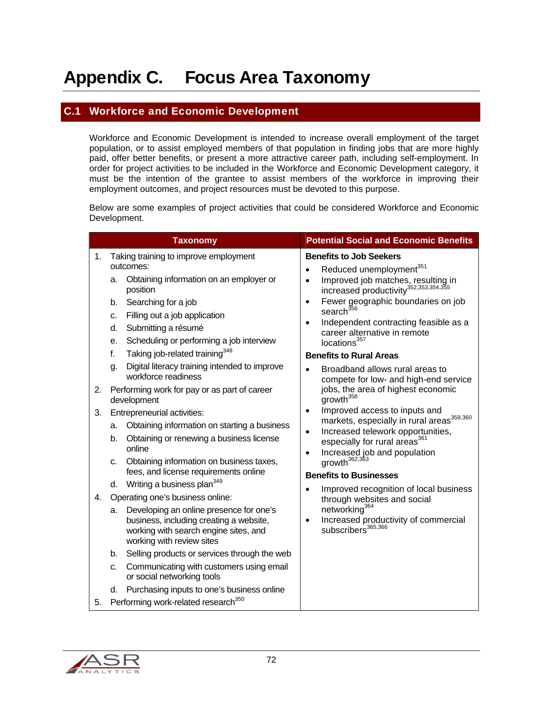# Appendix C. Focus Area Taxonomy

#### C.1 Workforce and Economic Development

Workforce and Economic Development is intended to increase overall employment of the target population, or to assist employed members of that population in finding jobs that are more highly paid, offer better benefits, or present a more attractive career path, including self-employment. In order for project activities to be included in the Workforce and Economic Development category, it must be the intention of the grantee to assist members of the workforce in improving their employment outcomes, and project resources must be devoted to this purpose.

Below are some examples of project activities that could be considered Workforce and Economic Development.

|    | <b>Taxonomy</b>                                                                                                                                                | <b>Potential Social and Economic Benefits</b>                                                                                            |
|----|----------------------------------------------------------------------------------------------------------------------------------------------------------------|------------------------------------------------------------------------------------------------------------------------------------------|
| 1. | Taking training to improve employment<br>outcomes:                                                                                                             | <b>Benefits to Job Seekers</b><br>Reduced unemployment <sup>351</sup><br>$\bullet$                                                       |
|    | Obtaining information on an employer or<br>а.<br>position                                                                                                      | Improved job matches, resulting in<br>$\bullet$<br>increased productivity <sup>352,353,354,355</sup>                                     |
|    | Searching for a job<br>b.<br>Filling out a job application<br>c.                                                                                               | Fewer geographic boundaries on job<br>$\bullet$<br>search <sup>356</sup><br>Independent contracting feasible as a<br>$\bullet$           |
|    | Submitting a résumé<br>d.<br>Scheduling or performing a job interview<br>е.                                                                                    | career alternative in remote<br>locations <sup>357</sup>                                                                                 |
|    | Taking job-related training <sup>348</sup><br>f.<br>Digital literacy training intended to improve<br>g.<br>workforce readiness                                 | <b>Benefits to Rural Areas</b><br>Broadband allows rural areas to<br>compete for low- and high-end service                               |
| 2. | Performing work for pay or as part of career<br>development                                                                                                    | jobs, the area of highest economic<br>growth <sup>358</sup>                                                                              |
| 3. | Entrepreneurial activities:<br>Obtaining information on starting a business<br>а.                                                                              | Improved access to inputs and<br>$\bullet$<br>markets, especially in rural areas <sup>359,360</sup>                                      |
|    | Obtaining or renewing a business license<br>b.<br>online                                                                                                       | Increased telework opportunities,<br>$\bullet$<br>especially for rural areas <sup>361</sup><br>Increased job and population<br>$\bullet$ |
|    | Obtaining information on business taxes,<br>c.<br>fees, and license requirements online                                                                        | growth <sup>362,363</sup><br><b>Benefits to Businesses</b>                                                                               |
| 4. | Writing a business plan <sup>349</sup><br>d.<br>Operating one's business online:                                                                               | Improved recognition of local business<br>$\bullet$<br>through websites and social                                                       |
|    | Developing an online presence for one's<br>a.<br>business, including creating a website,<br>working with search engine sites, and<br>working with review sites | networking <sup>364</sup><br>Increased productivity of commercial<br>$\bullet$<br>subscribers <sup>365,366</sup>                         |
|    | Selling products or services through the web<br>b.                                                                                                             |                                                                                                                                          |
|    | Communicating with customers using email<br>c.<br>or social networking tools                                                                                   |                                                                                                                                          |
|    | Purchasing inputs to one's business online<br>d.                                                                                                               |                                                                                                                                          |
| 5. | Performing work-related research <sup>350</sup>                                                                                                                |                                                                                                                                          |

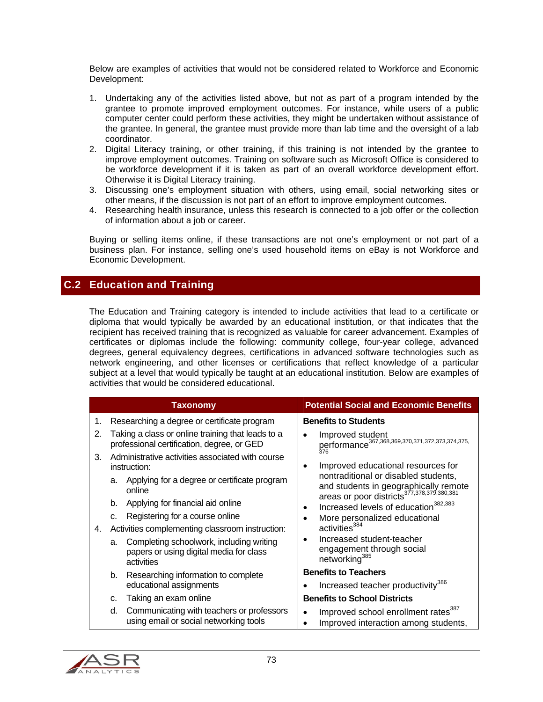Below are examples of activities that would not be considered related to Workforce and Economic Development:

- 1. Undertaking any of the activities listed above, but not as part of a program intended by the grantee to promote improved employment outcomes. For instance, while users of a public computer center could perform these activities, they might be undertaken without assistance of the grantee. In general, the grantee must provide more than lab time and the oversight of a lab coordinator.
- 2. Digital Literacy training, or other training, if this training is not intended by the grantee to improve employment outcomes. Training on software such as Microsoft Office is considered to be workforce development if it is taken as part of an overall workforce development effort. Otherwise it is Digital Literacy training.
- 3. Discussing one's employment situation with others, using email, social networking sites or other means, if the discussion is not part of an effort to improve employment outcomes.
- 4. Researching health insurance, unless this research is connected to a job offer or the collection of information about a job or career.

Buying or selling items online, if these transactions are not one's employment or not part of a business plan. For instance, selling one's used household items on eBay is not Workforce and Economic Development.

## C.2 Education and Training

The Education and Training category is intended to include activities that lead to a certificate or diploma that would typically be awarded by an educational institution, or that indicates that the recipient has received training that is recognized as valuable for career advancement. Examples of certificates or diplomas include the following: community college, four-year college, advanced degrees, general equivalency degrees, certifications in advanced software technologies such as network engineering, and other licenses or certifications that reflect knowledge of a particular subject at a level that would typically be taught at an educational institution. Below are examples of activities that would be considered educational.

|    | <b>Taxonomy</b>                                                                                         | <b>Potential Social and Economic Benefits</b>                                                                                           |
|----|---------------------------------------------------------------------------------------------------------|-----------------------------------------------------------------------------------------------------------------------------------------|
| 1. | Researching a degree or certificate program                                                             | <b>Benefits to Students</b>                                                                                                             |
| 2. | Taking a class or online training that leads to a<br>professional certification, degree, or GED         | Improved student<br>$\bullet$<br>performance <sup>367,368,369,370,371,372,373,374,375,</sup>                                            |
| 3. | Administrative activities associated with course<br>instruction:                                        | Improved educational resources for<br>٠                                                                                                 |
|    | Applying for a degree or certificate program<br>a.<br>online                                            | nontraditional or disabled students,<br>and students in geographically remote<br>areas or poor districts <sup>377,378,379,380,381</sup> |
|    | Applying for financial aid online<br>b.                                                                 | Increased levels of education <sup>382,383</sup><br>٠                                                                                   |
|    | Registering for a course online<br>C.                                                                   | More personalized educational                                                                                                           |
| 4. | Activities complementing classroom instruction:                                                         | activities <sup>384</sup>                                                                                                               |
|    | Completing schoolwork, including writing<br>a.<br>papers or using digital media for class<br>activities | Increased student-teacher<br>٠<br>engagement through social<br>networking <sup>385</sup>                                                |
|    | Researching information to complete<br>b.                                                               | <b>Benefits to Teachers</b>                                                                                                             |
|    | educational assignments                                                                                 | Increased teacher productivity <sup>386</sup>                                                                                           |
|    | Taking an exam online<br>C.                                                                             | <b>Benefits to School Districts</b>                                                                                                     |
|    | Communicating with teachers or professors<br>d.<br>using email or social networking tools               | Improved school enrollment rates <sup>387</sup><br>$\bullet$<br>Improved interaction among students,                                    |

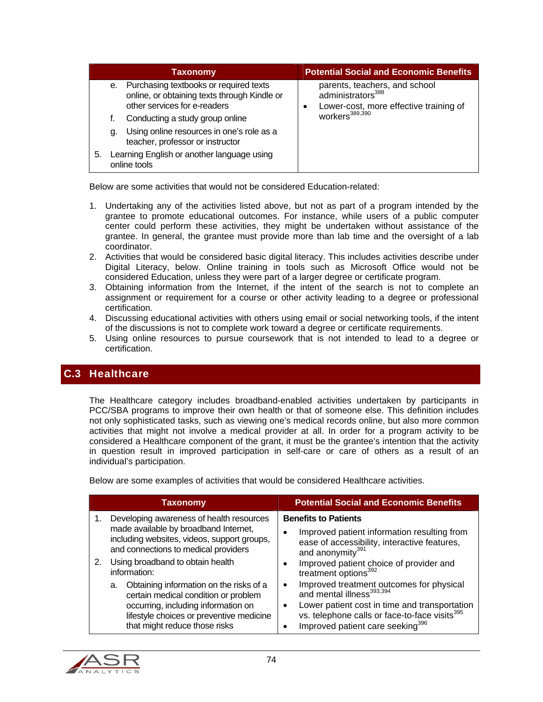|                                                                  |    | Taxonomy                                                                                                                  | <b>Potential Social and Economic Benefits</b>                                                                 |
|------------------------------------------------------------------|----|---------------------------------------------------------------------------------------------------------------------------|---------------------------------------------------------------------------------------------------------------|
|                                                                  |    | e. Purchasing textbooks or required texts<br>online, or obtaining texts through Kindle or<br>other services for e-readers | parents, teachers, and school<br>administrators <sup>388</sup><br>Lower-cost, more effective training of<br>٠ |
|                                                                  |    | Conducting a study group online                                                                                           | workers <sup>389,390</sup>                                                                                    |
|                                                                  | q. | Using online resources in one's role as a<br>teacher, professor or instructor                                             |                                                                                                               |
| Learning English or another language using<br>5.<br>online tools |    |                                                                                                                           |                                                                                                               |

Below are some activities that would not be considered Education-related:

- 1. Undertaking any of the activities listed above, but not as part of a program intended by the grantee to promote educational outcomes. For instance, while users of a public computer center could perform these activities, they might be undertaken without assistance of the grantee. In general, the grantee must provide more than lab time and the oversight of a lab coordinator.
- 2. Activities that would be considered basic digital literacy. This includes activities describe under Digital Literacy, below. Online training in tools such as Microsoft Office would not be considered Education, unless they were part of a larger degree or certificate program.
- 3. Obtaining information from the Internet, if the intent of the search is not to complete an assignment or requirement for a course or other activity leading to a degree or professional certification.
- 4. Discussing educational activities with others using email or social networking tools, if the intent of the discussions is not to complete work toward a degree or certificate requirements.
- 5. Using online resources to pursue coursework that is not intended to lead to a degree or certification.

# C.3 Healthcare

The Healthcare category includes broadband-enabled activities undertaken by participants in PCC/SBA programs to improve their own health or that of someone else. This definition includes not only sophisticated tasks, such as viewing one's medical records online, but also more common activities that might not involve a medical provider at all. In order for a program activity to be considered a Healthcare component of the grant, it must be the grantee's intention that the activity in question result in improved participation in self-care or care of others as a result of an individual's participation.

Below are some examples of activities that would be considered Healthcare activities.

| <b>Taxonomy</b>                                                                                                                                                                                                                                                                                                                                                                                                                              | <b>Potential Social and Economic Benefits</b>                                                                                                                                                                                                                                                                                                                                                                                                                                                                               |
|----------------------------------------------------------------------------------------------------------------------------------------------------------------------------------------------------------------------------------------------------------------------------------------------------------------------------------------------------------------------------------------------------------------------------------------------|-----------------------------------------------------------------------------------------------------------------------------------------------------------------------------------------------------------------------------------------------------------------------------------------------------------------------------------------------------------------------------------------------------------------------------------------------------------------------------------------------------------------------------|
| Developing awareness of health resources<br>made available by broadband Internet,<br>including websites, videos, support groups,<br>and connections to medical providers<br>Using broadband to obtain health<br>2.<br>information:<br>a. Obtaining information on the risks of a<br>certain medical condition or problem<br>occurring, including information on<br>lifestyle choices or preventive medicine<br>that might reduce those risks | <b>Benefits to Patients</b><br>Improved patient information resulting from<br>$\bullet$<br>ease of accessibility, interactive features,<br>and anonymity <sup>391</sup><br>Improved patient choice of provider and<br>treatment options <sup>392</sup><br>Improved treatment outcomes for physical<br>$\bullet$<br>and mental illness <sup>393,394</sup><br>Lower patient cost in time and transportation<br>٠<br>vs. telephone calls or face-to-face visits <sup>395</sup><br>Improved patient care seeking <sup>396</sup> |

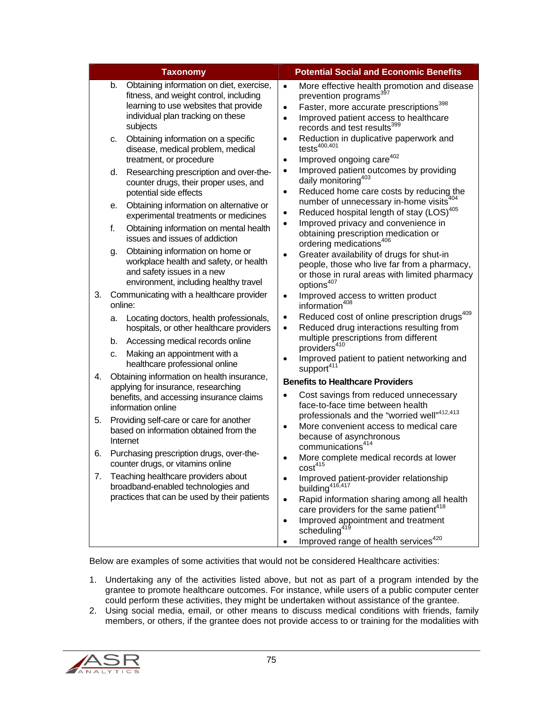|    |    | <b>Taxonomy</b>                                                                                                                                                              |                                     | <b>Potential Social and Economic Benefits</b>                                                                                                                                                                               |
|----|----|------------------------------------------------------------------------------------------------------------------------------------------------------------------------------|-------------------------------------|-----------------------------------------------------------------------------------------------------------------------------------------------------------------------------------------------------------------------------|
|    | b. | Obtaining information on diet, exercise,<br>fitness, and weight control, including<br>learning to use websites that provide<br>individual plan tracking on these<br>subjects | $\bullet$<br>$\bullet$<br>$\bullet$ | More effective health promotion and disease<br>prevention programs <sup>397</sup><br>Faster, more accurate prescriptions <sup>398</sup><br>Improved patient access to healthcare<br>records and test results <sup>399</sup> |
|    | C. | Obtaining information on a specific<br>disease, medical problem, medical<br>treatment, or procedure                                                                          | $\bullet$<br>$\bullet$              | Reduction in duplicative paperwork and<br>$tests^{400,401}$<br>Improved ongoing care <sup>402</sup>                                                                                                                         |
|    | d. | Researching prescription and over-the-<br>counter drugs, their proper uses, and<br>potential side effects                                                                    | $\bullet$<br>$\bullet$              | Improved patient outcomes by providing<br>daily monitoring <sup>403</sup><br>Reduced home care costs by reducing the                                                                                                        |
|    | е. | Obtaining information on alternative or<br>experimental treatments or medicines                                                                                              | $\bullet$                           | number of unnecessary in-home visits <sup>404</sup><br>Reduced hospital length of stay (LOS) <sup>405</sup>                                                                                                                 |
|    | f. | Obtaining information on mental health<br>issues and issues of addiction                                                                                                     | $\bullet$                           | Improved privacy and convenience in<br>obtaining prescription medication or<br>ordering medications <sup>406</sup>                                                                                                          |
|    | g. | Obtaining information on home or<br>workplace health and safety, or health<br>and safety issues in a new<br>environment, including healthy travel                            | $\bullet$                           | Greater availability of drugs for shut-in<br>people, those who live far from a pharmacy,<br>or those in rural areas with limited pharmacy<br>options <sup>407</sup>                                                         |
| 3. |    | Communicating with a healthcare provider<br>online:                                                                                                                          | $\bullet$                           | Improved access to written product<br>information <sup>408</sup>                                                                                                                                                            |
|    | a. | Locating doctors, health professionals,<br>hospitals, or other healthcare providers                                                                                          | $\bullet$<br>$\bullet$              | Reduced cost of online prescription drugs <sup>409</sup><br>Reduced drug interactions resulting from                                                                                                                        |
|    | b. | Accessing medical records online                                                                                                                                             |                                     | multiple prescriptions from different<br>providers <sup>410</sup>                                                                                                                                                           |
|    | c. | Making an appointment with a<br>healthcare professional online                                                                                                               | $\bullet$                           | Improved patient to patient networking and<br>support <sup>411</sup>                                                                                                                                                        |
| 4. |    | Obtaining information on health insurance,<br>applying for insurance, researching                                                                                            |                                     | <b>Benefits to Healthcare Providers</b>                                                                                                                                                                                     |
|    |    | benefits, and accessing insurance claims<br>information online                                                                                                               | $\bullet$                           | Cost savings from reduced unnecessary<br>face-to-face time between health                                                                                                                                                   |
| 5. |    | Providing self-care or care for another<br>based on information obtained from the<br>Internet                                                                                | $\bullet$                           | professionals and the "worried well" <sup>412,413</sup><br>More convenient access to medical care<br>because of asynchronous<br>communications <sup>414</sup>                                                               |
| 6. |    | Purchasing prescription drugs, over-the-<br>counter drugs, or vitamins online                                                                                                |                                     | More complete medical records at lower<br>cost <sup>415</sup>                                                                                                                                                               |
| 7. |    | Teaching healthcare providers about<br>broadband-enabled technologies and<br>practices that can be used by their patients                                                    | $\bullet$<br>$\bullet$              | Improved patient-provider relationship<br>building <sup>416,417</sup><br>Rapid information sharing among all health                                                                                                         |
|    |    |                                                                                                                                                                              |                                     | care providers for the same patient <sup>418</sup>                                                                                                                                                                          |
|    |    |                                                                                                                                                                              | $\bullet$                           | Improved appointment and treatment<br>scheduling                                                                                                                                                                            |
|    |    |                                                                                                                                                                              |                                     | Improved range of health services <sup>420</sup>                                                                                                                                                                            |

Below are examples of some activities that would not be considered Healthcare activities:

- 1. Undertaking any of the activities listed above, but not as part of a program intended by the grantee to promote healthcare outcomes. For instance, while users of a public computer center could perform these activities, they might be undertaken without assistance of the grantee.
- 2. Using social media, email, or other means to discuss medical conditions with friends, family members, or others, if the grantee does not provide access to or training for the modalities with

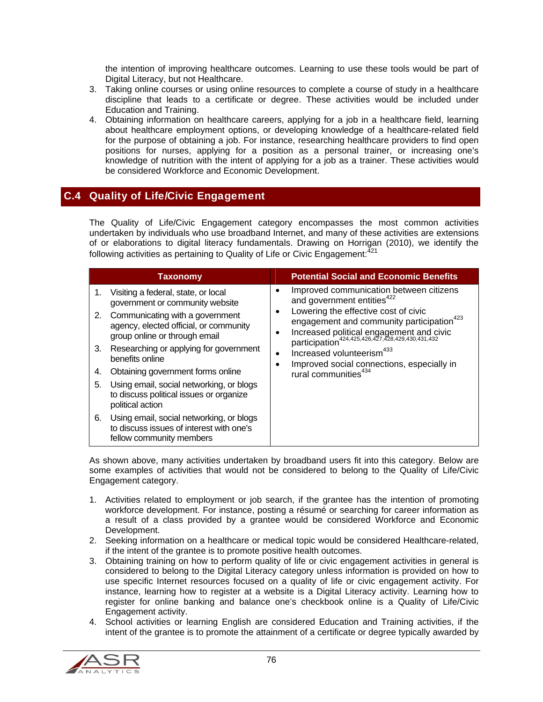the intention of improving healthcare outcomes. Learning to use these tools would be part of Digital Literacy, but not Healthcare.

- 3. Taking online courses or using online resources to complete a course of study in a healthcare discipline that leads to a certificate or degree. These activities would be included under Education and Training.
- 4. Obtaining information on healthcare careers, applying for a job in a healthcare field, learning about healthcare employment options, or developing knowledge of a healthcare-related field for the purpose of obtaining a job. For instance, researching healthcare providers to find open positions for nurses, applying for a position as a personal trainer, or increasing one's knowledge of nutrition with the intent of applying for a job as a trainer. These activities would be considered Workforce and Economic Development.

# C.4 Quality of Life/Civic Engagement

The Quality of Life/Civic Engagement category encompasses the most common activities undertaken by individuals who use broadband Internet, and many of these activities are extensions of or elaborations to digital literacy fundamentals. Drawing on Horrigan (2010), we identify the following activities as pertaining to Quality of Life or Civic Engagement: $^{421}$ 

| <b>Taxonomy</b>                                                                                                                                                                                                                                                                                                                                                                                                                                                                                                                                        | <b>Potential Social and Economic Benefits</b>                                                                                                                                                                                                                                                                                                                                                                                  |
|--------------------------------------------------------------------------------------------------------------------------------------------------------------------------------------------------------------------------------------------------------------------------------------------------------------------------------------------------------------------------------------------------------------------------------------------------------------------------------------------------------------------------------------------------------|--------------------------------------------------------------------------------------------------------------------------------------------------------------------------------------------------------------------------------------------------------------------------------------------------------------------------------------------------------------------------------------------------------------------------------|
| Visiting a federal, state, or local<br>1.<br>government or community website<br>2. Communicating with a government<br>agency, elected official, or community<br>group online or through email<br>Researching or applying for government<br>3.<br>benefits online<br>Obtaining government forms online<br>4.<br>Using email, social networking, or blogs<br>5.<br>to discuss political issues or organize<br>political action<br>Using email, social networking, or blogs<br>6.<br>to discuss issues of interest with one's<br>fellow community members | Improved communication between citizens<br>and government entities <sup>422</sup><br>Lowering the effective cost of civic<br>engagement and community participation <sup>423</sup><br>Increased political engagement and civic<br>participation <sup>424,425,426,427,428,429,430,431,432</sup><br>Increased volunteerism <sup>433</sup><br>٠<br>Improved social connections, especially in<br>rural communities <sup>434</sup> |

As shown above, many activities undertaken by broadband users fit into this category. Below are some examples of activities that would not be considered to belong to the Quality of Life/Civic Engagement category.

- 1. Activities related to employment or job search, if the grantee has the intention of promoting workforce development. For instance, posting a résumé or searching for career information as a result of a class provided by a grantee would be considered Workforce and Economic Development.
- 2. Seeking information on a healthcare or medical topic would be considered Healthcare-related, if the intent of the grantee is to promote positive health outcomes.
- 3. Obtaining training on how to perform quality of life or civic engagement activities in general is considered to belong to the Digital Literacy category unless information is provided on how to use specific Internet resources focused on a quality of life or civic engagement activity. For instance, learning how to register at a website is a Digital Literacy activity. Learning how to register for online banking and balance one's checkbook online is a Quality of Life/Civic Engagement activity.
- 4. School activities or learning English are considered Education and Training activities, if the intent of the grantee is to promote the attainment of a certificate or degree typically awarded by

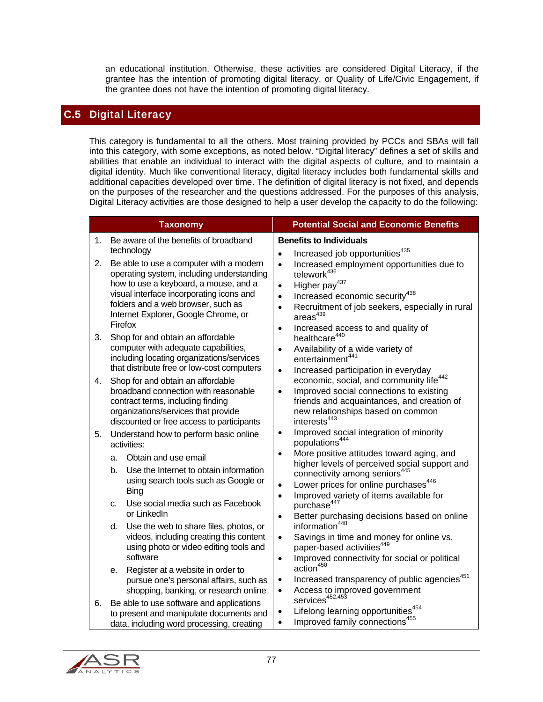an educational institution. Otherwise, these activities are considered Digital Literacy, if the grantee has the intention of promoting digital literacy, or Quality of Life/Civic Engagement, if the grantee does not have the intention of promoting digital literacy.

### C.5 Digital Literacy

This category is fundamental to all the others. Most training provided by PCCs and SBAs will fall into this category, with some exceptions, as noted below. "Digital literacy" defines a set of skills and abilities that enable an individual to interact with the digital aspects of culture, and to maintain a digital identity. Much like conventional literacy, digital literacy includes both fundamental skills and additional capacities developed over time. The definition of digital literacy is not fixed, and depends on the purposes of the researcher and the questions addressed. For the purposes of this analysis, Digital Literacy activities are those designed to help a user develop the capacity to do the following:

|    | <b>Taxonomy</b>                                                                                                                                                                                                                                                                  | <b>Potential Social and Economic Benefits</b>                                                                                                                                                                                                                                                                                                                                                |  |  |  |  |  |  |  |  |  |
|----|----------------------------------------------------------------------------------------------------------------------------------------------------------------------------------------------------------------------------------------------------------------------------------|----------------------------------------------------------------------------------------------------------------------------------------------------------------------------------------------------------------------------------------------------------------------------------------------------------------------------------------------------------------------------------------------|--|--|--|--|--|--|--|--|--|
| 1. | Be aware of the benefits of broadband                                                                                                                                                                                                                                            | <b>Benefits to Individuals</b>                                                                                                                                                                                                                                                                                                                                                               |  |  |  |  |  |  |  |  |  |
| 2. | technology<br>Be able to use a computer with a modern<br>operating system, including understanding<br>how to use a keyboard, a mouse, and a<br>visual interface incorporating icons and<br>folders and a web browser, such as<br>Internet Explorer, Google Chrome, or<br>Firefox | Increased job opportunities <sup>435</sup><br>$\bullet$<br>Increased employment opportunities due to<br>$\bullet$<br>telework <sup>436</sup><br>Higher pay <sup>437</sup><br>$\bullet$<br>Increased economic security <sup>438</sup><br>$\bullet$<br>Recruitment of job seekers, especially in rural<br>$\bullet$<br>areas <sup>439</sup><br>Increased access to and quality of<br>$\bullet$ |  |  |  |  |  |  |  |  |  |
| 3. | Shop for and obtain an affordable<br>computer with adequate capabilities,<br>including locating organizations/services<br>that distribute free or low-cost computers                                                                                                             | healthcare <sup>440</sup><br>Availability of a wide variety of<br>$\bullet$<br>entertainment <sup>441</sup><br>Increased participation in everyday<br>$\bullet$                                                                                                                                                                                                                              |  |  |  |  |  |  |  |  |  |
| 4. | Shop for and obtain an affordable<br>broadband connection with reasonable<br>contract terms, including finding<br>organizations/services that provide<br>discounted or free access to participants                                                                               | economic, social, and community life <sup>442</sup><br>Improved social connections to existing<br>$\bullet$<br>friends and acquaintances, and creation of<br>new relationships based on common<br>interests <sup>443</sup>                                                                                                                                                                   |  |  |  |  |  |  |  |  |  |
| 5. | Understand how to perform basic online<br>activities:                                                                                                                                                                                                                            | Improved social integration of minority<br>$\bullet$<br>populations <sup>444</sup>                                                                                                                                                                                                                                                                                                           |  |  |  |  |  |  |  |  |  |
|    | Obtain and use email<br>a.<br>b.<br>Use the Internet to obtain information<br>using search tools such as Google or<br><b>Bing</b>                                                                                                                                                | More positive attitudes toward aging, and<br>$\bullet$<br>higher levels of perceived social support and<br>connectivity among seniors <sup>445</sup><br>Lower prices for online purchases <sup>446</sup><br>$\bullet$<br>Improved variety of items available for<br>$\bullet$                                                                                                                |  |  |  |  |  |  |  |  |  |
|    | Use social media such as Facebook<br>C.<br>or LinkedIn                                                                                                                                                                                                                           | purchase <sup>447</sup><br>Better purchasing decisions based on online<br>$\bullet$                                                                                                                                                                                                                                                                                                          |  |  |  |  |  |  |  |  |  |
|    | Use the web to share files, photos, or<br>d.<br>videos, including creating this content<br>using photo or video editing tools and<br>software                                                                                                                                    | information <sup>448</sup><br>Savings in time and money for online vs.<br>$\bullet$<br>paper-based activities <sup>449</sup><br>Improved connectivity for social or political<br>$\bullet$                                                                                                                                                                                                   |  |  |  |  |  |  |  |  |  |
|    | Register at a website in order to<br>е.<br>pursue one's personal affairs, such as<br>shopping, banking, or research online                                                                                                                                                       | action <sup>450</sup><br>Increased transparency of public agencies <sup>451</sup><br>$\bullet$<br>Access to improved government<br>services <sup>452,453</sup><br>$\bullet$                                                                                                                                                                                                                  |  |  |  |  |  |  |  |  |  |
| 6. | Be able to use software and applications<br>to present and manipulate documents and<br>data, including word processing, creating                                                                                                                                                 | Lifelong learning opportunities <sup>454</sup><br>$\bullet$<br>Improved family connections <sup>455</sup><br>$\bullet$                                                                                                                                                                                                                                                                       |  |  |  |  |  |  |  |  |  |

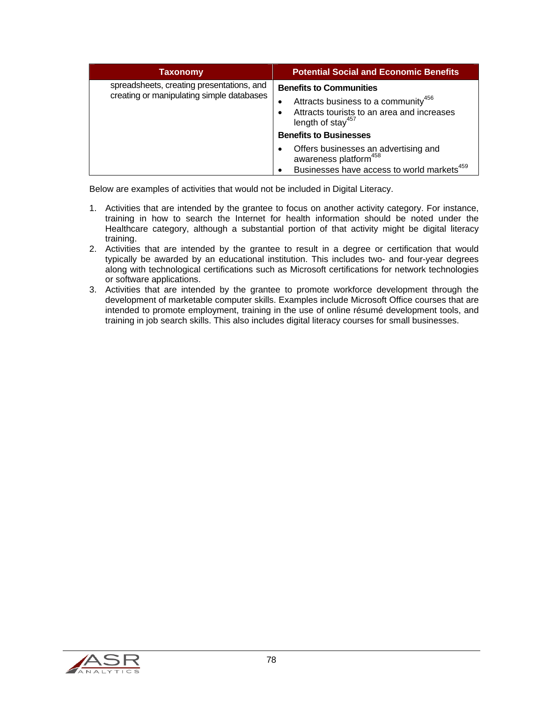| <b>Taxonomy</b>                                                                        | <b>Potential Social and Economic Benefits</b>                                                                                                                                                          |  |  |  |  |  |  |  |
|----------------------------------------------------------------------------------------|--------------------------------------------------------------------------------------------------------------------------------------------------------------------------------------------------------|--|--|--|--|--|--|--|
| spreadsheets, creating presentations, and<br>creating or manipulating simple databases | <b>Benefits to Communities</b><br>Attracts business to a community <sup>456</sup><br>٠<br>Attracts tourists to an area and increases<br>length of stay <sup>457</sup><br><b>Benefits to Businesses</b> |  |  |  |  |  |  |  |
|                                                                                        | Offers businesses an advertising and<br>awareness platform <sup>458</sup><br>Businesses have access to world markets <sup>459</sup>                                                                    |  |  |  |  |  |  |  |

Below are examples of activities that would not be included in Digital Literacy.

- 1. Activities that are intended by the grantee to focus on another activity category. For instance, training in how to search the Internet for health information should be noted under the Healthcare category, although a substantial portion of that activity might be digital literacy training.
- 2. Activities that are intended by the grantee to result in a degree or certification that would typically be awarded by an educational institution. This includes two- and four-year degrees along with technological certifications such as Microsoft certifications for network technologies or software applications.
- 3. Activities that are intended by the grantee to promote workforce development through the development of marketable computer skills. Examples include Microsoft Office courses that are intended to promote employment, training in the use of online résumé development tools, and training in job search skills. This also includes digital literacy courses for small businesses.

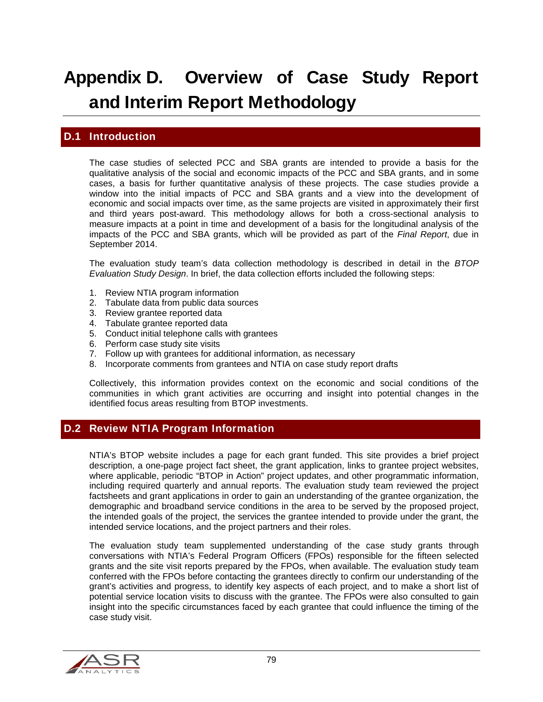# Appendix D. Overview of Case Study Report and Interim Report Methodology

## D.1 Introduction

The case studies of selected PCC and SBA grants are intended to provide a basis for the qualitative analysis of the social and economic impacts of the PCC and SBA grants, and in some cases, a basis for further quantitative analysis of these projects. The case studies provide a window into the initial impacts of PCC and SBA grants and a view into the development of economic and social impacts over time, as the same projects are visited in approximately their first and third years post-award. This methodology allows for both a cross-sectional analysis to measure impacts at a point in time and development of a basis for the longitudinal analysis of the impacts of the PCC and SBA grants, which will be provided as part of the *Final Report*, due in September 2014.

The evaluation study team's data collection methodology is described in detail in the *BTOP Evaluation Study Design*. In brief, the data collection efforts included the following steps:

- 1. Review NTIA program information
- 2. Tabulate data from public data sources
- 3. Review grantee reported data
- 4. Tabulate grantee reported data
- 5. Conduct initial telephone calls with grantees
- 6. Perform case study site visits
- 7. Follow up with grantees for additional information, as necessary
- 8. Incorporate comments from grantees and NTIA on case study report drafts

Collectively, this information provides context on the economic and social conditions of the communities in which grant activities are occurring and insight into potential changes in the identified focus areas resulting from BTOP investments.

#### D.2 Review NTIA Program Information

NTIA's BTOP website includes a page for each grant funded. This site provides a brief project description, a one-page project fact sheet, the grant application, links to grantee project websites, where applicable, periodic "BTOP in Action" project updates, and other programmatic information, including required quarterly and annual reports. The evaluation study team reviewed the project factsheets and grant applications in order to gain an understanding of the grantee organization, the demographic and broadband service conditions in the area to be served by the proposed project, the intended goals of the project, the services the grantee intended to provide under the grant, the intended service locations, and the project partners and their roles.

The evaluation study team supplemented understanding of the case study grants through conversations with NTIA's Federal Program Officers (FPOs) responsible for the fifteen selected grants and the site visit reports prepared by the FPOs, when available. The evaluation study team conferred with the FPOs before contacting the grantees directly to confirm our understanding of the grant's activities and progress, to identify key aspects of each project, and to make a short list of potential service location visits to discuss with the grantee. The FPOs were also consulted to gain insight into the specific circumstances faced by each grantee that could influence the timing of the case study visit.

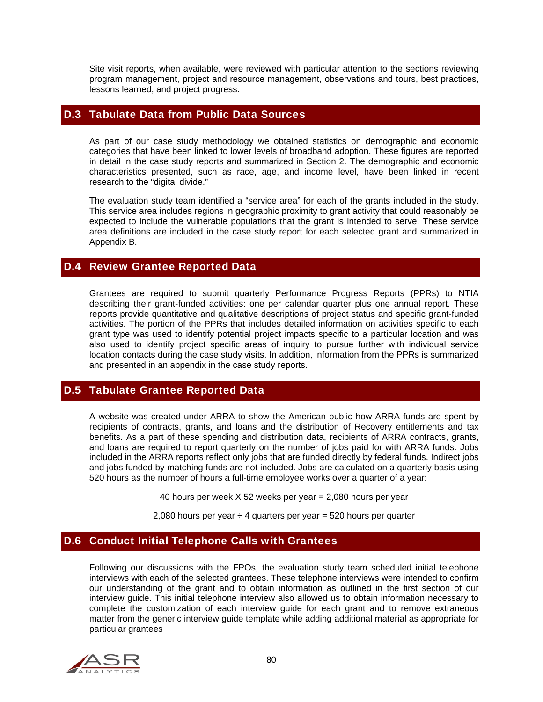Site visit reports, when available, were reviewed with particular attention to the sections reviewing program management, project and resource management, observations and tours, best practices, lessons learned, and project progress.

#### D.3 Tabulate Data from Public Data Sources

As part of our case study methodology we obtained statistics on demographic and economic categories that have been linked to lower levels of broadband adoption. These figures are reported in detail in the case study reports and summarized in Section 2. The demographic and economic characteristics presented, such as race, age, and income level, have been linked in recent research to the "digital divide."

The evaluation study team identified a "service area" for each of the grants included in the study. This service area includes regions in geographic proximity to grant activity that could reasonably be expected to include the vulnerable populations that the grant is intended to serve. These service area definitions are included in the case study report for each selected grant and summarized in Appendix B.

#### D.4 Review Grantee Reported Data

Grantees are required to submit quarterly Performance Progress Reports (PPRs) to NTIA describing their grant-funded activities: one per calendar quarter plus one annual report. These reports provide quantitative and qualitative descriptions of project status and specific grant-funded activities. The portion of the PPRs that includes detailed information on activities specific to each grant type was used to identify potential project impacts specific to a particular location and was also used to identify project specific areas of inquiry to pursue further with individual service location contacts during the case study visits. In addition, information from the PPRs is summarized and presented in an appendix in the case study reports.

#### D.5 Tabulate Grantee Reported Data

A website was created under ARRA to show the American public how ARRA funds are spent by recipients of contracts, grants, and loans and the distribution of Recovery entitlements and tax benefits. As a part of these spending and distribution data, recipients of ARRA contracts, grants, and loans are required to report quarterly on the number of jobs paid for with ARRA funds. Jobs included in the ARRA reports reflect only jobs that are funded directly by federal funds. Indirect jobs and jobs funded by matching funds are not included. Jobs are calculated on a quarterly basis using 520 hours as the number of hours a full-time employee works over a quarter of a year:

40 hours per week X 52 weeks per year = 2,080 hours per year

2,080 hours per year  $\div$  4 quarters per year = 520 hours per quarter

#### D.6 Conduct Initial Telephone Calls with Grantees

Following our discussions with the FPOs, the evaluation study team scheduled initial telephone interviews with each of the selected grantees. These telephone interviews were intended to confirm our understanding of the grant and to obtain information as outlined in the first section of our interview guide. This initial telephone interview also allowed us to obtain information necessary to complete the customization of each interview guide for each grant and to remove extraneous matter from the generic interview guide template while adding additional material as appropriate for particular grantees

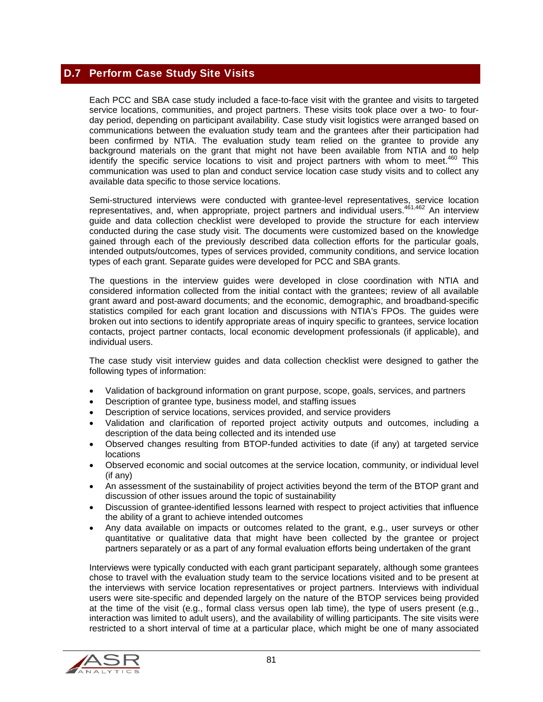## D.7 Perform Case Study Site Visits

Each PCC and SBA case study included a face-to-face visit with the grantee and visits to targeted service locations, communities, and project partners. These visits took place over a two- to fourday period, depending on participant availability. Case study visit logistics were arranged based on communications between the evaluation study team and the grantees after their participation had been confirmed by NTIA. The evaluation study team relied on the grantee to provide any background materials on the grant that might not have been available from NTIA and to help identify the specific service locations to visit and project partners with whom to meet. $460$  This communication was used to plan and conduct service location case study visits and to collect any available data specific to those service locations.

Semi-structured interviews were conducted with grantee-level representatives, service location representatives, and, when appropriate, project partners and individual users.461,462 An interview guide and data collection checklist were developed to provide the structure for each interview conducted during the case study visit. The documents were customized based on the knowledge gained through each of the previously described data collection efforts for the particular goals, intended outputs/outcomes, types of services provided, community conditions, and service location types of each grant. Separate guides were developed for PCC and SBA grants.

The questions in the interview guides were developed in close coordination with NTIA and considered information collected from the initial contact with the grantees; review of all available grant award and post-award documents; and the economic, demographic, and broadband-specific statistics compiled for each grant location and discussions with NTIA's FPOs. The guides were broken out into sections to identify appropriate areas of inquiry specific to grantees, service location contacts, project partner contacts, local economic development professionals (if applicable), and individual users.

The case study visit interview guides and data collection checklist were designed to gather the following types of information:

- Validation of background information on grant purpose, scope, goals, services, and partners
- Description of grantee type, business model, and staffing issues
- Description of service locations, services provided, and service providers
- Validation and clarification of reported project activity outputs and outcomes, including a description of the data being collected and its intended use
- Observed changes resulting from BTOP-funded activities to date (if any) at targeted service locations
- Observed economic and social outcomes at the service location, community, or individual level (if any)
- An assessment of the sustainability of project activities beyond the term of the BTOP grant and discussion of other issues around the topic of sustainability
- Discussion of grantee-identified lessons learned with respect to project activities that influence the ability of a grant to achieve intended outcomes
- Any data available on impacts or outcomes related to the grant, e.g., user surveys or other quantitative or qualitative data that might have been collected by the grantee or project partners separately or as a part of any formal evaluation efforts being undertaken of the grant

Interviews were typically conducted with each grant participant separately, although some grantees chose to travel with the evaluation study team to the service locations visited and to be present at the interviews with service location representatives or project partners. Interviews with individual users were site-specific and depended largely on the nature of the BTOP services being provided at the time of the visit (e.g., formal class versus open lab time), the type of users present (e.g., interaction was limited to adult users), and the availability of willing participants. The site visits were restricted to a short interval of time at a particular place, which might be one of many associated

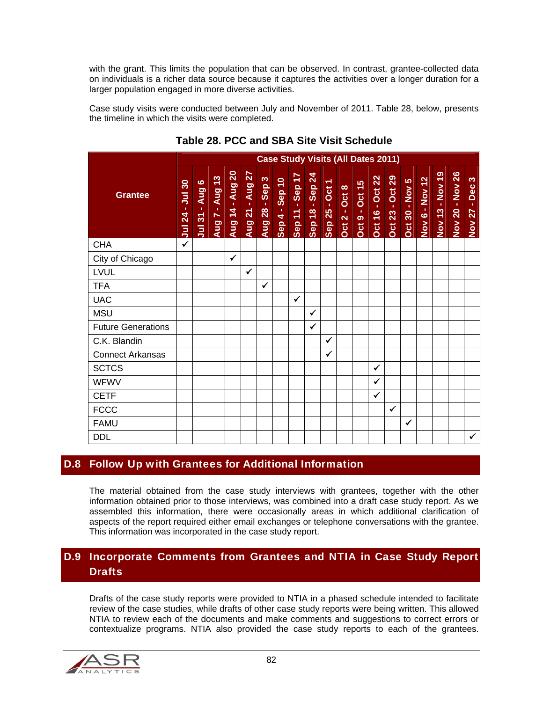with the grant. This limits the population that can be observed. In contrast, grantee-collected data on individuals is a richer data source because it captures the activities over a longer duration for a larger population engaged in more diverse activities.

Case study visits were conducted between July and November of 2011. Table 28, below, presents the timeline in which the visits were completed.

|                           | <b>Case Study Visits (All Dates 2011)</b>          |                                        |                                                                  |                 |                                                  |                          |                                    |                                                         |                                                                        |                                          |                  |                       |                                                         |                           |                   |                |                           |                                                |                                                         |
|---------------------------|----------------------------------------------------|----------------------------------------|------------------------------------------------------------------|-----------------|--------------------------------------------------|--------------------------|------------------------------------|---------------------------------------------------------|------------------------------------------------------------------------|------------------------------------------|------------------|-----------------------|---------------------------------------------------------|---------------------------|-------------------|----------------|---------------------------|------------------------------------------------|---------------------------------------------------------|
| <b>Grantee</b>            | 30 <sub>o</sub><br>$\overline{5}$<br><b>Jul 24</b> | Aug 6<br>$\mathbf{I}$<br><b>Jul 31</b> | 13<br><b>Aug</b><br>$\mathbf{u}$<br>$\blacktriangleright$<br>Aug | Aug 14 - Aug 20 | $\overline{27}$<br>Aug<br>$\mathbf{u}$<br>Aug 21 | S<br><b>Aug 28 - Sep</b> | <b>Sep 10</b><br>$\ddot{4}$<br>Sep | $\overline{17}$<br>Sep<br>$\mathbf{r}$<br><b>Sep 11</b> | $\overline{24}$<br><b>Sep</b><br>$\mathbf{r}$<br>$\frac{8}{18}$<br>Sep | $\overline{\phantom{0}}$<br>Sep 25 - Oct | Oct 8<br>Oct 2 - | <b>Oct 9 - Oct 15</b> | 22<br>Oct<br>$\mathbf{r}$<br>$\frac{6}{5}$<br><b>öd</b> | 29<br><b>Dct 23 - Oct</b> | S<br>Oct 30 - Nov | Nov 6 - Nov 12 | - Nov 19<br><b>Nov 13</b> | <b>Nov 26</b><br>$\mathbf{r}$<br><b>Nov 20</b> | $\infty$<br>Dec<br>$\mathbf{r}$<br>27<br>$\mathsf{Nov}$ |
| <b>CHA</b>                | ✓                                                  |                                        |                                                                  |                 |                                                  |                          |                                    |                                                         |                                                                        |                                          |                  |                       |                                                         |                           |                   |                |                           |                                                |                                                         |
| City of Chicago           |                                                    |                                        |                                                                  | ✓               |                                                  |                          |                                    |                                                         |                                                                        |                                          |                  |                       |                                                         |                           |                   |                |                           |                                                |                                                         |
| LVUL                      |                                                    |                                        |                                                                  |                 | ✓                                                |                          |                                    |                                                         |                                                                        |                                          |                  |                       |                                                         |                           |                   |                |                           |                                                |                                                         |
| <b>TFA</b>                |                                                    |                                        |                                                                  |                 |                                                  | $\checkmark$             |                                    |                                                         |                                                                        |                                          |                  |                       |                                                         |                           |                   |                |                           |                                                |                                                         |
| <b>UAC</b>                |                                                    |                                        |                                                                  |                 |                                                  |                          |                                    | $\checkmark$                                            |                                                                        |                                          |                  |                       |                                                         |                           |                   |                |                           |                                                |                                                         |
| <b>MSU</b>                |                                                    |                                        |                                                                  |                 |                                                  |                          |                                    |                                                         | $\checkmark$                                                           |                                          |                  |                       |                                                         |                           |                   |                |                           |                                                |                                                         |
| <b>Future Generations</b> |                                                    |                                        |                                                                  |                 |                                                  |                          |                                    |                                                         | ✓                                                                      |                                          |                  |                       |                                                         |                           |                   |                |                           |                                                |                                                         |
| C.K. Blandin              |                                                    |                                        |                                                                  |                 |                                                  |                          |                                    |                                                         |                                                                        | $\checkmark$                             |                  |                       |                                                         |                           |                   |                |                           |                                                |                                                         |
| <b>Connect Arkansas</b>   |                                                    |                                        |                                                                  |                 |                                                  |                          |                                    |                                                         |                                                                        | ✓                                        |                  |                       |                                                         |                           |                   |                |                           |                                                |                                                         |
| <b>SCTCS</b>              |                                                    |                                        |                                                                  |                 |                                                  |                          |                                    |                                                         |                                                                        |                                          |                  |                       | ✓                                                       |                           |                   |                |                           |                                                |                                                         |
| <b>WFWV</b>               |                                                    |                                        |                                                                  |                 |                                                  |                          |                                    |                                                         |                                                                        |                                          |                  |                       | ✓                                                       |                           |                   |                |                           |                                                |                                                         |
| <b>CETF</b>               |                                                    |                                        |                                                                  |                 |                                                  |                          |                                    |                                                         |                                                                        |                                          |                  |                       | ✔                                                       |                           |                   |                |                           |                                                |                                                         |
| <b>FCCC</b>               |                                                    |                                        |                                                                  |                 |                                                  |                          |                                    |                                                         |                                                                        |                                          |                  |                       |                                                         | ✓                         |                   |                |                           |                                                |                                                         |
| <b>FAMU</b>               |                                                    |                                        |                                                                  |                 |                                                  |                          |                                    |                                                         |                                                                        |                                          |                  |                       |                                                         |                           | ✓                 |                |                           |                                                |                                                         |
| <b>DDL</b>                |                                                    |                                        |                                                                  |                 |                                                  |                          |                                    |                                                         |                                                                        |                                          |                  |                       |                                                         |                           |                   |                |                           |                                                | $\checkmark$                                            |

## **Table 28. PCC and SBA Site Visit Schedule**

# D.8 Follow Up with Grantees for Additional Information

The material obtained from the case study interviews with grantees, together with the other information obtained prior to those interviews, was combined into a draft case study report. As we assembled this information, there were occasionally areas in which additional clarification of aspects of the report required either email exchanges or telephone conversations with the grantee. This information was incorporated in the case study report.

# D.9 Incorporate Comments from Grantees and NTIA in Case Study Report **Drafts**

Drafts of the case study reports were provided to NTIA in a phased schedule intended to facilitate review of the case studies, while drafts of other case study reports were being written. This allowed NTIA to review each of the documents and make comments and suggestions to correct errors or contextualize programs. NTIA also provided the case study reports to each of the grantees.

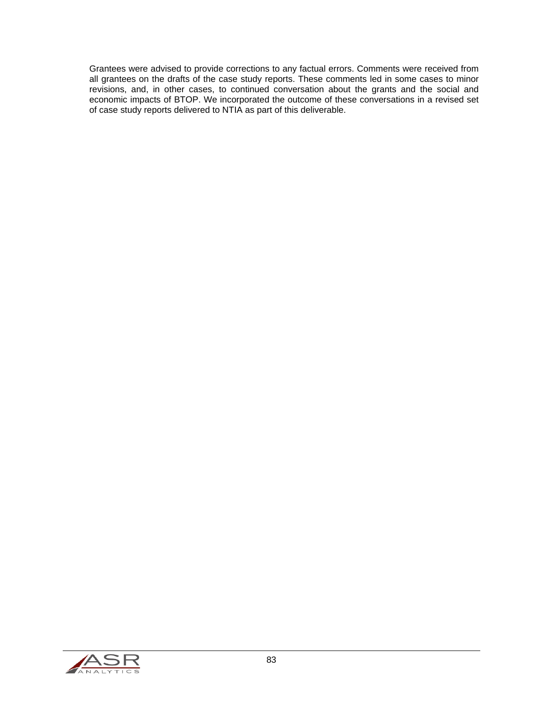Grantees were advised to provide corrections to any factual errors. Comments were received from all grantees on the drafts of the case study reports. These comments led in some cases to minor revisions, and, in other cases, to continued conversation about the grants and the social and economic impacts of BTOP. We incorporated the outcome of these conversations in a revised set of case study reports delivered to NTIA as part of this deliverable.

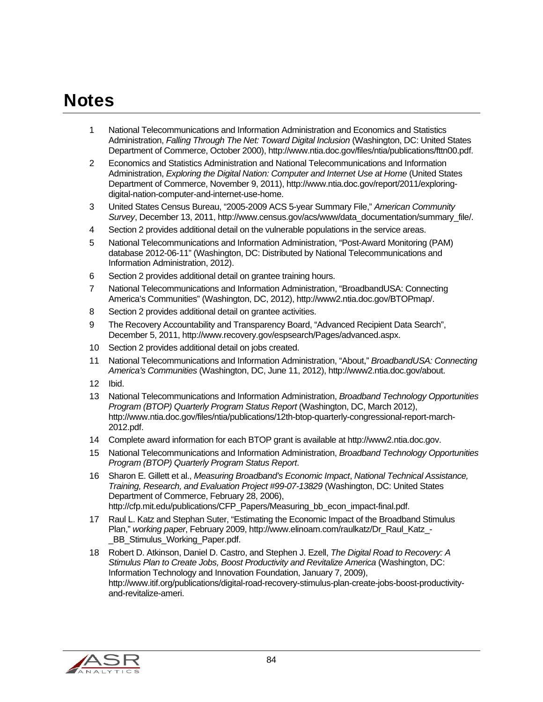# **Notes**

- 1 National Telecommunications and Information Administration and Economics and Statistics Administration, *Falling Through The Net: Toward Digital Inclusion* (Washington, DC: United States Department of Commerce, October 2000), http://www.ntia.doc.gov/files/ntia/publications/fttn00.pdf.
- 2 Economics and Statistics Administration and National Telecommunications and Information Administration, *Exploring the Digital Nation: Computer and Internet Use at Home* (United States Department of Commerce, November 9, 2011), http://www.ntia.doc.gov/report/2011/exploringdigital-nation-computer-and-internet-use-home.
- 3 United States Census Bureau, "2005-2009 ACS 5-year Summary File," *American Community Survey*, December 13, 2011, http://www.census.gov/acs/www/data\_documentation/summary\_file/.
- 4 Section 2 provides additional detail on the vulnerable populations in the service areas.
- 5 National Telecommunications and Information Administration, "Post-Award Monitoring (PAM) database 2012-06-11" (Washington, DC: Distributed by National Telecommunications and Information Administration, 2012).
- 6 Section 2 provides additional detail on grantee training hours.
- 7 National Telecommunications and Information Administration, "BroadbandUSA: Connecting America's Communities" (Washington, DC, 2012), http://www2.ntia.doc.gov/BTOPmap/.
- 8 Section 2 provides additional detail on grantee activities.
- 9 The Recovery Accountability and Transparency Board, "Advanced Recipient Data Search", December 5, 2011, http://www.recovery.gov/espsearch/Pages/advanced.aspx.
- 10 Section 2 provides additional detail on jobs created.
- 11 National Telecommunications and Information Administration, "About," *BroadbandUSA: Connecting America's Communities* (Washington, DC, June 11, 2012), http://www2.ntia.doc.gov/about.
- 12 Ibid.
- 13 National Telecommunications and Information Administration, *Broadband Technology Opportunities Program (BTOP) Quarterly Program Status Report* (Washington, DC, March 2012), http://www.ntia.doc.gov/files/ntia/publications/12th-btop-quarterly-congressional-report-march-2012.pdf.
- 14 Complete award information for each BTOP grant is available at http://www2.ntia.doc.gov.
- 15 National Telecommunications and Information Administration, *Broadband Technology Opportunities Program (BTOP) Quarterly Program Status Report*.
- 16 Sharon E. Gillett et al., *Measuring Broadband's Economic Impact*, *National Technical Assistance, Training, Research, and Evaluation Project #99-07-13829* (Washington, DC: United States Department of Commerce, February 28, 2006), http://cfp.mit.edu/publications/CFP\_Papers/Measuring\_bb\_econ\_impact-final.pdf.
- 17 Raul L. Katz and Stephan Suter, "Estimating the Economic Impact of the Broadband Stimulus Plan," *working paper*, February 2009, http://www.elinoam.com/raulkatz/Dr\_Raul\_Katz\_- BB\_Stimulus\_Working\_Paper.pdf.
- 18 Robert D. Atkinson, Daniel D. Castro, and Stephen J. Ezell, *The Digital Road to Recovery: A Stimulus Plan to Create Jobs, Boost Productivity and Revitalize America* (Washington, DC: Information Technology and Innovation Foundation, January 7, 2009), http://www.itif.org/publications/digital-road-recovery-stimulus-plan-create-jobs-boost-productivityand-revitalize-ameri.

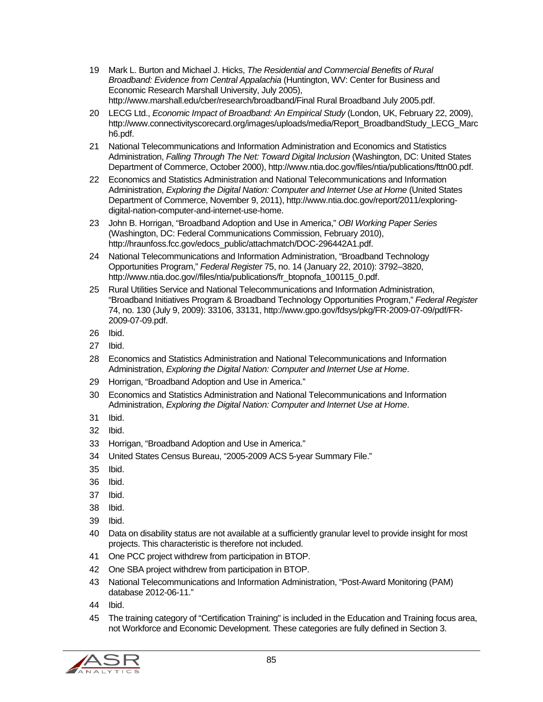- 19 Mark L. Burton and Michael J. Hicks, *The Residential and Commercial Benefits of Rural Broadband: Evidence from Central Appalachia* (Huntington, WV: Center for Business and Economic Research Marshall University, July 2005), http://www.marshall.edu/cber/research/broadband/Final Rural Broadband July 2005.pdf.
- 20 LECG Ltd., *Economic Impact of Broadband: An Empirical Study* (London, UK, February 22, 2009), http://www.connectivityscorecard.org/images/uploads/media/Report\_BroadbandStudy\_LECG\_Marc h6.pdf.
- 21 National Telecommunications and Information Administration and Economics and Statistics Administration, *Falling Through The Net: Toward Digital Inclusion* (Washington, DC: United States Department of Commerce, October 2000), http://www.ntia.doc.gov/files/ntia/publications/fttn00.pdf.
- 22 Economics and Statistics Administration and National Telecommunications and Information Administration, *Exploring the Digital Nation: Computer and Internet Use at Home* (United States Department of Commerce, November 9, 2011), http://www.ntia.doc.gov/report/2011/exploringdigital-nation-computer-and-internet-use-home.
- 23 John B. Horrigan, "Broadband Adoption and Use in America," *OBI Working Paper Series* (Washington, DC: Federal Communications Commission, February 2010), http://hraunfoss.fcc.gov/edocs\_public/attachmatch/DOC-296442A1.pdf.
- 24 National Telecommunications and Information Administration, "Broadband Technology Opportunities Program," *Federal Register* 75, no. 14 (January 22, 2010): 3792–3820, http://www.ntia.doc.gov//files/ntia/publications/fr\_btopnofa\_100115\_0.pdf.
- 25 Rural Utilities Service and National Telecommunications and Information Administration, "Broadband Initiatives Program & Broadband Technology Opportunities Program," *Federal Register* 74, no. 130 (July 9, 2009): 33106, 33131, http://www.gpo.gov/fdsys/pkg/FR-2009-07-09/pdf/FR-2009-07-09.pdf.
- 26 Ibid.
- 27 Ibid.
- 28 Economics and Statistics Administration and National Telecommunications and Information Administration, *Exploring the Digital Nation: Computer and Internet Use at Home*.
- 29 Horrigan, "Broadband Adoption and Use in America."
- 30 Economics and Statistics Administration and National Telecommunications and Information Administration, *Exploring the Digital Nation: Computer and Internet Use at Home*.
- 31 Ibid.
- 32 Ibid.
- 33 Horrigan, "Broadband Adoption and Use in America."
- 34 United States Census Bureau, "2005-2009 ACS 5-year Summary File."
- 35 Ibid.
- 36 Ibid.
- 37 Ibid.
- 38 Ibid.
- 39 Ibid.
- 40 Data on disability status are not available at a sufficiently granular level to provide insight for most projects. This characteristic is therefore not included.
- 41 One PCC project withdrew from participation in BTOP.
- 42 One SBA project withdrew from participation in BTOP.
- 43 National Telecommunications and Information Administration, "Post-Award Monitoring (PAM) database 2012-06-11."
- 44 Ibid.
- 45 The training category of "Certification Training" is included in the Education and Training focus area, not Workforce and Economic Development. These categories are fully defined in Section 3.

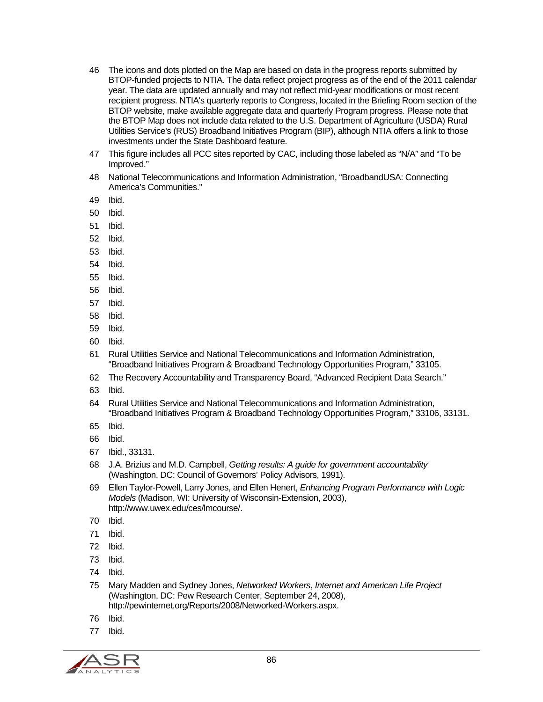- 46 The icons and dots plotted on the Map are based on data in the progress reports submitted by BTOP-funded projects to NTIA. The data reflect project progress as of the end of the 2011 calendar year. The data are updated annually and may not reflect mid-year modifications or most recent recipient progress. NTIA's quarterly reports to Congress, located in the Briefing Room section of the BTOP website, make available aggregate data and quarterly Program progress. Please note that the BTOP Map does not include data related to the U.S. Department of Agriculture (USDA) Rural Utilities Service's (RUS) Broadband Initiatives Program (BIP), although NTIA offers a link to those investments under the State Dashboard feature.
- 47 This figure includes all PCC sites reported by CAC, including those labeled as "N/A" and "To be Improved."
- 48 National Telecommunications and Information Administration, "BroadbandUSA: Connecting America's Communities."
- 49 Ibid.
- 50 Ibid.
- 51 Ibid.
- 52 Ibid.
- 53 Ibid.
- 54 Ibid.
- 55 Ibid.
- 56 Ibid.
- 57 Ibid.
- 58 Ibid.
- 59 Ibid.
- 60 Ibid.
- 61 Rural Utilities Service and National Telecommunications and Information Administration, "Broadband Initiatives Program & Broadband Technology Opportunities Program," 33105.
- 62 The Recovery Accountability and Transparency Board, "Advanced Recipient Data Search."
- 63 Ibid.
- 64 Rural Utilities Service and National Telecommunications and Information Administration, "Broadband Initiatives Program & Broadband Technology Opportunities Program," 33106, 33131.
- 65 Ibid.
- 66 Ibid.
- 67 Ibid., 33131.
- 68 J.A. Brizius and M.D. Campbell, *Getting results: A guide for government accountability* (Washington, DC: Council of Governors' Policy Advisors, 1991).
- 69 Ellen Taylor-Powell, Larry Jones, and Ellen Henert, *Enhancing Program Performance with Logic Models* (Madison, WI: University of Wisconsin-Extension, 2003), http://www.uwex.edu/ces/lmcourse/.
- 70 Ibid.
- 71 Ibid.
- 72 Ibid.
- 73 Ibid.
- 74 Ibid.
- 75 Mary Madden and Sydney Jones, *Networked Workers*, *Internet and American Life Project* (Washington, DC: Pew Research Center, September 24, 2008), http://pewinternet.org/Reports/2008/Networked-Workers.aspx.
- 76 Ibid.
- 77 Ibid.

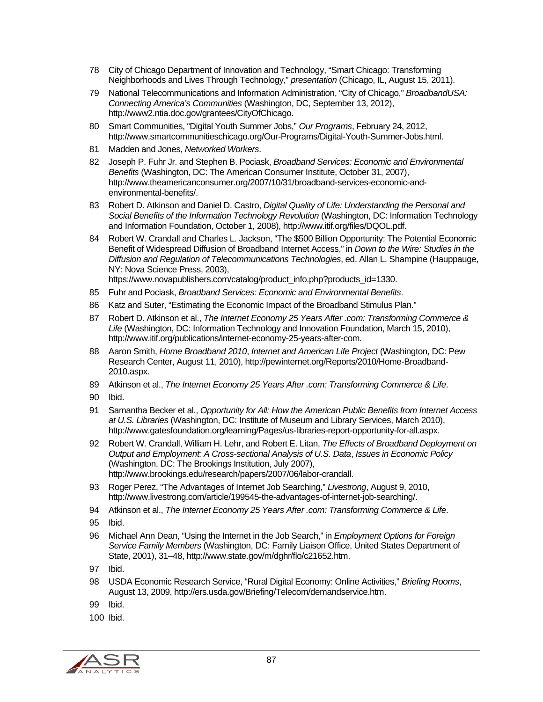- 78 City of Chicago Department of Innovation and Technology, "Smart Chicago: Transforming Neighborhoods and Lives Through Technology," *presentation* (Chicago, IL, August 15, 2011).
- 79 National Telecommunications and Information Administration, "City of Chicago," *BroadbandUSA: Connecting America's Communities* (Washington, DC, September 13, 2012), http://www2.ntia.doc.gov/grantees/CityOfChicago.
- 80 Smart Communities, "Digital Youth Summer Jobs," *Our Programs*, February 24, 2012, http://www.smartcommunitieschicago.org/Our-Programs/Digital-Youth-Summer-Jobs.html.
- 81 Madden and Jones, *Networked Workers*.
- 82 Joseph P. Fuhr Jr. and Stephen B. Pociask, *Broadband Services: Economic and Environmental Benefits* (Washington, DC: The American Consumer Institute, October 31, 2007), http://www.theamericanconsumer.org/2007/10/31/broadband-services-economic-andenvironmental-benefits/.
- 83 Robert D. Atkinson and Daniel D. Castro, *Digital Quality of Life: Understanding the Personal and Social Benefits of the Information Technology Revolution* (Washington, DC: Information Technology and Information Foundation, October 1, 2008), http://www.itif.org/files/DQOL.pdf.
- 84 Robert W. Crandall and Charles L. Jackson, "The \$500 Billion Opportunity: The Potential Economic Benefit of Widespread Diffusion of Broadband Internet Access," in *Down to the Wire: Studies in the Diffusion and Regulation of Telecommunications Technologies*, ed. Allan L. Shampine (Hauppauge, NY: Nova Science Press, 2003),

https://www.novapublishers.com/catalog/product\_info.php?products\_id=1330.

- 85 Fuhr and Pociask, *Broadband Services: Economic and Environmental Benefits*.
- 86 Katz and Suter, "Estimating the Economic Impact of the Broadband Stimulus Plan."
- 87 Robert D. Atkinson et al., *The Internet Economy 25 Years After .com: Transforming Commerce & Life* (Washington, DC: Information Technology and Innovation Foundation, March 15, 2010), http://www.itif.org/publications/internet-economy-25-years-after-com.
- 88 Aaron Smith, *Home Broadband 2010*, *Internet and American Life Project* (Washington, DC: Pew Research Center, August 11, 2010), http://pewinternet.org/Reports/2010/Home-Broadband-2010.aspx.
- 89 Atkinson et al., *The Internet Economy 25 Years After .com: Transforming Commerce & Life*.
- 90 Ibid.
- 91 Samantha Becker et al., *Opportunity for All: How the American Public Benefits from Internet Access at U.S. Libraries* (Washington, DC: Institute of Museum and Library Services, March 2010), http://www.gatesfoundation.org/learning/Pages/us-libraries-report-opportunity-for-all.aspx.
- 92 Robert W. Crandall, William H. Lehr, and Robert E. Litan, *The Effects of Broadband Deployment on Output and Employment: A Cross-sectional Analysis of U.S. Data*, *Issues in Economic Policy* (Washington, DC: The Brookings Institution, July 2007), http://www.brookings.edu/research/papers/2007/06/labor-crandall.
- 93 Roger Perez, "The Advantages of Internet Job Searching," *Livestrong*, August 9, 2010, http://www.livestrong.com/article/199545-the-advantages-of-internet-job-searching/.
- 94 Atkinson et al., *The Internet Economy 25 Years After .com: Transforming Commerce & Life*.
- 95 Ibid.
- 96 Michael Ann Dean, "Using the Internet in the Job Search," in *Employment Options for Foreign Service Family Members* (Washington, DC: Family Liaison Office, United States Department of State, 2001), 31–48, http://www.state.gov/m/dghr/flo/c21652.htm.
- 97 Ibid.
- 98 USDA Economic Research Service, "Rural Digital Economy: Online Activities," *Briefing Rooms*, August 13, 2009, http://ers.usda.gov/Briefing/Telecom/demandservice.htm.
- 99 Ibid.
- 100 Ibid.

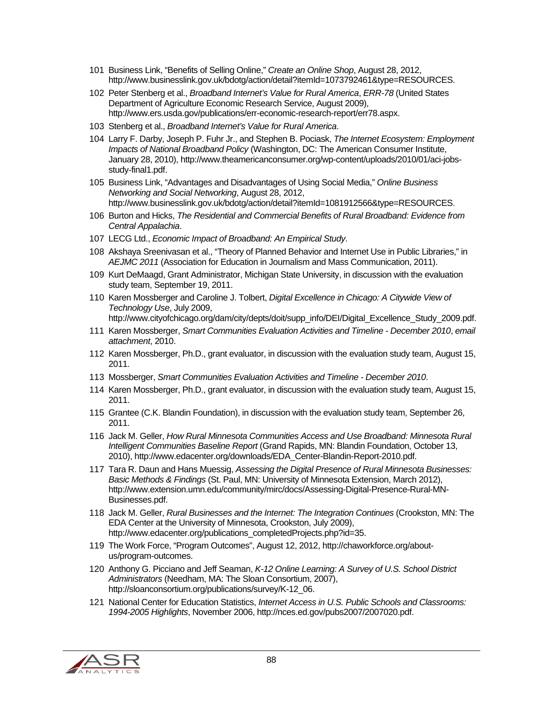- 101 Business Link, "Benefits of Selling Online," *Create an Online Shop*, August 28, 2012, http://www.businesslink.gov.uk/bdotg/action/detail?itemId=1073792461&type=RESOURCES.
- 102 Peter Stenberg et al., *Broadband Internet's Value for Rural America*, *ERR-78* (United States Department of Agriculture Economic Research Service, August 2009), http://www.ers.usda.gov/publications/err-economic-research-report/err78.aspx.
- 103 Stenberg et al., *Broadband Internet's Value for Rural America*.
- 104 Larry F. Darby, Joseph P. Fuhr Jr., and Stephen B. Pociask, *The Internet Ecosystem: Employment Impacts of National Broadband Policy* (Washington, DC: The American Consumer Institute, January 28, 2010), http://www.theamericanconsumer.org/wp-content/uploads/2010/01/aci-jobsstudy-final1.pdf.
- 105 Business Link, "Advantages and Disadvantages of Using Social Media," *Online Business Networking and Social Networking*, August 28, 2012, http://www.businesslink.gov.uk/bdotg/action/detail?itemId=1081912566&type=RESOURCES.
- 106 Burton and Hicks, *The Residential and Commercial Benefits of Rural Broadband: Evidence from Central Appalachia*.
- 107 LECG Ltd., *Economic Impact of Broadband: An Empirical Study*.
- 108 Akshaya Sreenivasan et al., "Theory of Planned Behavior and Internet Use in Public Libraries," in *AEJMC 2011* (Association for Education in Journalism and Mass Communication, 2011).
- 109 Kurt DeMaagd, Grant Administrator, Michigan State University, in discussion with the evaluation study team, September 19, 2011.
- 110 Karen Mossberger and Caroline J. Tolbert, *Digital Excellence in Chicago: A Citywide View of Technology Use*, July 2009,
	- http://www.cityofchicago.org/dam/city/depts/doit/supp\_info/DEI/Digital\_Excellence\_Study\_2009.pdf.
- 111 Karen Mossberger, *Smart Communities Evaluation Activities and Timeline December 2010*, *email attachment*, 2010.
- 112 Karen Mossberger, Ph.D., grant evaluator, in discussion with the evaluation study team, August 15, 2011.
- 113 Mossberger, *Smart Communities Evaluation Activities and Timeline December 2010*.
- 114 Karen Mossberger, Ph.D., grant evaluator, in discussion with the evaluation study team, August 15, 2011.
- 115 Grantee (C.K. Blandin Foundation), in discussion with the evaluation study team, September 26, 2011.
- 116 Jack M. Geller, *How Rural Minnesota Communities Access and Use Broadband: Minnesota Rural Intelligent Communities Baseline Report* (Grand Rapids, MN: Blandin Foundation, October 13, 2010), http://www.edacenter.org/downloads/EDA\_Center-Blandin-Report-2010.pdf.
- 117 Tara R. Daun and Hans Muessig, *Assessing the Digital Presence of Rural Minnesota Businesses: Basic Methods & Findings* (St. Paul, MN: University of Minnesota Extension, March 2012), http://www.extension.umn.edu/community/mirc/docs/Assessing-Digital-Presence-Rural-MN-Businesses.pdf.
- 118 Jack M. Geller, *Rural Businesses and the Internet: The Integration Continues* (Crookston, MN: The EDA Center at the University of Minnesota, Crookston, July 2009), http://www.edacenter.org/publications\_completedProjects.php?id=35.
- 119 The Work Force, "Program Outcomes", August 12, 2012, http://chaworkforce.org/aboutus/program-outcomes.
- 120 Anthony G. Picciano and Jeff Seaman, *K-12 Online Learning: A Survey of U.S. School District Administrators* (Needham, MA: The Sloan Consortium, 2007), http://sloanconsortium.org/publications/survey/K-12\_06.
- 121 National Center for Education Statistics, *Internet Access in U.S. Public Schools and Classrooms: 1994-2005 Highlights*, November 2006, http://nces.ed.gov/pubs2007/2007020.pdf.

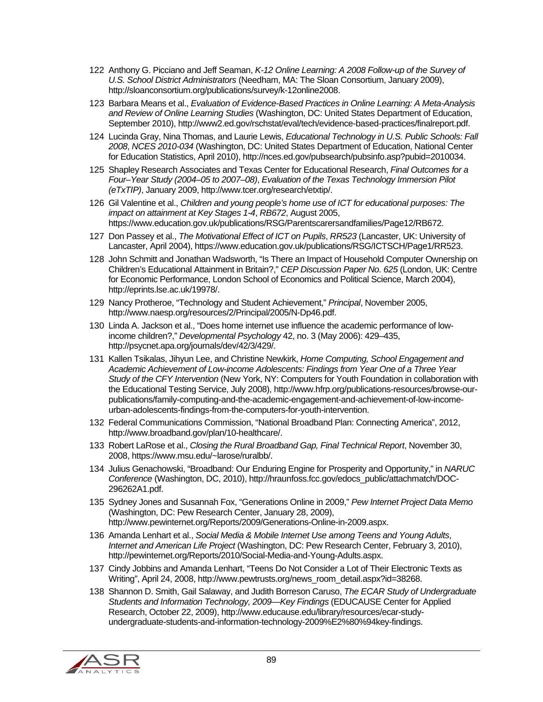- 122 Anthony G. Picciano and Jeff Seaman, *K-12 Online Learning: A 2008 Follow-up of the Survey of U.S. School District Administrators* (Needham, MA: The Sloan Consortium, January 2009), http://sloanconsortium.org/publications/survey/k-12online2008.
- 123 Barbara Means et al., *Evaluation of Evidence-Based Practices in Online Learning: A Meta-Analysis and Review of Online Learning Studies* (Washington, DC: United States Department of Education, September 2010), http://www2.ed.gov/rschstat/eval/tech/evidence-based-practices/finalreport.pdf.
- 124 Lucinda Gray, Nina Thomas, and Laurie Lewis, *Educational Technology in U.S. Public Schools: Fall 2008*, *NCES 2010-034* (Washington, DC: United States Department of Education, National Center for Education Statistics, April 2010), http://nces.ed.gov/pubsearch/pubsinfo.asp?pubid=2010034.
- 125 Shapley Research Associates and Texas Center for Educational Research, *Final Outcomes for a Four–Year Study (2004–05 to 2007–08)*, *Evaluation of the Texas Technology Immersion Pilot (eTxTIP)*, January 2009, http://www.tcer.org/research/etxtip/.
- 126 Gil Valentine et al., *Children and young people's home use of ICT for educational purposes: The impact on attainment at Key Stages 1-4*, *RB672*, August 2005, https://www.education.gov.uk/publications/RSG/Parentscarersandfamilies/Page12/RB672.
- 127 Don Passey et al., *The Motivational Effect of ICT on Pupils*, *RR523* (Lancaster, UK: University of Lancaster, April 2004), https://www.education.gov.uk/publications/RSG/ICTSCH/Page1/RR523.
- 128 John Schmitt and Jonathan Wadsworth, "Is There an Impact of Household Computer Ownership on Children's Educational Attainment in Britain?," *CEP Discussion Paper No. 625* (London, UK: Centre for Economic Performance, London School of Economics and Political Science, March 2004), http://eprints.lse.ac.uk/19978/.
- 129 Nancy Protheroe, "Technology and Student Achievement," *Principal*, November 2005, http://www.naesp.org/resources/2/Principal/2005/N-Dp46.pdf.
- 130 Linda A. Jackson et al., "Does home internet use influence the academic performance of lowincome children?," *Developmental Psychology* 42, no. 3 (May 2006): 429–435, http://psycnet.apa.org/journals/dev/42/3/429/.
- 131 Kallen Tsikalas, Jihyun Lee, and Christine Newkirk, *Home Computing, School Engagement and Academic Achievement of Low-income Adolescents: Findings from Year One of a Three Year Study of the CFY Intervention* (New York, NY: Computers for Youth Foundation in collaboration with the Educational Testing Service, July 2008), http://www.hfrp.org/publications-resources/browse-ourpublications/family-computing-and-the-academic-engagement-and-achievement-of-low-incomeurban-adolescents-findings-from-the-computers-for-youth-intervention.
- 132 Federal Communications Commission, "National Broadband Plan: Connecting America", 2012, http://www.broadband.gov/plan/10-healthcare/.
- 133 Robert LaRose et al., *Closing the Rural Broadband Gap, Final Technical Report*, November 30, 2008, https://www.msu.edu/~larose/ruralbb/.
- 134 Julius Genachowski, "Broadband: Our Enduring Engine for Prosperity and Opportunity," in *NARUC Conference* (Washington, DC, 2010), http://hraunfoss.fcc.gov/edocs\_public/attachmatch/DOC-296262A1.pdf.
- 135 Sydney Jones and Susannah Fox, "Generations Online in 2009," *Pew Internet Project Data Memo* (Washington, DC: Pew Research Center, January 28, 2009), http://www.pewinternet.org/Reports/2009/Generations-Online-in-2009.aspx.
- 136 Amanda Lenhart et al., *Social Media & Mobile Internet Use among Teens and Young Adults*, *Internet and American Life Project* (Washington, DC: Pew Research Center, February 3, 2010), http://pewinternet.org/Reports/2010/Social-Media-and-Young-Adults.aspx.
- 137 Cindy Jobbins and Amanda Lenhart, "Teens Do Not Consider a Lot of Their Electronic Texts as Writing", April 24, 2008, http://www.pewtrusts.org/news\_room\_detail.aspx?id=38268.
- 138 Shannon D. Smith, Gail Salaway, and Judith Borreson Caruso, *The ECAR Study of Undergraduate Students and Information Technology, 2009—Key Findings* (EDUCAUSE Center for Applied Research, October 22, 2009), http://www.educause.edu/library/resources/ecar-studyundergraduate-students-and-information-technology-2009%E2%80%94key-findings.

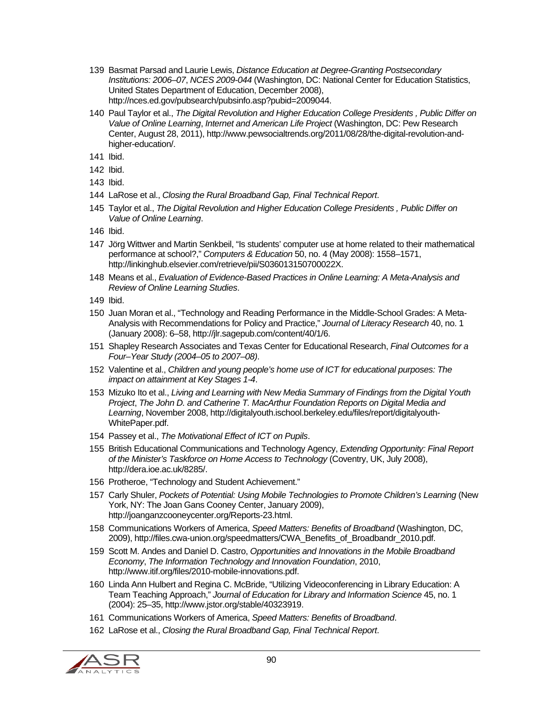- 139 Basmat Parsad and Laurie Lewis, *Distance Education at Degree-Granting Postsecondary Institutions: 2006–07*, *NCES 2009-044* (Washington, DC: National Center for Education Statistics, United States Department of Education, December 2008), http://nces.ed.gov/pubsearch/pubsinfo.asp?pubid=2009044.
- 140 Paul Taylor et al., *The Digital Revolution and Higher Education College Presidents , Public Differ on Value of Online Learning*, *Internet and American Life Project* (Washington, DC: Pew Research Center, August 28, 2011), http://www.pewsocialtrends.org/2011/08/28/the-digital-revolution-andhigher-education/.
- 141 Ibid.
- 142 Ibid.
- 143 Ibid.
- 144 LaRose et al., *Closing the Rural Broadband Gap, Final Technical Report*.
- 145 Taylor et al., *The Digital Revolution and Higher Education College Presidents , Public Differ on Value of Online Learning*.
- 146 Ibid.
- 147 Jörg Wittwer and Martin Senkbeil, "Is students' computer use at home related to their mathematical performance at school?," *Computers & Education* 50, no. 4 (May 2008): 1558–1571, http://linkinghub.elsevier.com/retrieve/pii/S036013150700022X.
- 148 Means et al., *Evaluation of Evidence-Based Practices in Online Learning: A Meta-Analysis and Review of Online Learning Studies*.
- 149 Ibid.
- 150 Juan Moran et al., "Technology and Reading Performance in the Middle-School Grades: A Meta-Analysis with Recommendations for Policy and Practice," *Journal of Literacy Research* 40, no. 1 (January 2008): 6–58, http://jlr.sagepub.com/content/40/1/6.
- 151 Shapley Research Associates and Texas Center for Educational Research, *Final Outcomes for a Four–Year Study (2004–05 to 2007–08)*.
- 152 Valentine et al., *Children and young people's home use of ICT for educational purposes: The impact on attainment at Key Stages 1-4*.
- 153 Mizuko Ito et al., *Living and Learning with New Media Summary of Findings from the Digital Youth Project*, *The John D. and Catherine T. MacArthur Foundation Reports on Digital Media and Learning*, November 2008, http://digitalyouth.ischool.berkeley.edu/files/report/digitalyouth-WhitePaper.pdf.
- 154 Passey et al., *The Motivational Effect of ICT on Pupils*.
- 155 British Educational Communications and Technology Agency, *Extending Opportunity: Final Report of the Minister's Taskforce on Home Access to Technology* (Coventry, UK, July 2008), http://dera.ioe.ac.uk/8285/.
- 156 Protheroe, "Technology and Student Achievement."
- 157 Carly Shuler, *Pockets of Potential: Using Mobile Technologies to Promote Children's Learning* (New York, NY: The Joan Gans Cooney Center, January 2009), http://joanganzcooneycenter.org/Reports-23.html.
- 158 Communications Workers of America, *Speed Matters: Benefits of Broadband* (Washington, DC, 2009), http://files.cwa-union.org/speedmatters/CWA\_Benefits\_of\_Broadbandr\_2010.pdf.
- 159 Scott M. Andes and Daniel D. Castro, *Opportunities and Innovations in the Mobile Broadband Economy*, *The Information Technology and Innovation Foundation*, 2010, http://www.itif.org/files/2010-mobile-innovations.pdf.
- 160 Linda Ann Hulbert and Regina C. McBride, "Utilizing Videoconferencing in Library Education: A Team Teaching Approach," *Journal of Education for Library and Information Science* 45, no. 1 (2004): 25–35, http://www.jstor.org/stable/40323919.
- 161 Communications Workers of America, *Speed Matters: Benefits of Broadband*.
- 162 LaRose et al., *Closing the Rural Broadband Gap, Final Technical Report*.

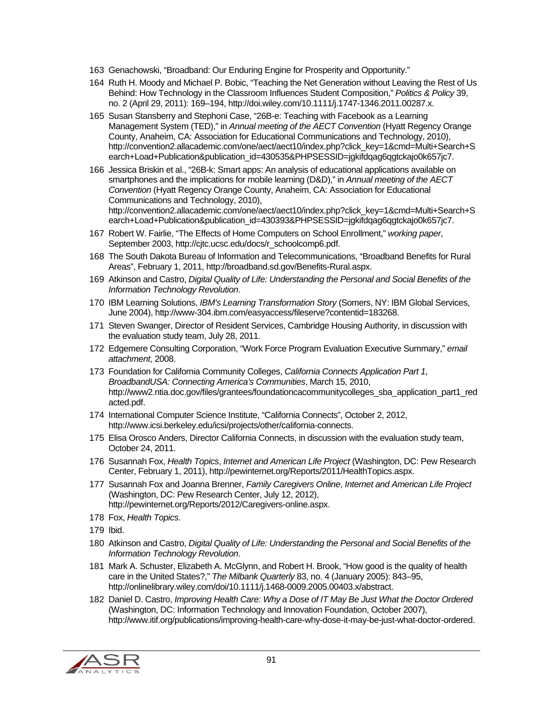- 163 Genachowski, "Broadband: Our Enduring Engine for Prosperity and Opportunity."
- 164 Ruth H. Moody and Michael P. Bobic, "Teaching the Net Generation without Leaving the Rest of Us Behind: How Technology in the Classroom Influences Student Composition," *Politics & Policy* 39, no. 2 (April 29, 2011): 169–194, http://doi.wiley.com/10.1111/j.1747-1346.2011.00287.x.
- 165 Susan Stansberry and Stephoni Case, "26B-e: Teaching with Facebook as a Learning Management System (TED)," in *Annual meeting of the AECT Convention* (Hyatt Regency Orange County, Anaheim, CA: Association for Educational Communications and Technology, 2010), http://convention2.allacademic.com/one/aect/aect10/index.php?click\_key=1&cmd=Multi+Search+S earch+Load+Publication&publication\_id=430535&PHPSESSID=jgkifdqag6qgtckajo0k657jc7.
- 166 Jessica Briskin et al., "26B-k: Smart apps: An analysis of educational applications available on smartphones and the implications for mobile learning (D&D)," in *Annual meeting of the AECT Convention* (Hyatt Regency Orange County, Anaheim, CA: Association for Educational Communications and Technology, 2010), http://convention2.allacademic.com/one/aect/aect10/index.php?click\_key=1&cmd=Multi+Search+S earch+Load+Publication&publication\_id=430393&PHPSESSID=jgkifdgag6ggtckajo0k657jc7.
- 167 Robert W. Fairlie, "The Effects of Home Computers on School Enrollment," *working paper*, September 2003, http://cjtc.ucsc.edu/docs/r\_schoolcomp6.pdf.
- 168 The South Dakota Bureau of Information and Telecommunications, "Broadband Benefits for Rural Areas", February 1, 2011, http://broadband.sd.gov/Benefits-Rural.aspx.
- 169 Atkinson and Castro, *Digital Quality of Life: Understanding the Personal and Social Benefits of the Information Technology Revolution*.
- 170 IBM Learning Solutions, *IBM's Learning Transformation Story* (Somers, NY: IBM Global Services, June 2004), http://www-304.ibm.com/easyaccess/fileserve?contentid=183268.
- 171 Steven Swanger, Director of Resident Services, Cambridge Housing Authority, in discussion with the evaluation study team, July 28, 2011.
- 172 Edgemere Consulting Corporation, "Work Force Program Evaluation Executive Summary," *email attachment*, 2008.
- 173 Foundation for California Community Colleges, *California Connects Application Part 1*, *BroadbandUSA: Connecting America's Communities*, March 15, 2010, http://www2.ntia.doc.gov/files/grantees/foundationcacommunitycolleges\_sba\_application\_part1\_red acted.pdf.
- 174 International Computer Science Institute, "California Connects", October 2, 2012, http://www.icsi.berkeley.edu/icsi/projects/other/california-connects.
- 175 Elisa Orosco Anders, Director California Connects, in discussion with the evaluation study team, October 24, 2011.
- 176 Susannah Fox, *Health Topics*, *Internet and American Life Project* (Washington, DC: Pew Research Center, February 1, 2011), http://pewinternet.org/Reports/2011/HealthTopics.aspx.
- 177 Susannah Fox and Joanna Brenner, *Family Caregivers Online*, *Internet and American Life Project* (Washington, DC: Pew Research Center, July 12, 2012), http://pewinternet.org/Reports/2012/Caregivers-online.aspx.
- 178 Fox, *Health Topics*.
- 179 Ibid.
- 180 Atkinson and Castro, *Digital Quality of Life: Understanding the Personal and Social Benefits of the Information Technology Revolution*.
- 181 Mark A. Schuster, Elizabeth A. McGlynn, and Robert H. Brook, "How good is the quality of health care in the United States?," *The Milbank Quarterly* 83, no. 4 (January 2005): 843–95, http://onlinelibrary.wiley.com/doi/10.1111/j.1468-0009.2005.00403.x/abstract.
- 182 Daniel D. Castro, *Improving Health Care: Why a Dose of IT May Be Just What the Doctor Ordered* (Washington, DC: Information Technology and Innovation Foundation, October 2007), http://www.itif.org/publications/improving-health-care-why-dose-it-may-be-just-what-doctor-ordered.

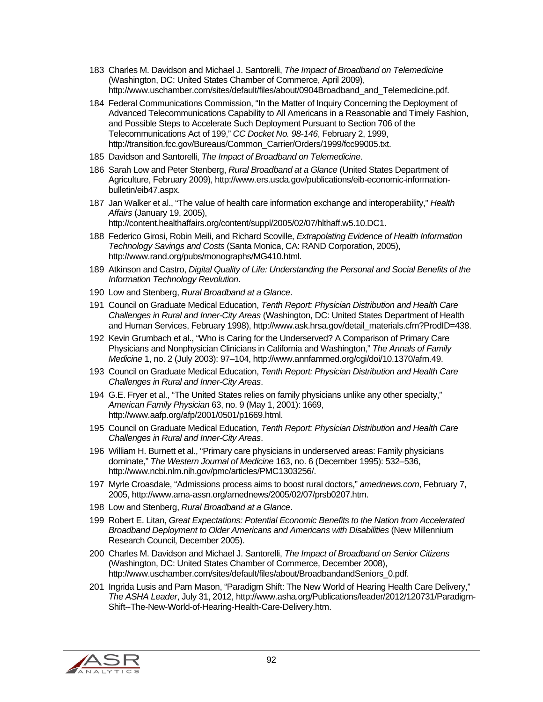- 183 Charles M. Davidson and Michael J. Santorelli, *The Impact of Broadband on Telemedicine* (Washington, DC: United States Chamber of Commerce, April 2009), http://www.uschamber.com/sites/default/files/about/0904Broadband\_and\_Telemedicine.pdf.
- 184 Federal Communications Commission, "In the Matter of Inquiry Concerning the Deployment of Advanced Telecommunications Capability to All Americans in a Reasonable and Timely Fashion, and Possible Steps to Accelerate Such Deployment Pursuant to Section 706 of the Telecommunications Act of 199," *CC Docket No. 98-146*, February 2, 1999, http://transition.fcc.gov/Bureaus/Common\_Carrier/Orders/1999/fcc99005.txt.
- 185 Davidson and Santorelli, *The Impact of Broadband on Telemedicine*.
- 186 Sarah Low and Peter Stenberg, *Rural Broadband at a Glance* (United States Department of Agriculture, February 2009), http://www.ers.usda.gov/publications/eib-economic-informationbulletin/eib47.aspx.
- 187 Jan Walker et al., "The value of health care information exchange and interoperability," *Health Affairs* (January 19, 2005), http://content.healthaffairs.org/content/suppl/2005/02/07/hlthaff.w5.10.DC1.
- 188 Federico Girosi, Robin Meili, and Richard Scoville, *Extrapolating Evidence of Health Information Technology Savings and Costs* (Santa Monica, CA: RAND Corporation, 2005), http://www.rand.org/pubs/monographs/MG410.html.
- 189 Atkinson and Castro, *Digital Quality of Life: Understanding the Personal and Social Benefits of the Information Technology Revolution*.
- 190 Low and Stenberg, *Rural Broadband at a Glance*.
- 191 Council on Graduate Medical Education, *Tenth Report: Physician Distribution and Health Care Challenges in Rural and Inner-City Areas* (Washington, DC: United States Department of Health and Human Services, February 1998), http://www.ask.hrsa.gov/detail\_materials.cfm?ProdID=438.
- 192 Kevin Grumbach et al., "Who is Caring for the Underserved? A Comparison of Primary Care Physicians and Nonphysician Clinicians in California and Washington," *The Annals of Family Medicine* 1, no. 2 (July 2003): 97–104, http://www.annfammed.org/cgi/doi/10.1370/afm.49.
- 193 Council on Graduate Medical Education, *Tenth Report: Physician Distribution and Health Care Challenges in Rural and Inner-City Areas*.
- 194 G.E. Fryer et al., "The United States relies on family physicians unlike any other specialty," *American Family Physician* 63, no. 9 (May 1, 2001): 1669, http://www.aafp.org/afp/2001/0501/p1669.html.
- 195 Council on Graduate Medical Education, *Tenth Report: Physician Distribution and Health Care Challenges in Rural and Inner-City Areas*.
- 196 William H. Burnett et al., "Primary care physicians in underserved areas: Family physicians dominate," *The Western Journal of Medicine* 163, no. 6 (December 1995): 532–536, http://www.ncbi.nlm.nih.gov/pmc/articles/PMC1303256/.
- 197 Myrle Croasdale, "Admissions process aims to boost rural doctors," *amednews.com*, February 7, 2005, http://www.ama-assn.org/amednews/2005/02/07/prsb0207.htm.
- 198 Low and Stenberg, *Rural Broadband at a Glance*.
- 199 Robert E. Litan, *Great Expectations: Potential Economic Benefits to the Nation from Accelerated Broadband Deployment to Older Americans and Americans with Disabilities* (New Millennium Research Council, December 2005).
- 200 Charles M. Davidson and Michael J. Santorelli, *The Impact of Broadband on Senior Citizens* (Washington, DC: United States Chamber of Commerce, December 2008), http://www.uschamber.com/sites/default/files/about/BroadbandandSeniors\_0.pdf.
- 201 Ingrida Lusis and Pam Mason, "Paradigm Shift: The New World of Hearing Health Care Delivery," *The ASHA Leader*, July 31, 2012, http://www.asha.org/Publications/leader/2012/120731/Paradigm-Shift--The-New-World-of-Hearing-Health-Care-Delivery.htm.

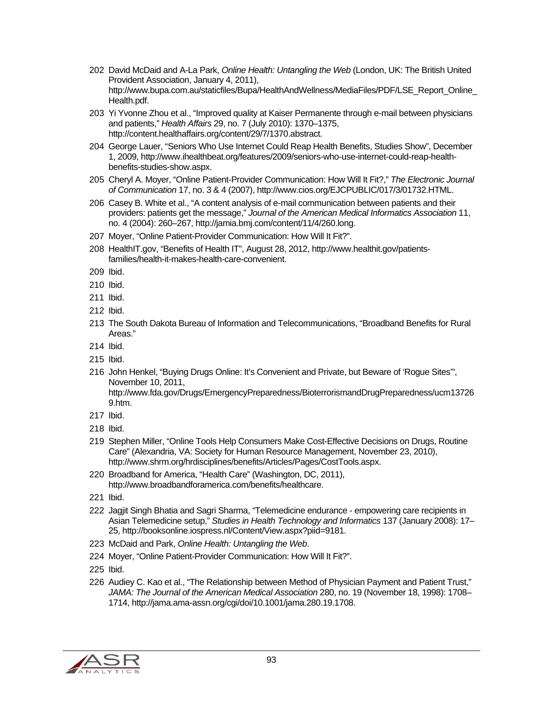- 202 David McDaid and A-La Park, *Online Health: Untangling the Web* (London, UK: The British United Provident Association, January 4, 2011), http://www.bupa.com.au/staticfiles/Bupa/HealthAndWellness/MediaFiles/PDF/LSE\_Report\_Online\_ Health.pdf.
- 203 Yi Yvonne Zhou et al., "Improved quality at Kaiser Permanente through e-mail between physicians and patients," *Health Affairs* 29, no. 7 (July 2010): 1370–1375, http://content.healthaffairs.org/content/29/7/1370.abstract.
- 204 George Lauer, "Seniors Who Use Internet Could Reap Health Benefits, Studies Show", December 1, 2009, http://www.ihealthbeat.org/features/2009/seniors-who-use-internet-could-reap-healthbenefits-studies-show.aspx.
- 205 Cheryl A. Moyer, "Online Patient-Provider Communication: How Will It Fit?," *The Electronic Journal of Communication* 17, no. 3 & 4 (2007), http://www.cios.org/EJCPUBLIC/017/3/01732.HTML.
- 206 Casey B. White et al., "A content analysis of e-mail communication between patients and their providers: patients get the message," *Journal of the American Medical Informatics Association* 11, no. 4 (2004): 260–267, http://jamia.bmj.com/content/11/4/260.long.
- 207 Moyer, "Online Patient-Provider Communication: How Will It Fit?".
- 208 HealthIT.gov, "Benefits of Health IT", August 28, 2012, http://www.healthit.gov/patientsfamilies/health-it-makes-health-care-convenient.
- 209 Ibid.
- 210 Ibid.
- 211 Ibid.
- 212 Ibid.
- 213 The South Dakota Bureau of Information and Telecommunications, "Broadband Benefits for Rural Areas."
- 214 Ibid.
- 215 Ibid.
- 216 John Henkel, "Buying Drugs Online: It's Convenient and Private, but Beware of 'Rogue Sites'", November 10, 2011,
	- http://www.fda.gov/Drugs/EmergencyPreparedness/BioterrorismandDrugPreparedness/ucm13726 9.htm.
- 217 Ibid.
- 218 Ibid.
- 219 Stephen Miller, "Online Tools Help Consumers Make Cost-Effective Decisions on Drugs, Routine Care" (Alexandria, VA: Society for Human Resource Management, November 23, 2010), http://www.shrm.org/hrdisciplines/benefits/Articles/Pages/CostTools.aspx.
- 220 Broadband for America, "Health Care" (Washington, DC, 2011), http://www.broadbandforamerica.com/benefits/healthcare.
- 221 Ibid.
- 222 Jagjit Singh Bhatia and Sagri Sharma, "Telemedicine endurance empowering care recipients in Asian Telemedicine setup," *Studies in Health Technology and Informatics* 137 (January 2008): 17– 25, http://booksonline.iospress.nl/Content/View.aspx?piid=9181.
- 223 McDaid and Park, *Online Health: Untangling the Web*.
- 224 Moyer, "Online Patient-Provider Communication: How Will It Fit?".
- 225 Ibid.
- 226 Audiey C. Kao et al., "The Relationship between Method of Physician Payment and Patient Trust," *JAMA: The Journal of the American Medical Association* 280, no. 19 (November 18, 1998): 1708– 1714, http://jama.ama-assn.org/cgi/doi/10.1001/jama.280.19.1708.

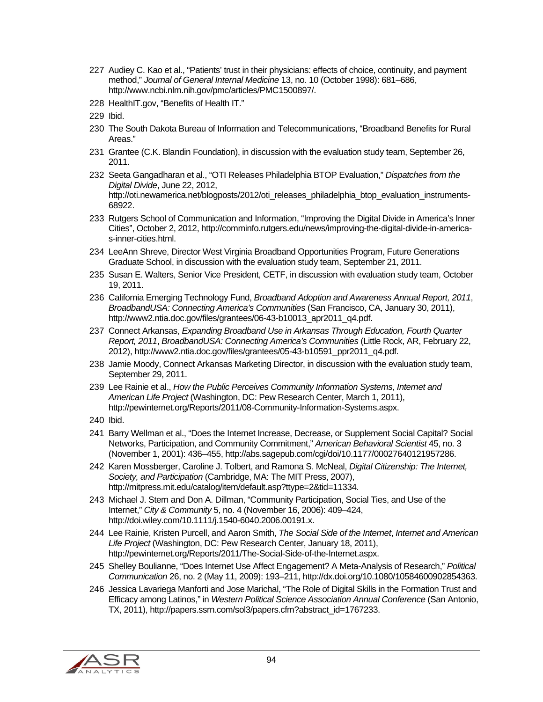- 227 Audiey C. Kao et al., "Patients' trust in their physicians: effects of choice, continuity, and payment method," *Journal of General Internal Medicine* 13, no. 10 (October 1998): 681–686, http://www.ncbi.nlm.nih.gov/pmc/articles/PMC1500897/.
- 228 HealthIT.gov, "Benefits of Health IT."
- 229 Ibid.
- 230 The South Dakota Bureau of Information and Telecommunications, "Broadband Benefits for Rural Areas."
- 231 Grantee (C.K. Blandin Foundation), in discussion with the evaluation study team, September 26, 2011.
- 232 Seeta Gangadharan et al., "OTI Releases Philadelphia BTOP Evaluation," *Dispatches from the Digital Divide*, June 22, 2012, http://oti.newamerica.net/blogposts/2012/oti\_releases\_philadelphia\_btop\_evaluation\_instruments-68922.
- 233 Rutgers School of Communication and Information, "Improving the Digital Divide in America's Inner Cities", October 2, 2012, http://comminfo.rutgers.edu/news/improving-the-digital-divide-in-americas-inner-cities.html.
- 234 LeeAnn Shreve, Director West Virginia Broadband Opportunities Program, Future Generations Graduate School, in discussion with the evaluation study team, September 21, 2011.
- 235 Susan E. Walters, Senior Vice President, CETF, in discussion with evaluation study team, October 19, 2011.
- 236 California Emerging Technology Fund, *Broadband Adoption and Awareness Annual Report, 2011*, *BroadbandUSA: Connecting America's Communities* (San Francisco, CA, January 30, 2011), http://www2.ntia.doc.gov/files/grantees/06-43-b10013\_apr2011\_q4.pdf.
- 237 Connect Arkansas, *Expanding Broadband Use in Arkansas Through Education, Fourth Quarter Report, 2011*, *BroadbandUSA: Connecting America's Communities* (Little Rock, AR, February 22, 2012), http://www2.ntia.doc.gov/files/grantees/05-43-b10591\_ppr2011\_q4.pdf.
- 238 Jamie Moody, Connect Arkansas Marketing Director, in discussion with the evaluation study team, September 29, 2011.
- 239 Lee Rainie et al., *How the Public Perceives Community Information Systems*, *Internet and American Life Project* (Washington, DC: Pew Research Center, March 1, 2011), http://pewinternet.org/Reports/2011/08-Community-Information-Systems.aspx.
- 240 Ibid.
- 241 Barry Wellman et al., "Does the Internet Increase, Decrease, or Supplement Social Capital? Social Networks, Participation, and Community Commitment," *American Behavioral Scientist* 45, no. 3 (November 1, 2001): 436–455, http://abs.sagepub.com/cgi/doi/10.1177/00027640121957286.
- 242 Karen Mossberger, Caroline J. Tolbert, and Ramona S. McNeal, *Digital Citizenship: The Internet, Society, and Participation* (Cambridge, MA: The MIT Press, 2007), http://mitpress.mit.edu/catalog/item/default.asp?ttype=2&tid=11334.
- 243 Michael J. Stern and Don A. Dillman, "Community Participation, Social Ties, and Use of the Internet," *City & Community* 5, no. 4 (November 16, 2006): 409–424, http://doi.wiley.com/10.1111/j.1540-6040.2006.00191.x.
- 244 Lee Rainie, Kristen Purcell, and Aaron Smith, *The Social Side of the Internet*, *Internet and American Life Project* (Washington, DC: Pew Research Center, January 18, 2011), http://pewinternet.org/Reports/2011/The-Social-Side-of-the-Internet.aspx.
- 245 Shelley Boulianne, "Does Internet Use Affect Engagement? A Meta-Analysis of Research," *Political Communication* 26, no. 2 (May 11, 2009): 193–211, http://dx.doi.org/10.1080/10584600902854363.
- 246 Jessica Lavariega Manforti and Jose Marichal, "The Role of Digital Skills in the Formation Trust and Efficacy among Latinos," in *Western Political Science Association Annual Conference* (San Antonio, TX, 2011), http://papers.ssrn.com/sol3/papers.cfm?abstract\_id=1767233.

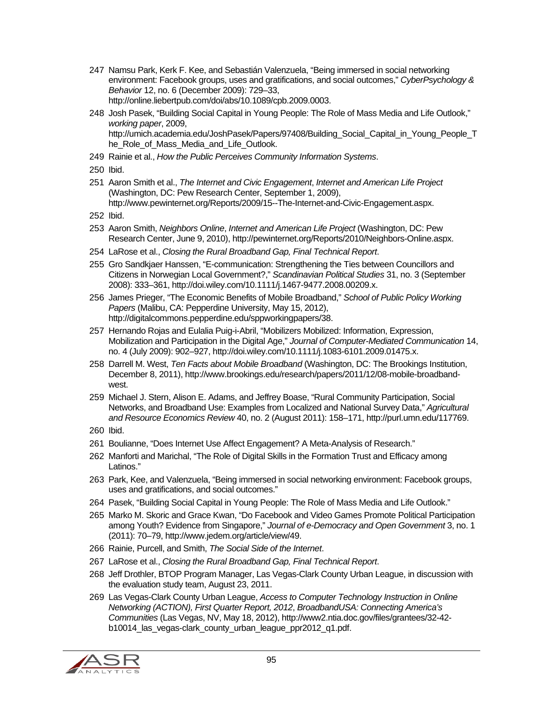- 247 Namsu Park, Kerk F. Kee, and Sebastián Valenzuela, "Being immersed in social networking environment: Facebook groups, uses and gratifications, and social outcomes," *CyberPsychology & Behavior* 12, no. 6 (December 2009): 729–33, http://online.liebertpub.com/doi/abs/10.1089/cpb.2009.0003.
- 248 Josh Pasek, "Building Social Capital in Young People: The Role of Mass Media and Life Outlook," *working paper*, 2009, http://umich.academia.edu/JoshPasek/Papers/97408/Building\_Social\_Capital\_in\_Young\_People\_T he\_Role\_of\_Mass\_Media\_and\_Life\_Outlook.
- 249 Rainie et al., *How the Public Perceives Community Information Systems*.
- 250 Ibid.
- 251 Aaron Smith et al., *The Internet and Civic Engagement*, *Internet and American Life Project* (Washington, DC: Pew Research Center, September 1, 2009), http://www.pewinternet.org/Reports/2009/15--The-Internet-and-Civic-Engagement.aspx.
- 252 Ibid.
- 253 Aaron Smith, *Neighbors Online*, *Internet and American Life Project* (Washington, DC: Pew Research Center, June 9, 2010), http://pewinternet.org/Reports/2010/Neighbors-Online.aspx.
- 254 LaRose et al., *Closing the Rural Broadband Gap, Final Technical Report*.
- 255 Gro Sandkjaer Hanssen, "E-communication: Strengthening the Ties between Councillors and Citizens in Norwegian Local Government?," *Scandinavian Political Studies* 31, no. 3 (September 2008): 333–361, http://doi.wiley.com/10.1111/j.1467-9477.2008.00209.x.
- 256 James Prieger, "The Economic Benefits of Mobile Broadband," *School of Public Policy Working Papers* (Malibu, CA: Pepperdine University, May 15, 2012), http://digitalcommons.pepperdine.edu/sppworkingpapers/38.
- 257 Hernando Rojas and Eulalia Puig-i-Abril, "Mobilizers Mobilized: Information, Expression, Mobilization and Participation in the Digital Age," *Journal of Computer-Mediated Communication* 14, no. 4 (July 2009): 902–927, http://doi.wiley.com/10.1111/j.1083-6101.2009.01475.x.
- 258 Darrell M. West, *Ten Facts about Mobile Broadband* (Washington, DC: The Brookings Institution, December 8, 2011), http://www.brookings.edu/research/papers/2011/12/08-mobile-broadbandwest.
- 259 Michael J. Stern, Alison E. Adams, and Jeffrey Boase, "Rural Community Participation, Social Networks, and Broadband Use: Examples from Localized and National Survey Data," *Agricultural and Resource Economics Review* 40, no. 2 (August 2011): 158–171, http://purl.umn.edu/117769.
- 260 Ibid.
- 261 Boulianne, "Does Internet Use Affect Engagement? A Meta-Analysis of Research."
- 262 Manforti and Marichal, "The Role of Digital Skills in the Formation Trust and Efficacy among Latinos."
- 263 Park, Kee, and Valenzuela, "Being immersed in social networking environment: Facebook groups, uses and gratifications, and social outcomes."
- 264 Pasek, "Building Social Capital in Young People: The Role of Mass Media and Life Outlook."
- 265 Marko M. Skoric and Grace Kwan, "Do Facebook and Video Games Promote Political Participation among Youth? Evidence from Singapore," *Journal of e-Democracy and Open Government* 3, no. 1 (2011): 70–79, http://www.jedem.org/article/view/49.
- 266 Rainie, Purcell, and Smith, *The Social Side of the Internet*.
- 267 LaRose et al., *Closing the Rural Broadband Gap, Final Technical Report*.
- 268 Jeff Drothler, BTOP Program Manager, Las Vegas-Clark County Urban League, in discussion with the evaluation study team, August 23, 2011.
- 269 Las Vegas-Clark County Urban League, *Access to Computer Technology Instruction in Online Networking (ACTION), First Quarter Report, 2012*, *BroadbandUSA: Connecting America's Communities* (Las Vegas, NV, May 18, 2012), http://www2.ntia.doc.gov/files/grantees/32-42 b10014\_las\_vegas-clark\_county\_urban\_league\_ppr2012\_q1.pdf.

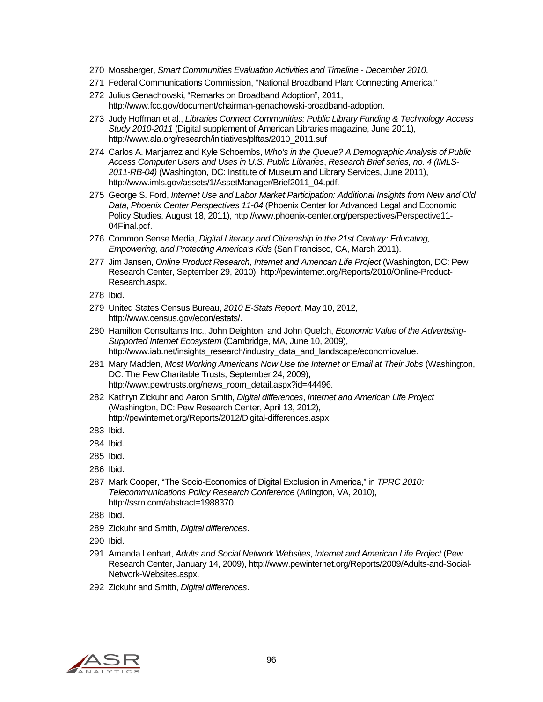- 270 Mossberger, *Smart Communities Evaluation Activities and Timeline December 2010*.
- 271 Federal Communications Commission, "National Broadband Plan: Connecting America."
- 272 Julius Genachowski, "Remarks on Broadband Adoption", 2011, http://www.fcc.gov/document/chairman-genachowski-broadband-adoption.
- 273 Judy Hoffman et al., *Libraries Connect Communities: Public Library Funding & Technology Access Study 2010-2011* (Digital supplement of American Libraries magazine, June 2011), http://www.ala.org/research/initiatives/plftas/2010\_2011.suf
- 274 Carlos A. Manjarrez and Kyle Schoembs, *Who's in the Queue? A Demographic Analysis of Public Access Computer Users and Uses in U.S. Public Libraries*, *Research Brief series, no. 4 (IMLS-2011-RB-04)* (Washington, DC: Institute of Museum and Library Services, June 2011), http://www.imls.gov/assets/1/AssetManager/Brief2011\_04.pdf.
- 275 George S. Ford, *Internet Use and Labor Market Participation: Additional Insights from New and Old Data*, *Phoenix Center Perspectives 11-04* (Phoenix Center for Advanced Legal and Economic Policy Studies, August 18, 2011), http://www.phoenix-center.org/perspectives/Perspective11- 04Final.pdf.
- 276 Common Sense Media, *Digital Literacy and Citizenship in the 21st Century: Educating, Empowering, and Protecting America's Kids* (San Francisco, CA, March 2011).
- 277 Jim Jansen, *Online Product Research*, *Internet and American Life Project* (Washington, DC: Pew Research Center, September 29, 2010), http://pewinternet.org/Reports/2010/Online-Product-Research.aspx.
- 278 Ibid.
- 279 United States Census Bureau, *2010 E-Stats Report*, May 10, 2012, http://www.census.gov/econ/estats/.
- 280 Hamilton Consultants Inc., John Deighton, and John Quelch, *Economic Value of the Advertising-Supported Internet Ecosystem* (Cambridge, MA, June 10, 2009), http://www.iab.net/insights\_research/industry\_data\_and\_landscape/economicvalue.
- 281 Mary Madden, *Most Working Americans Now Use the Internet or Email at Their Jobs* (Washington, DC: The Pew Charitable Trusts, September 24, 2009), http://www.pewtrusts.org/news\_room\_detail.aspx?id=44496.
- 282 Kathryn Zickuhr and Aaron Smith, *Digital differences*, *Internet and American Life Project* (Washington, DC: Pew Research Center, April 13, 2012), http://pewinternet.org/Reports/2012/Digital-differences.aspx.
- 283 Ibid.
- 284 Ibid.
- 285 Ibid.
- 286 Ibid.
- 287 Mark Cooper, "The Socio-Economics of Digital Exclusion in America," in *TPRC 2010: Telecommunications Policy Research Conference* (Arlington, VA, 2010), http://ssrn.com/abstract=1988370.
- 288 Ibid.
- 289 Zickuhr and Smith, *Digital differences*.
- 290 Ibid.
- 291 Amanda Lenhart, *Adults and Social Network Websites*, *Internet and American Life Project* (Pew Research Center, January 14, 2009), http://www.pewinternet.org/Reports/2009/Adults-and-Social-Network-Websites.aspx.
- 292 Zickuhr and Smith, *Digital differences*.

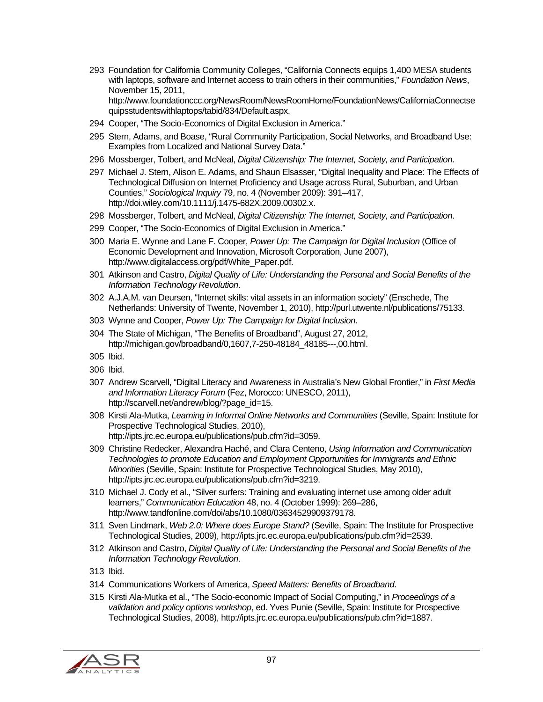293 Foundation for California Community Colleges, "California Connects equips 1,400 MESA students with laptops, software and Internet access to train others in their communities," *Foundation News*, November 15, 2011, http://www.foundationccc.org/NewsRoom/NewsRoomHome/FoundationNews/CaliforniaConnectse

quipsstudentswithlaptops/tabid/834/Default.aspx.

- 294 Cooper, "The Socio-Economics of Digital Exclusion in America."
- 295 Stern, Adams, and Boase, "Rural Community Participation, Social Networks, and Broadband Use: Examples from Localized and National Survey Data."
- 296 Mossberger, Tolbert, and McNeal, *Digital Citizenship: The Internet, Society, and Participation*.
- 297 Michael J. Stern, Alison E. Adams, and Shaun Elsasser, "Digital Inequality and Place: The Effects of Technological Diffusion on Internet Proficiency and Usage across Rural, Suburban, and Urban Counties," *Sociological Inquiry* 79, no. 4 (November 2009): 391–417, http://doi.wiley.com/10.1111/j.1475-682X.2009.00302.x.
- 298 Mossberger, Tolbert, and McNeal, *Digital Citizenship: The Internet, Society, and Participation*.
- 299 Cooper, "The Socio-Economics of Digital Exclusion in America."
- 300 Maria E. Wynne and Lane F. Cooper, *Power Up: The Campaign for Digital Inclusion* (Office of Economic Development and Innovation, Microsoft Corporation, June 2007), http://www.digitalaccess.org/pdf/White\_Paper.pdf.
- 301 Atkinson and Castro, *Digital Quality of Life: Understanding the Personal and Social Benefits of the Information Technology Revolution*.
- 302 A.J.A.M. van Deursen, "Internet skills: vital assets in an information society" (Enschede, The Netherlands: University of Twente, November 1, 2010), http://purl.utwente.nl/publications/75133.
- 303 Wynne and Cooper, *Power Up: The Campaign for Digital Inclusion*.
- 304 The State of Michigan, "The Benefits of Broadband", August 27, 2012, http://michigan.gov/broadband/0,1607,7-250-48184\_48185---,00.html.
- 305 Ibid.
- 306 Ibid.
- 307 Andrew Scarvell, "Digital Literacy and Awareness in Australia's New Global Frontier," in *First Media and Information Literacy Forum* (Fez, Morocco: UNESCO, 2011), http://scarvell.net/andrew/blog/?page\_id=15.
- 308 Kirsti Ala-Mutka, *Learning in Informal Online Networks and Communities* (Seville, Spain: Institute for Prospective Technological Studies, 2010), http://ipts.jrc.ec.europa.eu/publications/pub.cfm?id=3059.
- 309 Christine Redecker, Alexandra Haché, and Clara Centeno, *Using Information and Communication Technologies to promote Education and Employment Opportunities for Immigrants and Ethnic Minorities* (Seville, Spain: Institute for Prospective Technological Studies, May 2010), http://ipts.jrc.ec.europa.eu/publications/pub.cfm?id=3219.
- 310 Michael J. Cody et al., "Silver surfers: Training and evaluating internet use among older adult learners," *Communication Education* 48, no. 4 (October 1999): 269–286, http://www.tandfonline.com/doi/abs/10.1080/03634529909379178.
- 311 Sven Lindmark, *Web 2.0: Where does Europe Stand?* (Seville, Spain: The Institute for Prospective Technological Studies, 2009), http://ipts.jrc.ec.europa.eu/publications/pub.cfm?id=2539.
- 312 Atkinson and Castro, *Digital Quality of Life: Understanding the Personal and Social Benefits of the Information Technology Revolution*.
- 313 Ibid.
- 314 Communications Workers of America, *Speed Matters: Benefits of Broadband*.
- 315 Kirsti Ala-Mutka et al., "The Socio-economic Impact of Social Computing," in *Proceedings of a validation and policy options workshop*, ed. Yves Punie (Seville, Spain: Institute for Prospective Technological Studies, 2008), http://ipts.jrc.ec.europa.eu/publications/pub.cfm?id=1887.

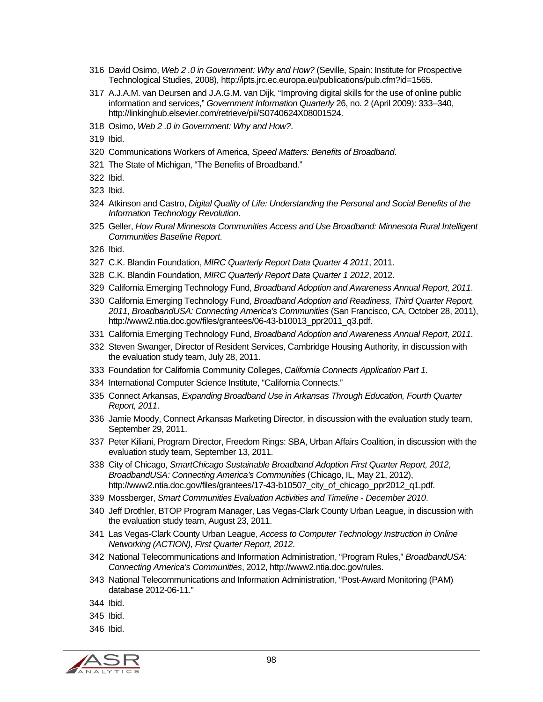- 316 David Osimo, *Web 2 .0 in Government: Why and How?* (Seville, Spain: Institute for Prospective Technological Studies, 2008), http://ipts.jrc.ec.europa.eu/publications/pub.cfm?id=1565.
- 317 A.J.A.M. van Deursen and J.A.G.M. van Dijk, "Improving digital skills for the use of online public information and services," *Government Information Quarterly* 26, no. 2 (April 2009): 333–340, http://linkinghub.elsevier.com/retrieve/pii/S0740624X08001524.
- 318 Osimo, *Web 2 .0 in Government: Why and How?*.
- 319 Ibid.
- 320 Communications Workers of America, *Speed Matters: Benefits of Broadband*.
- 321 The State of Michigan, "The Benefits of Broadband."
- 322 Ibid.
- 323 Ibid.
- 324 Atkinson and Castro, *Digital Quality of Life: Understanding the Personal and Social Benefits of the Information Technology Revolution*.
- 325 Geller, *How Rural Minnesota Communities Access and Use Broadband: Minnesota Rural Intelligent Communities Baseline Report*.
- 326 Ibid.
- 327 C.K. Blandin Foundation, *MIRC Quarterly Report Data Quarter 4 2011*, 2011.
- 328 C.K. Blandin Foundation, *MIRC Quarterly Report Data Quarter 1 2012*, 2012.
- 329 California Emerging Technology Fund, *Broadband Adoption and Awareness Annual Report, 2011*.
- 330 California Emerging Technology Fund, *Broadband Adoption and Readiness, Third Quarter Report, 2011*, *BroadbandUSA: Connecting America's Communities* (San Francisco, CA, October 28, 2011), http://www2.ntia.doc.gov/files/grantees/06-43-b10013\_ppr2011\_q3.pdf.
- 331 California Emerging Technology Fund, *Broadband Adoption and Awareness Annual Report, 2011*.
- 332 Steven Swanger, Director of Resident Services, Cambridge Housing Authority, in discussion with the evaluation study team, July 28, 2011.
- 333 Foundation for California Community Colleges, *California Connects Application Part 1*.
- 334 International Computer Science Institute, "California Connects."
- 335 Connect Arkansas, *Expanding Broadband Use in Arkansas Through Education, Fourth Quarter Report, 2011*.
- 336 Jamie Moody, Connect Arkansas Marketing Director, in discussion with the evaluation study team, September 29, 2011.
- 337 Peter Kiliani, Program Director, Freedom Rings: SBA, Urban Affairs Coalition, in discussion with the evaluation study team, September 13, 2011.
- 338 City of Chicago, *SmartChicago Sustainable Broadband Adoption First Quarter Report, 2012*, *BroadbandUSA: Connecting America's Communities* (Chicago, IL, May 21, 2012), http://www2.ntia.doc.gov/files/grantees/17-43-b10507 city of chicago ppr2012 q1.pdf.
- 339 Mossberger, *Smart Communities Evaluation Activities and Timeline December 2010*.
- 340 Jeff Drothler, BTOP Program Manager, Las Vegas-Clark County Urban League, in discussion with the evaluation study team, August 23, 2011.
- 341 Las Vegas-Clark County Urban League, *Access to Computer Technology Instruction in Online Networking (ACTION), First Quarter Report, 2012*.
- 342 National Telecommunications and Information Administration, "Program Rules," *BroadbandUSA: Connecting America's Communities*, 2012, http://www2.ntia.doc.gov/rules.
- 343 National Telecommunications and Information Administration, "Post-Award Monitoring (PAM) database 2012-06-11."
- 344 Ibid.
- 345 Ibid.
- 346 Ibid.

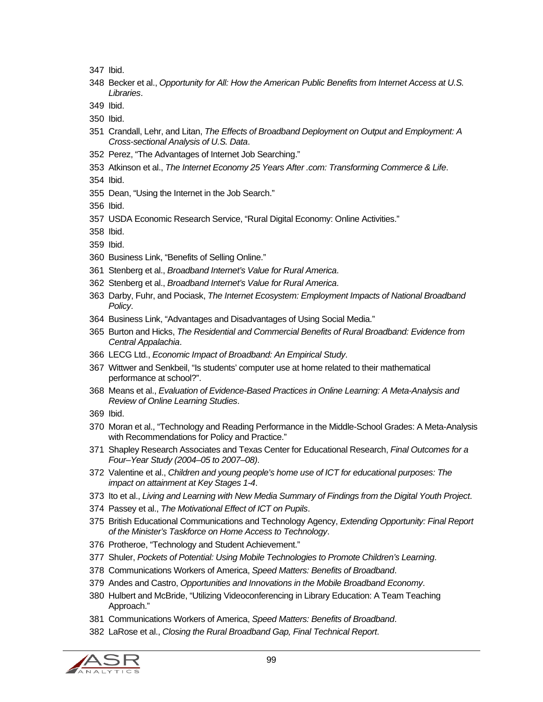347 Ibid.

- 348 Becker et al., *Opportunity for All: How the American Public Benefits from Internet Access at U.S. Libraries*.
- 349 Ibid.
- 350 Ibid.
- 351 Crandall, Lehr, and Litan, *The Effects of Broadband Deployment on Output and Employment: A Cross-sectional Analysis of U.S. Data*.
- 352 Perez, "The Advantages of Internet Job Searching."
- 353 Atkinson et al., *The Internet Economy 25 Years After .com: Transforming Commerce & Life*.
- 354 Ibid.
- 355 Dean, "Using the Internet in the Job Search."
- 356 Ibid.
- 357 USDA Economic Research Service, "Rural Digital Economy: Online Activities."
- 358 Ibid.
- 359 Ibid.
- 360 Business Link, "Benefits of Selling Online."
- 361 Stenberg et al., *Broadband Internet's Value for Rural America*.
- 362 Stenberg et al., *Broadband Internet's Value for Rural America*.
- 363 Darby, Fuhr, and Pociask, *The Internet Ecosystem: Employment Impacts of National Broadband Policy*.
- 364 Business Link, "Advantages and Disadvantages of Using Social Media."
- 365 Burton and Hicks, *The Residential and Commercial Benefits of Rural Broadband: Evidence from Central Appalachia*.
- 366 LECG Ltd., *Economic Impact of Broadband: An Empirical Study*.
- 367 Wittwer and Senkbeil, "Is students' computer use at home related to their mathematical performance at school?".
- 368 Means et al., *Evaluation of Evidence-Based Practices in Online Learning: A Meta-Analysis and Review of Online Learning Studies*.
- 369 Ibid.
- 370 Moran et al., "Technology and Reading Performance in the Middle-School Grades: A Meta-Analysis with Recommendations for Policy and Practice."
- 371 Shapley Research Associates and Texas Center for Educational Research, *Final Outcomes for a Four–Year Study (2004–05 to 2007–08)*.
- 372 Valentine et al., *Children and young people's home use of ICT for educational purposes: The impact on attainment at Key Stages 1-4*.
- 373 Ito et al., *Living and Learning with New Media Summary of Findings from the Digital Youth Project*.
- 374 Passey et al., *The Motivational Effect of ICT on Pupils*.
- 375 British Educational Communications and Technology Agency, *Extending Opportunity: Final Report of the Minister's Taskforce on Home Access to Technology*.
- 376 Protheroe, "Technology and Student Achievement."
- 377 Shuler, *Pockets of Potential: Using Mobile Technologies to Promote Children's Learning*.
- 378 Communications Workers of America, *Speed Matters: Benefits of Broadband*.
- 379 Andes and Castro, *Opportunities and Innovations in the Mobile Broadband Economy*.
- 380 Hulbert and McBride, "Utilizing Videoconferencing in Library Education: A Team Teaching Approach."
- 381 Communications Workers of America, *Speed Matters: Benefits of Broadband*.
- 382 LaRose et al., *Closing the Rural Broadband Gap, Final Technical Report*.

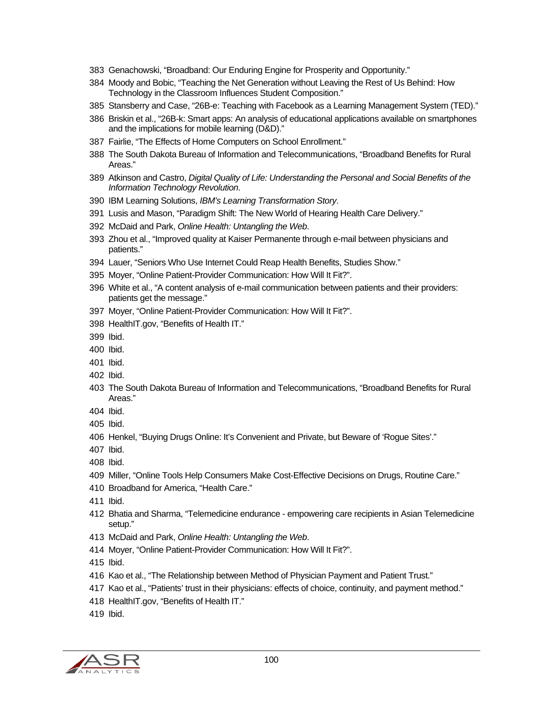- 383 Genachowski, "Broadband: Our Enduring Engine for Prosperity and Opportunity."
- 384 Moody and Bobic, "Teaching the Net Generation without Leaving the Rest of Us Behind: How Technology in the Classroom Influences Student Composition."
- 385 Stansberry and Case, "26B-e: Teaching with Facebook as a Learning Management System (TED)."
- 386 Briskin et al., "26B-k: Smart apps: An analysis of educational applications available on smartphones and the implications for mobile learning (D&D)."
- 387 Fairlie, "The Effects of Home Computers on School Enrollment."
- 388 The South Dakota Bureau of Information and Telecommunications, "Broadband Benefits for Rural Areas."
- 389 Atkinson and Castro, *Digital Quality of Life: Understanding the Personal and Social Benefits of the Information Technology Revolution*.
- 390 IBM Learning Solutions, *IBM's Learning Transformation Story*.
- 391 Lusis and Mason, "Paradigm Shift: The New World of Hearing Health Care Delivery."
- 392 McDaid and Park, *Online Health: Untangling the Web*.
- 393 Zhou et al., "Improved quality at Kaiser Permanente through e-mail between physicians and patients."
- 394 Lauer, "Seniors Who Use Internet Could Reap Health Benefits, Studies Show."
- 395 Moyer, "Online Patient-Provider Communication: How Will It Fit?".
- 396 White et al., "A content analysis of e-mail communication between patients and their providers: patients get the message."
- 397 Moyer, "Online Patient-Provider Communication: How Will It Fit?".
- 398 HealthIT.gov, "Benefits of Health IT."
- 399 Ibid.
- 400 Ibid.
- 401 Ibid.
- 402 Ibid.
- 403 The South Dakota Bureau of Information and Telecommunications, "Broadband Benefits for Rural Areas."
- 404 Ibid.
- 405 Ibid.
- 406 Henkel, "Buying Drugs Online: It's Convenient and Private, but Beware of 'Rogue Sites'."
- 407 Ibid.
- 408 Ibid.
- 409 Miller, "Online Tools Help Consumers Make Cost-Effective Decisions on Drugs, Routine Care."
- 410 Broadband for America, "Health Care."
- 411 Ibid.
- 412 Bhatia and Sharma, "Telemedicine endurance empowering care recipients in Asian Telemedicine setup."
- 413 McDaid and Park, *Online Health: Untangling the Web*.
- 414 Moyer, "Online Patient-Provider Communication: How Will It Fit?".
- 415 Ibid.
- 416 Kao et al., "The Relationship between Method of Physician Payment and Patient Trust."
- 417 Kao et al., "Patients' trust in their physicians: effects of choice, continuity, and payment method."
- 418 HealthIT.gov, "Benefits of Health IT."
- 419 Ibid.

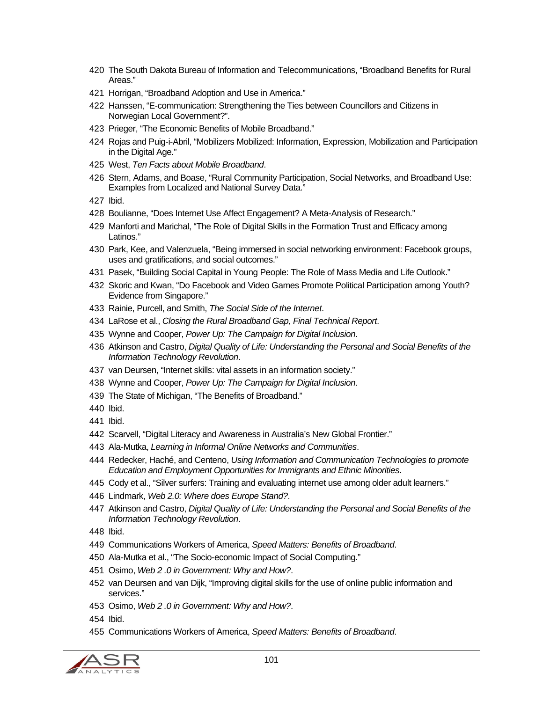- 420 The South Dakota Bureau of Information and Telecommunications, "Broadband Benefits for Rural Areas."
- 421 Horrigan, "Broadband Adoption and Use in America."
- 422 Hanssen, "E-communication: Strengthening the Ties between Councillors and Citizens in Norwegian Local Government?".
- 423 Prieger, "The Economic Benefits of Mobile Broadband."
- 424 Rojas and Puig-i-Abril, "Mobilizers Mobilized: Information, Expression, Mobilization and Participation in the Digital Age."
- 425 West, *Ten Facts about Mobile Broadband*.
- 426 Stern, Adams, and Boase, "Rural Community Participation, Social Networks, and Broadband Use: Examples from Localized and National Survey Data."
- 427 Ibid.
- 428 Boulianne, "Does Internet Use Affect Engagement? A Meta-Analysis of Research."
- 429 Manforti and Marichal, "The Role of Digital Skills in the Formation Trust and Efficacy among Latinos."
- 430 Park, Kee, and Valenzuela, "Being immersed in social networking environment: Facebook groups, uses and gratifications, and social outcomes."
- 431 Pasek, "Building Social Capital in Young People: The Role of Mass Media and Life Outlook."
- 432 Skoric and Kwan, "Do Facebook and Video Games Promote Political Participation among Youth? Evidence from Singapore."
- 433 Rainie, Purcell, and Smith, *The Social Side of the Internet*.
- 434 LaRose et al., *Closing the Rural Broadband Gap, Final Technical Report*.
- 435 Wynne and Cooper, *Power Up: The Campaign for Digital Inclusion*.
- 436 Atkinson and Castro, *Digital Quality of Life: Understanding the Personal and Social Benefits of the Information Technology Revolution*.
- 437 van Deursen, "Internet skills: vital assets in an information society."
- 438 Wynne and Cooper, *Power Up: The Campaign for Digital Inclusion*.
- 439 The State of Michigan, "The Benefits of Broadband."
- 440 Ibid.
- 441 Ibid.
- 442 Scarvell, "Digital Literacy and Awareness in Australia's New Global Frontier."
- 443 Ala-Mutka, *Learning in Informal Online Networks and Communities*.
- 444 Redecker, Haché, and Centeno, *Using Information and Communication Technologies to promote Education and Employment Opportunities for Immigrants and Ethnic Minorities*.
- 445 Cody et al., "Silver surfers: Training and evaluating internet use among older adult learners."
- 446 Lindmark, *Web 2.0: Where does Europe Stand?*.
- 447 Atkinson and Castro, *Digital Quality of Life: Understanding the Personal and Social Benefits of the Information Technology Revolution*.
- 448 Ibid.
- 449 Communications Workers of America, *Speed Matters: Benefits of Broadband*.
- 450 Ala-Mutka et al., "The Socio-economic Impact of Social Computing."
- 451 Osimo, *Web 2 .0 in Government: Why and How?*.
- 452 van Deursen and van Dijk, "Improving digital skills for the use of online public information and services."
- 453 Osimo, *Web 2 .0 in Government: Why and How?*.
- 454 Ibid.
- 455 Communications Workers of America, *Speed Matters: Benefits of Broadband*.

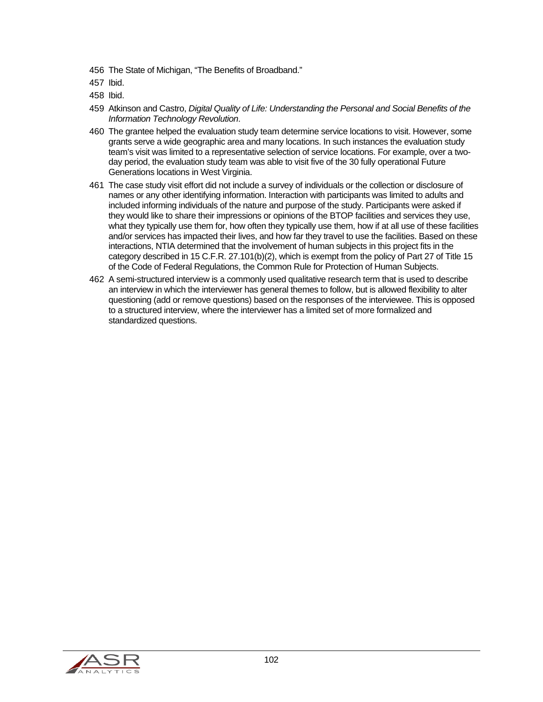- 456 The State of Michigan, "The Benefits of Broadband."
- 457 Ibid.
- 458 Ibid.
- 459 Atkinson and Castro, *Digital Quality of Life: Understanding the Personal and Social Benefits of the Information Technology Revolution*.
- 460 The grantee helped the evaluation study team determine service locations to visit. However, some grants serve a wide geographic area and many locations. In such instances the evaluation study team's visit was limited to a representative selection of service locations. For example, over a twoday period, the evaluation study team was able to visit five of the 30 fully operational Future Generations locations in West Virginia.
- 461 The case study visit effort did not include a survey of individuals or the collection or disclosure of names or any other identifying information. Interaction with participants was limited to adults and included informing individuals of the nature and purpose of the study. Participants were asked if they would like to share their impressions or opinions of the BTOP facilities and services they use, what they typically use them for, how often they typically use them, how if at all use of these facilities and/or services has impacted their lives, and how far they travel to use the facilities. Based on these interactions, NTIA determined that the involvement of human subjects in this project fits in the category described in 15 C.F.R. 27.101(b)(2), which is exempt from the policy of Part 27 of Title 15 of the Code of Federal Regulations, the Common Rule for Protection of Human Subjects.
- 462 A semi-structured interview is a commonly used qualitative research term that is used to describe an interview in which the interviewer has general themes to follow, but is allowed flexibility to alter questioning (add or remove questions) based on the responses of the interviewee. This is opposed to a structured interview, where the interviewer has a limited set of more formalized and standardized questions.

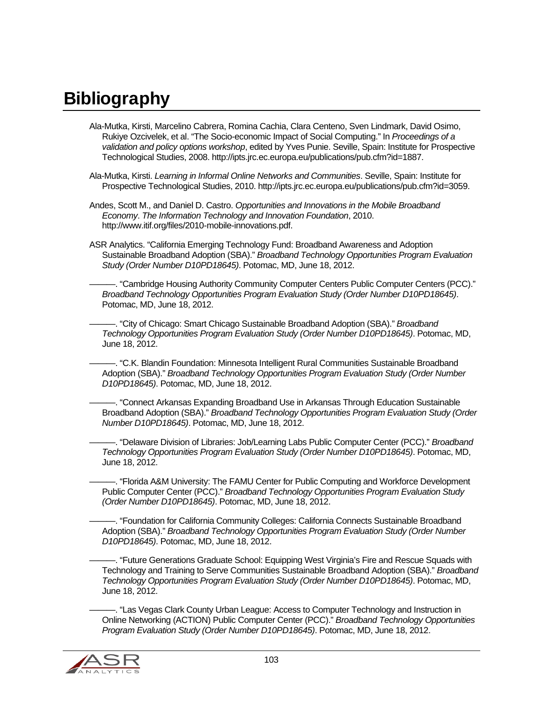## **Bibliography**

- Ala-Mutka, Kirsti, Marcelino Cabrera, Romina Cachia, Clara Centeno, Sven Lindmark, David Osimo, Rukiye Ozcivelek, et al. "The Socio-economic Impact of Social Computing." In *Proceedings of a validation and policy options workshop*, edited by Yves Punie. Seville, Spain: Institute for Prospective Technological Studies, 2008. http://ipts.jrc.ec.europa.eu/publications/pub.cfm?id=1887.
- Ala-Mutka, Kirsti. *Learning in Informal Online Networks and Communities*. Seville, Spain: Institute for Prospective Technological Studies, 2010. http://ipts.jrc.ec.europa.eu/publications/pub.cfm?id=3059.
- Andes, Scott M., and Daniel D. Castro. *Opportunities and Innovations in the Mobile Broadband Economy*. *The Information Technology and Innovation Foundation*, 2010. http://www.itif.org/files/2010-mobile-innovations.pdf.
- ASR Analytics. "California Emerging Technology Fund: Broadband Awareness and Adoption Sustainable Broadband Adoption (SBA)." *Broadband Technology Opportunities Program Evaluation Study (Order Number D10PD18645)*. Potomac, MD, June 18, 2012.
	- ———. "Cambridge Housing Authority Community Computer Centers Public Computer Centers (PCC)." *Broadband Technology Opportunities Program Evaluation Study (Order Number D10PD18645)*. Potomac, MD, June 18, 2012.

———. "City of Chicago: Smart Chicago Sustainable Broadband Adoption (SBA)." *Broadband Technology Opportunities Program Evaluation Study (Order Number D10PD18645)*. Potomac, MD, June 18, 2012.

-. "C.K. Blandin Foundation: Minnesota Intelligent Rural Communities Sustainable Broadband Adoption (SBA)." *Broadband Technology Opportunities Program Evaluation Study (Order Number D10PD18645)*. Potomac, MD, June 18, 2012.

———. "Connect Arkansas Expanding Broadband Use in Arkansas Through Education Sustainable Broadband Adoption (SBA)." *Broadband Technology Opportunities Program Evaluation Study (Order Number D10PD18645)*. Potomac, MD, June 18, 2012.

———. "Delaware Division of Libraries: Job/Learning Labs Public Computer Center (PCC)." *Broadband Technology Opportunities Program Evaluation Study (Order Number D10PD18645)*. Potomac, MD, June 18, 2012.

-. "Florida A&M University: The FAMU Center for Public Computing and Workforce Development Public Computer Center (PCC)." *Broadband Technology Opportunities Program Evaluation Study (Order Number D10PD18645)*. Potomac, MD, June 18, 2012.

-. "Foundation for California Community Colleges: California Connects Sustainable Broadband Adoption (SBA)." *Broadband Technology Opportunities Program Evaluation Study (Order Number D10PD18645)*. Potomac, MD, June 18, 2012.

-. "Future Generations Graduate School: Equipping West Virginia's Fire and Rescue Squads with Technology and Training to Serve Communities Sustainable Broadband Adoption (SBA)." *Broadband Technology Opportunities Program Evaluation Study (Order Number D10PD18645)*. Potomac, MD, June 18, 2012.

-. "Las Vegas Clark County Urban League: Access to Computer Technology and Instruction in Online Networking (ACTION) Public Computer Center (PCC)." *Broadband Technology Opportunities Program Evaluation Study (Order Number D10PD18645)*. Potomac, MD, June 18, 2012.

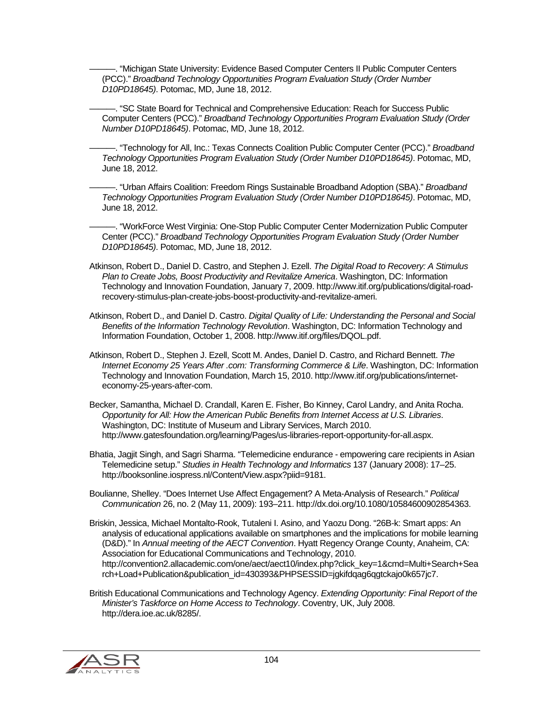-. "Michigan State University: Evidence Based Computer Centers II Public Computer Centers (PCC)." *Broadband Technology Opportunities Program Evaluation Study (Order Number D10PD18645)*. Potomac, MD, June 18, 2012.

-. "SC State Board for Technical and Comprehensive Education: Reach for Success Public Computer Centers (PCC)." *Broadband Technology Opportunities Program Evaluation Study (Order Number D10PD18645)*. Potomac, MD, June 18, 2012.

———. "Technology for All, Inc.: Texas Connects Coalition Public Computer Center (PCC)." *Broadband Technology Opportunities Program Evaluation Study (Order Number D10PD18645)*. Potomac, MD, June 18, 2012.

———. "Urban Affairs Coalition: Freedom Rings Sustainable Broadband Adoption (SBA)." *Broadband Technology Opportunities Program Evaluation Study (Order Number D10PD18645)*. Potomac, MD, June 18, 2012.

-. "WorkForce West Virginia: One-Stop Public Computer Center Modernization Public Computer Center (PCC)." *Broadband Technology Opportunities Program Evaluation Study (Order Number D10PD18645)*. Potomac, MD, June 18, 2012.

Atkinson, Robert D., Daniel D. Castro, and Stephen J. Ezell. *The Digital Road to Recovery: A Stimulus Plan to Create Jobs, Boost Productivity and Revitalize America*. Washington, DC: Information Technology and Innovation Foundation, January 7, 2009. http://www.itif.org/publications/digital-roadrecovery-stimulus-plan-create-jobs-boost-productivity-and-revitalize-ameri.

Atkinson, Robert D., and Daniel D. Castro. *Digital Quality of Life: Understanding the Personal and Social Benefits of the Information Technology Revolution*. Washington, DC: Information Technology and Information Foundation, October 1, 2008. http://www.itif.org/files/DQOL.pdf.

Atkinson, Robert D., Stephen J. Ezell, Scott M. Andes, Daniel D. Castro, and Richard Bennett. *The Internet Economy 25 Years After .com: Transforming Commerce & Life*. Washington, DC: Information Technology and Innovation Foundation, March 15, 2010. http://www.itif.org/publications/interneteconomy-25-years-after-com.

Becker, Samantha, Michael D. Crandall, Karen E. Fisher, Bo Kinney, Carol Landry, and Anita Rocha. *Opportunity for All: How the American Public Benefits from Internet Access at U.S. Libraries*. Washington, DC: Institute of Museum and Library Services, March 2010. http://www.gatesfoundation.org/learning/Pages/us-libraries-report-opportunity-for-all.aspx.

Bhatia, Jagjit Singh, and Sagri Sharma. "Telemedicine endurance - empowering care recipients in Asian Telemedicine setup." *Studies in Health Technology and Informatics* 137 (January 2008): 17–25. http://booksonline.iospress.nl/Content/View.aspx?piid=9181.

Boulianne, Shelley. "Does Internet Use Affect Engagement? A Meta-Analysis of Research." *Political Communication* 26, no. 2 (May 11, 2009): 193–211. http://dx.doi.org/10.1080/10584600902854363.

Briskin, Jessica, Michael Montalto-Rook, Tutaleni I. Asino, and Yaozu Dong. "26B-k: Smart apps: An analysis of educational applications available on smartphones and the implications for mobile learning (D&D)." In *Annual meeting of the AECT Convention*. Hyatt Regency Orange County, Anaheim, CA: Association for Educational Communications and Technology, 2010. http://convention2.allacademic.com/one/aect/aect10/index.php?click\_key=1&cmd=Multi+Search+Sea rch+Load+Publication&publication\_id=430393&PHPSESSID=jgkifdqag6qgtckajo0k657jc7.

British Educational Communications and Technology Agency. *Extending Opportunity: Final Report of the Minister's Taskforce on Home Access to Technology*. Coventry, UK, July 2008. http://dera.ioe.ac.uk/8285/.

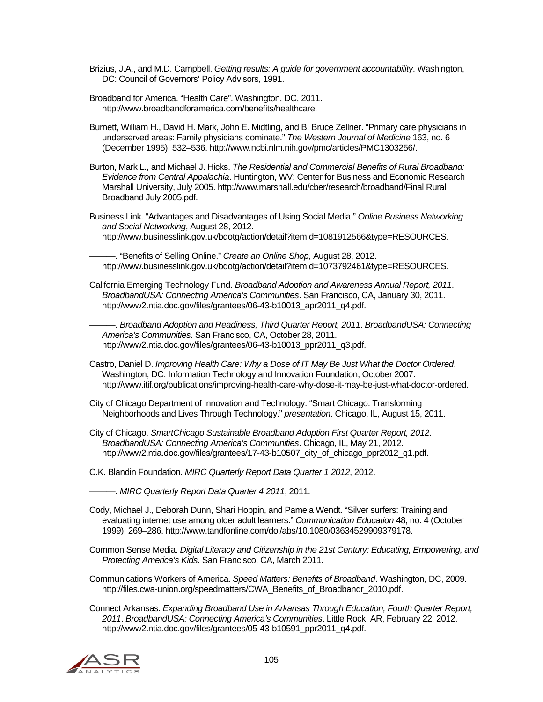Brizius, J.A., and M.D. Campbell. *Getting results: A guide for government accountability*. Washington, DC: Council of Governors' Policy Advisors, 1991.

Broadband for America. "Health Care". Washington, DC, 2011. http://www.broadbandforamerica.com/benefits/healthcare.

Burnett, William H., David H. Mark, John E. Midtling, and B. Bruce Zellner. "Primary care physicians in underserved areas: Family physicians dominate." *The Western Journal of Medicine* 163, no. 6 (December 1995): 532–536. http://www.ncbi.nlm.nih.gov/pmc/articles/PMC1303256/.

- Burton, Mark L., and Michael J. Hicks. *The Residential and Commercial Benefits of Rural Broadband: Evidence from Central Appalachia*. Huntington, WV: Center for Business and Economic Research Marshall University, July 2005. http://www.marshall.edu/cber/research/broadband/Final Rural Broadband July 2005.pdf.
- Business Link. "Advantages and Disadvantages of Using Social Media." *Online Business Networking and Social Networking*, August 28, 2012. http://www.businesslink.gov.uk/bdotg/action/detail?itemId=1081912566&type=RESOURCES.

-. "Benefits of Selling Online." *Create an Online Shop*, August 28, 2012. http://www.businesslink.gov.uk/bdotg/action/detail?itemId=1073792461&type=RESOURCES.

California Emerging Technology Fund. *Broadband Adoption and Awareness Annual Report, 2011*. *BroadbandUSA: Connecting America's Communities*. San Francisco, CA, January 30, 2011. http://www2.ntia.doc.gov/files/grantees/06-43-b10013\_apr2011\_q4.pdf.

———. *Broadband Adoption and Readiness, Third Quarter Report, 2011*. *BroadbandUSA: Connecting America's Communities*. San Francisco, CA, October 28, 2011. http://www2.ntia.doc.gov/files/grantees/06-43-b10013\_ppr2011\_q3.pdf.

- Castro, Daniel D. *Improving Health Care: Why a Dose of IT May Be Just What the Doctor Ordered*. Washington, DC: Information Technology and Innovation Foundation, October 2007. http://www.itif.org/publications/improving-health-care-why-dose-it-may-be-just-what-doctor-ordered.
- City of Chicago Department of Innovation and Technology. "Smart Chicago: Transforming Neighborhoods and Lives Through Technology." *presentation*. Chicago, IL, August 15, 2011.
- City of Chicago. *SmartChicago Sustainable Broadband Adoption First Quarter Report, 2012*. *BroadbandUSA: Connecting America's Communities*. Chicago, IL, May 21, 2012. http://www2.ntia.doc.gov/files/grantees/17-43-b10507\_city\_of\_chicago\_ppr2012\_q1.pdf.

C.K. Blandin Foundation. *MIRC Quarterly Report Data Quarter 1 2012*, 2012.

———. *MIRC Quarterly Report Data Quarter 4 2011*, 2011.

Cody, Michael J., Deborah Dunn, Shari Hoppin, and Pamela Wendt. "Silver surfers: Training and evaluating internet use among older adult learners." *Communication Education* 48, no. 4 (October 1999): 269–286. http://www.tandfonline.com/doi/abs/10.1080/03634529909379178.

Common Sense Media. *Digital Literacy and Citizenship in the 21st Century: Educating, Empowering, and Protecting America's Kids*. San Francisco, CA, March 2011.

Communications Workers of America. *Speed Matters: Benefits of Broadband*. Washington, DC, 2009. http://files.cwa-union.org/speedmatters/CWA\_Benefits\_of\_Broadbandr\_2010.pdf.

Connect Arkansas. *Expanding Broadband Use in Arkansas Through Education, Fourth Quarter Report, 2011*. *BroadbandUSA: Connecting America's Communities*. Little Rock, AR, February 22, 2012. http://www2.ntia.doc.gov/files/grantees/05-43-b10591\_ppr2011\_q4.pdf.

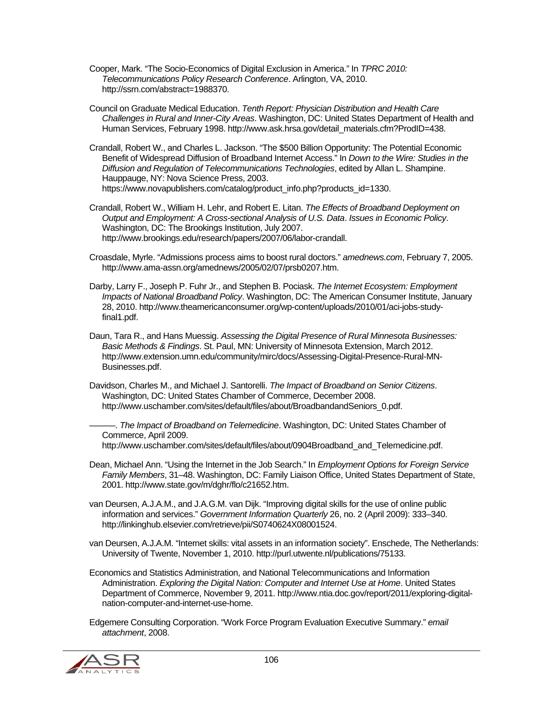Cooper, Mark. "The Socio-Economics of Digital Exclusion in America." In *TPRC 2010: Telecommunications Policy Research Conference*. Arlington, VA, 2010. http://ssrn.com/abstract=1988370.

Council on Graduate Medical Education. *Tenth Report: Physician Distribution and Health Care Challenges in Rural and Inner-City Areas*. Washington, DC: United States Department of Health and Human Services, February 1998. http://www.ask.hrsa.gov/detail\_materials.cfm?ProdID=438.

Crandall, Robert W., and Charles L. Jackson. "The \$500 Billion Opportunity: The Potential Economic Benefit of Widespread Diffusion of Broadband Internet Access." In *Down to the Wire: Studies in the Diffusion and Regulation of Telecommunications Technologies*, edited by Allan L. Shampine. Hauppauge, NY: Nova Science Press, 2003. https://www.novapublishers.com/catalog/product\_info.php?products\_id=1330.

Crandall, Robert W., William H. Lehr, and Robert E. Litan. *The Effects of Broadband Deployment on Output and Employment: A Cross-sectional Analysis of U.S. Data*. *Issues in Economic Policy*. Washington, DC: The Brookings Institution, July 2007. http://www.brookings.edu/research/papers/2007/06/labor-crandall.

Croasdale, Myrle. "Admissions process aims to boost rural doctors." *amednews.com*, February 7, 2005. http://www.ama-assn.org/amednews/2005/02/07/prsb0207.htm.

Darby, Larry F., Joseph P. Fuhr Jr., and Stephen B. Pociask. *The Internet Ecosystem: Employment Impacts of National Broadband Policy*. Washington, DC: The American Consumer Institute, January 28, 2010. http://www.theamericanconsumer.org/wp-content/uploads/2010/01/aci-jobs-studyfinal1.pdf.

Daun, Tara R., and Hans Muessig. *Assessing the Digital Presence of Rural Minnesota Businesses: Basic Methods & Findings*. St. Paul, MN: University of Minnesota Extension, March 2012. http://www.extension.umn.edu/community/mirc/docs/Assessing-Digital-Presence-Rural-MN-Businesses.pdf.

Davidson, Charles M., and Michael J. Santorelli. *The Impact of Broadband on Senior Citizens*. Washington, DC: United States Chamber of Commerce, December 2008. http://www.uschamber.com/sites/default/files/about/BroadbandandSeniors\_0.pdf.

———. *The Impact of Broadband on Telemedicine*. Washington, DC: United States Chamber of Commerce, April 2009.

http://www.uschamber.com/sites/default/files/about/0904Broadband\_and\_Telemedicine.pdf.

- Dean, Michael Ann. "Using the Internet in the Job Search." In *Employment Options for Foreign Service Family Members*, 31–48. Washington, DC: Family Liaison Office, United States Department of State, 2001. http://www.state.gov/m/dghr/flo/c21652.htm.
- van Deursen, A.J.A.M., and J.A.G.M. van Dijk. "Improving digital skills for the use of online public information and services." *Government Information Quarterly* 26, no. 2 (April 2009): 333–340. http://linkinghub.elsevier.com/retrieve/pii/S0740624X08001524.

van Deursen, A.J.A.M. "Internet skills: vital assets in an information society". Enschede, The Netherlands: University of Twente, November 1, 2010. http://purl.utwente.nl/publications/75133.

Economics and Statistics Administration, and National Telecommunications and Information Administration. *Exploring the Digital Nation: Computer and Internet Use at Home*. United States Department of Commerce, November 9, 2011. http://www.ntia.doc.gov/report/2011/exploring-digitalnation-computer-and-internet-use-home.

Edgemere Consulting Corporation. "Work Force Program Evaluation Executive Summary." *email attachment*, 2008.

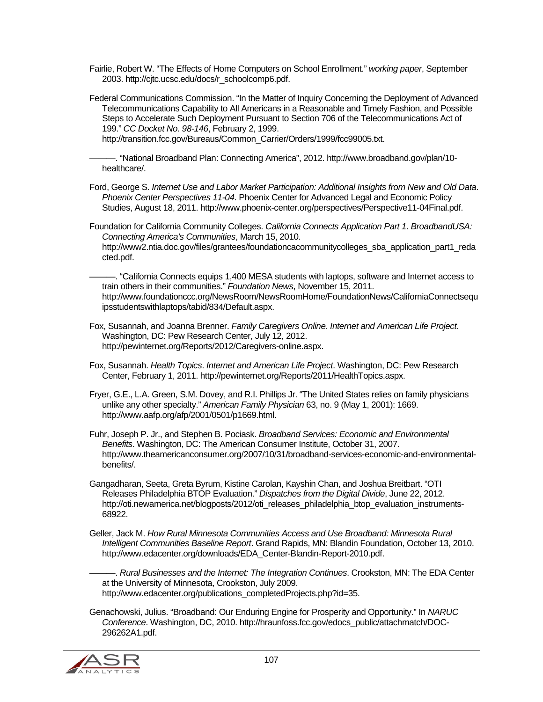Fairlie, Robert W. "The Effects of Home Computers on School Enrollment." *working paper*, September 2003. http://cjtc.ucsc.edu/docs/r\_schoolcomp6.pdf.

Federal Communications Commission. "In the Matter of Inquiry Concerning the Deployment of Advanced Telecommunications Capability to All Americans in a Reasonable and Timely Fashion, and Possible Steps to Accelerate Such Deployment Pursuant to Section 706 of the Telecommunications Act of 199." *CC Docket No. 98-146*, February 2, 1999.

http://transition.fcc.gov/Bureaus/Common\_Carrier/Orders/1999/fcc99005.txt.

———. "National Broadband Plan: Connecting America", 2012. http://www.broadband.gov/plan/10 healthcare/.

Ford, George S. *Internet Use and Labor Market Participation: Additional Insights from New and Old Data*. *Phoenix Center Perspectives 11-04*. Phoenix Center for Advanced Legal and Economic Policy Studies, August 18, 2011. http://www.phoenix-center.org/perspectives/Perspective11-04Final.pdf.

Foundation for California Community Colleges. *California Connects Application Part 1*. *BroadbandUSA: Connecting America's Communities*, March 15, 2010. http://www2.ntia.doc.gov/files/grantees/foundationcacommunitycolleges\_sba\_application\_part1\_reda cted.pdf.

———. "California Connects equips 1,400 MESA students with laptops, software and Internet access to train others in their communities." *Foundation News*, November 15, 2011. http://www.foundationccc.org/NewsRoom/NewsRoomHome/FoundationNews/CaliforniaConnectsequ ipsstudentswithlaptops/tabid/834/Default.aspx.

Fox, Susannah, and Joanna Brenner. *Family Caregivers Online*. *Internet and American Life Project*. Washington, DC: Pew Research Center, July 12, 2012. http://pewinternet.org/Reports/2012/Caregivers-online.aspx.

Fox, Susannah. *Health Topics*. *Internet and American Life Project*. Washington, DC: Pew Research Center, February 1, 2011. http://pewinternet.org/Reports/2011/HealthTopics.aspx.

Fryer, G.E., L.A. Green, S.M. Dovey, and R.I. Phillips Jr. "The United States relies on family physicians unlike any other specialty." *American Family Physician* 63, no. 9 (May 1, 2001): 1669. http://www.aafp.org/afp/2001/0501/p1669.html.

Fuhr, Joseph P. Jr., and Stephen B. Pociask. *Broadband Services: Economic and Environmental Benefits*. Washington, DC: The American Consumer Institute, October 31, 2007. http://www.theamericanconsumer.org/2007/10/31/broadband-services-economic-and-environmentalbenefits/.

Gangadharan, Seeta, Greta Byrum, Kistine Carolan, Kayshin Chan, and Joshua Breitbart. "OTI Releases Philadelphia BTOP Evaluation." *Dispatches from the Digital Divide*, June 22, 2012. http://oti.newamerica.net/blogposts/2012/oti\_releases\_philadelphia\_btop\_evaluation\_instruments-68922.

Geller, Jack M. *How Rural Minnesota Communities Access and Use Broadband: Minnesota Rural Intelligent Communities Baseline Report*. Grand Rapids, MN: Blandin Foundation, October 13, 2010. http://www.edacenter.org/downloads/EDA\_Center-Blandin-Report-2010.pdf.

———. *Rural Businesses and the Internet: The Integration Continues*. Crookston, MN: The EDA Center at the University of Minnesota, Crookston, July 2009. http://www.edacenter.org/publications\_completedProjects.php?id=35.

Genachowski, Julius. "Broadband: Our Enduring Engine for Prosperity and Opportunity." In *NARUC Conference*. Washington, DC, 2010. http://hraunfoss.fcc.gov/edocs\_public/attachmatch/DOC-296262A1.pdf.

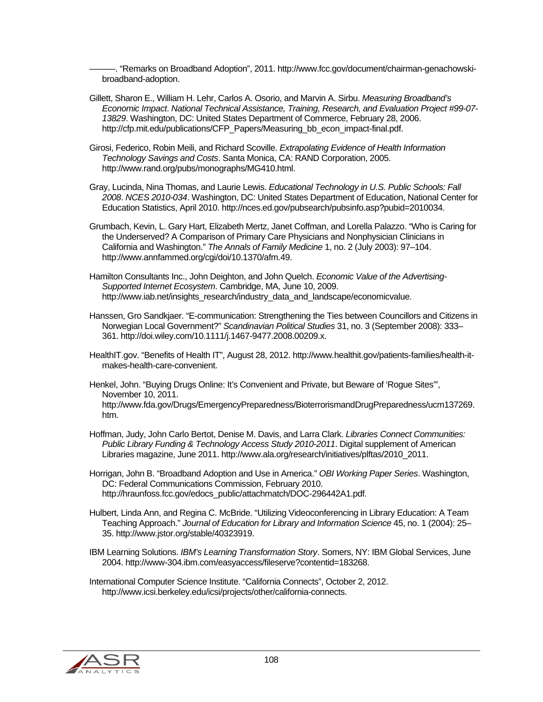———. "Remarks on Broadband Adoption", 2011. http://www.fcc.gov/document/chairman-genachowskibroadband-adoption.

- Gillett, Sharon E., William H. Lehr, Carlos A. Osorio, and Marvin A. Sirbu. *Measuring Broadband's Economic Impact*. *National Technical Assistance, Training, Research, and Evaluation Project #99-07- 13829*. Washington, DC: United States Department of Commerce, February 28, 2006. http://cfp.mit.edu/publications/CFP\_Papers/Measuring\_bb\_econ\_impact-final.pdf.
- Girosi, Federico, Robin Meili, and Richard Scoville. *Extrapolating Evidence of Health Information Technology Savings and Costs*. Santa Monica, CA: RAND Corporation, 2005. http://www.rand.org/pubs/monographs/MG410.html.
- Gray, Lucinda, Nina Thomas, and Laurie Lewis. *Educational Technology in U.S. Public Schools: Fall 2008*. *NCES 2010-034*. Washington, DC: United States Department of Education, National Center for Education Statistics, April 2010. http://nces.ed.gov/pubsearch/pubsinfo.asp?pubid=2010034.
- Grumbach, Kevin, L. Gary Hart, Elizabeth Mertz, Janet Coffman, and Lorella Palazzo. "Who is Caring for the Underserved? A Comparison of Primary Care Physicians and Nonphysician Clinicians in California and Washington." *The Annals of Family Medicine* 1, no. 2 (July 2003): 97–104. http://www.annfammed.org/cgi/doi/10.1370/afm.49.
- Hamilton Consultants Inc., John Deighton, and John Quelch. *Economic Value of the Advertising-Supported Internet Ecosystem*. Cambridge, MA, June 10, 2009. http://www.iab.net/insights\_research/industry\_data\_and\_landscape/economicvalue.
- Hanssen, Gro Sandkjaer. "E-communication: Strengthening the Ties between Councillors and Citizens in Norwegian Local Government?" *Scandinavian Political Studies* 31, no. 3 (September 2008): 333– 361. http://doi.wiley.com/10.1111/j.1467-9477.2008.00209.x.
- HealthIT.gov. "Benefits of Health IT", August 28, 2012. http://www.healthit.gov/patients-families/health-itmakes-health-care-convenient.
- Henkel, John. "Buying Drugs Online: It's Convenient and Private, but Beware of 'Rogue Sites'", November 10, 2011. http://www.fda.gov/Drugs/EmergencyPreparedness/BioterrorismandDrugPreparedness/ucm137269. htm.
- Hoffman, Judy, John Carlo Bertot, Denise M. Davis, and Larra Clark. *Libraries Connect Communities: Public Library Funding & Technology Access Study 2010-2011*. Digital supplement of American Libraries magazine, June 2011. http://www.ala.org/research/initiatives/plftas/2010\_2011.
- Horrigan, John B. "Broadband Adoption and Use in America." *OBI Working Paper Series*. Washington, DC: Federal Communications Commission, February 2010. http://hraunfoss.fcc.gov/edocs\_public/attachmatch/DOC-296442A1.pdf.
- Hulbert, Linda Ann, and Regina C. McBride. "Utilizing Videoconferencing in Library Education: A Team Teaching Approach." *Journal of Education for Library and Information Science* 45, no. 1 (2004): 25– 35. http://www.jstor.org/stable/40323919.
- IBM Learning Solutions. *IBM's Learning Transformation Story*. Somers, NY: IBM Global Services, June 2004. http://www-304.ibm.com/easyaccess/fileserve?contentid=183268.

International Computer Science Institute. "California Connects", October 2, 2012. http://www.icsi.berkeley.edu/icsi/projects/other/california-connects.

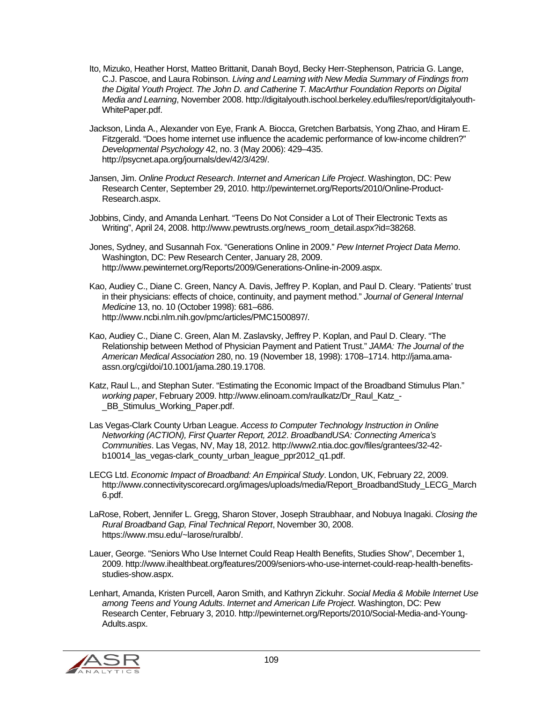- Ito, Mizuko, Heather Horst, Matteo Brittanit, Danah Boyd, Becky Herr-Stephenson, Patricia G. Lange, C.J. Pascoe, and Laura Robinson. *Living and Learning with New Media Summary of Findings from the Digital Youth Project*. *The John D. and Catherine T. MacArthur Foundation Reports on Digital Media and Learning*, November 2008. http://digitalyouth.ischool.berkeley.edu/files/report/digitalyouth-WhitePaper.pdf.
- Jackson, Linda A., Alexander von Eye, Frank A. Biocca, Gretchen Barbatsis, Yong Zhao, and Hiram E. Fitzgerald. "Does home internet use influence the academic performance of low-income children?" *Developmental Psychology* 42, no. 3 (May 2006): 429–435. http://psycnet.apa.org/journals/dev/42/3/429/.
- Jansen, Jim. *Online Product Research*. *Internet and American Life Project*. Washington, DC: Pew Research Center, September 29, 2010. http://pewinternet.org/Reports/2010/Online-Product-Research.aspx.
- Jobbins, Cindy, and Amanda Lenhart. "Teens Do Not Consider a Lot of Their Electronic Texts as Writing", April 24, 2008. http://www.pewtrusts.org/news\_room\_detail.aspx?id=38268.
- Jones, Sydney, and Susannah Fox. "Generations Online in 2009." *Pew Internet Project Data Memo*. Washington, DC: Pew Research Center, January 28, 2009. http://www.pewinternet.org/Reports/2009/Generations-Online-in-2009.aspx.
- Kao, Audiey C., Diane C. Green, Nancy A. Davis, Jeffrey P. Koplan, and Paul D. Cleary. "Patients' trust in their physicians: effects of choice, continuity, and payment method." *Journal of General Internal Medicine* 13, no. 10 (October 1998): 681–686. http://www.ncbi.nlm.nih.gov/pmc/articles/PMC1500897/.
- Kao, Audiey C., Diane C. Green, Alan M. Zaslavsky, Jeffrey P. Koplan, and Paul D. Cleary. "The Relationship between Method of Physician Payment and Patient Trust." *JAMA: The Journal of the American Medical Association* 280, no. 19 (November 18, 1998): 1708–1714. http://jama.amaassn.org/cgi/doi/10.1001/jama.280.19.1708.
- Katz, Raul L., and Stephan Suter. "Estimating the Economic Impact of the Broadband Stimulus Plan." *working paper*, February 2009. http://www.elinoam.com/raulkatz/Dr\_Raul\_Katz\_- \_BB\_Stimulus\_Working\_Paper.pdf.
- Las Vegas-Clark County Urban League. *Access to Computer Technology Instruction in Online Networking (ACTION), First Quarter Report, 2012*. *BroadbandUSA: Connecting America's Communities*. Las Vegas, NV, May 18, 2012. http://www2.ntia.doc.gov/files/grantees/32-42 b10014 las vegas-clark county urban league ppr2012 q1.pdf.
- LECG Ltd. *Economic Impact of Broadband: An Empirical Study*. London, UK, February 22, 2009. http://www.connectivityscorecard.org/images/uploads/media/Report\_BroadbandStudy\_LECG\_March 6.pdf.
- LaRose, Robert, Jennifer L. Gregg, Sharon Stover, Joseph Straubhaar, and Nobuya Inagaki. *Closing the Rural Broadband Gap, Final Technical Report*, November 30, 2008. https://www.msu.edu/~larose/ruralbb/.
- Lauer, George. "Seniors Who Use Internet Could Reap Health Benefits, Studies Show", December 1, 2009. http://www.ihealthbeat.org/features/2009/seniors-who-use-internet-could-reap-health-benefitsstudies-show.aspx.
- Lenhart, Amanda, Kristen Purcell, Aaron Smith, and Kathryn Zickuhr. *Social Media & Mobile Internet Use among Teens and Young Adults*. *Internet and American Life Project*. Washington, DC: Pew Research Center, February 3, 2010. http://pewinternet.org/Reports/2010/Social-Media-and-Young-Adults.aspx.

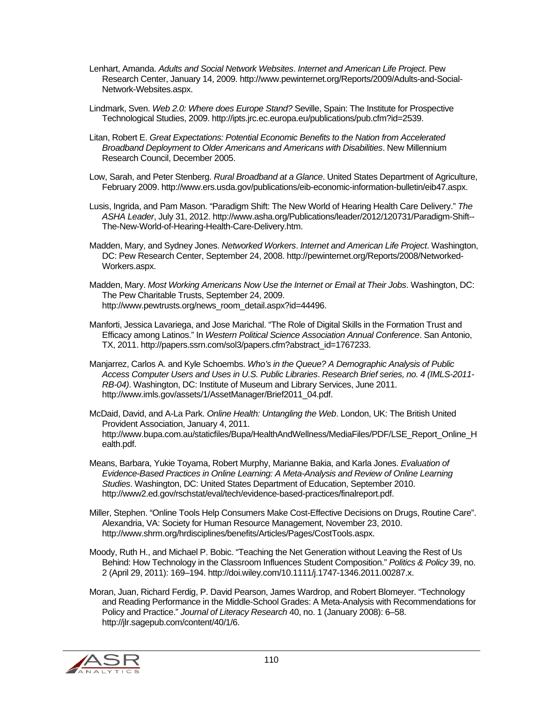- Lenhart, Amanda. *Adults and Social Network Websites*. *Internet and American Life Project*. Pew Research Center, January 14, 2009. http://www.pewinternet.org/Reports/2009/Adults-and-Social-Network-Websites.aspx.
- Lindmark, Sven. *Web 2.0: Where does Europe Stand?* Seville, Spain: The Institute for Prospective Technological Studies, 2009. http://ipts.jrc.ec.europa.eu/publications/pub.cfm?id=2539.
- Litan, Robert E. *Great Expectations: Potential Economic Benefits to the Nation from Accelerated Broadband Deployment to Older Americans and Americans with Disabilities*. New Millennium Research Council, December 2005.
- Low, Sarah, and Peter Stenberg. *Rural Broadband at a Glance*. United States Department of Agriculture, February 2009. http://www.ers.usda.gov/publications/eib-economic-information-bulletin/eib47.aspx.
- Lusis, Ingrida, and Pam Mason. "Paradigm Shift: The New World of Hearing Health Care Delivery." *The ASHA Leader*, July 31, 2012. http://www.asha.org/Publications/leader/2012/120731/Paradigm-Shift-- The-New-World-of-Hearing-Health-Care-Delivery.htm.
- Madden, Mary, and Sydney Jones. *Networked Workers*. *Internet and American Life Project*. Washington, DC: Pew Research Center, September 24, 2008. http://pewinternet.org/Reports/2008/Networked-Workers.aspx.
- Madden, Mary. *Most Working Americans Now Use the Internet or Email at Their Jobs*. Washington, DC: The Pew Charitable Trusts, September 24, 2009. http://www.pewtrusts.org/news\_room\_detail.aspx?id=44496.
- Manforti, Jessica Lavariega, and Jose Marichal. "The Role of Digital Skills in the Formation Trust and Efficacy among Latinos." In *Western Political Science Association Annual Conference*. San Antonio, TX, 2011. http://papers.ssrn.com/sol3/papers.cfm?abstract\_id=1767233.
- Manjarrez, Carlos A. and Kyle Schoembs. *Who's in the Queue? A Demographic Analysis of Public Access Computer Users and Uses in U.S. Public Libraries*. *Research Brief series, no. 4 (IMLS-2011- RB-04)*. Washington, DC: Institute of Museum and Library Services, June 2011. http://www.imls.gov/assets/1/AssetManager/Brief2011\_04.pdf.

McDaid, David, and A-La Park. *Online Health: Untangling the Web*. London, UK: The British United Provident Association, January 4, 2011. http://www.bupa.com.au/staticfiles/Bupa/HealthAndWellness/MediaFiles/PDF/LSE\_Report\_Online\_H ealth.pdf.

- Means, Barbara, Yukie Toyama, Robert Murphy, Marianne Bakia, and Karla Jones. *Evaluation of Evidence-Based Practices in Online Learning: A Meta-Analysis and Review of Online Learning Studies*. Washington, DC: United States Department of Education, September 2010. http://www2.ed.gov/rschstat/eval/tech/evidence-based-practices/finalreport.pdf.
- Miller, Stephen. "Online Tools Help Consumers Make Cost-Effective Decisions on Drugs, Routine Care". Alexandria, VA: Society for Human Resource Management, November 23, 2010. http://www.shrm.org/hrdisciplines/benefits/Articles/Pages/CostTools.aspx.
- Moody, Ruth H., and Michael P. Bobic. "Teaching the Net Generation without Leaving the Rest of Us Behind: How Technology in the Classroom Influences Student Composition." *Politics & Policy* 39, no. 2 (April 29, 2011): 169–194. http://doi.wiley.com/10.1111/j.1747-1346.2011.00287.x.
- Moran, Juan, Richard Ferdig, P. David Pearson, James Wardrop, and Robert Blomeyer. "Technology and Reading Performance in the Middle-School Grades: A Meta-Analysis with Recommendations for Policy and Practice." *Journal of Literacy Research* 40, no. 1 (January 2008): 6–58. http://jlr.sagepub.com/content/40/1/6.

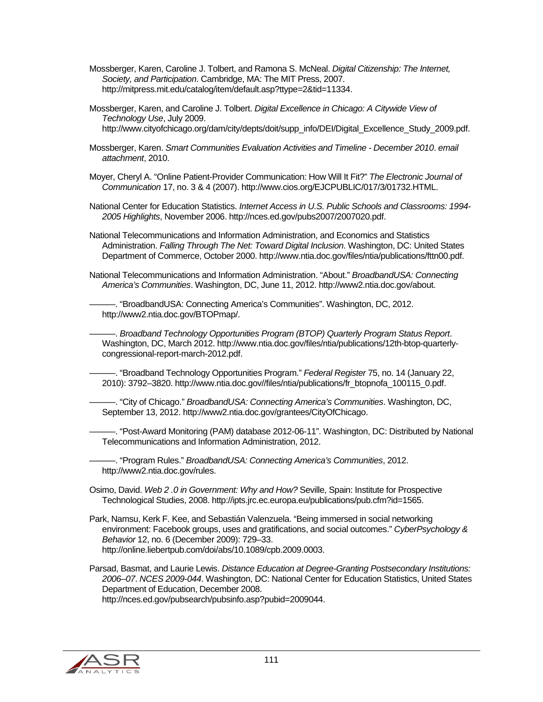- Mossberger, Karen, Caroline J. Tolbert, and Ramona S. McNeal. *Digital Citizenship: The Internet, Society, and Participation*. Cambridge, MA: The MIT Press, 2007. http://mitpress.mit.edu/catalog/item/default.asp?ttype=2&tid=11334.
- Mossberger, Karen, and Caroline J. Tolbert. *Digital Excellence in Chicago: A Citywide View of Technology Use*, July 2009. http://www.cityofchicago.org/dam/city/depts/doit/supp\_info/DEI/Digital\_Excellence\_Study\_2009.pdf.
- Mossberger, Karen. *Smart Communities Evaluation Activities and Timeline December 2010*. *email attachment*, 2010.
- Moyer, Cheryl A. "Online Patient-Provider Communication: How Will It Fit?" *The Electronic Journal of Communication* 17, no. 3 & 4 (2007). http://www.cios.org/EJCPUBLIC/017/3/01732.HTML.
- National Center for Education Statistics. *Internet Access in U.S. Public Schools and Classrooms: 1994- 2005 Highlights*, November 2006. http://nces.ed.gov/pubs2007/2007020.pdf.
- National Telecommunications and Information Administration, and Economics and Statistics Administration. *Falling Through The Net: Toward Digital Inclusion*. Washington, DC: United States Department of Commerce, October 2000. http://www.ntia.doc.gov/files/ntia/publications/fttn00.pdf.
- National Telecommunications and Information Administration. "About." *BroadbandUSA: Connecting America's Communities*. Washington, DC, June 11, 2012. http://www2.ntia.doc.gov/about.

———. "BroadbandUSA: Connecting America's Communities". Washington, DC, 2012. http://www2.ntia.doc.gov/BTOPmap/.

———. *Broadband Technology Opportunities Program (BTOP) Quarterly Program Status Report*. Washington, DC, March 2012. http://www.ntia.doc.gov/files/ntia/publications/12th-btop-quarterlycongressional-report-march-2012.pdf.

———. "Broadband Technology Opportunities Program." *Federal Register* 75, no. 14 (January 22, 2010): 3792–3820. http://www.ntia.doc.gov//files/ntia/publications/fr\_btopnofa\_100115\_0.pdf.

———. "City of Chicago." *BroadbandUSA: Connecting America's Communities*. Washington, DC, September 13, 2012. http://www2.ntia.doc.gov/grantees/CityOfChicago.

———. "Post-Award Monitoring (PAM) database 2012-06-11". Washington, DC: Distributed by National Telecommunications and Information Administration, 2012.

———. "Program Rules." *BroadbandUSA: Connecting America's Communities*, 2012. http://www2.ntia.doc.gov/rules.

- Osimo, David. *Web 2 .0 in Government: Why and How?* Seville, Spain: Institute for Prospective Technological Studies, 2008. http://ipts.jrc.ec.europa.eu/publications/pub.cfm?id=1565.
- Park, Namsu, Kerk F. Kee, and Sebastián Valenzuela. "Being immersed in social networking environment: Facebook groups, uses and gratifications, and social outcomes." *CyberPsychology & Behavior* 12, no. 6 (December 2009): 729–33. http://online.liebertpub.com/doi/abs/10.1089/cpb.2009.0003.

Parsad, Basmat, and Laurie Lewis. *Distance Education at Degree-Granting Postsecondary Institutions: 2006–07*. *NCES 2009-044*. Washington, DC: National Center for Education Statistics, United States Department of Education, December 2008. http://nces.ed.gov/pubsearch/pubsinfo.asp?pubid=2009044.

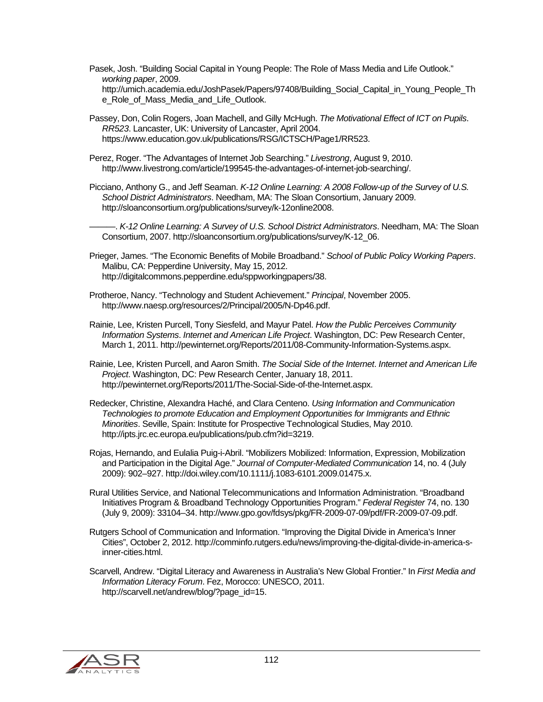- Pasek, Josh. "Building Social Capital in Young People: The Role of Mass Media and Life Outlook." *working paper*, 2009. http://umich.academia.edu/JoshPasek/Papers/97408/Building\_Social\_Capital\_in\_Young\_People\_Th e\_Role\_of\_Mass\_Media\_and\_Life\_Outlook.
- Passey, Don, Colin Rogers, Joan Machell, and Gilly McHugh. *The Motivational Effect of ICT on Pupils*. *RR523*. Lancaster, UK: University of Lancaster, April 2004. https://www.education.gov.uk/publications/RSG/ICTSCH/Page1/RR523.
- Perez, Roger. "The Advantages of Internet Job Searching." *Livestrong*, August 9, 2010. http://www.livestrong.com/article/199545-the-advantages-of-internet-job-searching/.
- Picciano, Anthony G., and Jeff Seaman. *K-12 Online Learning: A 2008 Follow-up of the Survey of U.S. School District Administrators*. Needham, MA: The Sloan Consortium, January 2009. http://sloanconsortium.org/publications/survey/k-12online2008.
	- ———. *K-12 Online Learning: A Survey of U.S. School District Administrators*. Needham, MA: The Sloan Consortium, 2007. http://sloanconsortium.org/publications/survey/K-12\_06.
- Prieger, James. "The Economic Benefits of Mobile Broadband." *School of Public Policy Working Papers*. Malibu, CA: Pepperdine University, May 15, 2012. http://digitalcommons.pepperdine.edu/sppworkingpapers/38.
- Protheroe, Nancy. "Technology and Student Achievement." *Principal*, November 2005. http://www.naesp.org/resources/2/Principal/2005/N-Dp46.pdf.
- Rainie, Lee, Kristen Purcell, Tony Siesfeld, and Mayur Patel. *How the Public Perceives Community Information Systems*. *Internet and American Life Project*. Washington, DC: Pew Research Center, March 1, 2011. http://pewinternet.org/Reports/2011/08-Community-Information-Systems.aspx.
- Rainie, Lee, Kristen Purcell, and Aaron Smith. *The Social Side of the Internet*. *Internet and American Life Project*. Washington, DC: Pew Research Center, January 18, 2011. http://pewinternet.org/Reports/2011/The-Social-Side-of-the-Internet.aspx.
- Redecker, Christine, Alexandra Haché, and Clara Centeno. *Using Information and Communication Technologies to promote Education and Employment Opportunities for Immigrants and Ethnic Minorities*. Seville, Spain: Institute for Prospective Technological Studies, May 2010. http://ipts.jrc.ec.europa.eu/publications/pub.cfm?id=3219.
- Rojas, Hernando, and Eulalia Puig-i-Abril. "Mobilizers Mobilized: Information, Expression, Mobilization and Participation in the Digital Age." *Journal of Computer-Mediated Communication* 14, no. 4 (July 2009): 902–927. http://doi.wiley.com/10.1111/j.1083-6101.2009.01475.x.
- Rural Utilities Service, and National Telecommunications and Information Administration. "Broadband Initiatives Program & Broadband Technology Opportunities Program." *Federal Register* 74, no. 130 (July 9, 2009): 33104–34. http://www.gpo.gov/fdsys/pkg/FR-2009-07-09/pdf/FR-2009-07-09.pdf.
- Rutgers School of Communication and Information. "Improving the Digital Divide in America's Inner Cities", October 2, 2012. http://comminfo.rutgers.edu/news/improving-the-digital-divide-in-america-sinner-cities.html.
- Scarvell, Andrew. "Digital Literacy and Awareness in Australia's New Global Frontier." In *First Media and Information Literacy Forum*. Fez, Morocco: UNESCO, 2011. http://scarvell.net/andrew/blog/?page\_id=15.

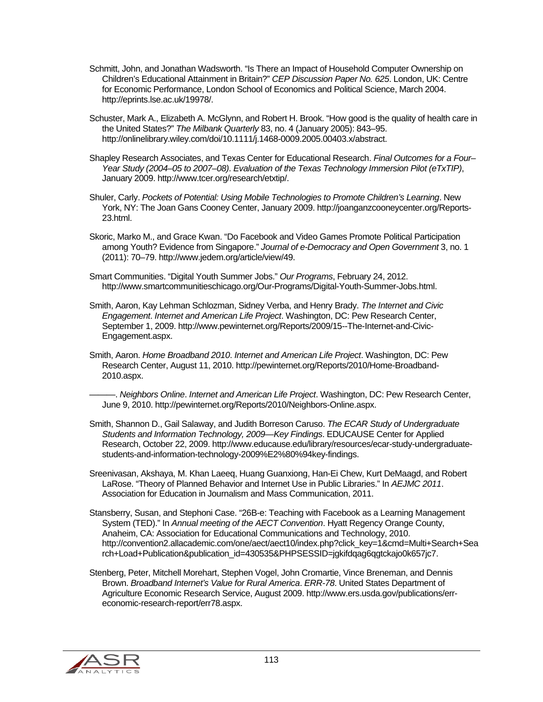- Schmitt, John, and Jonathan Wadsworth. "Is There an Impact of Household Computer Ownership on Children's Educational Attainment in Britain?" *CEP Discussion Paper No. 625*. London, UK: Centre for Economic Performance, London School of Economics and Political Science, March 2004. http://eprints.lse.ac.uk/19978/.
- Schuster, Mark A., Elizabeth A. McGlynn, and Robert H. Brook. "How good is the quality of health care in the United States?" *The Milbank Quarterly* 83, no. 4 (January 2005): 843–95. http://onlinelibrary.wiley.com/doi/10.1111/j.1468-0009.2005.00403.x/abstract.
- Shapley Research Associates, and Texas Center for Educational Research. *Final Outcomes for a Four– Year Study (2004–05 to 2007–08)*. *Evaluation of the Texas Technology Immersion Pilot (eTxTIP)*, January 2009. http://www.tcer.org/research/etxtip/.
- Shuler, Carly. *Pockets of Potential: Using Mobile Technologies to Promote Children's Learning*. New York, NY: The Joan Gans Cooney Center, January 2009. http://joanganzcooneycenter.org/Reports-23.html.
- Skoric, Marko M., and Grace Kwan. "Do Facebook and Video Games Promote Political Participation among Youth? Evidence from Singapore." *Journal of e-Democracy and Open Government* 3, no. 1 (2011): 70–79. http://www.jedem.org/article/view/49.
- Smart Communities. "Digital Youth Summer Jobs." *Our Programs*, February 24, 2012. http://www.smartcommunitieschicago.org/Our-Programs/Digital-Youth-Summer-Jobs.html.
- Smith, Aaron, Kay Lehman Schlozman, Sidney Verba, and Henry Brady. *The Internet and Civic Engagement*. *Internet and American Life Project*. Washington, DC: Pew Research Center, September 1, 2009. http://www.pewinternet.org/Reports/2009/15--The-Internet-and-Civic-Engagement.aspx.
- Smith, Aaron. *Home Broadband 2010*. *Internet and American Life Project*. Washington, DC: Pew Research Center, August 11, 2010. http://pewinternet.org/Reports/2010/Home-Broadband-2010.aspx.
- ———. *Neighbors Online*. *Internet and American Life Project*. Washington, DC: Pew Research Center, June 9, 2010. http://pewinternet.org/Reports/2010/Neighbors-Online.aspx.
- Smith, Shannon D., Gail Salaway, and Judith Borreson Caruso. *The ECAR Study of Undergraduate Students and Information Technology, 2009—Key Findings*. EDUCAUSE Center for Applied Research, October 22, 2009. http://www.educause.edu/library/resources/ecar-study-undergraduatestudents-and-information-technology-2009%E2%80%94key-findings.
- Sreenivasan, Akshaya, M. Khan Laeeq, Huang Guanxiong, Han-Ei Chew, Kurt DeMaagd, and Robert LaRose. "Theory of Planned Behavior and Internet Use in Public Libraries." In *AEJMC 2011*. Association for Education in Journalism and Mass Communication, 2011.
- Stansberry, Susan, and Stephoni Case. "26B-e: Teaching with Facebook as a Learning Management System (TED)." In *Annual meeting of the AECT Convention*. Hyatt Regency Orange County, Anaheim, CA: Association for Educational Communications and Technology, 2010. http://convention2.allacademic.com/one/aect/aect10/index.php?click\_key=1&cmd=Multi+Search+Sea rch+Load+Publication&publication\_id=430535&PHPSESSID=jgkifdqag6qgtckajo0k657jc7.
- Stenberg, Peter, Mitchell Morehart, Stephen Vogel, John Cromartie, Vince Breneman, and Dennis Brown. *Broadband Internet's Value for Rural America*. *ERR-78*. United States Department of Agriculture Economic Research Service, August 2009. http://www.ers.usda.gov/publications/erreconomic-research-report/err78.aspx.

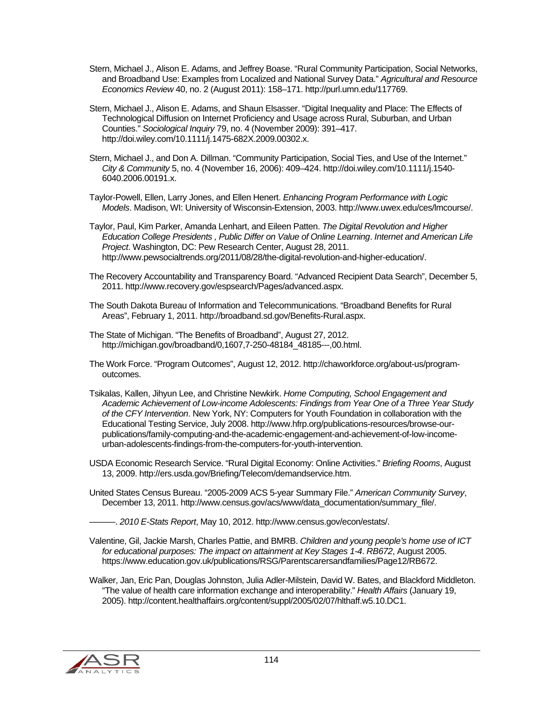- Stern, Michael J., Alison E. Adams, and Jeffrey Boase. "Rural Community Participation, Social Networks, and Broadband Use: Examples from Localized and National Survey Data." *Agricultural and Resource Economics Review* 40, no. 2 (August 2011): 158–171. http://purl.umn.edu/117769.
- Stern, Michael J., Alison E. Adams, and Shaun Elsasser. "Digital Inequality and Place: The Effects of Technological Diffusion on Internet Proficiency and Usage across Rural, Suburban, and Urban Counties." *Sociological Inquiry* 79, no. 4 (November 2009): 391–417. http://doi.wiley.com/10.1111/j.1475-682X.2009.00302.x.
- Stern, Michael J., and Don A. Dillman. "Community Participation, Social Ties, and Use of the Internet." *City & Community* 5, no. 4 (November 16, 2006): 409–424. http://doi.wiley.com/10.1111/j.1540- 6040.2006.00191.x.
- Taylor-Powell, Ellen, Larry Jones, and Ellen Henert. *Enhancing Program Performance with Logic Models*. Madison, WI: University of Wisconsin-Extension, 2003. http://www.uwex.edu/ces/lmcourse/.
- Taylor, Paul, Kim Parker, Amanda Lenhart, and Eileen Patten. *The Digital Revolution and Higher Education College Presidents , Public Differ on Value of Online Learning*. *Internet and American Life Project*. Washington, DC: Pew Research Center, August 28, 2011. http://www.pewsocialtrends.org/2011/08/28/the-digital-revolution-and-higher-education/.
- The Recovery Accountability and Transparency Board. "Advanced Recipient Data Search", December 5, 2011. http://www.recovery.gov/espsearch/Pages/advanced.aspx.
- The South Dakota Bureau of Information and Telecommunications. "Broadband Benefits for Rural Areas", February 1, 2011. http://broadband.sd.gov/Benefits-Rural.aspx.
- The State of Michigan. "The Benefits of Broadband", August 27, 2012. http://michigan.gov/broadband/0,1607,7-250-48184\_48185---,00.html.
- The Work Force. "Program Outcomes", August 12, 2012. http://chaworkforce.org/about-us/programoutcomes.
- Tsikalas, Kallen, Jihyun Lee, and Christine Newkirk. *Home Computing, School Engagement and Academic Achievement of Low-income Adolescents: Findings from Year One of a Three Year Study of the CFY Intervention*. New York, NY: Computers for Youth Foundation in collaboration with the Educational Testing Service, July 2008. http://www.hfrp.org/publications-resources/browse-ourpublications/family-computing-and-the-academic-engagement-and-achievement-of-low-incomeurban-adolescents-findings-from-the-computers-for-youth-intervention.
- USDA Economic Research Service. "Rural Digital Economy: Online Activities." *Briefing Rooms*, August 13, 2009. http://ers.usda.gov/Briefing/Telecom/demandservice.htm.
- United States Census Bureau. "2005-2009 ACS 5-year Summary File." *American Community Survey*, December 13, 2011. http://www.census.gov/acs/www/data\_documentation/summary\_file/.

———. *2010 E-Stats Report*, May 10, 2012. http://www.census.gov/econ/estats/.

- Valentine, Gil, Jackie Marsh, Charles Pattie, and BMRB. *Children and young people's home use of ICT for educational purposes: The impact on attainment at Key Stages 1-4*. *RB672*, August 2005. https://www.education.gov.uk/publications/RSG/Parentscarersandfamilies/Page12/RB672.
- Walker, Jan, Eric Pan, Douglas Johnston, Julia Adler-Milstein, David W. Bates, and Blackford Middleton. "The value of health care information exchange and interoperability." *Health Affairs* (January 19, 2005). http://content.healthaffairs.org/content/suppl/2005/02/07/hlthaff.w5.10.DC1.